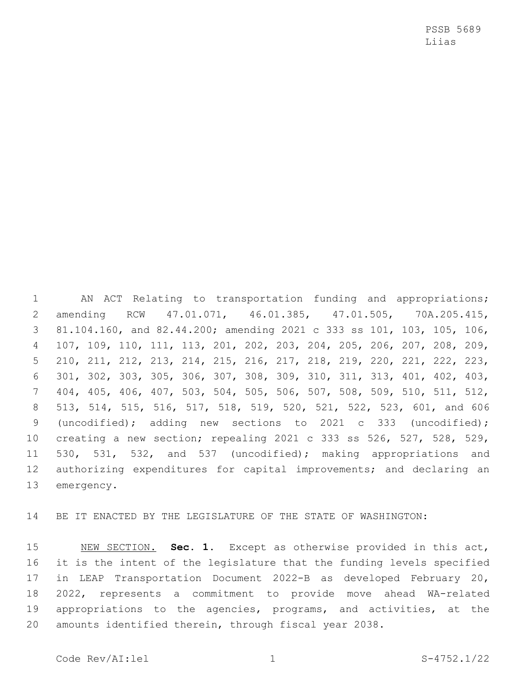PSSB 5689 Liias

 AN ACT Relating to transportation funding and appropriations; amending RCW 47.01.071, 46.01.385, 47.01.505, 70A.205.415, 81.104.160, and 82.44.200; amending 2021 c 333 ss 101, 103, 105, 106, 107, 109, 110, 111, 113, 201, 202, 203, 204, 205, 206, 207, 208, 209, 210, 211, 212, 213, 214, 215, 216, 217, 218, 219, 220, 221, 222, 223, 301, 302, 303, 305, 306, 307, 308, 309, 310, 311, 313, 401, 402, 403, 404, 405, 406, 407, 503, 504, 505, 506, 507, 508, 509, 510, 511, 512, 513, 514, 515, 516, 517, 518, 519, 520, 521, 522, 523, 601, and 606 (uncodified); adding new sections to 2021 c 333 (uncodified); creating a new section; repealing 2021 c 333 ss 526, 527, 528, 529, 530, 531, 532, and 537 (uncodified); making appropriations and authorizing expenditures for capital improvements; and declaring an 13 emergency.

BE IT ENACTED BY THE LEGISLATURE OF THE STATE OF WASHINGTON:

 NEW SECTION. **Sec. 1.** Except as otherwise provided in this act, it is the intent of the legislature that the funding levels specified in LEAP Transportation Document 2022-B as developed February 20, 2022, represents a commitment to provide move ahead WA-related appropriations to the agencies, programs, and activities, at the amounts identified therein, through fiscal year 2038.

Code Rev/AI:lel 1 1 S-4752.1/22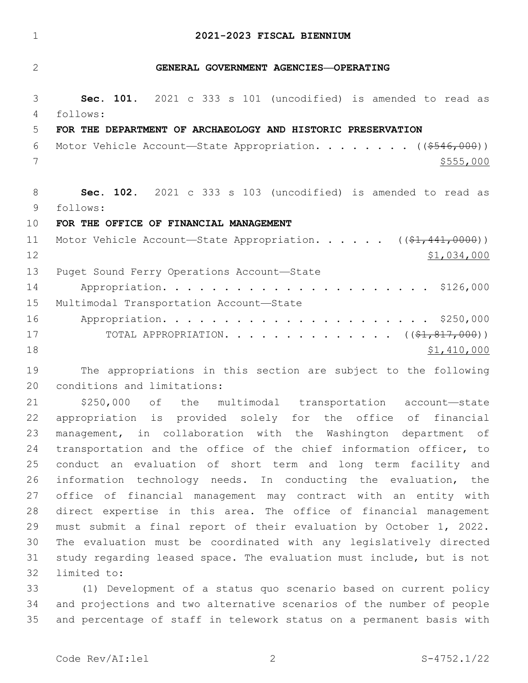## **2021-2023 FISCAL BIENNIUM**

### **GENERAL GOVERNMENT AGENCIES—OPERATING**

 **Sec. 101.** 2021 c 333 s 101 (uncodified) is amended to read as follows: 4

#### **FOR THE DEPARTMENT OF ARCHAEOLOGY AND HISTORIC PRESERVATION**

6 Motor Vehicle Account—State Appropriation. . . . . . . ((\$546,000))  $7 \frac{\$555}{000}$ 

 **Sec. 102.** 2021 c 333 s 103 (uncodified) is amended to read as follows: 9

## **FOR THE OFFICE OF FINANCIAL MANAGEMENT**

| 11 | Motor Vehicle Account-State Appropriation. ((\$1,441,0000))    |
|----|----------------------------------------------------------------|
| 12 | \$1,034,000                                                    |
| 13 | Puget Sound Ferry Operations Account-State                     |
| 14 |                                                                |
| 15 | Multimodal Transportation Account-State                        |
| 16 |                                                                |
| 17 | TOTAL APPROPRIATION. $($ $($ $\frac{21}{7}, \frac{817}{7000})$ |
| 18 | \$1,410,000                                                    |

 The appropriations in this section are subject to the following 20 conditions and limitations:

 \$250,000 of the multimodal transportation account—state appropriation is provided solely for the office of financial management, in collaboration with the Washington department of transportation and the office of the chief information officer, to conduct an evaluation of short term and long term facility and information technology needs. In conducting the evaluation, the office of financial management may contract with an entity with direct expertise in this area. The office of financial management must submit a final report of their evaluation by October 1, 2022. The evaluation must be coordinated with any legislatively directed study regarding leased space. The evaluation must include, but is not 32 limited to:

 (1) Development of a status quo scenario based on current policy and projections and two alternative scenarios of the number of people and percentage of staff in telework status on a permanent basis with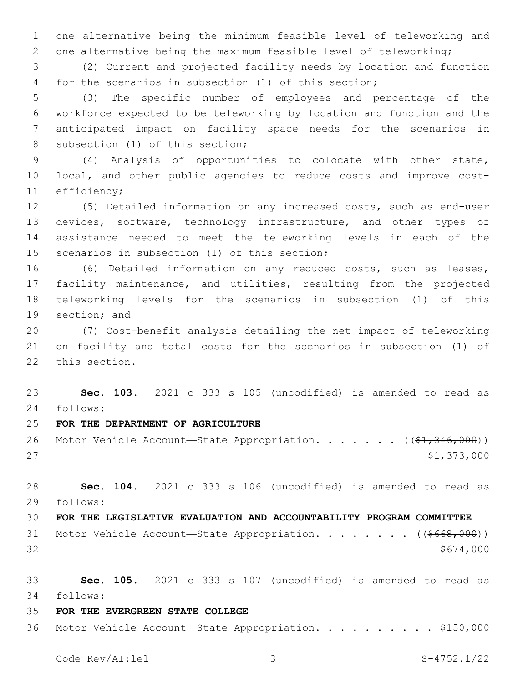one alternative being the minimum feasible level of teleworking and one alternative being the maximum feasible level of teleworking;

 (2) Current and projected facility needs by location and function for the scenarios in subsection (1) of this section;

 (3) The specific number of employees and percentage of the workforce expected to be teleworking by location and function and the anticipated impact on facility space needs for the scenarios in 8 subsection (1) of this section;

 (4) Analysis of opportunities to colocate with other state, local, and other public agencies to reduce costs and improve cost-11 efficiency;

 (5) Detailed information on any increased costs, such as end-user devices, software, technology infrastructure, and other types of assistance needed to meet the teleworking levels in each of the 15 scenarios in subsection (1) of this section;

 (6) Detailed information on any reduced costs, such as leases, facility maintenance, and utilities, resulting from the projected teleworking levels for the scenarios in subsection (1) of this 19 section; and

 (7) Cost-benefit analysis detailing the net impact of teleworking on facility and total costs for the scenarios in subsection (1) of 22 this section.

 **Sec. 103.** 2021 c 333 s 105 (uncodified) is amended to read as follows: 24

- **FOR THE DEPARTMENT OF AGRICULTURE**
- 26 Motor Vehicle Account-State Appropriation. . . . . . ((\$1,346,000)) 27 \$1,373,000

 **Sec. 104.** 2021 c 333 s 106 (uncodified) is amended to read as follows: 29

 **FOR THE LEGISLATIVE EVALUATION AND ACCOUNTABILITY PROGRAM COMMITTEE** 31 Motor Vehicle Account—State Appropriation. . . . . . . ((\$668,000))  $32 \div 5674,000$ 

 **Sec. 105.** 2021 c 333 s 107 (uncodified) is amended to read as follows: 34

**FOR THE EVERGREEN STATE COLLEGE**

Motor Vehicle Account—State Appropriation. . . . . . . . . . \$150,000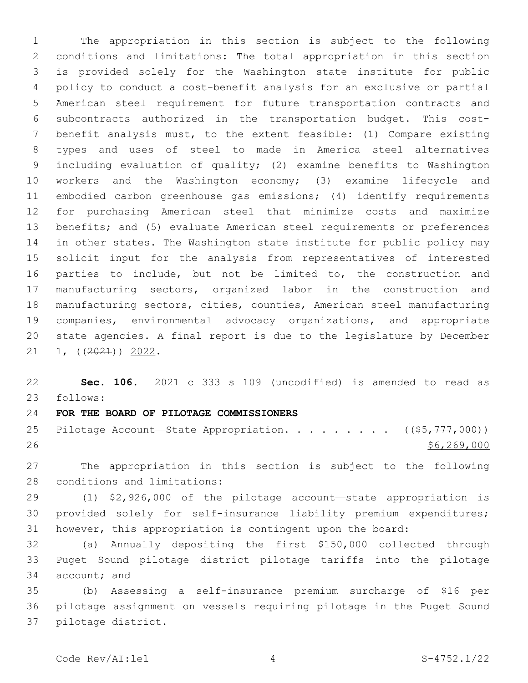The appropriation in this section is subject to the following conditions and limitations: The total appropriation in this section is provided solely for the Washington state institute for public policy to conduct a cost-benefit analysis for an exclusive or partial American steel requirement for future transportation contracts and subcontracts authorized in the transportation budget. This cost- benefit analysis must, to the extent feasible: (1) Compare existing types and uses of steel to made in America steel alternatives including evaluation of quality; (2) examine benefits to Washington workers and the Washington economy; (3) examine lifecycle and embodied carbon greenhouse gas emissions; (4) identify requirements for purchasing American steel that minimize costs and maximize benefits; and (5) evaluate American steel requirements or preferences in other states. The Washington state institute for public policy may solicit input for the analysis from representatives of interested parties to include, but not be limited to, the construction and manufacturing sectors, organized labor in the construction and manufacturing sectors, cities, counties, American steel manufacturing companies, environmental advocacy organizations, and appropriate state agencies. A final report is due to the legislature by December 21 1,  $((2021))$  2022.

 **Sec. 106.** 2021 c 333 s 109 (uncodified) is amended to read as follows: 23

**FOR THE BOARD OF PILOTAGE COMMISSIONERS**

25 Pilotage Account—State Appropriation. . . . . . . .  $($   $($ \$5,777,000))  $$6,269,000$ 

 The appropriation in this section is subject to the following 28 conditions and limitations:

 (1) \$2,926,000 of the pilotage account—state appropriation is provided solely for self-insurance liability premium expenditures; however, this appropriation is contingent upon the board:

 (a) Annually depositing the first \$150,000 collected through Puget Sound pilotage district pilotage tariffs into the pilotage 34 account: and

 (b) Assessing a self-insurance premium surcharge of \$16 per pilotage assignment on vessels requiring pilotage in the Puget Sound 37 pilotage district.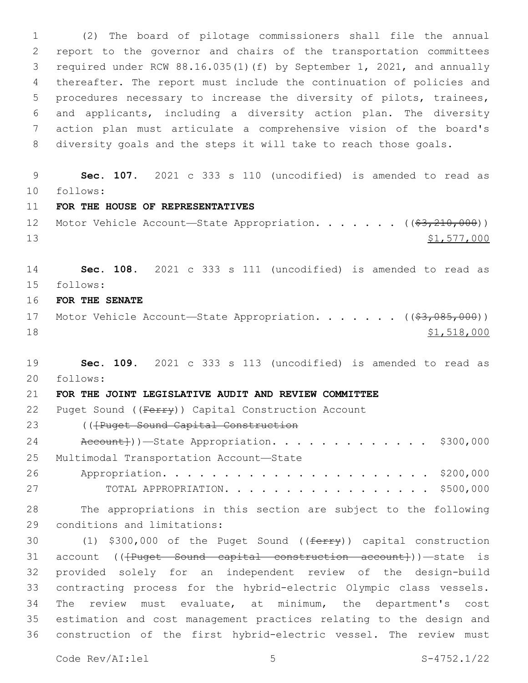(2) The board of pilotage commissioners shall file the annual report to the governor and chairs of the transportation committees required under RCW 88.16.035(1)(f) by September 1, 2021, and annually thereafter. The report must include the continuation of policies and procedures necessary to increase the diversity of pilots, trainees, and applicants, including a diversity action plan. The diversity action plan must articulate a comprehensive vision of the board's diversity goals and the steps it will take to reach those goals.

 **Sec. 107.** 2021 c 333 s 110 (uncodified) is amended to read as follows: 10

**FOR THE HOUSE OF REPRESENTATIVES**

12 Motor Vehicle Account-State Appropriation. . . . . . ((\$3,210,000)) \$1,577,000

 **Sec. 108.** 2021 c 333 s 111 (uncodified) is amended to read as follows: 15

**FOR THE SENATE**

17 Motor Vehicle Account—State Appropriation. . . . . . ((\$3,085,000)) \$1,518,000

 **Sec. 109.** 2021 c 333 s 113 (uncodified) is amended to read as follows: 20

**FOR THE JOINT LEGISLATIVE AUDIT AND REVIEW COMMITTEE**

22 Puget Sound ((Ferry)) Capital Construction Account

23 ((Fruget Sound Capital Construction

24 Account}))—State Appropriation. . . . . . . . . . . . \$300,000 25 Multimodal Transportation Account-State Appropriation. . . . . . . . . . . . . . . . . . . . . . \$200,000

TOTAL APPROPRIATION. . . . . . . . . . . . . . . . . \$500,000

 The appropriations in this section are subject to the following 29 conditions and limitations:

30 (1) \$300,000 of the Puget Sound ((ferry)) capital construction 31 account ((<del>[Puget Sound capital construction account]</del>))—state is provided solely for an independent review of the design-build contracting process for the hybrid-electric Olympic class vessels. The review must evaluate, at minimum, the department's cost estimation and cost management practices relating to the design and construction of the first hybrid-electric vessel. The review must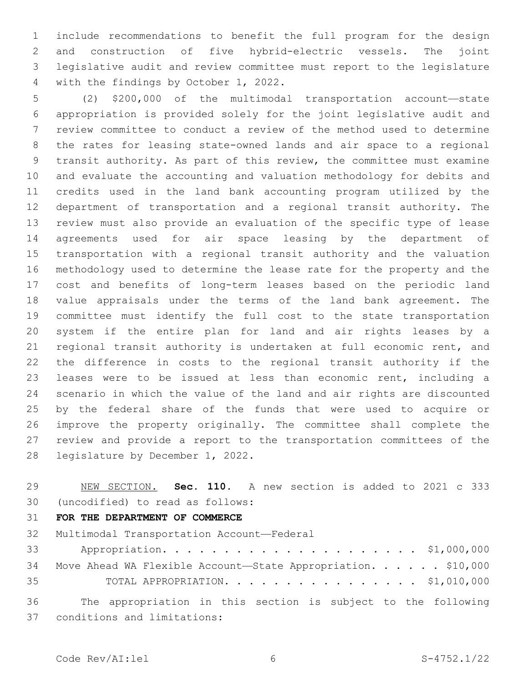include recommendations to benefit the full program for the design and construction of five hybrid-electric vessels. The joint legislative audit and review committee must report to the legislature 4 with the findings by October 1, 2022.

 (2) \$200,000 of the multimodal transportation account—state appropriation is provided solely for the joint legislative audit and review committee to conduct a review of the method used to determine the rates for leasing state-owned lands and air space to a regional transit authority. As part of this review, the committee must examine and evaluate the accounting and valuation methodology for debits and credits used in the land bank accounting program utilized by the department of transportation and a regional transit authority. The review must also provide an evaluation of the specific type of lease agreements used for air space leasing by the department of transportation with a regional transit authority and the valuation methodology used to determine the lease rate for the property and the cost and benefits of long-term leases based on the periodic land value appraisals under the terms of the land bank agreement. The committee must identify the full cost to the state transportation system if the entire plan for land and air rights leases by a regional transit authority is undertaken at full economic rent, and the difference in costs to the regional transit authority if the leases were to be issued at less than economic rent, including a scenario in which the value of the land and air rights are discounted by the federal share of the funds that were used to acquire or improve the property originally. The committee shall complete the review and provide a report to the transportation committees of the 28 legislature by December 1, 2022.

 NEW SECTION. **Sec. 110.** A new section is added to 2021 c 333 (uncodified) to read as follows: 30

# **FOR THE DEPARTMENT OF COMMERCE**

32 Multimodal Transportation Account-Federal

|    | 34 Move Ahead WA Flexible Account-State Appropriation. \$10,000 |  |
|----|-----------------------------------------------------------------|--|
| 35 | TOTAL APPROPRIATION. \$1,010,000                                |  |

 The appropriation in this section is subject to the following conditions and limitations:37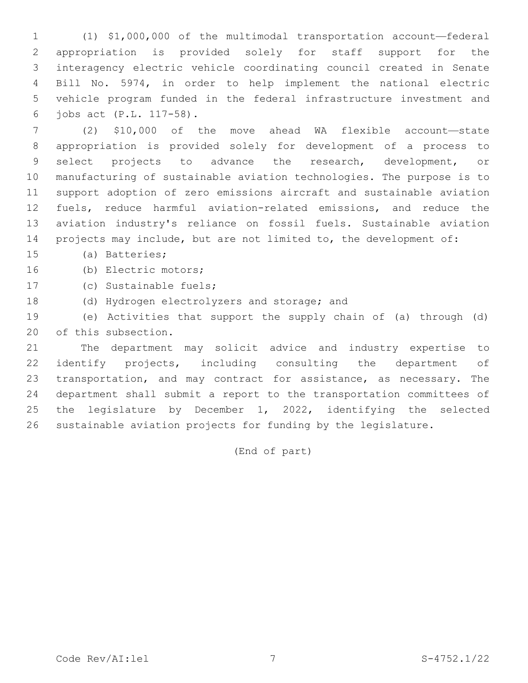(1) \$1,000,000 of the multimodal transportation account—federal appropriation is provided solely for staff support for the interagency electric vehicle coordinating council created in Senate Bill No. 5974, in order to help implement the national electric vehicle program funded in the federal infrastructure investment and jobs act (P.L. 117-58).6

 (2) \$10,000 of the move ahead WA flexible account—state appropriation is provided solely for development of a process to select projects to advance the research, development, or manufacturing of sustainable aviation technologies. The purpose is to support adoption of zero emissions aircraft and sustainable aviation fuels, reduce harmful aviation-related emissions, and reduce the aviation industry's reliance on fossil fuels. Sustainable aviation projects may include, but are not limited to, the development of:

15 (a) Batteries;

16 (b) Electric motors;

17 (c) Sustainable fuels;

18 (d) Hydrogen electrolyzers and storage; and

 (e) Activities that support the supply chain of (a) through (d) 20 of this subsection.

 The department may solicit advice and industry expertise to 22 identify projects, including consulting the department of transportation, and may contract for assistance, as necessary. The department shall submit a report to the transportation committees of the legislature by December 1, 2022, identifying the selected sustainable aviation projects for funding by the legislature.

(End of part)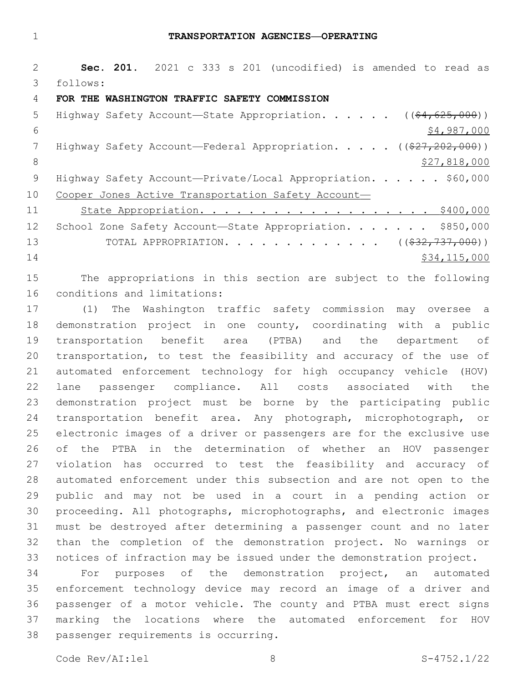**Sec. 201.** 2021 c 333 s 201 (uncodified) is amended to read as follows: 3 **FOR THE WASHINGTON TRAFFIC SAFETY COMMISSION** 5 Highway Safety Account—State Appropriation. . . . . ((\$4,625,000))  $\frac{1}{2}$   $\frac{1}{2}$   $\frac{987}{200}$ 7 Highway Safety Account—Federal Appropriation. . . . . ((\$27,202,000)) 8 \$27,818,000 9 Highway Safety Account-Private/Local Appropriation. . . . . \$60,000 Cooper Jones Active Transportation Safety Account— 11 State Appropriation. . . . . . . . . . . . . . . . . . \$400,000 12 School Zone Safety Account—State Appropriation. . . . . . \$850,000 13 TOTAL APPROPRIATION. . . . . . . . . . . . . ((\$32,737,000)) 14 \$34,115,000

 The appropriations in this section are subject to the following 16 conditions and limitations:

 (1) The Washington traffic safety commission may oversee a demonstration project in one county, coordinating with a public transportation benefit area (PTBA) and the department of transportation, to test the feasibility and accuracy of the use of automated enforcement technology for high occupancy vehicle (HOV) lane passenger compliance. All costs associated with the demonstration project must be borne by the participating public transportation benefit area. Any photograph, microphotograph, or electronic images of a driver or passengers are for the exclusive use of the PTBA in the determination of whether an HOV passenger violation has occurred to test the feasibility and accuracy of automated enforcement under this subsection and are not open to the public and may not be used in a court in a pending action or proceeding. All photographs, microphotographs, and electronic images must be destroyed after determining a passenger count and no later than the completion of the demonstration project. No warnings or notices of infraction may be issued under the demonstration project.

 For purposes of the demonstration project, an automated enforcement technology device may record an image of a driver and passenger of a motor vehicle. The county and PTBA must erect signs marking the locations where the automated enforcement for HOV 38 passenger requirements is occurring.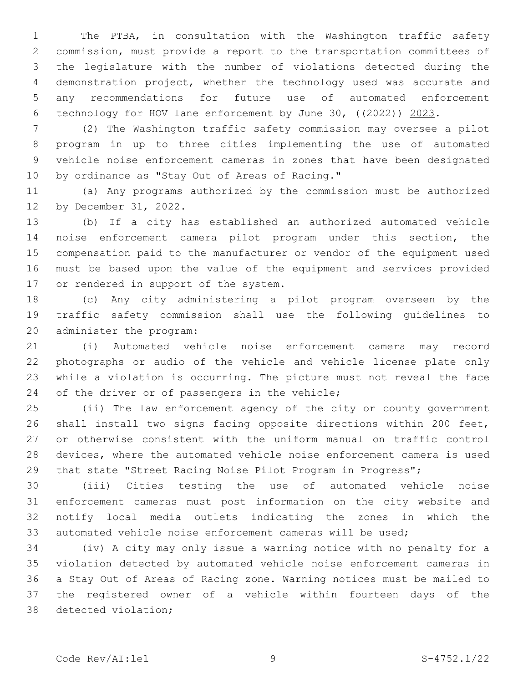The PTBA, in consultation with the Washington traffic safety commission, must provide a report to the transportation committees of the legislature with the number of violations detected during the demonstration project, whether the technology used was accurate and any recommendations for future use of automated enforcement technology for HOV lane enforcement by June 30, ((2022)) 2023.

 (2) The Washington traffic safety commission may oversee a pilot program in up to three cities implementing the use of automated vehicle noise enforcement cameras in zones that have been designated 10 by ordinance as "Stay Out of Areas of Racing."

 (a) Any programs authorized by the commission must be authorized 12 by December 31, 2022.

 (b) If a city has established an authorized automated vehicle noise enforcement camera pilot program under this section, the compensation paid to the manufacturer or vendor of the equipment used must be based upon the value of the equipment and services provided 17 or rendered in support of the system.

 (c) Any city administering a pilot program overseen by the traffic safety commission shall use the following guidelines to 20 administer the program:

 (i) Automated vehicle noise enforcement camera may record photographs or audio of the vehicle and vehicle license plate only while a violation is occurring. The picture must not reveal the face 24 of the driver or of passengers in the vehicle;

 (ii) The law enforcement agency of the city or county government shall install two signs facing opposite directions within 200 feet, or otherwise consistent with the uniform manual on traffic control devices, where the automated vehicle noise enforcement camera is used 29 that state "Street Racing Noise Pilot Program in Progress";

 (iii) Cities testing the use of automated vehicle noise enforcement cameras must post information on the city website and notify local media outlets indicating the zones in which the automated vehicle noise enforcement cameras will be used;

 (iv) A city may only issue a warning notice with no penalty for a violation detected by automated vehicle noise enforcement cameras in a Stay Out of Areas of Racing zone. Warning notices must be mailed to the registered owner of a vehicle within fourteen days of the 38 detected violation;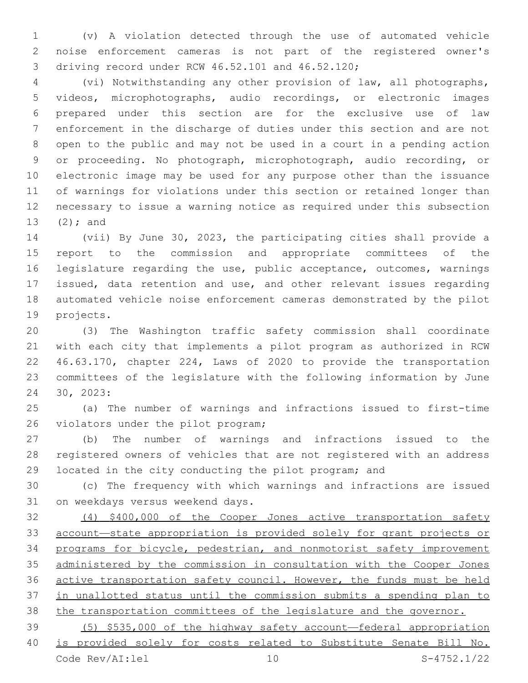(v) A violation detected through the use of automated vehicle noise enforcement cameras is not part of the registered owner's driving record under RCW 46.52.101 and 46.52.120;3

 (vi) Notwithstanding any other provision of law, all photographs, videos, microphotographs, audio recordings, or electronic images prepared under this section are for the exclusive use of law enforcement in the discharge of duties under this section and are not open to the public and may not be used in a court in a pending action or proceeding. No photograph, microphotograph, audio recording, or electronic image may be used for any purpose other than the issuance of warnings for violations under this section or retained longer than necessary to issue a warning notice as required under this subsection 13  $(2)$ ; and

 (vii) By June 30, 2023, the participating cities shall provide a report to the commission and appropriate committees of the legislature regarding the use, public acceptance, outcomes, warnings issued, data retention and use, and other relevant issues regarding automated vehicle noise enforcement cameras demonstrated by the pilot 19 projects.

 (3) The Washington traffic safety commission shall coordinate with each city that implements a pilot program as authorized in RCW 46.63.170, chapter 224, Laws of 2020 to provide the transportation committees of the legislature with the following information by June 30, 2023:24

 (a) The number of warnings and infractions issued to first-time 26 violators under the pilot program;

 (b) The number of warnings and infractions issued to the registered owners of vehicles that are not registered with an address located in the city conducting the pilot program; and

 (c) The frequency with which warnings and infractions are issued 31 on weekdays versus weekend days.

 (4) \$400,000 of the Cooper Jones active transportation safety account—state appropriation is provided solely for grant projects or programs for bicycle, pedestrian, and nonmotorist safety improvement administered by the commission in consultation with the Cooper Jones active transportation safety council. However, the funds must be held in unallotted status until the commission submits a spending plan to the transportation committees of the legislature and the governor.

 (5) \$535,000 of the highway safety account—federal appropriation is provided solely for costs related to Substitute Senate Bill No. Code Rev/AI:lel 10 S-4752.1/22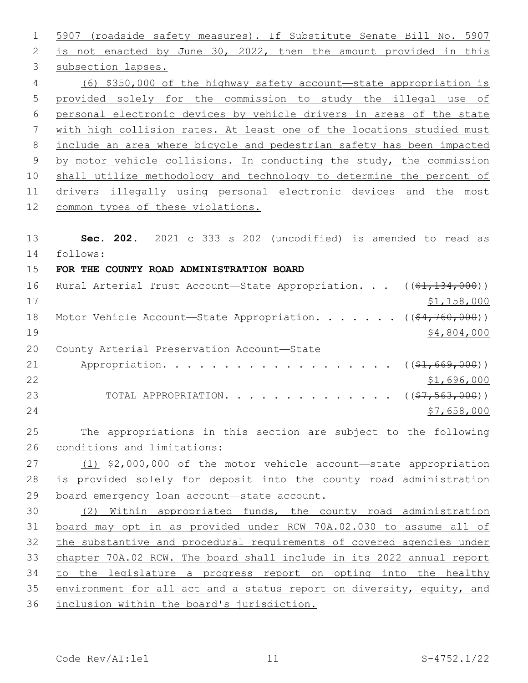5907 (roadside safety measures). If Substitute Senate Bill No. 5907 is not enacted by June 30, 2022, then the amount provided in this 3 subsection lapses. (6) \$350,000 of the highway safety account—state appropriation is provided solely for the commission to study the illegal use of personal electronic devices by vehicle drivers in areas of the state with high collision rates. At least one of the locations studied must include an area where bicycle and pedestrian safety has been impacted by motor vehicle collisions. In conducting the study, the commission shall utilize methodology and technology to determine the percent of drivers illegally using personal electronic devices and the most common types of these violations. **Sec. 202.** 2021 c 333 s 202 (uncodified) is amended to read as follows: 14 **FOR THE COUNTY ROAD ADMINISTRATION BOARD** 16 Rural Arterial Trust Account—State Appropriation. . . ((\$1,134,000)) \$1,158,000 18 Motor Vehicle Account—State Appropriation. . . . . . ((\$4,760,000)) \$4,804,000 20 County Arterial Preservation Account-State 21 Appropriation. . . . . . . . . . . . . . . . . (  $(\frac{21}{7669},000)$  ) \$1,696,000 23 TOTAL APPROPRIATION. . . . . . . . . . . . . . ((\$7,563,000)) \$7,658,000 The appropriations in this section are subject to the following 26 conditions and limitations: (1) \$2,000,000 of the motor vehicle account—state appropriation is provided solely for deposit into the county road administration 29 board emergency loan account-state account. (2) Within appropriated funds, the county road administration board may opt in as provided under RCW 70A.02.030 to assume all of the substantive and procedural requirements of covered agencies under chapter 70A.02 RCW. The board shall include in its 2022 annual report 34 to the legislature a progress report on opting into the healthy environment for all act and a status report on diversity, equity, and inclusion within the board's jurisdiction.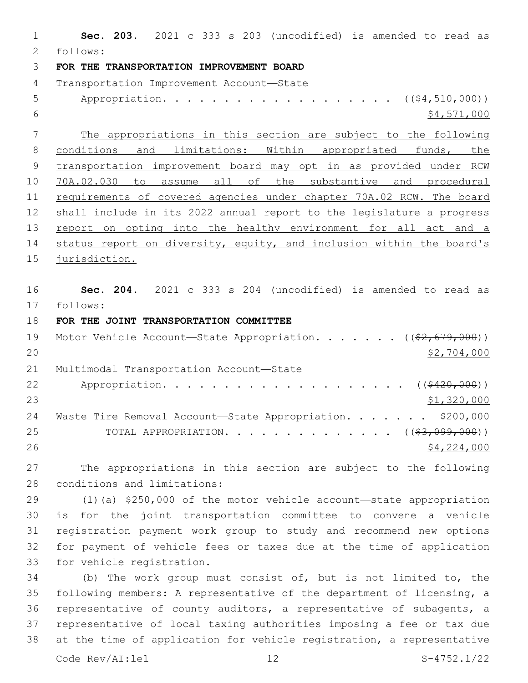**Sec. 203.** 2021 c 333 s 203 (uncodified) is amended to read as follows: 2 **FOR THE TRANSPORTATION IMPROVEMENT BOARD** 4 Transportation Improvement Account-State 5 Appropriation. . . . . . . . . . . . . . . . . (  $(\frac{64,510,000}{5})$  \$4,571,000 The appropriations in this section are subject to the following 8 conditions and limitations: Within appropriated funds, the transportation improvement board may opt in as provided under RCW 70A.02.030 to assume all of the substantive and procedural requirements of covered agencies under chapter 70A.02 RCW. The board shall include in its 2022 annual report to the legislature a progress 13 report on opting into the healthy environment for all act and a status report on diversity, equity, and inclusion within the board's jurisdiction. **Sec. 204.** 2021 c 333 s 204 (uncodified) is amended to read as follows: 17 **FOR THE JOINT TRANSPORTATION COMMITTEE** 19 Motor Vehicle Account—State Appropriation. . . . . . ((\$2,679,000)) \$2,704,000 21 Multimodal Transportation Account-State 22 Appropriation. . . . . . . . . . . . . . . . . . (  $(*420,000)$  ) \$1,320,000 24 Waste Tire Removal Account—State Appropriation. . . . . . \$200,000 25 TOTAL APPROPRIATION. . . . . . . . . . . . . . ((\$3,099,000)) \$4,224,000 The appropriations in this section are subject to the following 28 conditions and limitations: (1)(a) \$250,000 of the motor vehicle account—state appropriation is for the joint transportation committee to convene a vehicle registration payment work group to study and recommend new options for payment of vehicle fees or taxes due at the time of application 33 for vehicle registration. (b) The work group must consist of, but is not limited to, the following members: A representative of the department of licensing, a representative of county auditors, a representative of subagents, a representative of local taxing authorities imposing a fee or tax due

Code Rev/AI:lel 12 S-4752.1/22

at the time of application for vehicle registration, a representative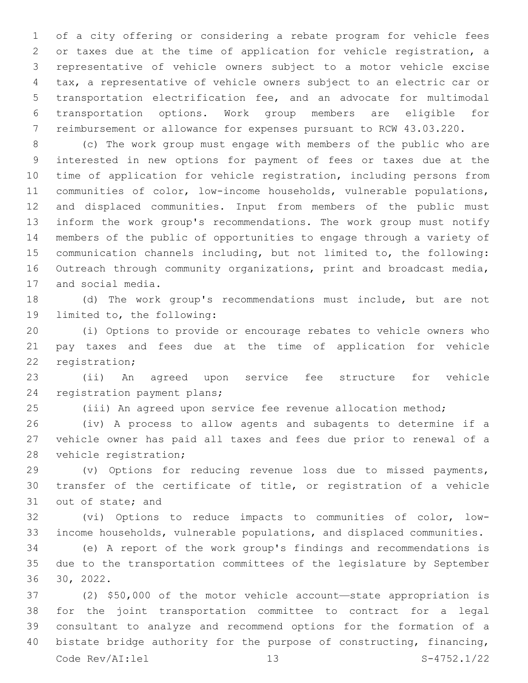of a city offering or considering a rebate program for vehicle fees or taxes due at the time of application for vehicle registration, a representative of vehicle owners subject to a motor vehicle excise tax, a representative of vehicle owners subject to an electric car or transportation electrification fee, and an advocate for multimodal transportation options. Work group members are eligible for reimbursement or allowance for expenses pursuant to RCW 43.03.220.

 (c) The work group must engage with members of the public who are interested in new options for payment of fees or taxes due at the time of application for vehicle registration, including persons from communities of color, low-income households, vulnerable populations, and displaced communities. Input from members of the public must inform the work group's recommendations. The work group must notify members of the public of opportunities to engage through a variety of communication channels including, but not limited to, the following: Outreach through community organizations, print and broadcast media, 17 and social media.

 (d) The work group's recommendations must include, but are not 19 limited to, the following:

 (i) Options to provide or encourage rebates to vehicle owners who pay taxes and fees due at the time of application for vehicle 22 registration;

 (ii) An agreed upon service fee structure for vehicle 24 registration payment plans;

(iii) An agreed upon service fee revenue allocation method;

 (iv) A process to allow agents and subagents to determine if a vehicle owner has paid all taxes and fees due prior to renewal of a 28 vehicle registration;

 (v) Options for reducing revenue loss due to missed payments, transfer of the certificate of title, or registration of a vehicle 31 out of state; and

 (vi) Options to reduce impacts to communities of color, low-income households, vulnerable populations, and displaced communities.

 (e) A report of the work group's findings and recommendations is due to the transportation committees of the legislature by September 30, 2022.

 (2) \$50,000 of the motor vehicle account—state appropriation is for the joint transportation committee to contract for a legal consultant to analyze and recommend options for the formation of a bistate bridge authority for the purpose of constructing, financing, Code Rev/AI:lel 13 S-4752.1/22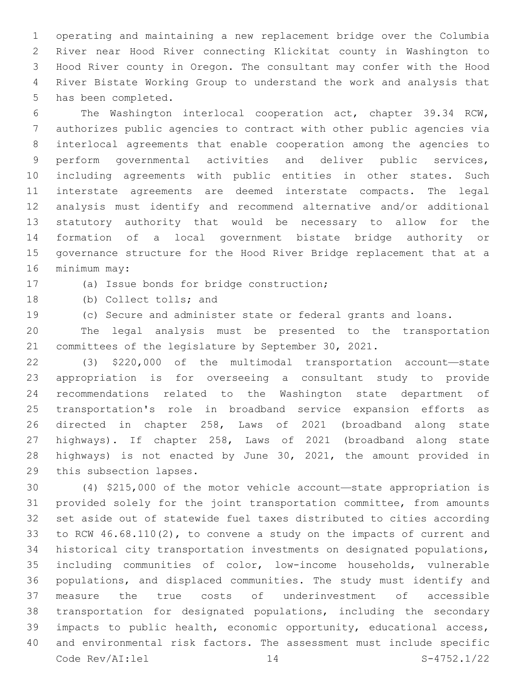operating and maintaining a new replacement bridge over the Columbia River near Hood River connecting Klickitat county in Washington to Hood River county in Oregon. The consultant may confer with the Hood River Bistate Working Group to understand the work and analysis that 5 has been completed.

 The Washington interlocal cooperation act, chapter 39.34 RCW, authorizes public agencies to contract with other public agencies via interlocal agreements that enable cooperation among the agencies to perform governmental activities and deliver public services, including agreements with public entities in other states. Such interstate agreements are deemed interstate compacts. The legal analysis must identify and recommend alternative and/or additional statutory authority that would be necessary to allow for the formation of a local government bistate bridge authority or governance structure for the Hood River Bridge replacement that at a 16 minimum may:

17 (a) Issue bonds for bridge construction;

18 (b) Collect tolls; and

(c) Secure and administer state or federal grants and loans.

 The legal analysis must be presented to the transportation committees of the legislature by September 30, 2021.

 (3) \$220,000 of the multimodal transportation account—state appropriation is for overseeing a consultant study to provide recommendations related to the Washington state department of transportation's role in broadband service expansion efforts as directed in chapter 258, Laws of 2021 (broadband along state highways). If chapter 258, Laws of 2021 (broadband along state highways) is not enacted by June 30, 2021, the amount provided in 29 this subsection lapses.

 (4) \$215,000 of the motor vehicle account—state appropriation is provided solely for the joint transportation committee, from amounts set aside out of statewide fuel taxes distributed to cities according to RCW 46.68.110(2), to convene a study on the impacts of current and historical city transportation investments on designated populations, including communities of color, low-income households, vulnerable populations, and displaced communities. The study must identify and measure the true costs of underinvestment of accessible transportation for designated populations, including the secondary impacts to public health, economic opportunity, educational access, and environmental risk factors. The assessment must include specific Code Rev/AI:lel 14 S-4752.1/22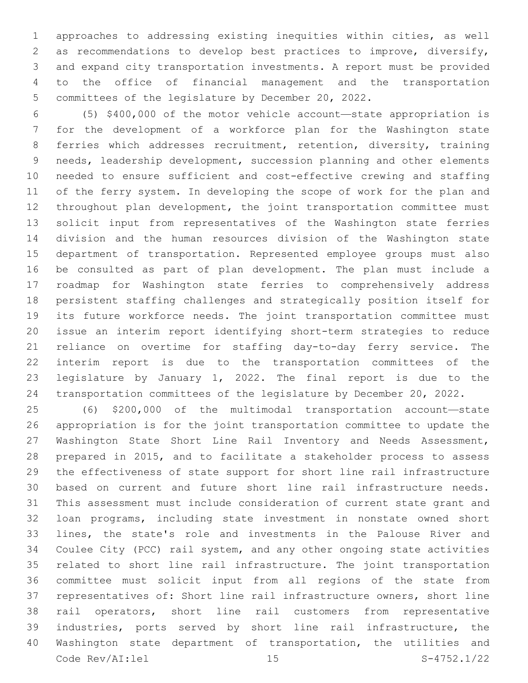approaches to addressing existing inequities within cities, as well as recommendations to develop best practices to improve, diversify, and expand city transportation investments. A report must be provided to the office of financial management and the transportation committees of the legislature by December 20, 2022.

 (5) \$400,000 of the motor vehicle account—state appropriation is for the development of a workforce plan for the Washington state ferries which addresses recruitment, retention, diversity, training needs, leadership development, succession planning and other elements needed to ensure sufficient and cost-effective crewing and staffing of the ferry system. In developing the scope of work for the plan and throughout plan development, the joint transportation committee must solicit input from representatives of the Washington state ferries division and the human resources division of the Washington state department of transportation. Represented employee groups must also be consulted as part of plan development. The plan must include a roadmap for Washington state ferries to comprehensively address persistent staffing challenges and strategically position itself for its future workforce needs. The joint transportation committee must issue an interim report identifying short-term strategies to reduce reliance on overtime for staffing day-to-day ferry service. The interim report is due to the transportation committees of the legislature by January 1, 2022. The final report is due to the transportation committees of the legislature by December 20, 2022.

 (6) \$200,000 of the multimodal transportation account—state appropriation is for the joint transportation committee to update the Washington State Short Line Rail Inventory and Needs Assessment, prepared in 2015, and to facilitate a stakeholder process to assess the effectiveness of state support for short line rail infrastructure based on current and future short line rail infrastructure needs. This assessment must include consideration of current state grant and loan programs, including state investment in nonstate owned short lines, the state's role and investments in the Palouse River and Coulee City (PCC) rail system, and any other ongoing state activities related to short line rail infrastructure. The joint transportation committee must solicit input from all regions of the state from representatives of: Short line rail infrastructure owners, short line rail operators, short line rail customers from representative industries, ports served by short line rail infrastructure, the Washington state department of transportation, the utilities and Code Rev/AI:lel 15 S-4752.1/22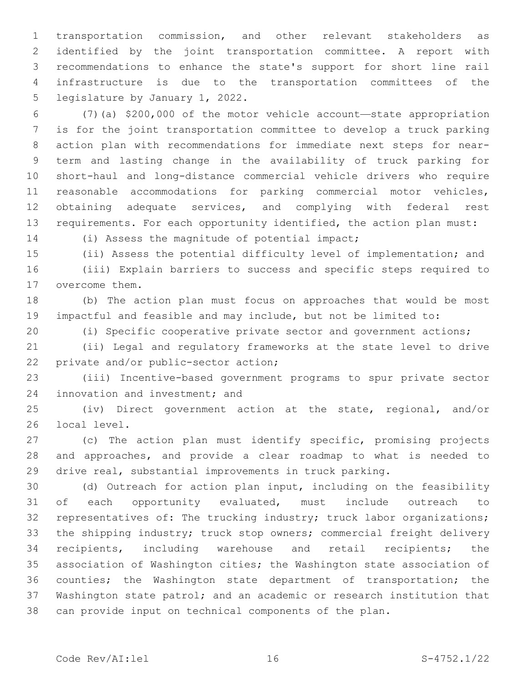transportation commission, and other relevant stakeholders as identified by the joint transportation committee. A report with recommendations to enhance the state's support for short line rail infrastructure is due to the transportation committees of the 5 legislature by January 1, 2022.

 (7)(a) \$200,000 of the motor vehicle account—state appropriation is for the joint transportation committee to develop a truck parking action plan with recommendations for immediate next steps for near- term and lasting change in the availability of truck parking for short-haul and long-distance commercial vehicle drivers who require reasonable accommodations for parking commercial motor vehicles, 12 obtaining adequate services, and complying with federal rest requirements. For each opportunity identified, the action plan must:

14 (i) Assess the magnitude of potential impact;

(ii) Assess the potential difficulty level of implementation; and

 (iii) Explain barriers to success and specific steps required to 17 overcome them.

 (b) The action plan must focus on approaches that would be most impactful and feasible and may include, but not be limited to:

(i) Specific cooperative private sector and government actions;

 (ii) Legal and regulatory frameworks at the state level to drive 22 private and/or public-sector action;

 (iii) Incentive-based government programs to spur private sector 24 innovation and investment; and

 (iv) Direct government action at the state, regional, and/or 26 local level.

 (c) The action plan must identify specific, promising projects and approaches, and provide a clear roadmap to what is needed to drive real, substantial improvements in truck parking.

 (d) Outreach for action plan input, including on the feasibility of each opportunity evaluated, must include outreach to representatives of: The trucking industry; truck labor organizations; the shipping industry; truck stop owners; commercial freight delivery recipients, including warehouse and retail recipients; the association of Washington cities; the Washington state association of counties; the Washington state department of transportation; the Washington state patrol; and an academic or research institution that can provide input on technical components of the plan.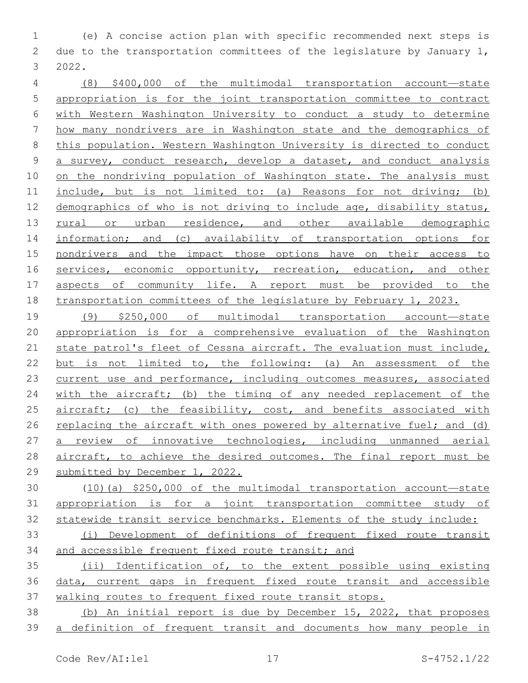(e) A concise action plan with specific recommended next steps is due to the transportation committees of the legislature by January 1, 2022.3

 (8) \$400,000 of the multimodal transportation account—state appropriation is for the joint transportation committee to contract with Western Washington University to conduct a study to determine how many nondrivers are in Washington state and the demographics of this population. Western Washington University is directed to conduct a survey, conduct research, develop a dataset, and conduct analysis 10 on the nondriving population of Washington state. The analysis must 11 include, but is not limited to: (a) Reasons for not driving; (b) 12 demographics of who is not driving to include age, disability status, 13 rural or urban residence, and other available demographic information; and (c) availability of transportation options for nondrivers and the impact those options have on their access to 16 services, economic opportunity, recreation, education, and other aspects of community life. A report must be provided to the transportation committees of the legislature by February 1, 2023.

 (9) \$250,000 of multimodal transportation account—state appropriation is for a comprehensive evaluation of the Washington state patrol's fleet of Cessna aircraft. The evaluation must include, but is not limited to, the following: (a) An assessment of the 23 current use and performance, including outcomes measures, associated 24 with the aircraft; (b) the timing of any needed replacement of the 25 aircraft; (c) the feasibility, cost, and benefits associated with replacing the aircraft with ones powered by alternative fuel; and (d) 27 a review of innovative technologies, including unmanned aerial aircraft, to achieve the desired outcomes. The final report must be submitted by December 1, 2022.

 (10)(a) \$250,000 of the multimodal transportation account—state appropriation is for a joint transportation committee study of statewide transit service benchmarks. Elements of the study include:

 (i) Development of definitions of frequent fixed route transit and accessible frequent fixed route transit; and

 (ii) Identification of, to the extent possible using existing data, current gaps in frequent fixed route transit and accessible walking routes to frequent fixed route transit stops.

 (b) An initial report is due by December 15, 2022, that proposes a definition of frequent transit and documents how many people in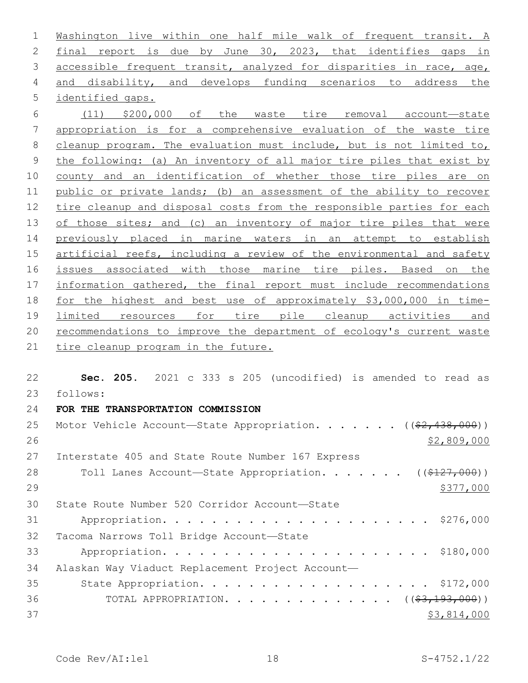Washington live within one half mile walk of frequent transit. A final report is due by June 30, 2023, that identifies gaps in 3 accessible frequent transit, analyzed for disparities in race, age, 4 and disability, and develops funding scenarios to address the 5 identified gaps.

 (11) \$200,000 of the waste tire removal account—state appropriation is for a comprehensive evaluation of the waste tire cleanup program. The evaluation must include, but is not limited to, the following: (a) An inventory of all major tire piles that exist by county and an identification of whether those tire piles are on public or private lands; (b) an assessment of the ability to recover tire cleanup and disposal costs from the responsible parties for each 13 of those sites; and (c) an inventory of major tire piles that were previously placed in marine waters in an attempt to establish 15 artificial reefs, including a review of the environmental and safety issues associated with those marine tire piles. Based on the information gathered, the final report must include recommendations for the highest and best use of approximately \$3,000,000 in time- limited resources for tire pile cleanup activities and recommendations to improve the department of ecology's current waste 21 tire cleanup program in the future.

 **Sec. 205.** 2021 c 333 s 205 (uncodified) is amended to read as follows: 23 **FOR THE TRANSPORTATION COMMISSION** 25 Motor Vehicle Account—State Appropriation. . . . . .  $($   $($ \$2,438,000))  $$2,809,000$ 27 Interstate 405 and State Route Number 167 Express 28 Toll Lanes Account—State Appropriation. . . . . . ((\$127,000))  $\frac{$377,000}{2}$ 30 State Route Number 520 Corridor Account-State Appropriation. . . . . . . . . . . . . . . . . . . . . . \$276,000 32 Tacoma Narrows Toll Bridge Account-State Appropriation. . . . . . . . . . . . . . . . . . . . . . \$180,000 Alaskan Way Viaduct Replacement Project Account— 35 State Appropriation. . . . . . . . . . . . . . . . . . \$172,000 36 TOTAL APPROPRIATION. . . . . . . . . . . . . ((<del>\$3,193,000</del>)) \$3,814,000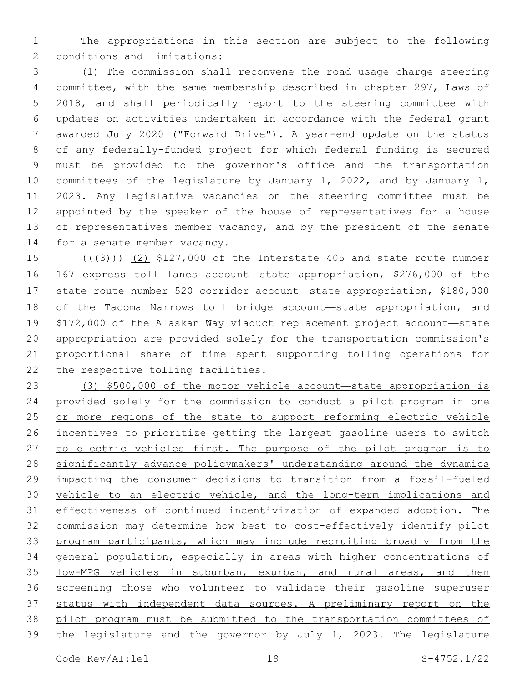The appropriations in this section are subject to the following 2 conditions and limitations:

 (1) The commission shall reconvene the road usage charge steering committee, with the same membership described in chapter 297, Laws of 2018, and shall periodically report to the steering committee with updates on activities undertaken in accordance with the federal grant awarded July 2020 ("Forward Drive"). A year-end update on the status of any federally-funded project for which federal funding is secured must be provided to the governor's office and the transportation committees of the legislature by January 1, 2022, and by January 1, 2023. Any legislative vacancies on the steering committee must be appointed by the speaker of the house of representatives for a house 13 of representatives member vacancy, and by the president of the senate 14 for a senate member vacancy.

 $((+3+))$   $(2)$  \$127,000 of the Interstate 405 and state route number 167 express toll lanes account—state appropriation, \$276,000 of the state route number 520 corridor account—state appropriation, \$180,000 of the Tacoma Narrows toll bridge account—state appropriation, and \$172,000 of the Alaskan Way viaduct replacement project account—state appropriation are provided solely for the transportation commission's proportional share of time spent supporting tolling operations for 22 the respective tolling facilities.

 (3) \$500,000 of the motor vehicle account—state appropriation is provided solely for the commission to conduct a pilot program in one 25 or more regions of the state to support reforming electric vehicle incentives to prioritize getting the largest gasoline users to switch 27 to electric vehicles first. The purpose of the pilot program is to 28 significantly advance policymakers' understanding around the dynamics impacting the consumer decisions to transition from a fossil-fueled vehicle to an electric vehicle, and the long-term implications and effectiveness of continued incentivization of expanded adoption. The commission may determine how best to cost-effectively identify pilot program participants, which may include recruiting broadly from the general population, especially in areas with higher concentrations of low-MPG vehicles in suburban, exurban, and rural areas, and then screening those who volunteer to validate their gasoline superuser status with independent data sources. A preliminary report on the pilot program must be submitted to the transportation committees of 39 the legislature and the governor by July  $1, 2023$ . The legislature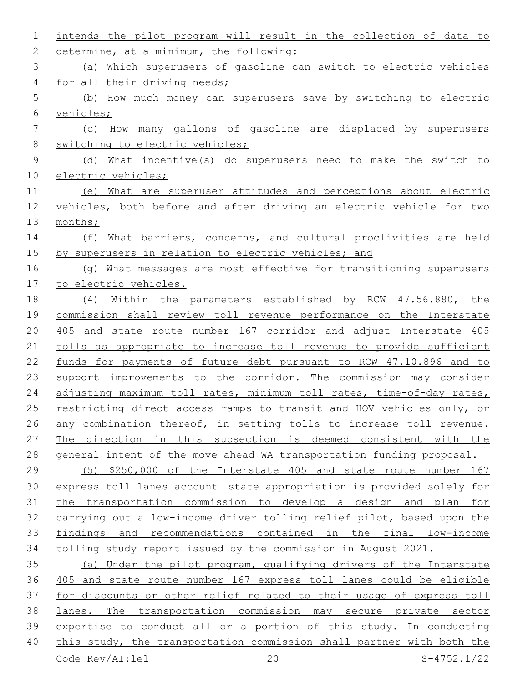| $\mathbf{1}$ | intends the pilot program will result in the collection of data to    |
|--------------|-----------------------------------------------------------------------|
| 2            | determine, at a minimum, the following:                               |
| 3            | (a) Which superusers of gasoline can switch to electric vehicles      |
| 4            | for all their driving needs;                                          |
| 5            | (b) How much money can superusers save by switching to electric       |
| 6            | vehicles;                                                             |
| 7            | (c) How many gallons of gasoline are displaced by superusers          |
| 8            | switching to electric vehicles;                                       |
| 9            | (d) What incentive(s) do superusers need to make the switch to        |
| 10           | electric vehicles;                                                    |
| 11           | (e) What are superuser attitudes and perceptions about electric       |
| 12           | vehicles, both before and after driving an electric vehicle for two   |
| 13           | months;                                                               |
| 14           | What barriers, concerns, and cultural proclivities are held<br>(f)    |
| 15           | by superusers in relation to electric vehicles; and                   |
| 16           | (g) What messages are most effective for transitioning superusers     |
| 17           | to electric vehicles.                                                 |
| 18           | Within the parameters established by RCW 47.56.880, the<br>(4)        |
| 19           | commission shall review toll revenue performance on the Interstate    |
| 20           | 405 and state route number 167 corridor and adjust Interstate 405     |
| 21           | tolls as appropriate to increase toll revenue to provide sufficient   |
| 22           | funds for payments of future debt pursuant to RCW 47.10.896 and to    |
| 23           | support improvements to the corridor. The commission may consider     |
| 24           | adjusting maximum toll rates, minimum toll rates, time-of-day rates,  |
| 25           | restricting direct access ramps to transit and HOV vehicles only, or  |
| 26           | any combination thereof, in setting tolls to increase toll revenue.   |
| 27           | The direction in this subsection is deemed consistent with the        |
| 28           | general intent of the move ahead WA transportation funding proposal.  |
| 29           | (5) \$250,000 of the Interstate 405 and state route number 167        |
| 30           | express toll lanes account-state appropriation is provided solely for |
| 31           | the transportation commission to develop a design and plan for        |
| 32           | carrying out a low-income driver tolling relief pilot, based upon the |
| 33           | findings and recommendations contained in the final low-income        |
| 34           | tolling study report issued by the commission in August 2021.         |
| 35           | (a) Under the pilot program, qualifying drivers of the Interstate     |
| 36           | 405 and state route number 167 express toll lanes could be eligible   |
| 37           | for discounts or other relief related to their usage of express toll  |
| 38           | lanes. The transportation commission may secure private sector        |
| 39           | expertise to conduct all or a portion of this study. In conducting    |
| 40           | this study, the transportation commission shall partner with both the |
|              | 20<br>Code Rev/AI:lel<br>$S-4752.1/22$                                |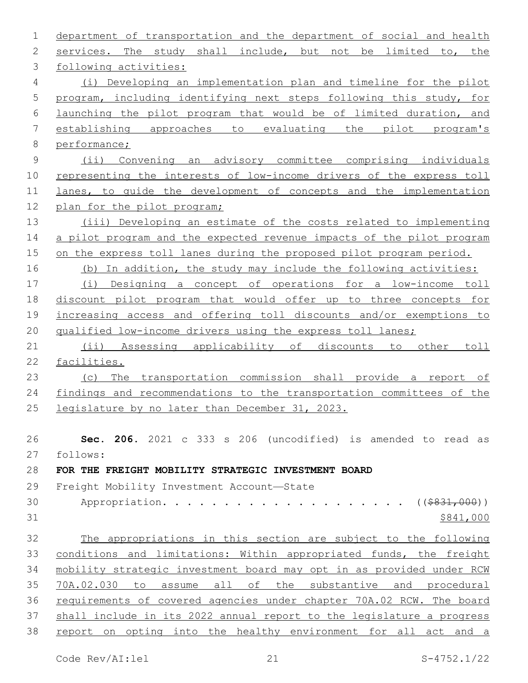| 1             | department of transportation and the department of social and health  |
|---------------|-----------------------------------------------------------------------|
| 2             | services. The study shall include, but not be limited to, the         |
| 3             | following activities:                                                 |
| 4             | (i) Developing an implementation plan and timeline for the pilot      |
| 5             | program, including identifying next steps following this study, for   |
| 6             | launching the pilot program that would be of limited duration, and    |
| 7             | establishing approaches to evaluating the pilot program's             |
| 8             | performance;                                                          |
| $\mathcal{G}$ | (ii) Convening an advisory committee comprising individuals           |
| 10            | representing the interests of low-income drivers of the express toll  |
| 11            | lanes, to quide the development of concepts and the implementation    |
| 12            | plan for the pilot program;                                           |
| 13            | (iii) Developing an estimate of the costs related to implementing     |
| 14            | a pilot program and the expected revenue impacts of the pilot program |
| 15            | on the express toll lanes during the proposed pilot program period.   |
| 16            | (b) In addition, the study may include the following activities:      |
| 17            | (i) Designing a concept of operations for a low-income toll           |
| 18            | discount pilot program that would offer up to three concepts for      |
| 19            | increasing access and offering toll discounts and/or exemptions to    |
| 20            | qualified low-income drivers using the express toll lanes;            |
| 21            | (ii) Assessing applicability of discounts to other<br>toll            |
| 22            | facilities.                                                           |
| 23            | The transportation commission shall provide a report of<br>(C)        |
| 24            | findings and recommendations to the transportation committees of the  |
| 25            | legislature by no later than December 31, 2023.                       |
|               |                                                                       |
| 26            | Sec. 206. 2021 c 333 s 206 (uncodified) is amended to read as         |
| 27            | follows:                                                              |
| 28            | FOR THE FREIGHT MOBILITY STRATEGIC INVESTMENT BOARD                   |
| 29            | Freight Mobility Investment Account-State                             |
| 30            | Appropriation.<br>( ( \$831,000) )                                    |
| 31            | \$841,000                                                             |
| 32            | The appropriations in this section are subject to the following       |
| 33            | conditions and limitations: Within appropriated funds, the freight    |
| 34            | mobility strategic investment board may opt in as provided under RCM  |
| 35            | 70A.02.030 to assume all of the substantive and procedural            |
| 36            | requirements of covered agencies under chapter 70A.02 RCW. The board  |
| 37            | shall include in its 2022 annual report to the legislature a progress |
| 38            | report on opting into the healthy environment for all act and a       |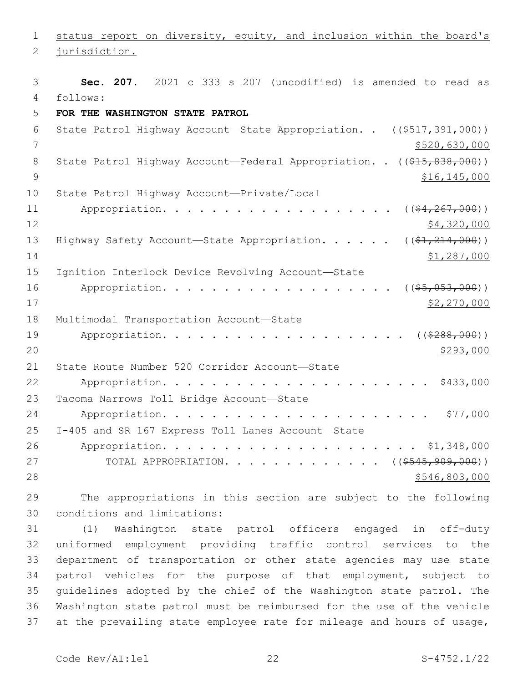1 status report on diversity, equity, and inclusion within the board's

2 jurisdiction.

3 **Sec. 207.** 2021 c 333 s 207 (uncodified) is amended to read as follows: 4 5 **FOR THE WASHINGTON STATE PATROL** 6 State Patrol Highway Account—State Appropriation. . ((\$517,391,000)) 7 \$520,630,000 8 State Patrol Highway Account—Federal Appropriation. . ((\$15,838,000)) 9 \$16,145,000 10 State Patrol Highway Account—Private/Local 11 Appropriation. . . . . . . . . . . . . . . . . (  $(\frac{24,267,000}{2})$ 12 \$4,320,000 13 Highway Safety Account—State Appropriation. . . . . ((\$1,214,000)) 14  $\frac{$1,287,000}{ }$ 15 Ignition Interlock Device Revolving Account-State 16 Appropriation. . . . . . . . . . . . . . . . . (  $(\frac{25}{1000})$  ) 17 \$2,270,000 18 Multimodal Transportation Account-State 19 Appropriation. . . . . . . . . . . . . . . . . . ( $(\frac{2288,000}{1000})$  $20$ 21 State Route Number 520 Corridor Account-State 22 Appropriation. . . . . . . . . . . . . . . . . . . . . . \$433,000 23 Tacoma Narrows Toll Bridge Account-State 24 Appropriation. . . . . . . . . . . . . . . . . . . . . . \$77,000 I-405 and SR 167 Express Toll Lanes Account—State25 26 Appropriation. . . . . . . . . . . . . . . . . . . . . \$1,348,000 27 TOTAL APPROPRIATION. . . . . . . . . . . . ((\$545,909,000))  $28$   $5546,803,000$ 29 The appropriations in this section are subject to the following

30 conditions and limitations:

 (1) Washington state patrol officers engaged in off-duty uniformed employment providing traffic control services to the department of transportation or other state agencies may use state patrol vehicles for the purpose of that employment, subject to guidelines adopted by the chief of the Washington state patrol. The Washington state patrol must be reimbursed for the use of the vehicle 37 at the prevailing state employee rate for mileage and hours of usage,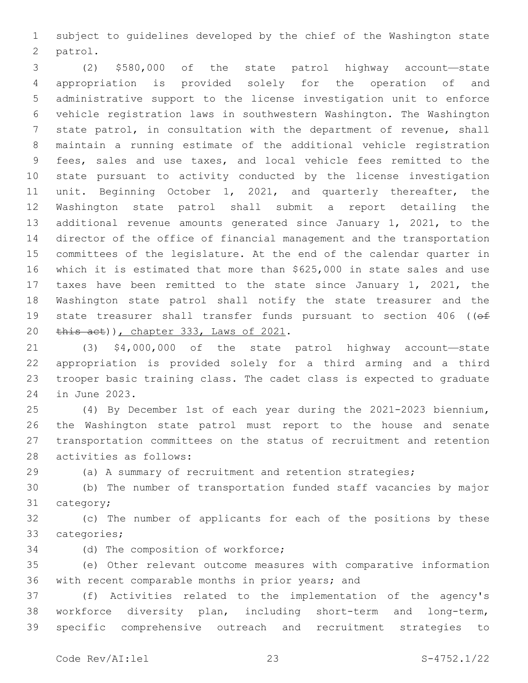subject to guidelines developed by the chief of the Washington state 2 patrol.

 (2) \$580,000 of the state patrol highway account—state appropriation is provided solely for the operation of and administrative support to the license investigation unit to enforce vehicle registration laws in southwestern Washington. The Washington state patrol, in consultation with the department of revenue, shall maintain a running estimate of the additional vehicle registration fees, sales and use taxes, and local vehicle fees remitted to the state pursuant to activity conducted by the license investigation unit. Beginning October 1, 2021, and quarterly thereafter, the Washington state patrol shall submit a report detailing the additional revenue amounts generated since January 1, 2021, to the director of the office of financial management and the transportation committees of the legislature. At the end of the calendar quarter in which it is estimated that more than \$625,000 in state sales and use taxes have been remitted to the state since January 1, 2021, the Washington state patrol shall notify the state treasurer and the 19 state treasurer shall transfer funds pursuant to section 406 ((of 20 this act)), chapter 333, Laws of 2021.

 (3) \$4,000,000 of the state patrol highway account—state appropriation is provided solely for a third arming and a third trooper basic training class. The cadet class is expected to graduate 24 in June 2023.

 (4) By December 1st of each year during the 2021-2023 biennium**,**  the Washington state patrol must report to the house and senate transportation committees on the status of recruitment and retention 28 activities as follows:

(a) A summary of recruitment and retention strategies;

 (b) The number of transportation funded staff vacancies by major 31 category;

 (c) The number of applicants for each of the positions by these 33 categories;

34 (d) The composition of workforce;

 (e) Other relevant outcome measures with comparative information 36 with recent comparable months in prior years; and

 (f) Activities related to the implementation of the agency's workforce diversity plan, including short-term and long-term, specific comprehensive outreach and recruitment strategies to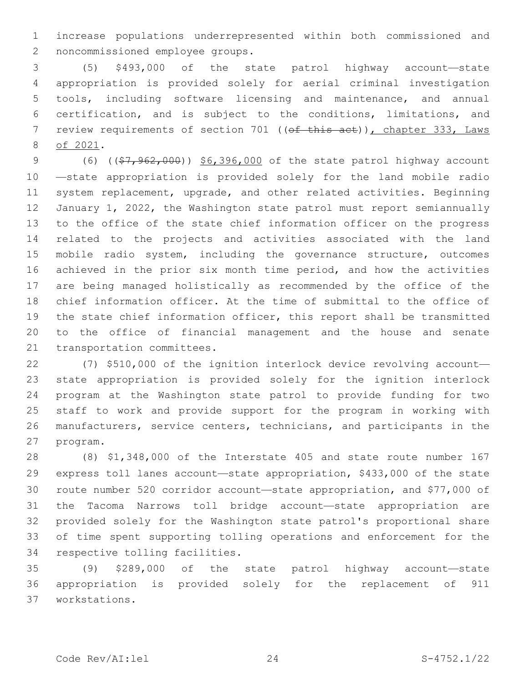increase populations underrepresented within both commissioned and 2 noncommissioned employee groups.

 (5) \$493,000 of the state patrol highway account—state appropriation is provided solely for aerial criminal investigation tools, including software licensing and maintenance, and annual certification, and is subject to the conditions, limitations, and 7 review requirements of section 701 ((of this act)), chapter 333, Laws 8 of 2021.

9 (6) ((\$7,962,000)) \$6,396,000 of the state patrol highway account —state appropriation is provided solely for the land mobile radio system replacement, upgrade, and other related activities. Beginning January 1, 2022, the Washington state patrol must report semiannually to the office of the state chief information officer on the progress related to the projects and activities associated with the land mobile radio system, including the governance structure, outcomes achieved in the prior six month time period, and how the activities are being managed holistically as recommended by the office of the chief information officer. At the time of submittal to the office of the state chief information officer, this report shall be transmitted to the office of financial management and the house and senate 21 transportation committees.

 (7) \$510,000 of the ignition interlock device revolving account— state appropriation is provided solely for the ignition interlock program at the Washington state patrol to provide funding for two staff to work and provide support for the program in working with manufacturers, service centers, technicians, and participants in the 27 program.

 (8) \$1,348,000 of the Interstate 405 and state route number 167 express toll lanes account—state appropriation, \$433,000 of the state route number 520 corridor account—state appropriation, and \$77,000 of the Tacoma Narrows toll bridge account—state appropriation are provided solely for the Washington state patrol's proportional share of time spent supporting tolling operations and enforcement for the 34 respective tolling facilities.

 (9) \$289,000 of the state patrol highway account—state appropriation is provided solely for the replacement of 911 workstations.37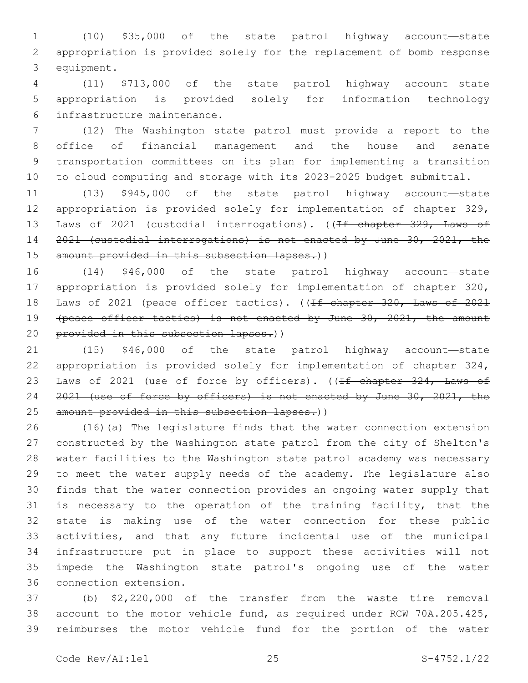(10) \$35,000 of the state patrol highway account—state appropriation is provided solely for the replacement of bomb response 3 equipment.

 (11) \$713,000 of the state patrol highway account—state appropriation is provided solely for information technology 6 infrastructure maintenance.

 (12) The Washington state patrol must provide a report to the office of financial management and the house and senate transportation committees on its plan for implementing a transition to cloud computing and storage with its 2023-2025 budget submittal.

 (13) \$945,000 of the state patrol highway account—state appropriation is provided solely for implementation of chapter 329, 13 Laws of 2021 (custodial interrogations). ((<del>If chapter 329, Laws of</del> 2021 (custodial interrogations) is not enacted by June 30, 2021, the 15 amount provided in this subsection lapses.))

 (14) \$46,000 of the state patrol highway account—state appropriation is provided solely for implementation of chapter 320, 18 Laws of 2021 (peace officer tactics). ((If chapter 320, Laws of 2021 19 (peace officer tactics) is not enacted by June 30, 2021, the amount provided in this subsection lapses.))

 (15) \$46,000 of the state patrol highway account—state appropriation is provided solely for implementation of chapter 324, 23 Laws of 2021 (use of force by officers). ((<del>If chapter 324, Laws of</del> 24 2021 (use of force by officers) is not enacted by June 30, 2021, the 25 amount provided in this subsection lapses.))

 (16)(a) The legislature finds that the water connection extension constructed by the Washington state patrol from the city of Shelton's water facilities to the Washington state patrol academy was necessary to meet the water supply needs of the academy. The legislature also finds that the water connection provides an ongoing water supply that is necessary to the operation of the training facility, that the state is making use of the water connection for these public activities, and that any future incidental use of the municipal infrastructure put in place to support these activities will not impede the Washington state patrol's ongoing use of the water 36 connection extension.

 (b) \$2,220,000 of the transfer from the waste tire removal account to the motor vehicle fund, as required under RCW 70A.205.425, reimburses the motor vehicle fund for the portion of the water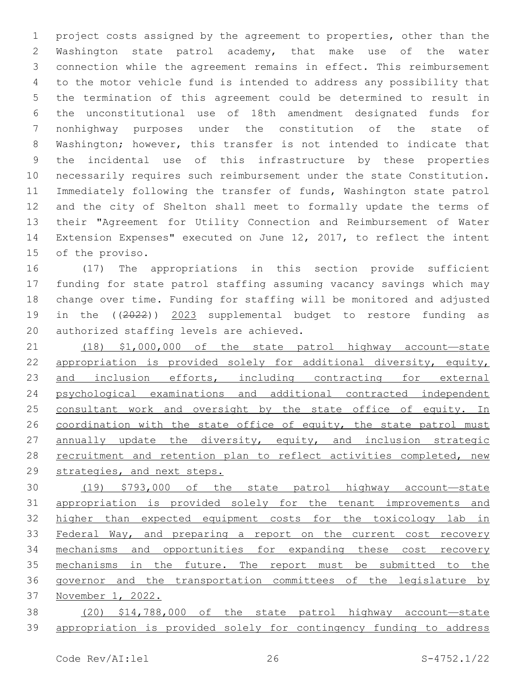project costs assigned by the agreement to properties, other than the Washington state patrol academy, that make use of the water connection while the agreement remains in effect. This reimbursement to the motor vehicle fund is intended to address any possibility that the termination of this agreement could be determined to result in the unconstitutional use of 18th amendment designated funds for nonhighway purposes under the constitution of the state of Washington; however, this transfer is not intended to indicate that the incidental use of this infrastructure by these properties necessarily requires such reimbursement under the state Constitution. Immediately following the transfer of funds, Washington state patrol and the city of Shelton shall meet to formally update the terms of their "Agreement for Utility Connection and Reimbursement of Water Extension Expenses" executed on June 12, 2017, to reflect the intent 15 of the proviso.

 (17) The appropriations in this section provide sufficient funding for state patrol staffing assuming vacancy savings which may change over time. Funding for staffing will be monitored and adjusted in the ((2022)) 2023 supplemental budget to restore funding as 20 authorized staffing levels are achieved.

 (18) \$1,000,000 of the state patrol highway account—state appropriation is provided solely for additional diversity, equity, 23 and inclusion efforts, including contracting for external psychological examinations and additional contracted independent 25 consultant work and oversight by the state office of equity. In 26 coordination with the state office of equity, the state patrol must 27 annually update the diversity, equity, and inclusion strategic 28 recruitment and retention plan to reflect activities completed, new 29 strategies, and next steps.

 (19) \$793,000 of the state patrol highway account—state 31 appropriation is provided solely for the tenant improvements and 32 higher than expected equipment costs for the toxicology lab in Federal Way, and preparing a report on the current cost recovery 34 mechanisms and opportunities for expanding these cost recovery mechanisms in the future. The report must be submitted to the governor and the transportation committees of the legislature by November 1, 2022.

 (20) \$14,788,000 of the state patrol highway account—state appropriation is provided solely for contingency funding to address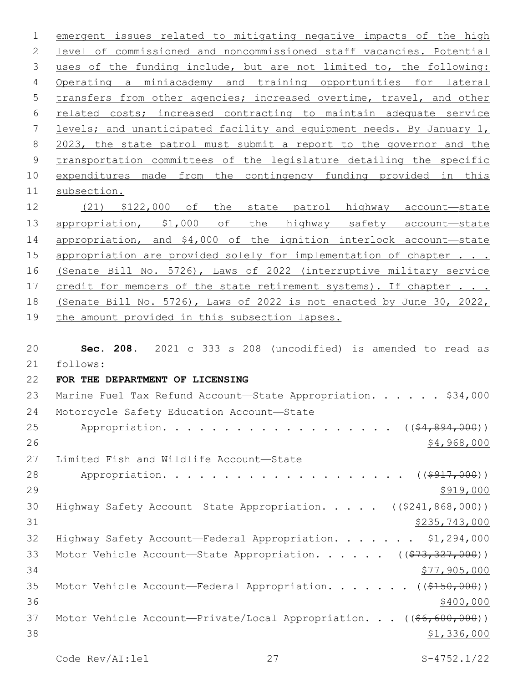emergent issues related to mitigating negative impacts of the high level of commissioned and noncommissioned staff vacancies. Potential 3 uses of the funding include, but are not limited to, the following: Operating a miniacademy and training opportunities for lateral transfers from other agencies; increased overtime, travel, and other related costs; increased contracting to maintain adequate service levels; and unanticipated facility and equipment needs. By January 1, 2023, the state patrol must submit a report to the governor and the transportation committees of the legislature detailing the specific expenditures made from the contingency funding provided in this 11 subsection. (21) \$122,000 of the state patrol highway account—state 13 appropriation, \$1,000 of the highway safety account-state appropriation, and \$4,000 of the ignition interlock account—state 15 appropriation are provided solely for implementation of chapter . . . (Senate Bill No. 5726), Laws of 2022 (interruptive military service 17 credit for members of the state retirement systems). If chapter . . . (Senate Bill No. 5726), Laws of 2022 is not enacted by June 30, 2022, the amount provided in this subsection lapses. **Sec. 208.** 2021 c 333 s 208 (uncodified) is amended to read as

follows: 21 22 **FOR THE DEPARTMENT OF LICENSING** 23 Marine Fuel Tax Refund Account-State Appropriation. . . . . \$34,000 24 Motorcycle Safety Education Account-State 25 Appropriation. . . . . . . . . . . . . . . . . (  $(\frac{24}{64}, \frac{894}{600})$  )  $26$  \$4,968,000 27 Limited Fish and Wildlife Account-State 28 Appropriation. . . . . . . . . . . . . . . . . . (  $(\frac{2917,000}{100})$  $29$   $\frac{$919,000}{ }$ 30 Highway Safety Account—State Appropriation. . . . ((\$241,868,000)) 31 \$235,743,000 32 Highway Safety Account—Federal Appropriation. . . . . . . \$1,294,000 33 Motor Vehicle Account—State Appropriation. . . . . ((\$73,327,000))  $34$   $$77,905,000$ 35 Motor Vehicle Account—Federal Appropriation. . . . . . ((\$150,000))  $36$   $\frac{$400,000}{900}$ 37 Motor Vehicle Account—Private/Local Appropriation. . . ((\$6,600,000))  $38$  \$1,336,000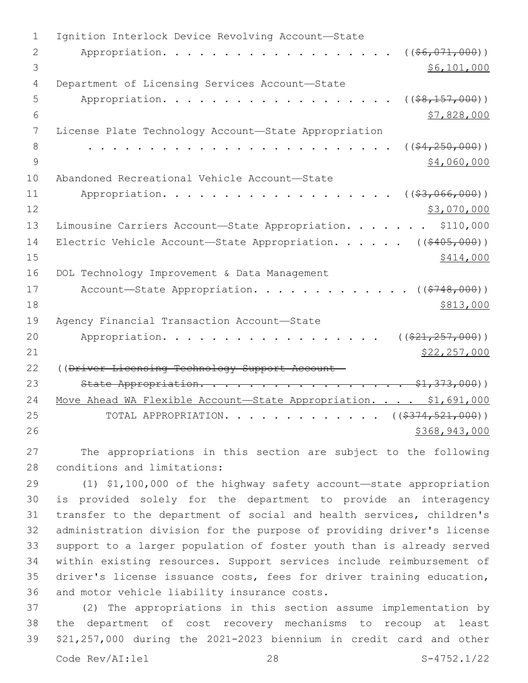| $\mathbf 1$   | Ignition Interlock Device Revolving Account-State                     |
|---------------|-----------------------------------------------------------------------|
| 2             | Appropriation.<br>$((\$6,071,000))$                                   |
| 3             | \$6,101,000                                                           |
| 4             | Department of Licensing Services Account-State                        |
| 5             | Appropriation.<br>$($ $($ $$8, 157, 000)$ $)$                         |
| 6             | \$7,828,000                                                           |
| 7             | License Plate Technology Account-State Appropriation                  |
| 8             | $($ $(*4, 250, 000)$ )                                                |
| $\mathcal{G}$ | \$4,060,000                                                           |
| 10            | Abandoned Recreational Vehicle Account-State                          |
| 11            | ( ( \$3, 066, 000) )<br>Appropriation.                                |
| 12            | \$3,070,000                                                           |
| 13            | Limousine Carriers Account-State Appropriation.<br>\$110,000          |
| 14            | ( ( \$405,000) )<br>Electric Vehicle Account-State Appropriation.     |
| 15            | \$414,000                                                             |
| 16            |                                                                       |
|               | DOL Technology Improvement & Data Management                          |
| 17            | Account-State Appropriation.<br>( ( \$748,000) )                      |
| 18            | \$813,000                                                             |
| 19            | Agency Financial Transaction Account-State                            |
| 20            | ( ( \$21, 257, 000) )<br>Appropriation.                               |
| 21            | \$22, 257, 000                                                        |
| 22            | ((Driver Licensing Technology Support Account-                        |
| 23            | State Appropriation. \$1,373,000))                                    |
| 24            | Move Ahead WA Flexible Account-State Appropriation. \$1,691,000       |
| 25            | TOTAL APPROPRIATION. ( $(\frac{2374}{5274}, \frac{521}{900})$ )       |
| 26            | \$368,943,000                                                         |
| 27            | The appropriations in this section are subject to the following       |
| 28            | conditions and limitations:                                           |
| 29            | (1) \$1,100,000 of the highway safety account-state appropriation     |
| 30            | is provided solely for the department to provide an interagency       |
| 31            | transfer to the department of social and health services, children's  |
| 32            | administration division for the purpose of providing driver's license |

 support to a larger population of foster youth than is already served within existing resources. Support services include reimbursement of driver's license issuance costs, fees for driver training education, 36 and motor vehicle liability insurance costs.

37 (2) The appropriations in this section assume implementation by 38 the department of cost recovery mechanisms to recoup at least 39 \$21,257,000 during the 2021-2023 biennium in credit card and other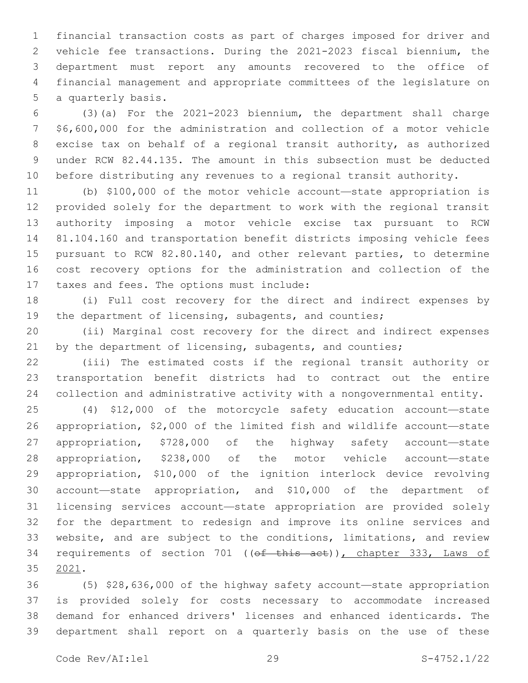financial transaction costs as part of charges imposed for driver and vehicle fee transactions. During the 2021-2023 fiscal biennium, the department must report any amounts recovered to the office of financial management and appropriate committees of the legislature on 5 a quarterly basis.

 (3)(a) For the 2021-2023 biennium, the department shall charge \$6,600,000 for the administration and collection of a motor vehicle excise tax on behalf of a regional transit authority, as authorized under RCW 82.44.135. The amount in this subsection must be deducted before distributing any revenues to a regional transit authority.

 (b) \$100,000 of the motor vehicle account—state appropriation is provided solely for the department to work with the regional transit authority imposing a motor vehicle excise tax pursuant to RCW 81.104.160 and transportation benefit districts imposing vehicle fees pursuant to RCW 82.80.140, and other relevant parties, to determine cost recovery options for the administration and collection of the 17 taxes and fees. The options must include:

 (i) Full cost recovery for the direct and indirect expenses by 19 the department of licensing, subagents, and counties;

 (ii) Marginal cost recovery for the direct and indirect expenses 21 by the department of licensing, subagents, and counties;

 (iii) The estimated costs if the regional transit authority or transportation benefit districts had to contract out the entire collection and administrative activity with a nongovernmental entity.

 (4) \$12,000 of the motorcycle safety education account—state appropriation, \$2,000 of the limited fish and wildlife account—state appropriation, \$728,000 of the highway safety account—state appropriation, \$238,000 of the motor vehicle account—state appropriation, \$10,000 of the ignition interlock device revolving account—state appropriation, and \$10,000 of the department of licensing services account—state appropriation are provided solely for the department to redesign and improve its online services and website, and are subject to the conditions, limitations, and review 34 requirements of section 701 ((of this act)), chapter 333, Laws of 35 2021.

 (5) \$28,636,000 of the highway safety account—state appropriation is provided solely for costs necessary to accommodate increased demand for enhanced drivers' licenses and enhanced identicards. The department shall report on a quarterly basis on the use of these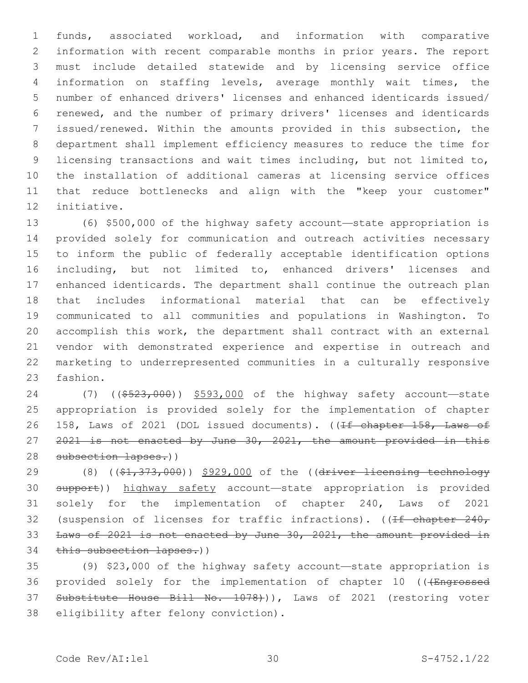funds, associated workload, and information with comparative information with recent comparable months in prior years. The report must include detailed statewide and by licensing service office information on staffing levels, average monthly wait times, the number of enhanced drivers' licenses and enhanced identicards issued/ renewed, and the number of primary drivers' licenses and identicards issued/renewed. Within the amounts provided in this subsection, the department shall implement efficiency measures to reduce the time for licensing transactions and wait times including, but not limited to, the installation of additional cameras at licensing service offices that reduce bottlenecks and align with the "keep your customer" 12 initiative.

 (6) \$500,000 of the highway safety account—state appropriation is provided solely for communication and outreach activities necessary to inform the public of federally acceptable identification options including, but not limited to, enhanced drivers' licenses and enhanced identicards. The department shall continue the outreach plan that includes informational material that can be effectively communicated to all communities and populations in Washington. To accomplish this work, the department shall contract with an external vendor with demonstrated experience and expertise in outreach and marketing to underrepresented communities in a culturally responsive 23 fashion.

 (7) ((\$523,000)) \$593,000 of the highway safety account—state appropriation is provided solely for the implementation of chapter 26 158, Laws of 2021 (DOL issued documents). ((If chapter 158, Laws of 2021 is not enacted by June 30, 2021, the amount provided in this 28 subsection lapses.))

29 (8) ((\$1,373,000)) \$929,000 of the ((driver licensing technology support)) highway safety account—state appropriation is provided solely for the implementation of chapter 240, Laws of 2021 32 (suspension of licenses for traffic infractions). ( $\sqrt{1 + \text{chapter } 240}$ , Laws of 2021 is not enacted by June 30, 2021, the amount provided in 34 this subsection lapses.))

 (9) \$23,000 of the highway safety account—state appropriation is 36 provided solely for the implementation of chapter 10 (((Engrossed 37 Substitute House Bill No. 1078))), Laws of 2021 (restoring voter 38 eligibility after felony conviction).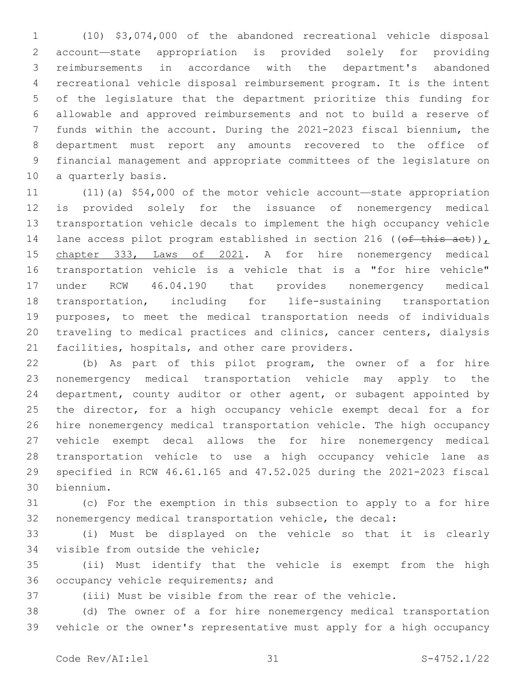(10) \$3,074,000 of the abandoned recreational vehicle disposal account—state appropriation is provided solely for providing reimbursements in accordance with the department's abandoned recreational vehicle disposal reimbursement program. It is the intent of the legislature that the department prioritize this funding for allowable and approved reimbursements and not to build a reserve of funds within the account. During the 2021-2023 fiscal biennium, the department must report any amounts recovered to the office of financial management and appropriate committees of the legislature on 10 a quarterly basis.

 (11)(a) \$54,000 of the motor vehicle account—state appropriation is provided solely for the issuance of nonemergency medical transportation vehicle decals to implement the high occupancy vehicle 14 lane access pilot program established in section 216 (( $\theta$ f this act)), chapter 333, Laws of 2021. A for hire nonemergency medical transportation vehicle is a vehicle that is a "for hire vehicle" under RCW 46.04.190 that provides nonemergency medical transportation, including for life-sustaining transportation purposes, to meet the medical transportation needs of individuals traveling to medical practices and clinics, cancer centers, dialysis 21 facilities, hospitals, and other care providers.

 (b) As part of this pilot program, the owner of a for hire nonemergency medical transportation vehicle may apply to the department, county auditor or other agent, or subagent appointed by 25 the director, for a high occupancy vehicle exempt decal for a for hire nonemergency medical transportation vehicle. The high occupancy vehicle exempt decal allows the for hire nonemergency medical transportation vehicle to use a high occupancy vehicle lane as specified in RCW 46.61.165 and 47.52.025 during the 2021-2023 fiscal biennium.30

 (c) For the exemption in this subsection to apply to a for hire nonemergency medical transportation vehicle, the decal:

 (i) Must be displayed on the vehicle so that it is clearly 34 visible from outside the vehicle;

 (ii) Must identify that the vehicle is exempt from the high 36 occupancy vehicle requirements; and

(iii) Must be visible from the rear of the vehicle.

 (d) The owner of a for hire nonemergency medical transportation vehicle or the owner's representative must apply for a high occupancy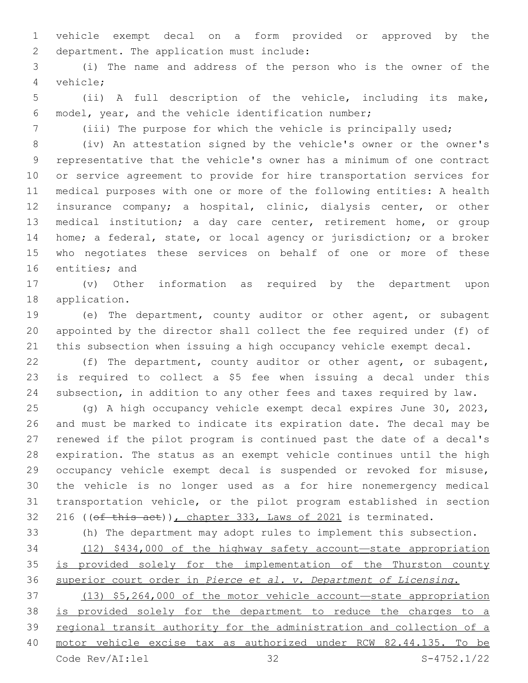vehicle exempt decal on a form provided or approved by the 2 department. The application must include:

 (i) The name and address of the person who is the owner of the vehicle;4

 (ii) A full description of the vehicle, including its make, model, year, and the vehicle identification number;

(iii) The purpose for which the vehicle is principally used;

 (iv) An attestation signed by the vehicle's owner or the owner's representative that the vehicle's owner has a minimum of one contract

 or service agreement to provide for hire transportation services for medical purposes with one or more of the following entities: A health insurance company; a hospital, clinic, dialysis center, or other medical institution; a day care center, retirement home, or group home; a federal, state, or local agency or jurisdiction; or a broker who negotiates these services on behalf of one or more of these 16 entities; and

 (v) Other information as required by the department upon 18 application.

 (e) The department, county auditor or other agent, or subagent appointed by the director shall collect the fee required under (f) of this subsection when issuing a high occupancy vehicle exempt decal.

 (f) The department, county auditor or other agent, or subagent, is required to collect a \$5 fee when issuing a decal under this subsection, in addition to any other fees and taxes required by law.

 (g) A high occupancy vehicle exempt decal expires June 30, 2023, and must be marked to indicate its expiration date. The decal may be renewed if the pilot program is continued past the date of a decal's expiration. The status as an exempt vehicle continues until the high occupancy vehicle exempt decal is suspended or revoked for misuse, the vehicle is no longer used as a for hire nonemergency medical transportation vehicle, or the pilot program established in section 32 216 ((ef this act)), chapter 333, Laws of 2021 is terminated.

 (h) The department may adopt rules to implement this subsection. (12) \$434,000 of the highway safety account—state appropriation 35 is provided solely for the implementation of the Thurston county superior court order in *Pierce et al. v. Department of Licensing*. (13) \$5,264,000 of the motor vehicle account—state appropriation

 is provided solely for the department to reduce the charges to a regional transit authority for the administration and collection of a motor vehicle excise tax as authorized under RCW 82.44.135. To be Code Rev/AI:lel 32 S-4752.1/22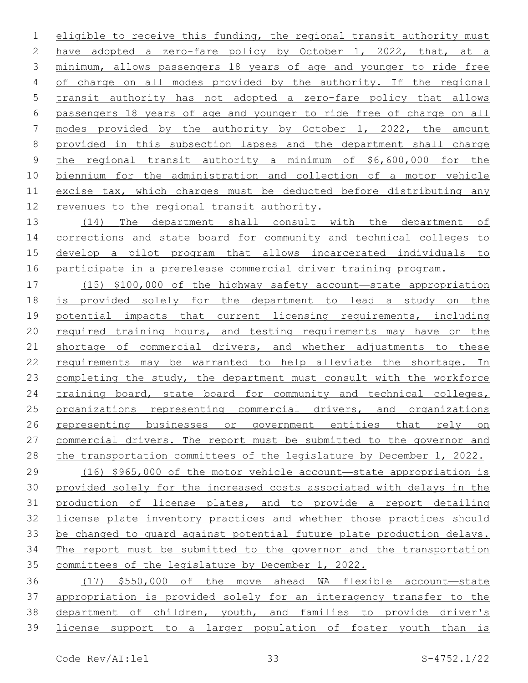eligible to receive this funding, the regional transit authority must have adopted a zero-fare policy by October 1, 2022, that, at a minimum, allows passengers 18 years of age and younger to ride free 4 of charge on all modes provided by the authority. If the regional transit authority has not adopted a zero-fare policy that allows passengers 18 years of age and younger to ride free of charge on all modes provided by the authority by October 1, 2022, the amount provided in this subsection lapses and the department shall charge the regional transit authority a minimum of \$6,600,000 for the biennium for the administration and collection of a motor vehicle excise tax, which charges must be deducted before distributing any 12 revenues to the regional transit authority.

13 (14) The department shall consult with the department of corrections and state board for community and technical colleges to develop a pilot program that allows incarcerated individuals to participate in a prerelease commercial driver training program.

 (15) \$100,000 of the highway safety account—state appropriation is provided solely for the department to lead a study on the 19 potential impacts that current licensing requirements, including required training hours, and testing requirements may have on the shortage of commercial drivers, and whether adjustments to these requirements may be warranted to help alleviate the shortage. In completing the study, the department must consult with the workforce 24 training board, state board for community and technical colleges, organizations representing commercial drivers, and organizations representing businesses or government entities that rely on commercial drivers. The report must be submitted to the governor and the transportation committees of the legislature by December 1, 2022.

 (16) \$965,000 of the motor vehicle account—state appropriation is provided solely for the increased costs associated with delays in the production of license plates, and to provide a report detailing license plate inventory practices and whether those practices should be changed to guard against potential future plate production delays. The report must be submitted to the governor and the transportation committees of the legislature by December 1, 2022.

 (17) \$550,000 of the move ahead WA flexible account—state 37 appropriation is provided solely for an interagency transfer to the department of children, youth, and families to provide driver's license support to a larger population of foster youth than is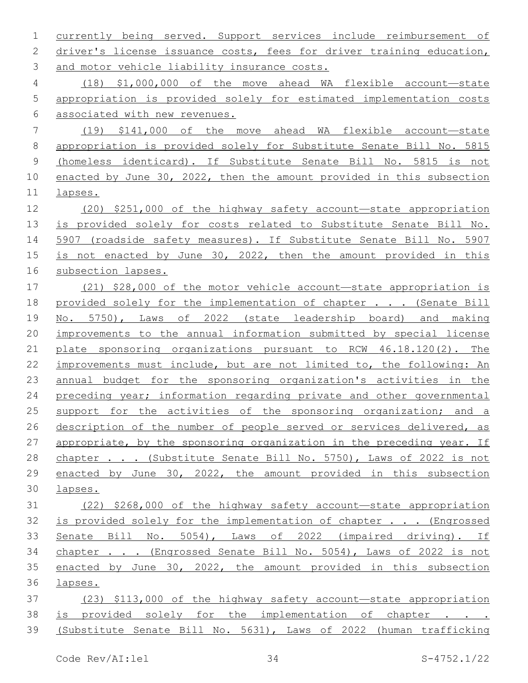currently being served. Support services include reimbursement of 2 driver's license issuance costs, fees for driver training education, 3 and motor vehicle liability insurance costs.

 (18) \$1,000,000 of the move ahead WA flexible account—state appropriation is provided solely for estimated implementation costs associated with new revenues.

 (19) \$141,000 of the move ahead WA flexible account—state appropriation is provided solely for Substitute Senate Bill No. 5815 (homeless identicard). If Substitute Senate Bill No. 5815 is not enacted by June 30, 2022, then the amount provided in this subsection lapses.

 (20) \$251,000 of the highway safety account—state appropriation is provided solely for costs related to Substitute Senate Bill No. 5907 (roadside safety measures). If Substitute Senate Bill No. 5907 is not enacted by June 30, 2022, then the amount provided in this subsection lapses.

 (21) \$28,000 of the motor vehicle account—state appropriation is 18 provided solely for the implementation of chapter . . . (Senate Bill No. 5750), Laws of 2022 (state leadership board) and making improvements to the annual information submitted by special license plate sponsoring organizations pursuant to RCW 46.18.120(2). The 22 improvements must include, but are not limited to, the following: An annual budget for the sponsoring organization's activities in the preceding year; information regarding private and other governmental 25 support for the activities of the sponsoring organization; and a 26 description of the number of people served or services delivered, as appropriate, by the sponsoring organization in the preceding year. If chapter . . . (Substitute Senate Bill No. 5750), Laws of 2022 is not enacted by June 30, 2022, the amount provided in this subsection lapses.

 (22) \$268,000 of the highway safety account—state appropriation is provided solely for the implementation of chapter . . . (Engrossed Senate Bill No. 5054), Laws of 2022 (impaired driving). If chapter . . . (Engrossed Senate Bill No. 5054), Laws of 2022 is not enacted by June 30, 2022, the amount provided in this subsection lapses.

 (23) \$113,000 of the highway safety account—state appropriation 38 is provided solely for the implementation of chapter. (Substitute Senate Bill No. 5631), Laws of 2022 (human trafficking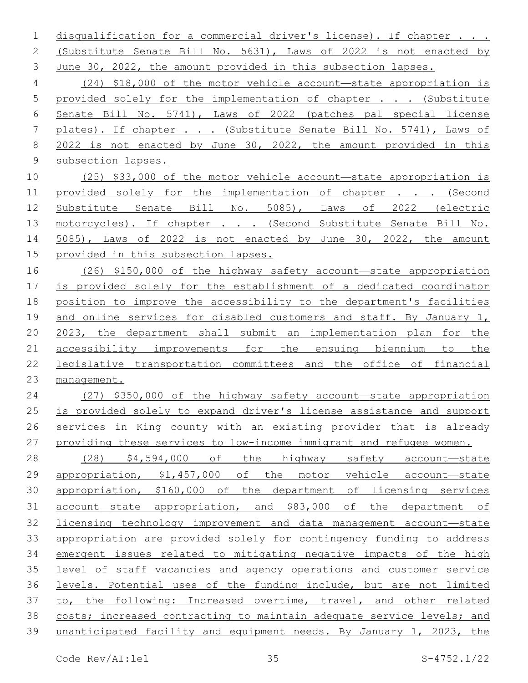disqualification for a commercial driver's license). If chapter . . . (Substitute Senate Bill No. 5631), Laws of 2022 is not enacted by June 30, 2022, the amount provided in this subsection lapses.

 (24) \$18,000 of the motor vehicle account—state appropriation is provided solely for the implementation of chapter . . . (Substitute Senate Bill No. 5741), Laws of 2022 (patches pal special license plates). If chapter . . . (Substitute Senate Bill No. 5741), Laws of 2022 is not enacted by June 30, 2022, the amount provided in this subsection lapses.

 (25) \$33,000 of the motor vehicle account—state appropriation is 11 provided solely for the implementation of chapter . . . (Second Substitute Senate Bill No. 5085), Laws of 2022 (electric 13 motorcycles). If chapter . . . (Second Substitute Senate Bill No. 5085), Laws of 2022 is not enacted by June 30, 2022, the amount 15 provided in this subsection lapses.

 (26) \$150,000 of the highway safety account—state appropriation is provided solely for the establishment of a dedicated coordinator position to improve the accessibility to the department's facilities and online services for disabled customers and staff. By January 1, 2023, the department shall submit an implementation plan for the accessibility improvements for the ensuing biennium to the legislative transportation committees and the office of financial management.

 (27) \$350,000 of the highway safety account—state appropriation is provided solely to expand driver's license assistance and support 26 services in King county with an existing provider that is already providing these services to low-income immigrant and refugee women.

 (28) \$4,594,000 of the highway safety account—state appropriation, \$1,457,000 of the motor vehicle account—state appropriation, \$160,000 of the department of licensing services account—state appropriation, and \$83,000 of the department of licensing technology improvement and data management account—state appropriation are provided solely for contingency funding to address emergent issues related to mitigating negative impacts of the high level of staff vacancies and agency operations and customer service levels. Potential uses of the funding include, but are not limited to, the following: Increased overtime, travel, and other related costs; increased contracting to maintain adequate service levels; and unanticipated facility and equipment needs. By January 1, 2023, the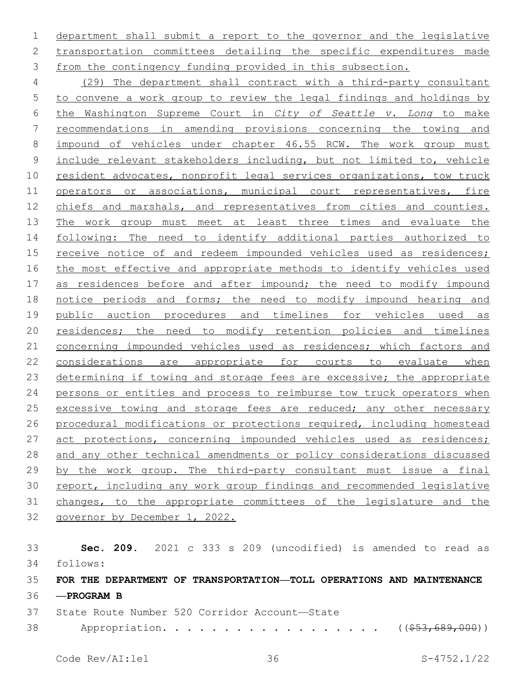department shall submit a report to the governor and the legislative transportation committees detailing the specific expenditures made from the contingency funding provided in this subsection.

 (29) The department shall contract with a third-party consultant to convene a work group to review the legal findings and holdings by the Washington Supreme Court in *City of Seattle v. Long* to make recommendations in amending provisions concerning the towing and impound of vehicles under chapter 46.55 RCW. The work group must include relevant stakeholders including, but not limited to, vehicle 10 resident advocates, nonprofit legal services organizations, tow truck 11 operators or associations, municipal court representatives, fire chiefs and marshals, and representatives from cities and counties. 13 The work group must meet at least three times and evaluate the 14 following: The need to identify additional parties authorized to 15 receive notice of and redeem impounded vehicles used as residences; the most effective and appropriate methods to identify vehicles used 17 as residences before and after impound; the need to modify impound 18 notice periods and forms; the need to modify impound hearing and public auction procedures and timelines for vehicles used as residences; the need to modify retention policies and timelines 21 concerning impounded vehicles used as residences; which factors and considerations are appropriate for courts to evaluate when determining if towing and storage fees are excessive; the appropriate persons or entities and process to reimburse tow truck operators when 25 excessive towing and storage fees are reduced; any other necessary procedural modifications or protections required, including homestead 27 act protections, concerning impounded vehicles used as residences; and any other technical amendments or policy considerations discussed by the work group. The third-party consultant must issue a final report, including any work group findings and recommended legislative changes, to the appropriate committees of the legislature and the governor by December 1, 2022.

 **Sec. 209.** 2021 c 333 s 209 (uncodified) is amended to read as follows: 34 **FOR THE DEPARTMENT OF TRANSPORTATION—TOLL OPERATIONS AND MAINTENANCE —PROGRAM B** 37 State Route Number 520 Corridor Account-State 38 Appropriation. . . . . . . . . . . . . . . . ((\$53,689,000))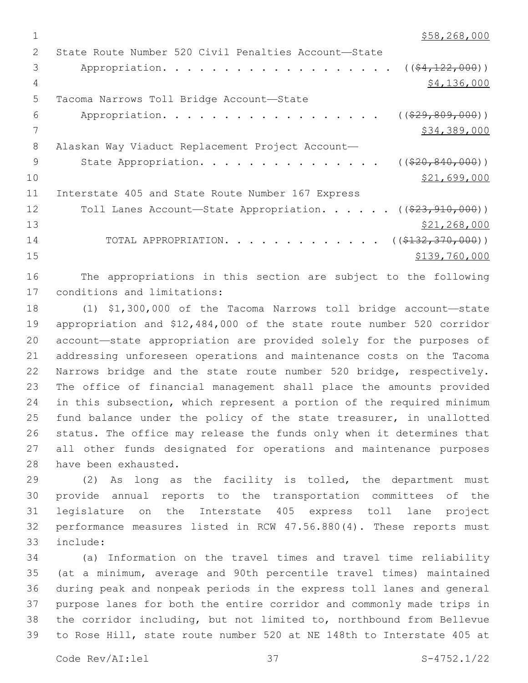```
1 $58,268,000
```

| $\mathcal{L}$ | State Route Number 520 Civil Penalties Account-State                        |
|---------------|-----------------------------------------------------------------------------|
| 3             | Appropriation. ( $(\frac{24.122.000}{1})$                                   |
| 4             | \$4,136,000                                                                 |
| 5             | Tacoma Narrows Toll Bridge Account-State                                    |
| 6             | Appropriation.<br>$((\$29,809,000))$                                        |
|               | \$34,389,000                                                                |
| 8             | Alaskan Way Viaduct Replacement Project Account-                            |
| 9             | State Appropriation.<br>$((\$20, 840, 000))$                                |
| 10            | \$21,699,000                                                                |
| 11            | Interstate 405 and State Route Number 167 Express                           |
| 12            | Toll Lanes Account-State Appropriation. ( $(\frac{23}{7}\frac{910}{000})$ ) |
| 13            | \$21,268,000                                                                |
| 14            | TOTAL APPROPRIATION. ( $(\frac{2132}{132191000})$ )                         |
| 15            | \$139,760,000                                                               |
|               |                                                                             |

 The appropriations in this section are subject to the following 17 conditions and limitations:

 (1) \$1,300,000 of the Tacoma Narrows toll bridge account—state appropriation and \$12,484,000 of the state route number 520 corridor account—state appropriation are provided solely for the purposes of addressing unforeseen operations and maintenance costs on the Tacoma Narrows bridge and the state route number 520 bridge, respectively. The office of financial management shall place the amounts provided in this subsection, which represent a portion of the required minimum fund balance under the policy of the state treasurer, in unallotted status. The office may release the funds only when it determines that all other funds designated for operations and maintenance purposes 28 have been exhausted.

 (2) As long as the facility is tolled, the department must provide annual reports to the transportation committees of the legislature on the Interstate 405 express toll lane project performance measures listed in RCW 47.56.880(4). These reports must include:33

 (a) Information on the travel times and travel time reliability (at a minimum, average and 90th percentile travel times) maintained during peak and nonpeak periods in the express toll lanes and general purpose lanes for both the entire corridor and commonly made trips in the corridor including, but not limited to, northbound from Bellevue to Rose Hill, state route number 520 at NE 148th to Interstate 405 at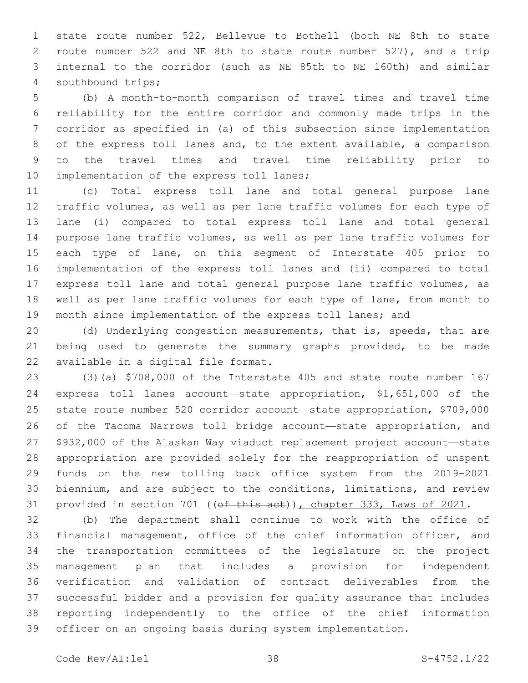state route number 522, Bellevue to Bothell (both NE 8th to state route number 522 and NE 8th to state route number 527), and a trip internal to the corridor (such as NE 85th to NE 160th) and similar 4 southbound trips;

 (b) A month-to-month comparison of travel times and travel time reliability for the entire corridor and commonly made trips in the corridor as specified in (a) of this subsection since implementation of the express toll lanes and, to the extent available, a comparison to the travel times and travel time reliability prior to 10 implementation of the express toll lanes;

 (c) Total express toll lane and total general purpose lane traffic volumes, as well as per lane traffic volumes for each type of lane (i) compared to total express toll lane and total general purpose lane traffic volumes, as well as per lane traffic volumes for 15 each type of lane, on this segment of Interstate 405 prior to implementation of the express toll lanes and (ii) compared to total express toll lane and total general purpose lane traffic volumes, as well as per lane traffic volumes for each type of lane, from month to month since implementation of the express toll lanes; and

 (d) Underlying congestion measurements, that is, speeds, that are being used to generate the summary graphs provided, to be made 22 available in a digital file format.

 (3)(a) \$708,000 of the Interstate 405 and state route number 167 express toll lanes account—state appropriation, \$1,651,000 of the state route number 520 corridor account—state appropriation, \$709,000 of the Tacoma Narrows toll bridge account—state appropriation, and \$932,000 of the Alaskan Way viaduct replacement project account—state appropriation are provided solely for the reappropriation of unspent funds on the new tolling back office system from the 2019-2021 biennium, and are subject to the conditions, limitations, and review 31 provided in section 701 ((of this act)), chapter 333, Laws of 2021.

 (b) The department shall continue to work with the office of financial management, office of the chief information officer, and the transportation committees of the legislature on the project management plan that includes a provision for independent verification and validation of contract deliverables from the successful bidder and a provision for quality assurance that includes reporting independently to the office of the chief information officer on an ongoing basis during system implementation.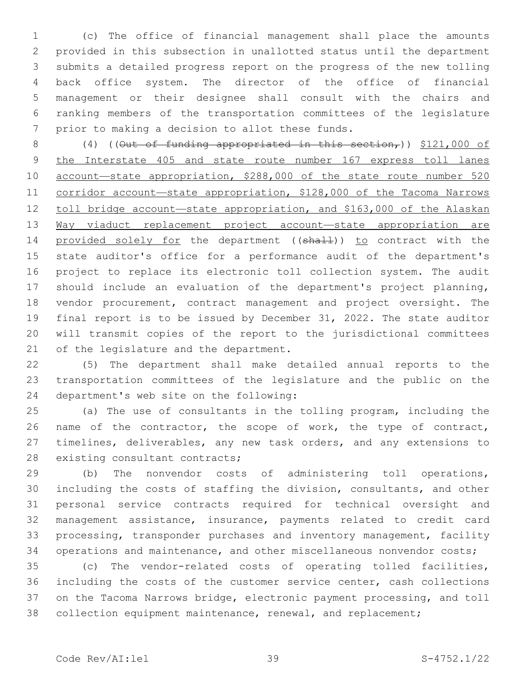(c) The office of financial management shall place the amounts provided in this subsection in unallotted status until the department submits a detailed progress report on the progress of the new tolling back office system. The director of the office of financial management or their designee shall consult with the chairs and ranking members of the transportation committees of the legislature 7 prior to making a decision to allot these funds.

8 (4) (( $\Theta$ ut of funding appropriated in this section,))  $$121,000$  of the Interstate 405 and state route number 167 express toll lanes account—state appropriation, \$288,000 of the state route number 520 corridor account—state appropriation, \$128,000 of the Tacoma Narrows 12 toll bridge account—state appropriation, and \$163,000 of the Alaskan Way viaduct replacement project account—state appropriation are 14 provided solely for the department ((shall)) to contract with the state auditor's office for a performance audit of the department's project to replace its electronic toll collection system. The audit should include an evaluation of the department's project planning, vendor procurement, contract management and project oversight. The final report is to be issued by December 31, 2022. The state auditor will transmit copies of the report to the jurisdictional committees 21 of the legislature and the department.

 (5) The department shall make detailed annual reports to the transportation committees of the legislature and the public on the 24 department's web site on the following:

 (a) The use of consultants in the tolling program, including the 26 name of the contractor, the scope of work, the type of contract, 27 timelines, deliverables, any new task orders, and any extensions to 28 existing consultant contracts;

 (b) The nonvendor costs of administering toll operations, including the costs of staffing the division, consultants, and other personal service contracts required for technical oversight and management assistance, insurance, payments related to credit card processing, transponder purchases and inventory management, facility 34 operations and maintenance, and other miscellaneous nonvendor costs;

 (c) The vendor-related costs of operating tolled facilities, including the costs of the customer service center, cash collections on the Tacoma Narrows bridge, electronic payment processing, and toll collection equipment maintenance, renewal, and replacement;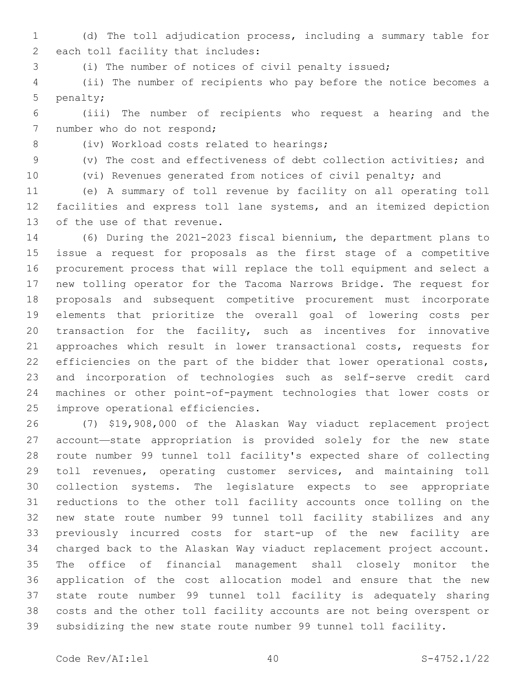(d) The toll adjudication process, including a summary table for 2 each toll facility that includes:

(i) The number of notices of civil penalty issued;

 (ii) The number of recipients who pay before the notice becomes a 5 penalty;

 (iii) The number of recipients who request a hearing and the 7 number who do not respond;

8 (iv) Workload costs related to hearings;

(v) The cost and effectiveness of debt collection activities; and

(vi) Revenues generated from notices of civil penalty; and

 (e) A summary of toll revenue by facility on all operating toll facilities and express toll lane systems, and an itemized depiction 13 of the use of that revenue.

 (6) During the 2021-2023 fiscal biennium, the department plans to issue a request for proposals as the first stage of a competitive procurement process that will replace the toll equipment and select a new tolling operator for the Tacoma Narrows Bridge. The request for proposals and subsequent competitive procurement must incorporate elements that prioritize the overall goal of lowering costs per transaction for the facility, such as incentives for innovative approaches which result in lower transactional costs, requests for 22 efficiencies on the part of the bidder that lower operational costs, and incorporation of technologies such as self-serve credit card machines or other point-of-payment technologies that lower costs or 25 improve operational efficiencies.

 (7) \$19,908,000 of the Alaskan Way viaduct replacement project account—state appropriation is provided solely for the new state route number 99 tunnel toll facility's expected share of collecting toll revenues, operating customer services, and maintaining toll collection systems. The legislature expects to see appropriate reductions to the other toll facility accounts once tolling on the new state route number 99 tunnel toll facility stabilizes and any previously incurred costs for start-up of the new facility are charged back to the Alaskan Way viaduct replacement project account. The office of financial management shall closely monitor the application of the cost allocation model and ensure that the new state route number 99 tunnel toll facility is adequately sharing costs and the other toll facility accounts are not being overspent or subsidizing the new state route number 99 tunnel toll facility.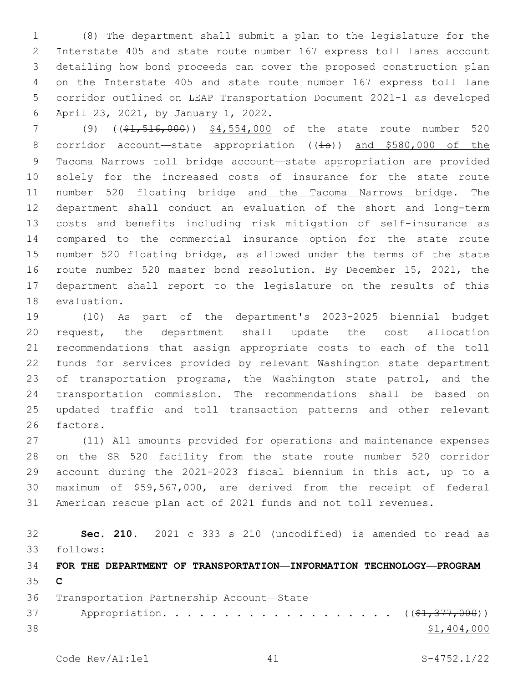(8) The department shall submit a plan to the legislature for the Interstate 405 and state route number 167 express toll lanes account detailing how bond proceeds can cover the proposed construction plan on the Interstate 405 and state route number 167 express toll lane corridor outlined on LEAP Transportation Document 2021-1 as developed 6 April 23, 2021, by January 1, 2022.

7 (9) ((\$1,516,000)) \$4,554,000 of the state route number 520 8 corridor account—state appropriation  $((\pm s))$  and \$580,000 of the 9 Tacoma Narrows toll bridge account-state appropriation are provided solely for the increased costs of insurance for the state route number 520 floating bridge and the Tacoma Narrows bridge. The department shall conduct an evaluation of the short and long-term costs and benefits including risk mitigation of self-insurance as compared to the commercial insurance option for the state route number 520 floating bridge, as allowed under the terms of the state route number 520 master bond resolution. By December 15, 2021, the department shall report to the legislature on the results of this 18 evaluation.

 (10) As part of the department's 2023-2025 biennial budget request, the department shall update the cost allocation recommendations that assign appropriate costs to each of the toll funds for services provided by relevant Washington state department of transportation programs, the Washington state patrol, and the transportation commission. The recommendations shall be based on updated traffic and toll transaction patterns and other relevant 26 factors.

 (11) All amounts provided for operations and maintenance expenses on the SR 520 facility from the state route number 520 corridor account during the 2021-2023 fiscal biennium in this act, up to a maximum of \$59,567,000, are derived from the receipt of federal American rescue plan act of 2021 funds and not toll revenues.

 **Sec. 210.** 2021 c 333 s 210 (uncodified) is amended to read as follows: 33 **FOR THE DEPARTMENT OF TRANSPORTATION—INFORMATION TECHNOLOGY—PROGRAM C** 36 Transportation Partnership Account-State 37 Appropriation. . . . . . . . . . . . . . . . . (  $(\frac{21}{277}, 000)$  ) \$1,404,000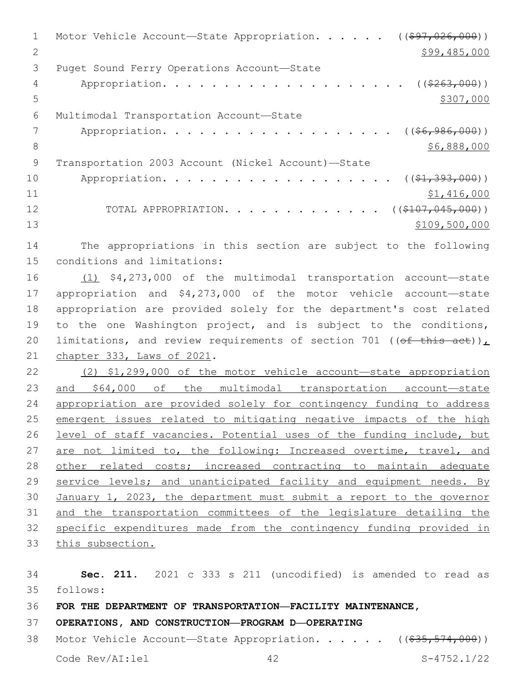1 Motor Vehicle Account-State Appropriation. . . . . ((\$97,026,000)) 2 \$99,485,000 3 Puget Sound Ferry Operations Account-State 4 Appropriation. . . . . . . . . . . . . . . . . . (  $(\frac{263,000}{1})$  $5 - 5$ Multimodal Transportation Account—State6 7 Appropriation. . . . . . . . . . . . . . . . . . . ((\$6,986,000))  $8$   $$6,888,000$ 9 Transportation 2003 Account (Nickel Account)—State 10 Appropriation. . . . . . . . . . . . . . . . . ( (<del>\$1,393,000</del>)) 11 \$1,416,000 12 TOTAL APPROPRIATION. . . . . . . . . . . . ((\$107,045,000)) 13 \$109,500,000

14 The appropriations in this section are subject to the following 15 conditions and limitations:

 (1) \$4,273,000 of the multimodal transportation account—state appropriation and \$4,273,000 of the motor vehicle account—state appropriation are provided solely for the department's cost related to the one Washington project, and is subject to the conditions, 20 limitations, and review requirements of section 701 (( $\theta$ f this act)), 21 chapter 333, Laws of 2021.

 (2) \$1,299,000 of the motor vehicle account—state appropriation and \$64,000 of the multimodal transportation account—state appropriation are provided solely for contingency funding to address emergent issues related to mitigating negative impacts of the high 26 level of staff vacancies. Potential uses of the funding include, but 27 are not limited to, the following: Increased overtime, travel, and other related costs; increased contracting to maintain adequate 29 service levels; and unanticipated facility and equipment needs. By January 1, 2023, the department must submit a report to the governor and the transportation committees of the legislature detailing the specific expenditures made from the contingency funding provided in this subsection.

34 **Sec. 211.** 2021 c 333 s 211 (uncodified) is amended to read as follows: 35 36 **FOR THE DEPARTMENT OF TRANSPORTATION—FACILITY MAINTENANCE,**  37 **OPERATIONS, AND CONSTRUCTION—PROGRAM D—OPERATING** 38 Motor Vehicle Account—State Appropriation. . . . . ((\$35,574,000))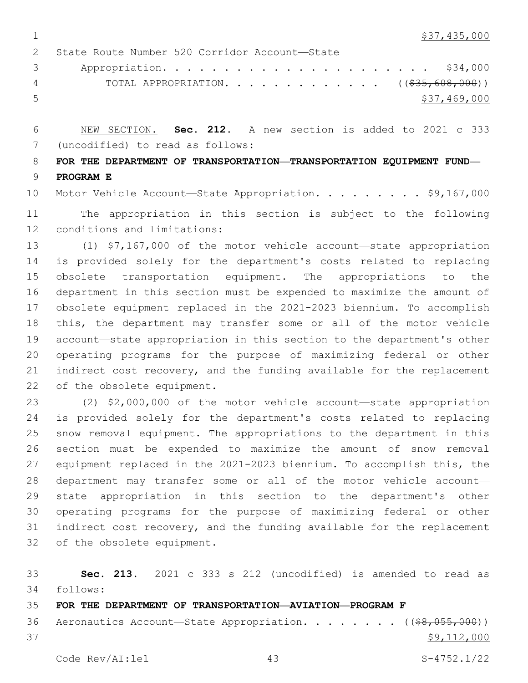$\frac{1}{337,435,000}$ 

2 State Route Number 520 Corridor Account-State Appropriation. . . . . . . . . . . . . . . . . . . . . . \$34,000 4 TOTAL APPROPRIATION. . . . . . . . . . . . . ((\$35,608,000))  $5 - 5$  \$37,469,000

 NEW SECTION. **Sec. 212.** A new section is added to 2021 c 333 (uncodified) to read as follows: 7

 **FOR THE DEPARTMENT OF TRANSPORTATION—TRANSPORTATION EQUIPMENT FUND— PROGRAM E**

10 Motor Vehicle Account-State Appropriation. . . . . . . . \$9,167,000 The appropriation in this section is subject to the following 12 conditions and limitations:

 (1) \$7,167,000 of the motor vehicle account—state appropriation is provided solely for the department's costs related to replacing obsolete transportation equipment. The appropriations to the department in this section must be expended to maximize the amount of obsolete equipment replaced in the 2021-2023 biennium. To accomplish this, the department may transfer some or all of the motor vehicle account—state appropriation in this section to the department's other operating programs for the purpose of maximizing federal or other indirect cost recovery, and the funding available for the replacement 22 of the obsolete equipment.

 (2) \$2,000,000 of the motor vehicle account—state appropriation is provided solely for the department's costs related to replacing snow removal equipment. The appropriations to the department in this section must be expended to maximize the amount of snow removal equipment replaced in the 2021-2023 biennium. To accomplish this, the department may transfer some or all of the motor vehicle account— state appropriation in this section to the department's other operating programs for the purpose of maximizing federal or other 31 indirect cost recovery, and the funding available for the replacement 32 of the obsolete equipment.

 **Sec. 213.** 2021 c 333 s 212 (uncodified) is amended to read as follows: 34

 **FOR THE DEPARTMENT OF TRANSPORTATION—AVIATION—PROGRAM F** 36 Aeronautics Account—State Appropriation. . . . . . . ((\$8,055,000)) \$9,112,000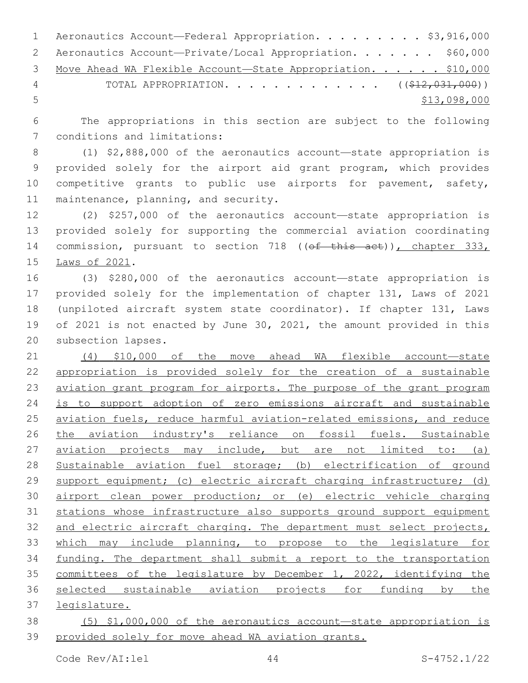|     | 1 Aeronautics Account—Federal Appropriation. \$3,916,000       |
|-----|----------------------------------------------------------------|
|     | 2 Aeronautics Account-Private/Local Appropriation. \$60,000    |
|     | 3 Move Ahead WA Flexible Account-State Appropriation. \$10,000 |
| 4   | TOTAL APPROPRIATION. ( $(\frac{212}{122031000})$ )             |
| - 5 | \$13,098,000                                                   |

 The appropriations in this section are subject to the following 7 conditions and limitations:

 (1) \$2,888,000 of the aeronautics account—state appropriation is provided solely for the airport aid grant program, which provides competitive grants to public use airports for pavement, safety, 11 maintenance, planning, and security.

 (2) \$257,000 of the aeronautics account—state appropriation is provided solely for supporting the commercial aviation coordinating 14 commission, pursuant to section 718 ((ef this act)), chapter 333, 15 Laws of 2021.

 (3) \$280,000 of the aeronautics account—state appropriation is provided solely for the implementation of chapter 131, Laws of 2021 (unpiloted aircraft system state coordinator). If chapter 131, Laws of 2021 is not enacted by June 30, 2021, the amount provided in this 20 subsection lapses.

 (4) \$10,000 of the move ahead WA flexible account—state appropriation is provided solely for the creation of a sustainable 23 aviation grant program for airports. The purpose of the grant program 24 is to support adoption of zero emissions aircraft and sustainable 25 aviation fuels, reduce harmful aviation-related emissions, and reduce 26 the aviation industry's reliance on fossil fuels. Sustainable 27 aviation projects may include, but are not limited to: (a) Sustainable aviation fuel storage; (b) electrification of ground support equipment; (c) electric aircraft charging infrastructure; (d) airport clean power production; or (e) electric vehicle charging stations whose infrastructure also supports ground support equipment and electric aircraft charging. The department must select projects, which may include planning, to propose to the legislature for 34 funding. The department shall submit a report to the transportation committees of the legislature by December 1, 2022, identifying the selected sustainable aviation projects for funding by the legislature.

 (5) \$1,000,000 of the aeronautics account—state appropriation is provided solely for move ahead WA aviation grants.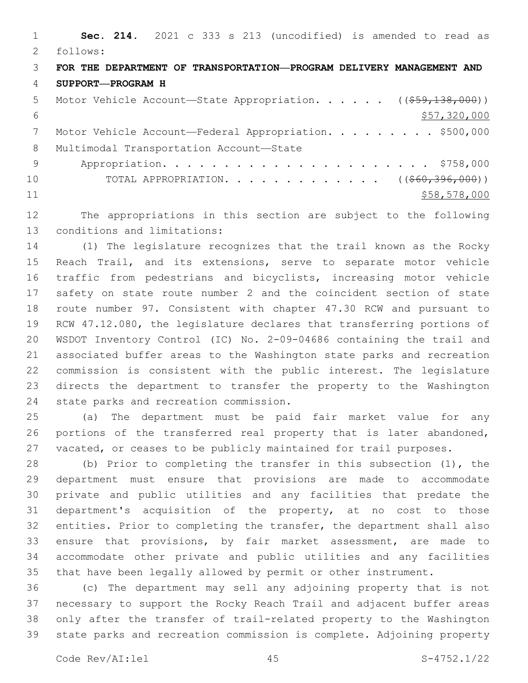**Sec. 214.** 2021 c 333 s 213 (uncodified) is amended to read as follows: 2 **FOR THE DEPARTMENT OF TRANSPORTATION—PROGRAM DELIVERY MANAGEMENT AND SUPPORT—PROGRAM H** 5 Motor Vehicle Account—State Appropriation. . . . . ((\$59,138,000))  $$57,320,000$ 7 Motor Vehicle Account—Federal Appropriation. . . . . . . . \$500,000 8 Multimodal Transportation Account-State Appropriation. . . . . . . . . . . . . . . . . . . . . . \$758,000 10 TOTAL APPROPRIATION. . . . . . . . . . . . ((<del>\$60,396,000</del>)) 11 \$58,578,000

 The appropriations in this section are subject to the following 13 conditions and limitations:

 (1) The legislature recognizes that the trail known as the Rocky Reach Trail, and its extensions, serve to separate motor vehicle traffic from pedestrians and bicyclists, increasing motor vehicle safety on state route number 2 and the coincident section of state route number 97. Consistent with chapter 47.30 RCW and pursuant to RCW 47.12.080, the legislature declares that transferring portions of WSDOT Inventory Control (IC) No. 2-09-04686 containing the trail and associated buffer areas to the Washington state parks and recreation commission is consistent with the public interest. The legislature directs the department to transfer the property to the Washington 24 state parks and recreation commission.

 (a) The department must be paid fair market value for any portions of the transferred real property that is later abandoned, vacated, or ceases to be publicly maintained for trail purposes.

 (b) Prior to completing the transfer in this subsection (1), the department must ensure that provisions are made to accommodate private and public utilities and any facilities that predate the department's acquisition of the property, at no cost to those entities. Prior to completing the transfer, the department shall also ensure that provisions, by fair market assessment, are made to accommodate other private and public utilities and any facilities that have been legally allowed by permit or other instrument.

 (c) The department may sell any adjoining property that is not necessary to support the Rocky Reach Trail and adjacent buffer areas only after the transfer of trail-related property to the Washington state parks and recreation commission is complete. Adjoining property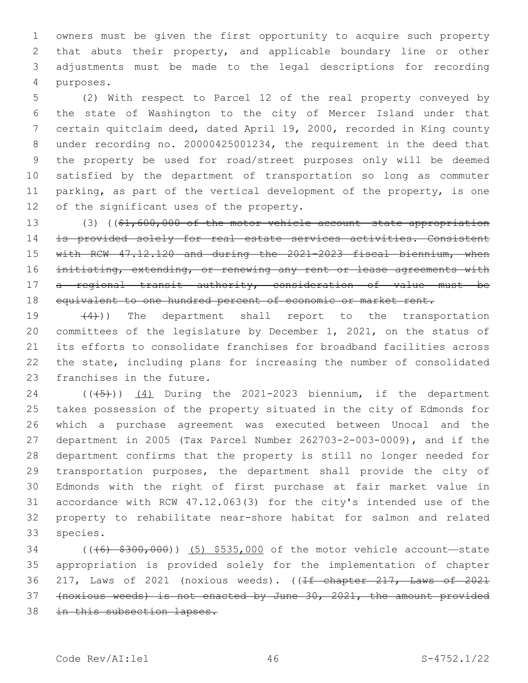owners must be given the first opportunity to acquire such property that abuts their property, and applicable boundary line or other adjustments must be made to the legal descriptions for recording 4 purposes.

 (2) With respect to Parcel 12 of the real property conveyed by the state of Washington to the city of Mercer Island under that certain quitclaim deed, dated April 19, 2000, recorded in King county under recording no. 20000425001234, the requirement in the deed that the property be used for road/street purposes only will be deemed satisfied by the department of transportation so long as commuter parking, as part of the vertical development of the property, is one 12 of the significant uses of the property.

 (3) ((\$1,600,000 of the motor vehicle account—state appropriation is provided solely for real estate services activities. Consistent with RCW 47.12.120 and during the 2021-2023 fiscal biennium, when 16 initiating, extending, or renewing any rent or lease agreements with a regional transit authority, consideration of value must be 18 equivalent to one hundred percent of economic or market rent.

 $(4)$ )) The department shall report to the transportation committees of the legislature by December 1, 2021, on the status of its efforts to consolidate franchises for broadband facilities across the state, including plans for increasing the number of consolidated 23 franchises in the future.

 $((+5+))$   $(4)$  During the 2021-2023 biennium, if the department takes possession of the property situated in the city of Edmonds for which a purchase agreement was executed between Unocal and the department in 2005 (Tax Parcel Number 262703-2-003-0009), and if the department confirms that the property is still no longer needed for transportation purposes, the department shall provide the city of Edmonds with the right of first purchase at fair market value in accordance with RCW 47.12.063(3) for the city's intended use of the property to rehabilitate near-shore habitat for salmon and related 33 species.

34 ((<del>(6) \$300,000</del>)) (5) \$535,000 of the motor vehicle account—state appropriation is provided solely for the implementation of chapter 36 217, Laws of 2021 (noxious weeds). ((<del>If chapter 217, Laws of 2021</del> (noxious weeds) is not enacted by June 30, 2021, the amount provided 38 in this subsection lapses.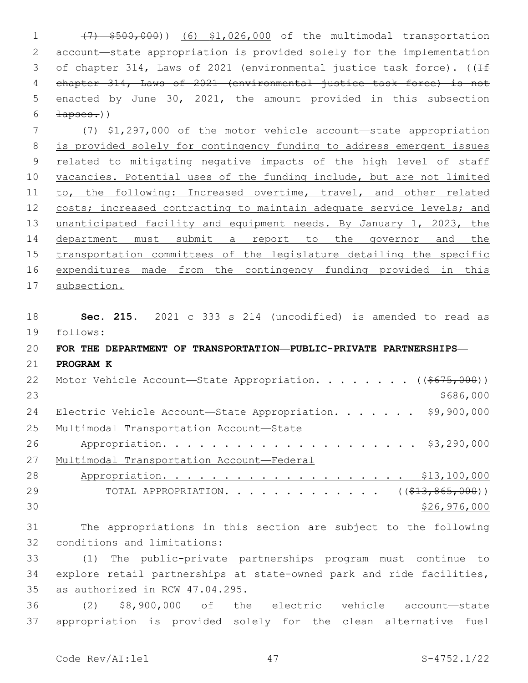(7) \$500,000)) (6) \$1,026,000 of the multimodal transportation account—state appropriation is provided solely for the implementation 3 of chapter 314, Laws of 2021 (environmental justice task force). ((If chapter 314, Laws of 2021 (environmental justice task force) is not 5 enacted by June 30, 2021, the amount provided in this subsection  $\frac{1}{1}$   $\frac{1}{1}$ 

 (7) \$1,297,000 of the motor vehicle account—state appropriation is provided solely for contingency funding to address emergent issues related to mitigating negative impacts of the high level of staff 10 vacancies. Potential uses of the funding include, but are not limited 11 to, the following: Increased overtime, travel, and other related 12 costs; increased contracting to maintain adequate service levels; and unanticipated facility and equipment needs. By January 1, 2023, the department must submit a report to the governor and the 15 transportation committees of the legislature detailing the specific expenditures made from the contingency funding provided in this subsection.

18 **Sec. 215.** 2021 c 333 s 214 (uncodified) is amended to read as 19 follows: 20 **FOR THE DEPARTMENT OF TRANSPORTATION—PUBLIC-PRIVATE PARTNERSHIPS—** 21 **PROGRAM K** 22 Motor Vehicle Account-State Appropriation. . . . . . . ((\$675,000))  $23$ 24 Electric Vehicle Account-State Appropriation. . . . . . \$9,900,000 25 Multimodal Transportation Account-State 26 Appropriation. . . . . . . . . . . . . . . . . . . . . \$3,290,000 27 Multimodal Transportation Account—Federal 28 Appropriation. . . . . . . . . . . . . . . . . . . . \$13,100,000 29 TOTAL APPROPRIATION. . . . . . . . . . . . ((<del>\$13,865,000</del>))  $30 \times 526,976,000$ 31 The appropriations in this section are subject to the following 32 conditions and limitations:

33 (1) The public-private partnerships program must continue to 34 explore retail partnerships at state-owned park and ride facilities, 35 as authorized in RCW 47.04.295.

36 (2) \$8,900,000 of the electric vehicle account—state 37 appropriation is provided solely for the clean alternative fuel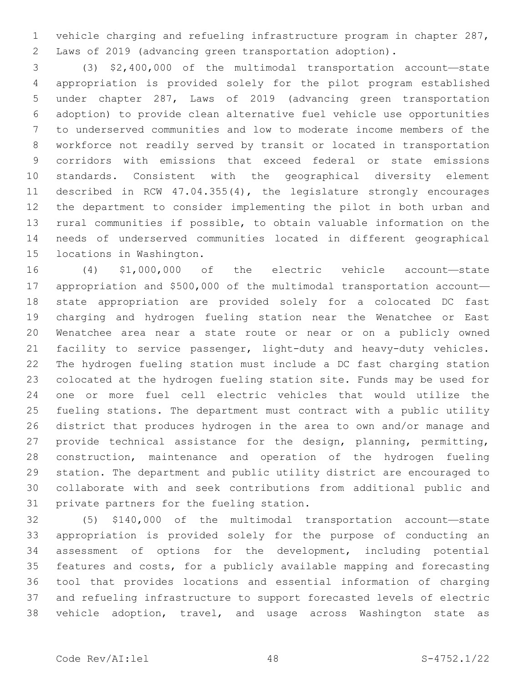vehicle charging and refueling infrastructure program in chapter 287, Laws of 2019 (advancing green transportation adoption).

 (3) \$2,400,000 of the multimodal transportation account—state appropriation is provided solely for the pilot program established under chapter 287, Laws of 2019 (advancing green transportation adoption) to provide clean alternative fuel vehicle use opportunities to underserved communities and low to moderate income members of the workforce not readily served by transit or located in transportation corridors with emissions that exceed federal or state emissions standards. Consistent with the geographical diversity element described in RCW 47.04.355(4), the legislature strongly encourages the department to consider implementing the pilot in both urban and rural communities if possible, to obtain valuable information on the needs of underserved communities located in different geographical 15 locations in Washington.

 (4) \$1,000,000 of the electric vehicle account—state appropriation and \$500,000 of the multimodal transportation account— state appropriation are provided solely for a colocated DC fast charging and hydrogen fueling station near the Wenatchee or East Wenatchee area near a state route or near or on a publicly owned facility to service passenger, light-duty and heavy-duty vehicles. The hydrogen fueling station must include a DC fast charging station colocated at the hydrogen fueling station site. Funds may be used for one or more fuel cell electric vehicles that would utilize the fueling stations. The department must contract with a public utility district that produces hydrogen in the area to own and/or manage and 27 provide technical assistance for the design, planning, permitting, construction, maintenance and operation of the hydrogen fueling station. The department and public utility district are encouraged to collaborate with and seek contributions from additional public and 31 private partners for the fueling station.

 (5) \$140,000 of the multimodal transportation account—state appropriation is provided solely for the purpose of conducting an assessment of options for the development, including potential features and costs, for a publicly available mapping and forecasting tool that provides locations and essential information of charging and refueling infrastructure to support forecasted levels of electric vehicle adoption, travel, and usage across Washington state as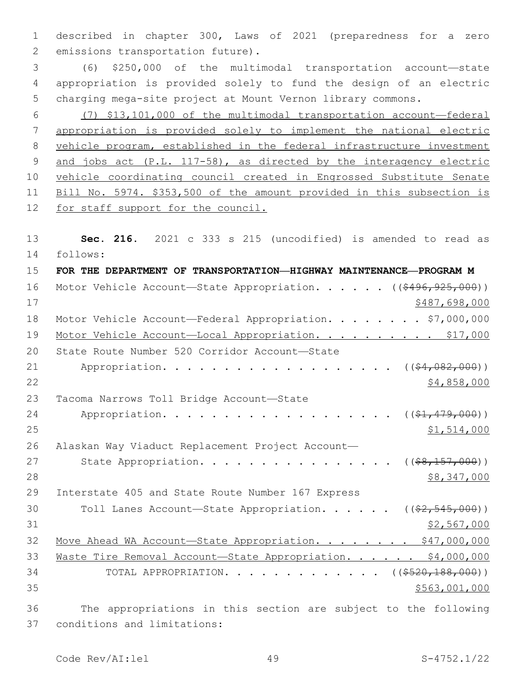1 described in chapter 300, Laws of 2021 (preparedness for a zero 2 emissions transportation future).

3 (6) \$250,000 of the multimodal transportation account—state 4 appropriation is provided solely to fund the design of an electric 5 charging mega-site project at Mount Vernon library commons.

 (7) \$13,101,000 of the multimodal transportation account—federal appropriation is provided solely to implement the national electric vehicle program, established in the federal infrastructure investment and jobs act (P.L. 117-58), as directed by the interagency electric vehicle coordinating council created in Engrossed Substitute Senate Bill No. 5974. \$353,500 of the amount provided in this subsection is 12 for staff support for the council.

13 **Sec. 216.** 2021 c 333 s 215 (uncodified) is amended to read as follows: 14

15 **FOR THE DEPARTMENT OF TRANSPORTATION—HIGHWAY MAINTENANCE—PROGRAM M** 16 Motor Vehicle Account-State Appropriation. . . . . ((\$496,925,000))  $17$  \$487,698,000 18 Motor Vehicle Account—Federal Appropriation. . . . . . . \$7,000,000 19 Motor Vehicle Account-Local Appropriation. . . . . . . . . \$17,000 20 State Route Number 520 Corridor Account-State 21 Appropriation. . . . . . . . . . . . . . . . . (  $(\frac{64,082,000)}{}$  $22$  \$4,858,000 23 Tacoma Narrows Toll Bridge Account-State 24 Appropriation. . . . . . . . . . . . . . . . . (  $(\frac{21}{7}\cdot 479.000)$  ) 25 \$1,514,000 26 Alaskan Way Viaduct Replacement Project Account— 27 State Appropriation. . . . . . . . . . . . . . . ((\$8,157,000)) 28 \$8,347,000 \$8,347,000 29 Interstate 405 and State Route Number 167 Express 30 Toll Lanes Account-State Appropriation. . . . . ((\$2,545,000))  $31$  \$2,567,000 32 Move Ahead WA Account-State Appropriation. . . . . . . \$47,000,000 33 Waste Tire Removal Account-State Appropriation. . . . . \$4,000,000 34 TOTAL APPROPRIATION. . . . . . . . . . . . ((\$520,188,000)) 35 \$563,001,000 36 The appropriations in this section are subject to the following conditions and limitations:37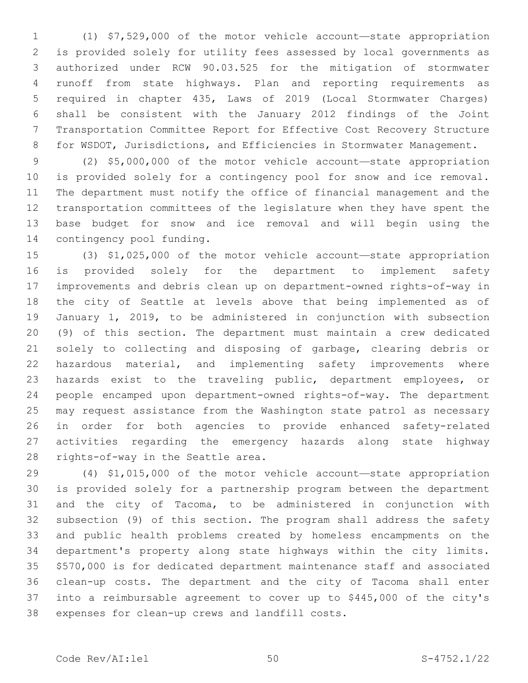(1) \$7,529,000 of the motor vehicle account—state appropriation is provided solely for utility fees assessed by local governments as authorized under RCW 90.03.525 for the mitigation of stormwater runoff from state highways. Plan and reporting requirements as required in chapter 435, Laws of 2019 (Local Stormwater Charges) shall be consistent with the January 2012 findings of the Joint Transportation Committee Report for Effective Cost Recovery Structure for WSDOT, Jurisdictions, and Efficiencies in Stormwater Management.

 (2) \$5,000,000 of the motor vehicle account—state appropriation is provided solely for a contingency pool for snow and ice removal. The department must notify the office of financial management and the transportation committees of the legislature when they have spent the base budget for snow and ice removal and will begin using the 14 contingency pool funding.

 (3) \$1,025,000 of the motor vehicle account—state appropriation is provided solely for the department to implement safety improvements and debris clean up on department-owned rights-of-way in the city of Seattle at levels above that being implemented as of January 1, 2019, to be administered in conjunction with subsection (9) of this section. The department must maintain a crew dedicated solely to collecting and disposing of garbage, clearing debris or 22 hazardous material, and implementing safety improvements where hazards exist to the traveling public, department employees, or people encamped upon department-owned rights-of-way. The department may request assistance from the Washington state patrol as necessary in order for both agencies to provide enhanced safety-related activities regarding the emergency hazards along state highway 28 rights-of-way in the Seattle area.

 (4) \$1,015,000 of the motor vehicle account—state appropriation is provided solely for a partnership program between the department and the city of Tacoma, to be administered in conjunction with subsection (9) of this section. The program shall address the safety and public health problems created by homeless encampments on the department's property along state highways within the city limits. \$570,000 is for dedicated department maintenance staff and associated clean-up costs. The department and the city of Tacoma shall enter into a reimbursable agreement to cover up to \$445,000 of the city's 38 expenses for clean-up crews and landfill costs.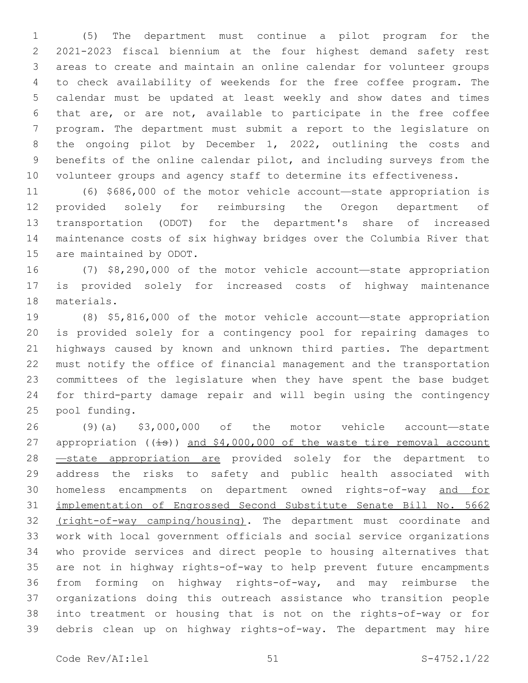(5) The department must continue a pilot program for the 2021-2023 fiscal biennium at the four highest demand safety rest areas to create and maintain an online calendar for volunteer groups to check availability of weekends for the free coffee program. The calendar must be updated at least weekly and show dates and times that are, or are not, available to participate in the free coffee program. The department must submit a report to the legislature on the ongoing pilot by December 1, 2022, outlining the costs and benefits of the online calendar pilot, and including surveys from the volunteer groups and agency staff to determine its effectiveness.

 (6) \$686,000 of the motor vehicle account—state appropriation is provided solely for reimbursing the Oregon department of transportation (ODOT) for the department's share of increased maintenance costs of six highway bridges over the Columbia River that 15 are maintained by ODOT.

 (7) \$8,290,000 of the motor vehicle account—state appropriation is provided solely for increased costs of highway maintenance 18 materials.

 (8) \$5,816,000 of the motor vehicle account—state appropriation is provided solely for a contingency pool for repairing damages to highways caused by known and unknown third parties. The department must notify the office of financial management and the transportation committees of the legislature when they have spent the base budget for third-party damage repair and will begin using the contingency 25 pool funding.

 (9)(a) \$3,000,000 of the motor vehicle account—state 27 appropriation ( $(i=s)$ ) and  $$4,000,000$  of the waste tire removal account 28 <u>—state appropriation are</u> provided solely for the department to address the risks to safety and public health associated with homeless encampments on department owned rights-of-way and for implementation of Engrossed Second Substitute Senate Bill No. 5662 32 (right-of-way camping/housing). The department must coordinate and work with local government officials and social service organizations who provide services and direct people to housing alternatives that are not in highway rights-of-way to help prevent future encampments from forming on highway rights-of-way, and may reimburse the organizations doing this outreach assistance who transition people into treatment or housing that is not on the rights-of-way or for debris clean up on highway rights-of-way. The department may hire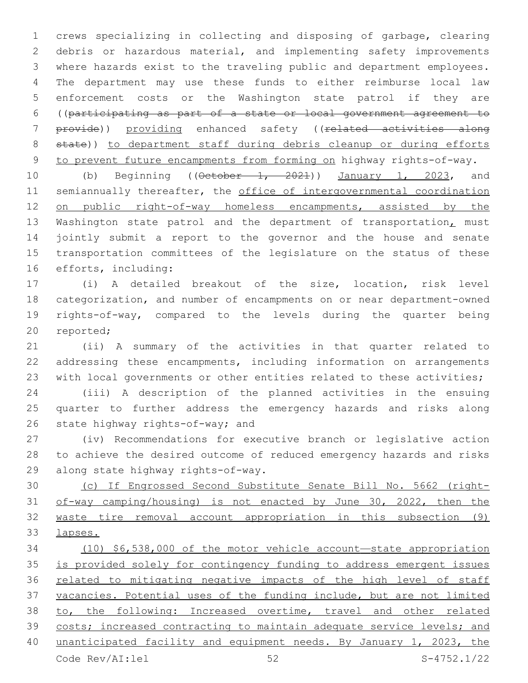crews specializing in collecting and disposing of garbage, clearing debris or hazardous material, and implementing safety improvements where hazards exist to the traveling public and department employees. The department may use these funds to either reimburse local law enforcement costs or the Washington state patrol if they are ((participating as part of a state or local government agreement to 7 provide)) providing enhanced safety ((related activities along 8 state)) to department staff during debris cleanup or during efforts to prevent future encampments from forming on highway rights-of-way.

10 (b) Beginning ((October 1, 2021)) January 1, 2023, and 11 semiannually thereafter, the office of intergovernmental coordination 12 on public right-of-way homeless encampments, assisted by the 13 Washington state patrol and the department of transportation, must jointly submit a report to the governor and the house and senate transportation committees of the legislature on the status of these 16 efforts, including:

 (i) A detailed breakout of the size, location, risk level categorization, and number of encampments on or near department-owned rights-of-way, compared to the levels during the quarter being 20 reported;

 (ii) A summary of the activities in that quarter related to addressing these encampments, including information on arrangements with local governments or other entities related to these activities;

 (iii) A description of the planned activities in the ensuing quarter to further address the emergency hazards and risks along 26 state highway rights-of-way; and

 (iv) Recommendations for executive branch or legislative action to achieve the desired outcome of reduced emergency hazards and risks 29 along state highway rights-of-way.

 (c) If Engrossed Second Substitute Senate Bill No. 5662 (right- of-way camping/housing) is not enacted by June 30, 2022, then the waste tire removal account appropriation in this subsection (9) lapses.

 (10) \$6,538,000 of the motor vehicle account—state appropriation is provided solely for contingency funding to address emergent issues related to mitigating negative impacts of the high level of staff vacancies. Potential uses of the funding include, but are not limited to, the following: Increased overtime, travel and other related costs; increased contracting to maintain adequate service levels; and unanticipated facility and equipment needs. By January 1, 2023, the Code Rev/AI:lel 52 S-4752.1/22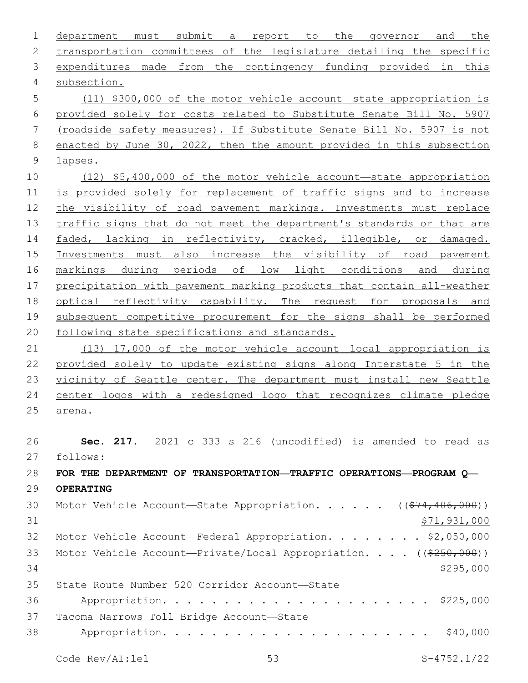department must submit a report to the governor and the transportation committees of the legislature detailing the specific expenditures made from the contingency funding provided in this subsection.4 (11) \$300,000 of the motor vehicle account—state appropriation is provided solely for costs related to Substitute Senate Bill No. 5907 (roadside safety measures). If Substitute Senate Bill No. 5907 is not enacted by June 30, 2022, then the amount provided in this subsection lapses. (12) \$5,400,000 of the motor vehicle account—state appropriation is provided solely for replacement of traffic signs and to increase the visibility of road pavement markings. Investments must replace traffic signs that do not meet the department's standards or that are faded, lacking in reflectivity, cracked, illegible, or damaged. Investments must also increase the visibility of road pavement markings during periods of low light conditions and during precipitation with pavement marking products that contain all-weather optical reflectivity capability. The request for proposals and subsequent competitive procurement for the signs shall be performed following state specifications and standards. (13) 17,000 of the motor vehicle account—local appropriation is provided solely to update existing signs along Interstate 5 in the vicinity of Seattle center. The department must install new Seattle center logos with a redesigned logo that recognizes climate pledge arena. **Sec. 217.** 2021 c 333 s 216 (uncodified) is amended to read as follows: 27 **FOR THE DEPARTMENT OF TRANSPORTATION—TRAFFIC OPERATIONS—PROGRAM Q— OPERATING** 30 Motor Vehicle Account—State Appropriation. . . . . ((\$74,406,000))  $$71,931,000$ 32 Motor Vehicle Account—Federal Appropriation. . . . . . . \$2,050,000 33 Motor Vehicle Account—Private/Local Appropriation. . . . ((\$250,000))  $\frac{$295,000}{2}$ State Route Number 520 Corridor Account—State35 Appropriation. . . . . . . . . . . . . . . . . . . . . . \$225,000 37 Tacoma Narrows Toll Bridge Account-State Appropriation. . . . . . . . . . . . . . . . . . . . . . \$40,000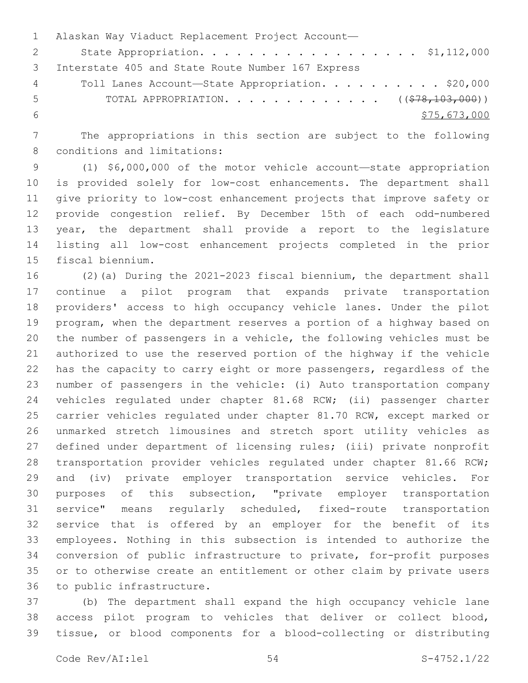Alaskan Way Viaduct Replacement Project Account— 2 State Appropriation. . . . . . . . . . . . . . . . . \$1,112,000 3 Interstate 405 and State Route Number 167 Express Toll Lanes Account—State Appropriation. . . . . . . . . . \$20,000 5 TOTAL APPROPRIATION. . . . . . . . . . . . . ((\$78,103,000))  $$75,673,000$ 

 The appropriations in this section are subject to the following 8 conditions and limitations:

 (1) \$6,000,000 of the motor vehicle account—state appropriation is provided solely for low-cost enhancements. The department shall give priority to low-cost enhancement projects that improve safety or provide congestion relief. By December 15th of each odd-numbered year, the department shall provide a report to the legislature listing all low-cost enhancement projects completed in the prior 15 fiscal biennium.

 (2)(a) During the 2021-2023 fiscal biennium, the department shall continue a pilot program that expands private transportation providers' access to high occupancy vehicle lanes. Under the pilot program, when the department reserves a portion of a highway based on the number of passengers in a vehicle, the following vehicles must be authorized to use the reserved portion of the highway if the vehicle has the capacity to carry eight or more passengers, regardless of the number of passengers in the vehicle: (i) Auto transportation company vehicles regulated under chapter 81.68 RCW; (ii) passenger charter carrier vehicles regulated under chapter 81.70 RCW, except marked or unmarked stretch limousines and stretch sport utility vehicles as defined under department of licensing rules; (iii) private nonprofit transportation provider vehicles regulated under chapter 81.66 RCW; and (iv) private employer transportation service vehicles. For purposes of this subsection, "private employer transportation service" means regularly scheduled, fixed-route transportation service that is offered by an employer for the benefit of its employees. Nothing in this subsection is intended to authorize the conversion of public infrastructure to private, for-profit purposes or to otherwise create an entitlement or other claim by private users 36 to public infrastructure.

 (b) The department shall expand the high occupancy vehicle lane access pilot program to vehicles that deliver or collect blood, tissue, or blood components for a blood-collecting or distributing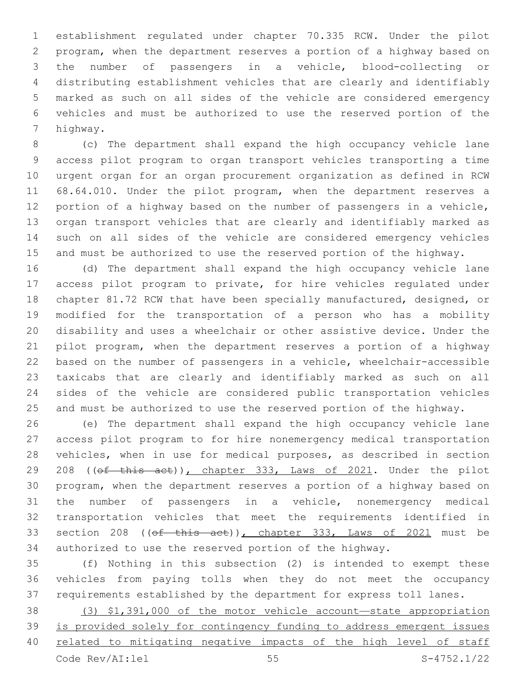establishment regulated under chapter 70.335 RCW. Under the pilot program, when the department reserves a portion of a highway based on the number of passengers in a vehicle, blood-collecting or distributing establishment vehicles that are clearly and identifiably marked as such on all sides of the vehicle are considered emergency vehicles and must be authorized to use the reserved portion of the 7 highway.

 (c) The department shall expand the high occupancy vehicle lane access pilot program to organ transport vehicles transporting a time urgent organ for an organ procurement organization as defined in RCW 68.64.010. Under the pilot program, when the department reserves a portion of a highway based on the number of passengers in a vehicle, organ transport vehicles that are clearly and identifiably marked as such on all sides of the vehicle are considered emergency vehicles and must be authorized to use the reserved portion of the highway.

 (d) The department shall expand the high occupancy vehicle lane access pilot program to private, for hire vehicles regulated under chapter 81.72 RCW that have been specially manufactured, designed, or modified for the transportation of a person who has a mobility disability and uses a wheelchair or other assistive device. Under the pilot program, when the department reserves a portion of a highway based on the number of passengers in a vehicle, wheelchair-accessible taxicabs that are clearly and identifiably marked as such on all sides of the vehicle are considered public transportation vehicles and must be authorized to use the reserved portion of the highway.

 (e) The department shall expand the high occupancy vehicle lane access pilot program to for hire nonemergency medical transportation vehicles, when in use for medical purposes, as described in section 29 208 ((of this act)), chapter 333, Laws of 2021. Under the pilot program, when the department reserves a portion of a highway based on the number of passengers in a vehicle, nonemergency medical transportation vehicles that meet the requirements identified in 33 section 208 ((of this act)), chapter 333, Laws of 2021 must be authorized to use the reserved portion of the highway.

 (f) Nothing in this subsection (2) is intended to exempt these vehicles from paying tolls when they do not meet the occupancy requirements established by the department for express toll lanes.

 (3) \$1,391,000 of the motor vehicle account—state appropriation is provided solely for contingency funding to address emergent issues related to mitigating negative impacts of the high level of staff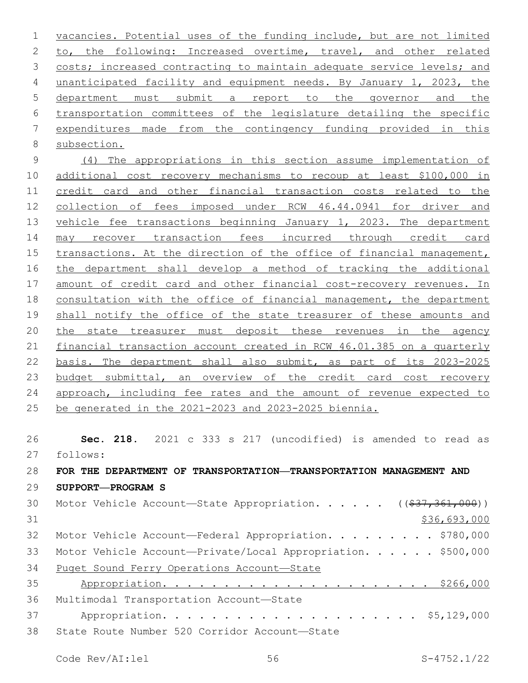vacancies. Potential uses of the funding include, but are not limited 2 to, the following: Increased overtime, travel, and other related 3 costs; increased contracting to maintain adequate service levels; and unanticipated facility and equipment needs. By January 1, 2023, the department must submit a report to the governor and the transportation committees of the legislature detailing the specific expenditures made from the contingency funding provided in this 8 subsection.

 (4) The appropriations in this section assume implementation of additional cost recovery mechanisms to recoup at least \$100,000 in credit card and other financial transaction costs related to the collection of fees imposed under RCW 46.44.0941 for driver and 13 vehicle fee transactions beginning January 1, 2023. The department may recover transaction fees incurred through credit card transactions. At the direction of the office of financial management, the department shall develop a method of tracking the additional amount of credit card and other financial cost-recovery revenues. In consultation with the office of financial management, the department 19 shall notify the office of the state treasurer of these amounts and the state treasurer must deposit these revenues in the agency financial transaction account created in RCW 46.01.385 on a quarterly basis. The department shall also submit, as part of its 2023-2025 23 budget submittal, an overview of the credit card cost recovery 24 approach, including fee rates and the amount of revenue expected to be generated in the 2021-2023 and 2023-2025 biennia.

 **Sec. 218.** 2021 c 333 s 217 (uncodified) is amended to read as follows: 27 **FOR THE DEPARTMENT OF TRANSPORTATION—TRANSPORTATION MANAGEMENT AND SUPPORT—PROGRAM S** 30 Motor Vehicle Account—State Appropriation. . . . . ((\$37,361,000)) \$36,693,000 32 Motor Vehicle Account—Federal Appropriation. . . . . . . . \$780,000 33 Motor Vehicle Account-Private/Local Appropriation. . . . . \$500,000 Puget Sound Ferry Operations Account—State Appropriation. . . . . . . . . . . . . . . . . . . . . . \$266,000 36 Multimodal Transportation Account-State Appropriation. . . . . . . . . . . . . . . . . . . . . \$5,129,000 38 State Route Number 520 Corridor Account-State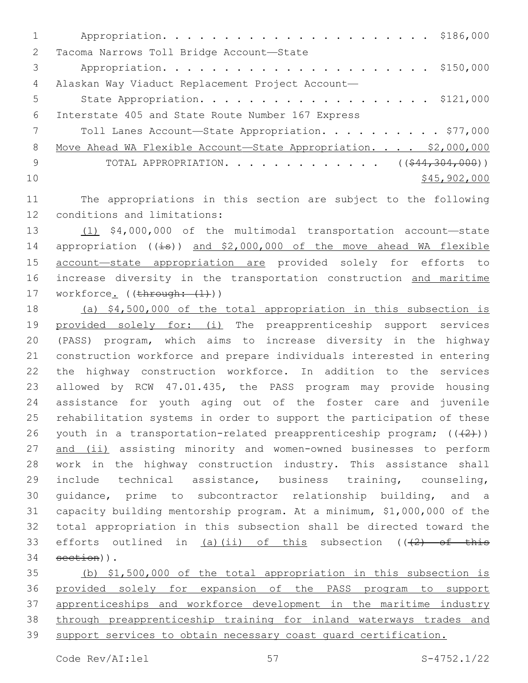1 Appropriation. . . . . . . . . . . . . . . . . . . . . . \$186,000 2 Tacoma Narrows Toll Bridge Account-State 3 Appropriation. . . . . . . . . . . . . . . . . . . . . . \$150,000 4 Alaskan Way Viaduct Replacement Project Account— 5 State Appropriation. . . . . . . . . . . . . . . . . . \$121,000 6 Interstate 405 and State Route Number 167 Express 7 Toll Lanes Account—State Appropriation. . . . . . . . . \$77,000 8 Move Ahead WA Flexible Account—State Appropriation. . . . \$2,000,000 9 TOTAL APPROPRIATION. . . . . . . . . . . . ((\$44,304,000))  $10 \frac{\text{S45,902,000}}{10}$ 

11 The appropriations in this section are subject to the following 12 conditions and limitations:

13 (1) \$4,000,000 of the multimodal transportation account—state 14 appropriation ((is)) and \$2,000,000 of the move ahead WA flexible 15 account—state appropriation are provided solely for efforts to 16 increase diversity in the transportation construction and maritime 17 workforce. ((through:  $(1)$ ))

 (a) \$4,500,000 of the total appropriation in this subsection is provided solely for: (i) The preapprenticeship support services (PASS) program, which aims to increase diversity in the highway construction workforce and prepare individuals interested in entering the highway construction workforce. In addition to the services allowed by RCW 47.01.435, the PASS program may provide housing assistance for youth aging out of the foster care and juvenile rehabilitation systems in order to support the participation of these 26 youth in a transportation-related preapprenticeship program;  $((+2))$ 27 and (ii) assisting minority and women-owned businesses to perform work in the highway construction industry. This assistance shall include technical assistance, business training, counseling, guidance, prime to subcontractor relationship building, and a capacity building mentorship program. At a minimum, \$1,000,000 of the total appropriation in this subsection shall be directed toward the 33 efforts outlined in  $(a)$  (ii) of this subsection ( $(2)$  of this 34 section)).

 (b) \$1,500,000 of the total appropriation in this subsection is provided solely for expansion of the PASS program to support apprenticeships and workforce development in the maritime industry through preapprenticeship training for inland waterways trades and 39 support services to obtain necessary coast quard certification.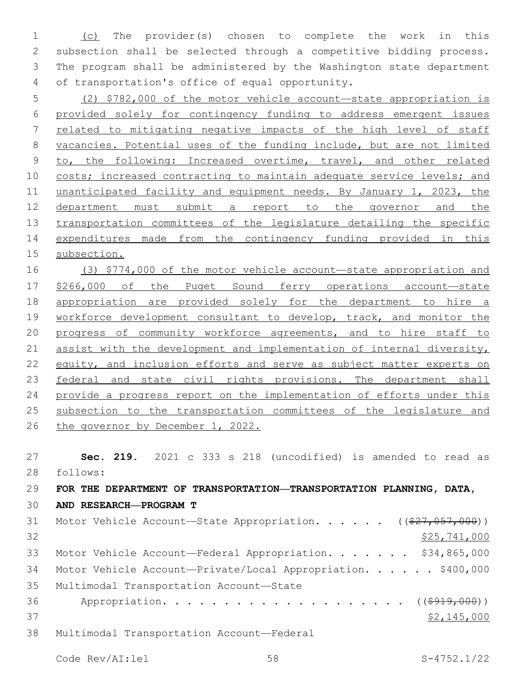(c) The provider(s) chosen to complete the work in this subsection shall be selected through a competitive bidding process. The program shall be administered by the Washington state department 4 of transportation's office of equal opportunity.

 (2) \$782,000 of the motor vehicle account—state appropriation is provided solely for contingency funding to address emergent issues related to mitigating negative impacts of the high level of staff vacancies. Potential uses of the funding include, but are not limited to, the following: Increased overtime, travel, and other related 10 costs; increased contracting to maintain adequate service levels; and 11 unanticipated facility and equipment needs. By January 1, 2023, the department must submit a report to the governor and the transportation committees of the legislature detailing the specific expenditures made from the contingency funding provided in this subsection.

 (3) \$774,000 of the motor vehicle account—state appropriation and \$266,000 of the Puget Sound ferry operations account—state appropriation are provided solely for the department to hire a 19 workforce development consultant to develop, track, and monitor the progress of community workforce agreements, and to hire staff to assist with the development and implementation of internal diversity, equity, and inclusion efforts and serve as subject matter experts on federal and state civil rights provisions. The department shall provide a progress report on the implementation of efforts under this subsection to the transportation committees of the legislature and 26 the governor by December 1, 2022.

 **Sec. 219.** 2021 c 333 s 218 (uncodified) is amended to read as 28 follows:

 **FOR THE DEPARTMENT OF TRANSPORTATION—TRANSPORTATION PLANNING, DATA, AND RESEARCH—PROGRAM T** 31 Motor Vehicle Account—State Appropriation. . . . . ((\$27,057,000)) \$25,741,000 Motor Vehicle Account—Federal Appropriation. . . . . . . \$34,865,000 34 Motor Vehicle Account-Private/Local Appropriation. . . . . \$400,000 35 Multimodal Transportation Account-State

36 Appropriation. . . . . . . . . . . . . . . . . . (  $(\frac{2919,000}{1})$ \$2,145,000

38 Multimodal Transportation Account—Federal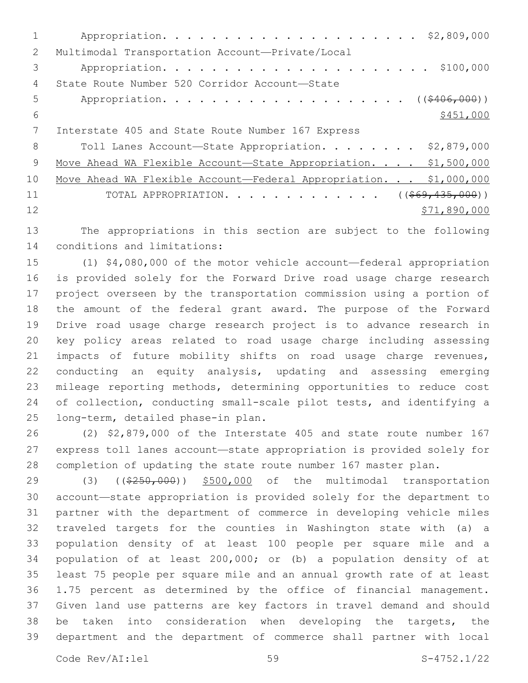| 2  | Multimodal Transportation Account-Private/Local                   |
|----|-------------------------------------------------------------------|
| 3  | \$100,000                                                         |
| 4  | State Route Number 520 Corridor Account-State                     |
| 5  |                                                                   |
| 6  | \$451,000                                                         |
|    | Interstate 405 and State Route Number 167 Express                 |
| 8  | Toll Lanes Account-State Appropriation. \$2,879,000               |
| -9 | Move Ahead WA Flexible Account-State Appropriation. \$1,500,000   |
| 10 | Move Ahead WA Flexible Account-Federal Appropriation. \$1,000,000 |
| 11 | TOTAL APPROPRIATION. ( $(\frac{269}{135}, 000)$ )                 |
| 12 | \$71,890,000                                                      |
|    |                                                                   |

 The appropriations in this section are subject to the following 14 conditions and limitations:

 (1) \$4,080,000 of the motor vehicle account—federal appropriation is provided solely for the Forward Drive road usage charge research project overseen by the transportation commission using a portion of the amount of the federal grant award. The purpose of the Forward Drive road usage charge research project is to advance research in key policy areas related to road usage charge including assessing impacts of future mobility shifts on road usage charge revenues, conducting an equity analysis, updating and assessing emerging mileage reporting methods, determining opportunities to reduce cost of collection, conducting small-scale pilot tests, and identifying a 25 long-term, detailed phase-in plan.

 (2) \$2,879,000 of the Interstate 405 and state route number 167 express toll lanes account—state appropriation is provided solely for completion of updating the state route number 167 master plan.

29 (3) ((\$250,000)) \$500,000 of the multimodal transportation account—state appropriation is provided solely for the department to partner with the department of commerce in developing vehicle miles traveled targets for the counties in Washington state with (a) a population density of at least 100 people per square mile and a population of at least 200,000; or (b) a population density of at least 75 people per square mile and an annual growth rate of at least 1.75 percent as determined by the office of financial management. Given land use patterns are key factors in travel demand and should be taken into consideration when developing the targets, the department and the department of commerce shall partner with local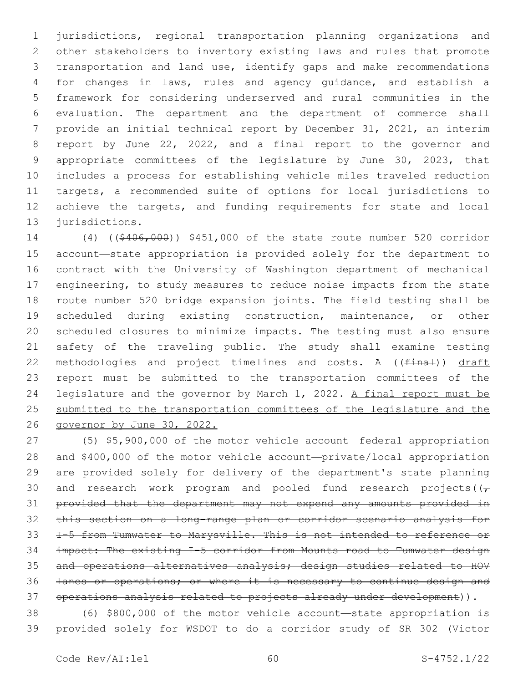jurisdictions, regional transportation planning organizations and other stakeholders to inventory existing laws and rules that promote transportation and land use, identify gaps and make recommendations for changes in laws, rules and agency guidance, and establish a framework for considering underserved and rural communities in the evaluation. The department and the department of commerce shall provide an initial technical report by December 31, 2021, an interim report by June 22, 2022, and a final report to the governor and appropriate committees of the legislature by June 30, 2023, that includes a process for establishing vehicle miles traveled reduction targets, a recommended suite of options for local jurisdictions to achieve the targets, and funding requirements for state and local 13 jurisdictions.

 (4) ((\$406,000)) \$451,000 of the state route number 520 corridor account—state appropriation is provided solely for the department to contract with the University of Washington department of mechanical engineering, to study measures to reduce noise impacts from the state route number 520 bridge expansion joints. The field testing shall be scheduled during existing construction, maintenance, or other scheduled closures to minimize impacts. The testing must also ensure safety of the traveling public. The study shall examine testing 22 methodologies and project timelines and costs. A ((final)) draft report must be submitted to the transportation committees of the 24 legislature and the governor by March 1, 2022. A final report must be submitted to the transportation committees of the legislature and the governor by June 30, 2022.

 (5) \$5,900,000 of the motor vehicle account—federal appropriation and \$400,000 of the motor vehicle account—private/local appropriation are provided solely for delivery of the department's state planning 30 and research work program and pooled fund research projects( $(\tau)$  provided that the department may not expend any amounts provided in this section on a long-range plan or corridor scenario analysis for I-5 from Tumwater to Marysville. This is not intended to reference or impact: The existing I-5 corridor from Mounts road to Tumwater design and operations alternatives analysis; design studies related to HOV lanes or operations; or where it is necessary to continue design and 37 operations analysis related to projects already under development)).

 (6) \$800,000 of the motor vehicle account—state appropriation is provided solely for WSDOT to do a corridor study of SR 302 (Victor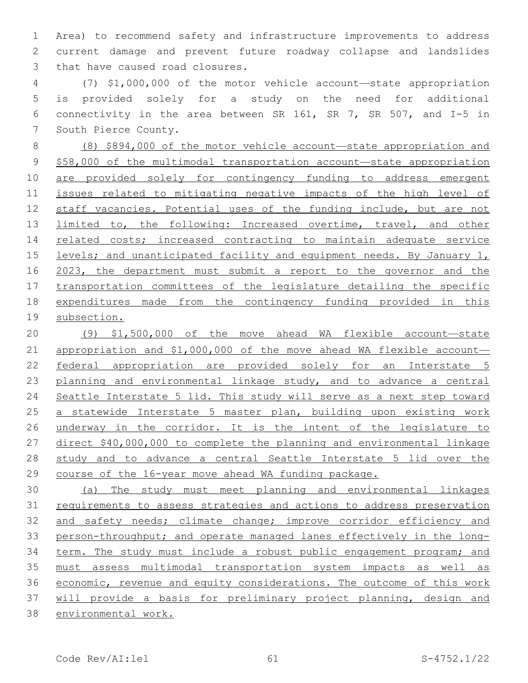Area) to recommend safety and infrastructure improvements to address current damage and prevent future roadway collapse and landslides 3 that have caused road closures.

 (7) \$1,000,000 of the motor vehicle account—state appropriation is provided solely for a study on the need for additional connectivity in the area between SR 161, SR 7, SR 507, and I-5 in 7 South Pierce County.

 (8) \$894,000 of the motor vehicle account—state appropriation and \$58,000 of the multimodal transportation account—state appropriation are provided solely for contingency funding to address emergent issues related to mitigating negative impacts of the high level of staff vacancies. Potential uses of the funding include, but are not limited to, the following: Increased overtime, travel, and other 14 related costs; increased contracting to maintain adequate service 15 levels; and unanticipated facility and equipment needs. By January 1, 2023, the department must submit a report to the governor and the transportation committees of the legislature detailing the specific expenditures made from the contingency funding provided in this subsection.

 (9) \$1,500,000 of the move ahead WA flexible account—state appropriation and \$1,000,000 of the move ahead WA flexible account— 22 federal appropriation are provided solely for an Interstate 5 23 planning and environmental linkage study, and to advance a central 24 Seattle Interstate 5 lid. This study will serve as a next step toward a statewide Interstate 5 master plan, building upon existing work underway in the corridor. It is the intent of the legislature to direct \$40,000,000 to complete the planning and environmental linkage 28 study and to advance a central Seattle Interstate 5 lid over the course of the 16-year move ahead WA funding package.

 (a) The study must meet planning and environmental linkages requirements to assess strategies and actions to address preservation and safety needs; climate change; improve corridor efficiency and person-throughput; and operate managed lanes effectively in the long- term. The study must include a robust public engagement program; and must assess multimodal transportation system impacts as well as 36 economic, revenue and equity considerations. The outcome of this work will provide a basis for preliminary project planning, design and environmental work.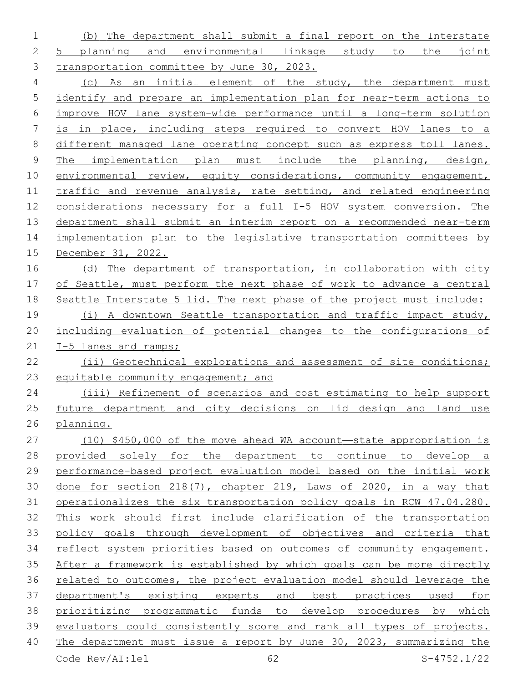(b) The department shall submit a final report on the Interstate 5 planning and environmental linkage study to the joint 3 transportation committee by June 30, 2023.

 (c) As an initial element of the study, the department must identify and prepare an implementation plan for near-term actions to improve HOV lane system-wide performance until a long-term solution is in place, including steps required to convert HOV lanes to a different managed lane operating concept such as express toll lanes. The implementation plan must include the planning, design, 10 environmental review, equity considerations, community engagement, traffic and revenue analysis, rate setting, and related engineering considerations necessary for a full I-5 HOV system conversion. The department shall submit an interim report on a recommended near-term 14 implementation plan to the legislative transportation committees by December 31, 2022.

 (d) The department of transportation, in collaboration with city of Seattle, must perform the next phase of work to advance a central Seattle Interstate 5 lid. The next phase of the project must include:

 (i) A downtown Seattle transportation and traffic impact study, including evaluation of potential changes to the configurations of 21 I-5 lanes and ramps;

22 (ii) Geotechnical explorations and assessment of site conditions; 23 equitable community engagement; and

 (iii) Refinement of scenarios and cost estimating to help support 25 future department and city decisions on lid design and land use planning.

 (10) \$450,000 of the move ahead WA account—state appropriation is provided solely for the department to continue to develop a performance-based project evaluation model based on the initial work done for section 218(7), chapter 219, Laws of 2020, in a way that operationalizes the six transportation policy goals in RCW 47.04.280. This work should first include clarification of the transportation policy goals through development of objectives and criteria that reflect system priorities based on outcomes of community engagement. After a framework is established by which goals can be more directly related to outcomes, the project evaluation model should leverage the department's existing experts and best practices used for prioritizing programmatic funds to develop procedures by which evaluators could consistently score and rank all types of projects. The department must issue a report by June 30, 2023, summarizing the Code Rev/AI:lel 62 S-4752.1/22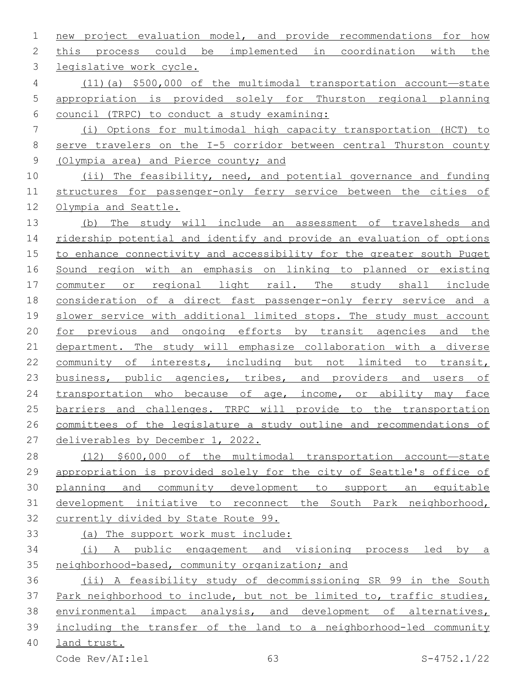new project evaluation model, and provide recommendations for how this process could be implemented in coordination with the 3 legislative work cycle. (11)(a) \$500,000 of the multimodal transportation account—state appropriation is provided solely for Thurston regional planning council (TRPC) to conduct a study examining: (i) Options for multimodal high capacity transportation (HCT) to serve travelers on the I-5 corridor between central Thurston county (Olympia area) and Pierce county; and (ii) The feasibility, need, and potential governance and funding structures for passenger-only ferry service between the cities of Olympia and Seattle. (b) The study will include an assessment of travelsheds and ridership potential and identify and provide an evaluation of options to enhance connectivity and accessibility for the greater south Puget Sound region with an emphasis on linking to planned or existing commuter or regional light rail. The study shall include consideration of a direct fast passenger-only ferry service and a slower service with additional limited stops. The study must account for previous and ongoing efforts by transit agencies and the department. The study will emphasize collaboration with a diverse community of interests, including but not limited to transit, 23 business, public agencies, tribes, and providers and users of 24 transportation who because of age, income, or ability may face barriers and challenges. TRPC will provide to the transportation committees of the legislature a study outline and recommendations of deliverables by December 1, 2022. 28 (12) \$600,000 of the multimodal transportation account-state 29 appropriation is provided solely for the city of Seattle's office of planning and community development to support an equitable development initiative to reconnect the South Park neighborhood, currently divided by State Route 99. (a) The support work must include: (i) A public engagement and visioning process led by a neighborhood-based, community organization; and (ii) A feasibility study of decommissioning SR 99 in the South

 Park neighborhood to include, but not be limited to, traffic studies, environmental impact analysis, and development of alternatives, including the transfer of the land to a neighborhood-led community

land trust.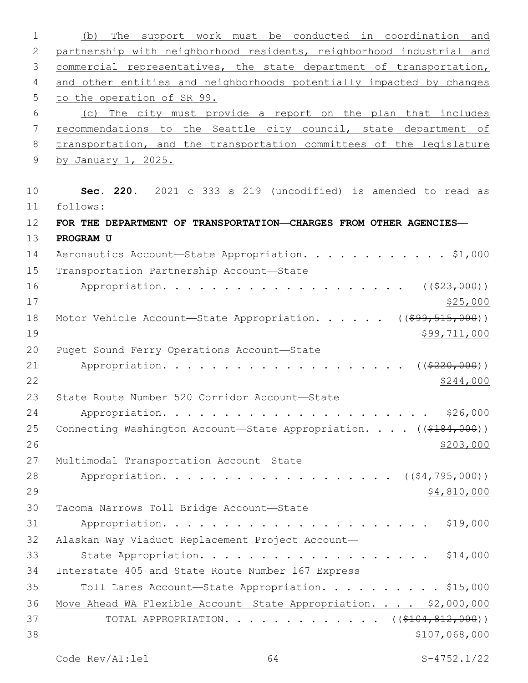1 (b) The support work must be conducted in coordination and 2 partnership with neighborhood residents, neighborhood industrial and 3 commercial representatives, the state department of transportation, 4 and other entities and neighborhoods potentially impacted by changes 5 to the operation of SR 99. 6 (c) The city must provide a report on the plan that includes 7 recommendations to the Seattle city council, state department of 8 transportation, and the transportation committees of the legislature 9 by January 1, 2025. 10 **Sec. 220.** 2021 c 333 s 219 (uncodified) is amended to read as follows: 11 12 **FOR THE DEPARTMENT OF TRANSPORTATION—CHARGES FROM OTHER AGENCIES—** 13 **PROGRAM U** 14 Aeronautics Account—State Appropriation. . . . . . . . . . . \$1,000 15 Transportation Partnership Account-State 16 Appropriation. . . . . . . . . . . . . . . . . . . . ((\$23,000))  $17$  \$25,000 18 Motor Vehicle Account—State Appropriation. . . . . ((\$99,515,000))  $19$  \$99,711,000 20 Puget Sound Ferry Operations Account-State 21 Appropriation. . . . . . . . . . . . . . . . . . (  $(*220,000)$  )  $22 \frac{\$244,000}{}$ 23 State Route Number 520 Corridor Account-State 24 Appropriation. . . . . . . . . . . . . . . . . . . . . . \$26,000 25 Connecting Washington Account—State Appropriation. . . . ((\$184,000))  $26$ 27 Multimodal Transportation Account-State 28 Appropriation. . . . . . . . . . . . . . . . . (  $(\frac{64, 795, 000}{5}, \frac{1000}{5})$  $29$  \$4,810,000 30 Tacoma Narrows Toll Bridge Account-State 31 Appropriation. . . . . . . . . . . . . . . . . . . . . . \$19,000 32 Alaskan Way Viaduct Replacement Project Account— 33 State Appropriation. . . . . . . . . . . . . . . . . . \$14,000 34 Interstate 405 and State Route Number 167 Express 35 Toll Lanes Account-State Appropriation. . . . . . . . . \$15,000 36 Move Ahead WA Flexible Account-State Appropriation. . . . \$2,000,000 37 TOTAL APPROPRIATION. . . . . . . . . . . . ((\$104,812,000))  $38$   $$107,068,000$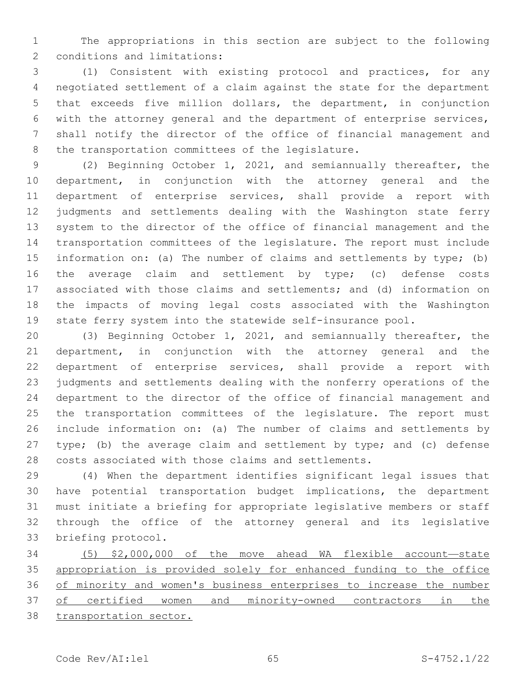The appropriations in this section are subject to the following 2 conditions and limitations:

 (1) Consistent with existing protocol and practices, for any negotiated settlement of a claim against the state for the department that exceeds five million dollars, the department, in conjunction with the attorney general and the department of enterprise services, shall notify the director of the office of financial management and 8 the transportation committees of the legislature.

 (2) Beginning October 1, 2021, and semiannually thereafter, the department, in conjunction with the attorney general and the department of enterprise services, shall provide a report with judgments and settlements dealing with the Washington state ferry system to the director of the office of financial management and the transportation committees of the legislature. The report must include information on: (a) The number of claims and settlements by type; (b) 16 the average claim and settlement by type; (c) defense costs associated with those claims and settlements; and (d) information on the impacts of moving legal costs associated with the Washington state ferry system into the statewide self-insurance pool.

 (3) Beginning October 1, 2021, and semiannually thereafter, the department, in conjunction with the attorney general and the department of enterprise services, shall provide a report with judgments and settlements dealing with the nonferry operations of the department to the director of the office of financial management and the transportation committees of the legislature. The report must include information on: (a) The number of claims and settlements by 27 type; (b) the average claim and settlement by type; and (c) defense costs associated with those claims and settlements.

 (4) When the department identifies significant legal issues that have potential transportation budget implications, the department must initiate a briefing for appropriate legislative members or staff through the office of the attorney general and its legislative 33 briefing protocol.

 (5) \$2,000,000 of the move ahead WA flexible account—state appropriation is provided solely for enhanced funding to the office of minority and women's business enterprises to increase the number of certified women and minority-owned contractors in the transportation sector.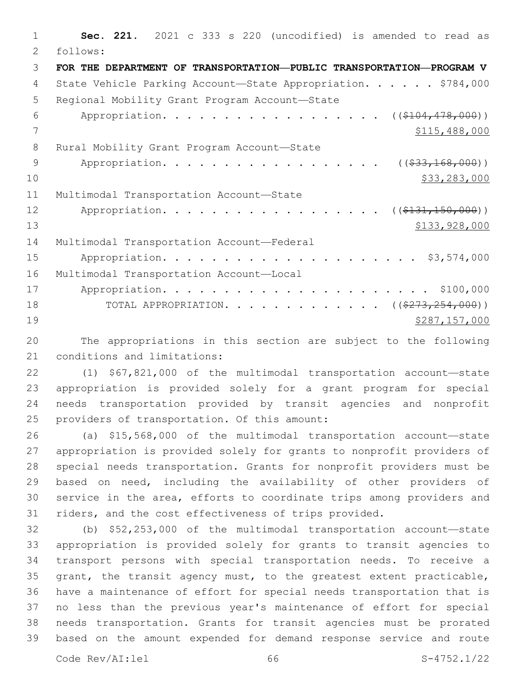**Sec. 221.** 2021 c 333 s 220 (uncodified) is amended to read as follows: 2 **FOR THE DEPARTMENT OF TRANSPORTATION—PUBLIC TRANSPORTATION—PROGRAM V** 4 State Vehicle Parking Account—State Appropriation. . . . . \$784,000 5 Regional Mobility Grant Program Account-State 6 Appropriation. . . . . . . . . . . . . . . . .  $($   $($   $$104, 478, 000)$   $)$  \$115,488,000 8 Rural Mobility Grant Program Account-State 9 Appropriation. . . . . . . . . . . . . . . . . (  $(\frac{233,168,000)}{}$  $\frac{10}{233,283,000}$ 11 Multimodal Transportation Account-State 12 Appropriation. . . . . . . . . . . . . . . . (  $(\frac{131}{131}, 150, 000)$  ) \$133,928,000 \$133,928,000 \$133,928,000 \$133,928,000 \$133,928,000 \$133,928,000 \$133,928,000 \$133,928,000 \$133,928,000 \$133,928,000 \$133,928,000 \$133,928,000 \$133,928  $\pm 1$ 14 Multimodal Transportation Account-Federal Appropriation. . . . . . . . . . . . . . . . . . . . . \$3,574,000 16 Multimodal Transportation Account-Local Appropriation. . . . . . . . . . . . . . . . . . . . . . \$100,000 18 TOTAL APPROPRIATION. . . . . . . . . . . . ((\$273,254,000)) \$287,157,000

 The appropriations in this section are subject to the following 21 conditions and limitations:

 (1) \$67,821,000 of the multimodal transportation account—state appropriation is provided solely for a grant program for special needs transportation provided by transit agencies and nonprofit 25 providers of transportation. Of this amount:

 (a) \$15,568,000 of the multimodal transportation account—state appropriation is provided solely for grants to nonprofit providers of special needs transportation. Grants for nonprofit providers must be based on need, including the availability of other providers of service in the area, efforts to coordinate trips among providers and riders, and the cost effectiveness of trips provided.

 (b) \$52,253,000 of the multimodal transportation account—state appropriation is provided solely for grants to transit agencies to transport persons with special transportation needs. To receive a grant, the transit agency must, to the greatest extent practicable, have a maintenance of effort for special needs transportation that is no less than the previous year's maintenance of effort for special needs transportation. Grants for transit agencies must be prorated based on the amount expended for demand response service and route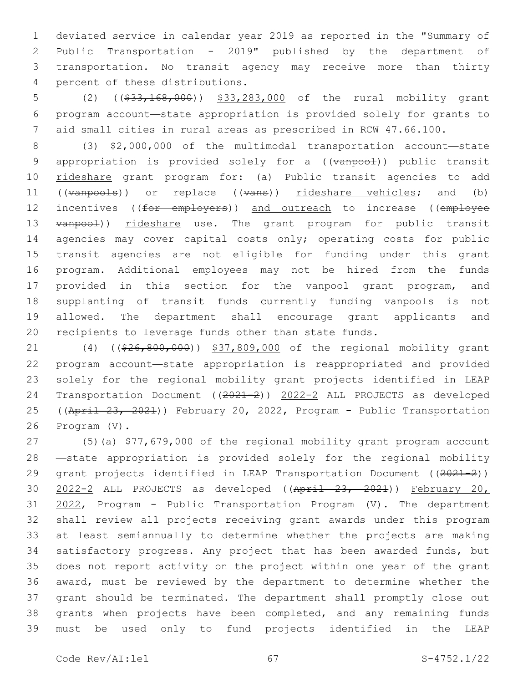deviated service in calendar year 2019 as reported in the "Summary of Public Transportation - 2019" published by the department of transportation. No transit agency may receive more than thirty percent of these distributions.4

5 (2) ((\$33,168,000)) \$33,283,000 of the rural mobility grant program account—state appropriation is provided solely for grants to aid small cities in rural areas as prescribed in RCW 47.66.100.

 (3) \$2,000,000 of the multimodal transportation account—state 9 appropriation is provided solely for a ((vanpool)) public transit rideshare grant program for: (a) Public transit agencies to add 11 ((vanpools)) or replace ((vans)) rideshare vehicles; and (b) 12 incentives ((for employers)) and outreach to increase ((employee 13 vanpool)) rideshare use. The grant program for public transit 14 agencies may cover capital costs only; operating costs for public transit agencies are not eligible for funding under this grant program. Additional employees may not be hired from the funds provided in this section for the vanpool grant program, and supplanting of transit funds currently funding vanpools is not allowed. The department shall encourage grant applicants and recipients to leverage funds other than state funds.

21 (4) ((\$26,800,000)) \$37,809,000 of the regional mobility grant program account—state appropriation is reappropriated and provided solely for the regional mobility grant projects identified in LEAP Transportation Document ((2021-2)) 2022-2 ALL PROJECTS as developed 25 ((April 23, 2021)) February 20, 2022, Program - Public Transportation 26 Program (V).

 (5)(a) \$77,679,000 of the regional mobility grant program account —state appropriation is provided solely for the regional mobility 29 grant projects identified in LEAP Transportation Document ((2021-2)) 2022-2 ALL PROJECTS as developed ((April 23, 2021)) February 20, 31 2022, Program - Public Transportation Program (V). The department shall review all projects receiving grant awards under this program at least semiannually to determine whether the projects are making satisfactory progress. Any project that has been awarded funds, but does not report activity on the project within one year of the grant award, must be reviewed by the department to determine whether the grant should be terminated. The department shall promptly close out grants when projects have been completed, and any remaining funds must be used only to fund projects identified in the LEAP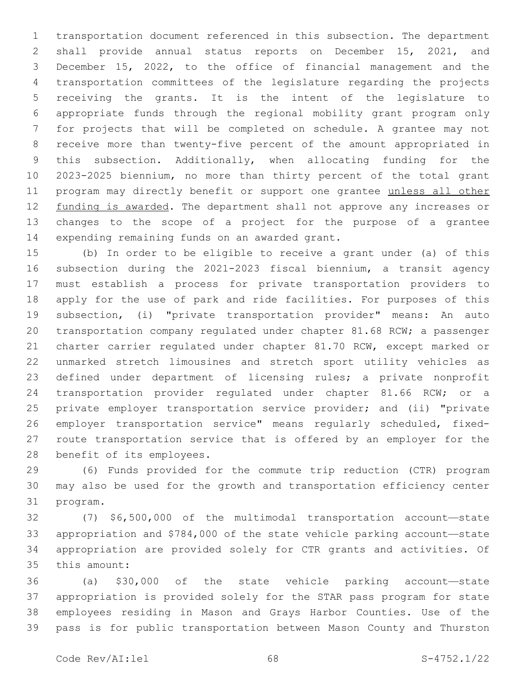transportation document referenced in this subsection. The department shall provide annual status reports on December 15, 2021, and December 15, 2022, to the office of financial management and the transportation committees of the legislature regarding the projects receiving the grants. It is the intent of the legislature to appropriate funds through the regional mobility grant program only for projects that will be completed on schedule. A grantee may not receive more than twenty-five percent of the amount appropriated in this subsection. Additionally, when allocating funding for the 2023-2025 biennium, no more than thirty percent of the total grant program may directly benefit or support one grantee unless all other 12 funding is awarded. The department shall not approve any increases or changes to the scope of a project for the purpose of a grantee 14 expending remaining funds on an awarded grant.

 (b) In order to be eligible to receive a grant under (a) of this subsection during the 2021-2023 fiscal biennium, a transit agency must establish a process for private transportation providers to apply for the use of park and ride facilities. For purposes of this subsection, (i) "private transportation provider" means: An auto transportation company regulated under chapter 81.68 RCW; a passenger charter carrier regulated under chapter 81.70 RCW, except marked or unmarked stretch limousines and stretch sport utility vehicles as defined under department of licensing rules; a private nonprofit transportation provider regulated under chapter 81.66 RCW; or a 25 private employer transportation service provider; and (ii) "private employer transportation service" means regularly scheduled, fixed- route transportation service that is offered by an employer for the 28 benefit of its employees.

 (6) Funds provided for the commute trip reduction (CTR) program may also be used for the growth and transportation efficiency center 31 program.

 (7) \$6,500,000 of the multimodal transportation account—state appropriation and \$784,000 of the state vehicle parking account—state appropriation are provided solely for CTR grants and activities. Of 35 this amount:

 (a) \$30,000 of the state vehicle parking account—state appropriation is provided solely for the STAR pass program for state employees residing in Mason and Grays Harbor Counties. Use of the pass is for public transportation between Mason County and Thurston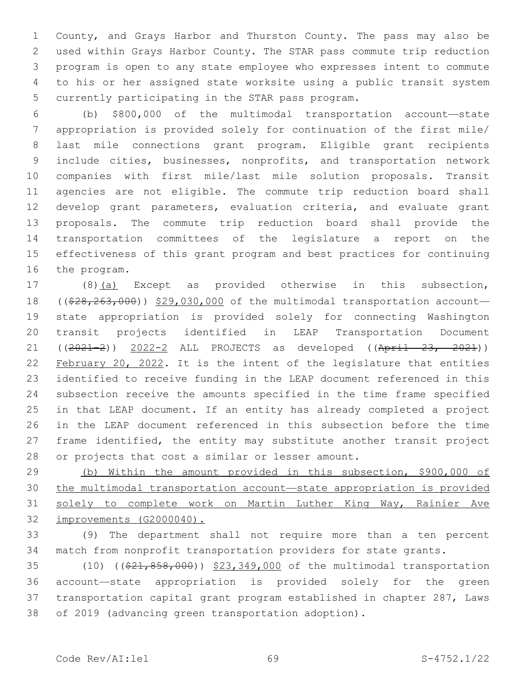County, and Grays Harbor and Thurston County. The pass may also be used within Grays Harbor County. The STAR pass commute trip reduction program is open to any state employee who expresses intent to commute to his or her assigned state worksite using a public transit system 5 currently participating in the STAR pass program.

 (b) \$800,000 of the multimodal transportation account—state appropriation is provided solely for continuation of the first mile/ last mile connections grant program. Eligible grant recipients include cities, businesses, nonprofits, and transportation network companies with first mile/last mile solution proposals. Transit agencies are not eligible. The commute trip reduction board shall develop grant parameters, evaluation criteria, and evaluate grant proposals. The commute trip reduction board shall provide the transportation committees of the legislature a report on the effectiveness of this grant program and best practices for continuing 16 the program.

17 (8)(a) Except as provided otherwise in this subsection, 18 ( $(\frac{28}{28}, \frac{263}{100})$ ) \$29,030,000 of the multimodal transportation account- state appropriation is provided solely for connecting Washington transit projects identified in LEAP Transportation Document 21 ((2021-2)) 2022-2 ALL PROJECTS as developed ((April 23, 2021)) February 20, 2022. It is the intent of the legislature that entities identified to receive funding in the LEAP document referenced in this subsection receive the amounts specified in the time frame specified in that LEAP document. If an entity has already completed a project in the LEAP document referenced in this subsection before the time frame identified, the entity may substitute another transit project 28 or projects that cost a similar or lesser amount.

 (b) Within the amount provided in this subsection, \$900,000 of the multimodal transportation account—state appropriation is provided solely to complete work on Martin Luther King Way, Rainier Ave improvements (G2000040).

 (9) The department shall not require more than a ten percent match from nonprofit transportation providers for state grants.

35 (10) ((\$21,858,000)) \$23,349,000 of the multimodal transportation account—state appropriation is provided solely for the green transportation capital grant program established in chapter 287, Laws of 2019 (advancing green transportation adoption).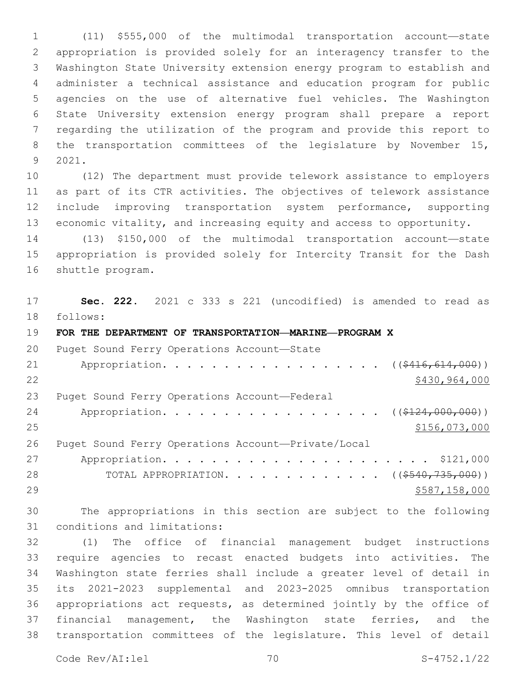(11) \$555,000 of the multimodal transportation account—state appropriation is provided solely for an interagency transfer to the Washington State University extension energy program to establish and administer a technical assistance and education program for public agencies on the use of alternative fuel vehicles. The Washington State University extension energy program shall prepare a report regarding the utilization of the program and provide this report to the transportation committees of the legislature by November 15, 2021.9

 (12) The department must provide telework assistance to employers as part of its CTR activities. The objectives of telework assistance include improving transportation system performance, supporting economic vitality, and increasing equity and access to opportunity.

 (13) \$150,000 of the multimodal transportation account—state appropriation is provided solely for Intercity Transit for the Dash 16 shuttle program.

 **Sec. 222.** 2021 c 333 s 221 (uncodified) is amended to read as follows: 18

**FOR THE DEPARTMENT OF TRANSPORTATION—MARINE—PROGRAM X**

20 Puget Sound Ferry Operations Account-State 21 Appropriation. . . . . . . . . . . . . . . . ((\$416,614,000)) 22 \$430,964,000 23 Puget Sound Ferry Operations Account—Federal 24 Appropriation. . . . . . . . . . . . . . . . ((\$124,000,000)) \$156,073,000 Puget Sound Ferry Operations Account—Private/Local Appropriation. . . . . . . . . . . . . . . . . . . . . . \$121,000 28 TOTAL APPROPRIATION. . . . . . . . . . . . ((<del>\$540,735,000</del>))  $5587,158,000$ 

 The appropriations in this section are subject to the following 31 conditions and limitations:

 (1) The office of financial management budget instructions require agencies to recast enacted budgets into activities. The Washington state ferries shall include a greater level of detail in its 2021-2023 supplemental and 2023-2025 omnibus transportation appropriations act requests, as determined jointly by the office of financial management, the Washington state ferries, and the transportation committees of the legislature. This level of detail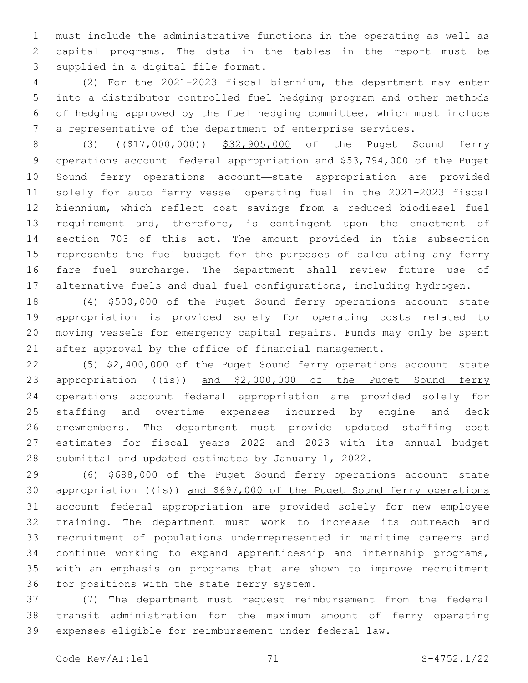must include the administrative functions in the operating as well as capital programs. The data in the tables in the report must be 3 supplied in a digital file format.

 (2) For the 2021-2023 fiscal biennium, the department may enter into a distributor controlled fuel hedging program and other methods of hedging approved by the fuel hedging committee, which must include a representative of the department of enterprise services.

8 (3) ((\$17,000,000)) \$32,905,000 of the Puget Sound ferry operations account—federal appropriation and \$53,794,000 of the Puget Sound ferry operations account—state appropriation are provided solely for auto ferry vessel operating fuel in the 2021-2023 fiscal biennium, which reflect cost savings from a reduced biodiesel fuel 13 requirement and, therefore, is contingent upon the enactment of section 703 of this act. The amount provided in this subsection represents the fuel budget for the purposes of calculating any ferry fare fuel surcharge. The department shall review future use of 17 alternative fuels and dual fuel configurations, including hydrogen.

 (4) \$500,000 of the Puget Sound ferry operations account—state appropriation is provided solely for operating costs related to moving vessels for emergency capital repairs. Funds may only be spent after approval by the office of financial management.

 (5) \$2,400,000 of the Puget Sound ferry operations account—state 23 appropriation ((is)) and \$2,000,000 of the Puget Sound ferry operations account—federal appropriation are provided solely for staffing and overtime expenses incurred by engine and deck crewmembers. The department must provide updated staffing cost estimates for fiscal years 2022 and 2023 with its annual budget submittal and updated estimates by January 1, 2022.

 (6) \$688,000 of the Puget Sound ferry operations account—state 30 appropriation  $((\frac{1}{15}))$  and \$697,000 of the Puget Sound ferry operations account—federal appropriation are provided solely for new employee training. The department must work to increase its outreach and recruitment of populations underrepresented in maritime careers and continue working to expand apprenticeship and internship programs, with an emphasis on programs that are shown to improve recruitment 36 for positions with the state ferry system.

 (7) The department must request reimbursement from the federal transit administration for the maximum amount of ferry operating expenses eligible for reimbursement under federal law.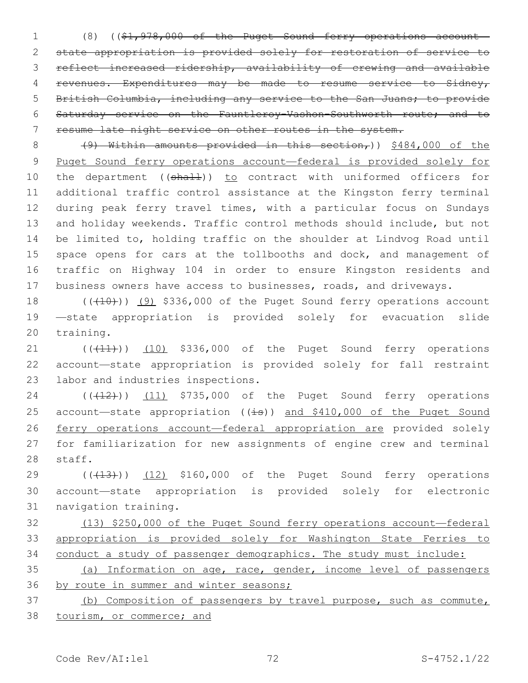(8) ((\$1,978,000 of the Puget Sound ferry operations account— state appropriation is provided solely for restoration of service to reflect increased ridership, availability of crewing and available revenues. Expenditures may be made to resume service to Sidney, British Columbia, including any service to the San Juans; to provide Saturday service on the Fauntleroy-Vashon-Southworth route; and to resume late night service on other routes in the system.

8 (9) Within amounts provided in this section,))  $$484,000$  of the Puget Sound ferry operations account—federal is provided solely for 10 the department ((shall)) to contract with uniformed officers for additional traffic control assistance at the Kingston ferry terminal during peak ferry travel times, with a particular focus on Sundays and holiday weekends. Traffic control methods should include, but not be limited to, holding traffic on the shoulder at Lindvog Road until 15 space opens for cars at the tollbooths and dock, and management of traffic on Highway 104 in order to ensure Kingston residents and business owners have access to businesses, roads, and driveways.

 ( $(410)$ ) (9) \$336,000 of the Puget Sound ferry operations account —state appropriation is provided solely for evacuation slide 20 training.

21 (((41))) (10) \$336,000 of the Puget Sound ferry operations account—state appropriation is provided solely for fall restraint 23 labor and industries inspections.

24 ((+12)) (11) \$735,000 of the Puget Sound ferry operations 25 account-state appropriation  $((\frac{1}{18}))$  and \$410,000 of the Puget Sound ferry operations account—federal appropriation are provided solely for familiarization for new assignments of engine crew and terminal 28 staff.

29 (((13))) (12) \$160,000 of the Puget Sound ferry operations account—state appropriation is provided solely for electronic 31 navigation training.

 (13) \$250,000 of the Puget Sound ferry operations account—federal appropriation is provided solely for Washington State Ferries to conduct a study of passenger demographics. The study must include:

 (a) Information on age, race, gender, income level of passengers by route in summer and winter seasons;

 (b) Composition of passengers by travel purpose, such as commute, tourism, or commerce; and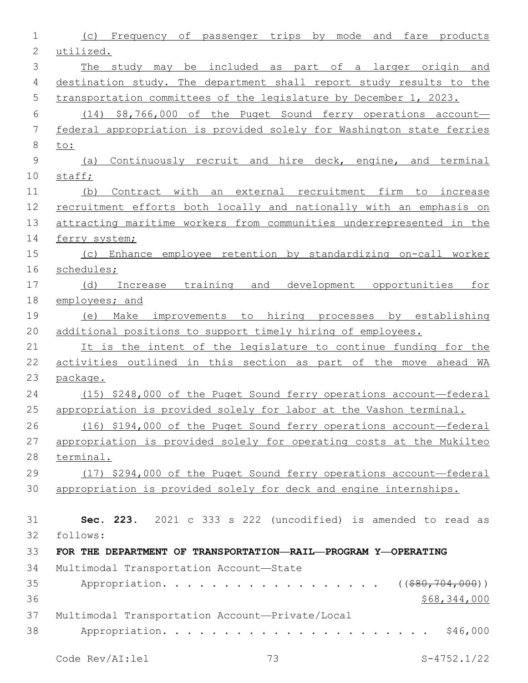| 1            | (c) Frequency of passenger trips by mode and fare products                        |
|--------------|-----------------------------------------------------------------------------------|
| $\mathbf{2}$ | utilized.                                                                         |
| 3            | The study may be included as part of a larger origin and                          |
| 4            | destination study. The department shall report study results to the               |
| 5            | transportation committees of the legislature by December 1, 2023.                 |
| 6            | $(14)$ \$8,766,000 of the Puget Sound ferry operations account-                   |
| 7            | federal appropriation is provided solely for Washington state ferries             |
| $\,8\,$      | to:                                                                               |
| 9            | Continuously recruit and hire deck, engine, and terminal<br>(a)                   |
| 10           | staff;                                                                            |
| 11           | Contract with an external recruitment firm to increase<br>(b)                     |
| 12           | recruitment efforts both locally and nationally with an emphasis on               |
| 13           | attracting maritime workers from communities underrepresented in the              |
| 14           | ferry system;                                                                     |
| 15           | (c) Enhance employee retention by standardizing on-call worker                    |
| 16           | schedules;                                                                        |
| 17           | Increase training and<br>development opportunities<br>(d)<br>for                  |
| 18           | employees; and                                                                    |
| 19           | Make improvements to hiring processes by establishing<br>(e)                      |
| 20           | additional positions to support timely hiring of employees.                       |
| 21           | It is the intent of the legislature to continue funding for the                   |
| 22           | activities outlined in this section as part of the move ahead WA                  |
| 23           | package.                                                                          |
| 24           | (15) \$248,000 of the Puget Sound ferry operations account-federal                |
| 25<br>26     | appropriation is provided solely for labor at the Vashon terminal.                |
| 27           | (16) \$194,000 of the Puget Sound ferry operations account-federal                |
| 28           | appropriation is provided solely for operating costs at the Mukilteo<br>terminal. |
| 29           | (17) \$294,000 of the Puget Sound ferry operations account-federal                |
| 30           | appropriation is provided solely for deck and engine internships.                 |
|              |                                                                                   |
| 31           | Sec. 223. 2021 c 333 s 222 (uncodified) is amended to read as                     |
| 32           | follows:                                                                          |
| 33           | FOR THE DEPARTMENT OF TRANSPORTATION-RAIL-PROGRAM Y-OPERATING                     |
| 34           | Multimodal Transportation Account-State                                           |
| 35           | Appropriation.<br>$($ (\$80,704,000))                                             |
| 36           | \$68,344,000                                                                      |
| 37           | Multimodal Transportation Account-Private/Local                                   |
| 38           | \$46,000                                                                          |
|              |                                                                                   |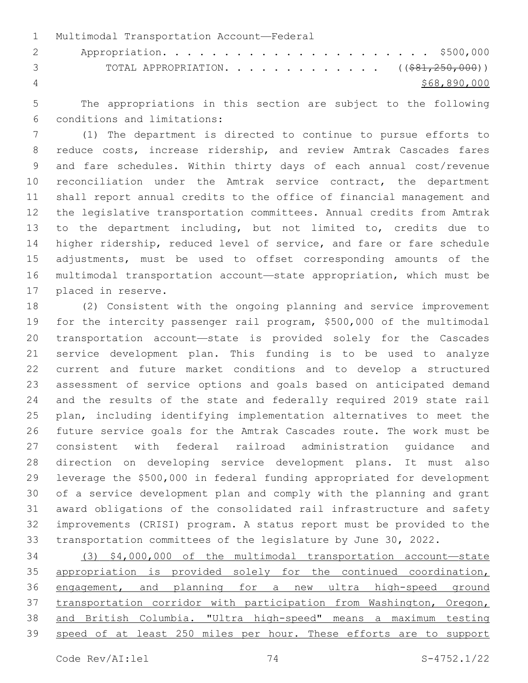1 Multimodal Transportation Account-Federal Appropriation. . . . . . . . . . . . . . . . . . . . . . \$500,000 3 TOTAL APPROPRIATION. . . . . . . . . . . . . ((\$81,250,000)) \$68,890,000

 The appropriations in this section are subject to the following conditions and limitations:6

 (1) The department is directed to continue to pursue efforts to reduce costs, increase ridership, and review Amtrak Cascades fares and fare schedules. Within thirty days of each annual cost/revenue reconciliation under the Amtrak service contract, the department shall report annual credits to the office of financial management and the legislative transportation committees. Annual credits from Amtrak to the department including, but not limited to, credits due to higher ridership, reduced level of service, and fare or fare schedule adjustments, must be used to offset corresponding amounts of the multimodal transportation account—state appropriation, which must be 17 placed in reserve.

 (2) Consistent with the ongoing planning and service improvement for the intercity passenger rail program, \$500,000 of the multimodal transportation account—state is provided solely for the Cascades service development plan. This funding is to be used to analyze current and future market conditions and to develop a structured assessment of service options and goals based on anticipated demand and the results of the state and federally required 2019 state rail plan, including identifying implementation alternatives to meet the future service goals for the Amtrak Cascades route. The work must be consistent with federal railroad administration guidance and direction on developing service development plans. It must also leverage the \$500,000 in federal funding appropriated for development of a service development plan and comply with the planning and grant award obligations of the consolidated rail infrastructure and safety improvements (CRISI) program. A status report must be provided to the transportation committees of the legislature by June 30, 2022.

 (3) \$4,000,000 of the multimodal transportation account—state 35 appropriation is provided solely for the continued coordination, engagement, and planning for a new ultra high-speed ground transportation corridor with participation from Washington, Oregon, and British Columbia. "Ultra high-speed" means a maximum testing 39 speed of at least 250 miles per hour. These efforts are to support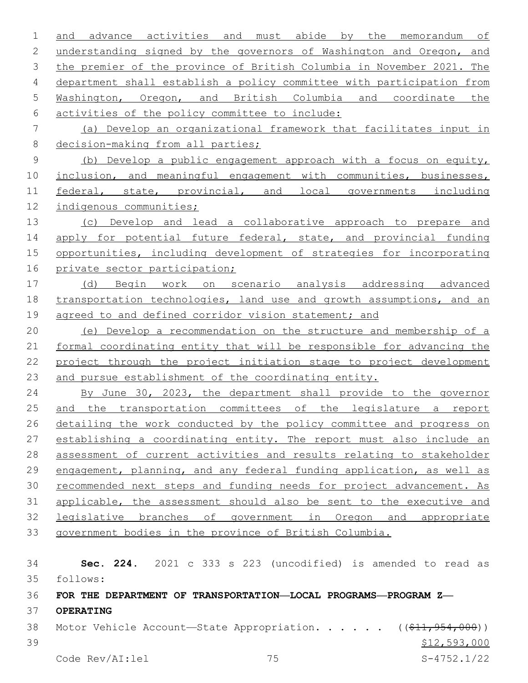and advance activities and must abide by the memorandum of understanding signed by the governors of Washington and Oregon, and the premier of the province of British Columbia in November 2021. The department shall establish a policy committee with participation from Washington, Oregon, and British Columbia and coordinate the activities of the policy committee to include:6 (a) Develop an organizational framework that facilitates input in 8 decision-making from all parties; (b) Develop a public engagement approach with a focus on equity, 10 inclusion, and meaningful engagement with communities, businesses, federal, state, provincial, and local governments including indigenous communities; (c) Develop and lead a collaborative approach to prepare and 14 apply for potential future federal, state, and provincial funding opportunities, including development of strategies for incorporating private sector participation; (d) Begin work on scenario analysis addressing advanced 18 transportation technologies, land use and growth assumptions, and an 19 agreed to and defined corridor vision statement; and (e) Develop a recommendation on the structure and membership of a formal coordinating entity that will be responsible for advancing the project through the project initiation stage to project development and pursue establishment of the coordinating entity. 24 By June 30, 2023, the department shall provide to the governor and the transportation committees of the legislature a report 26 detailing the work conducted by the policy committee and progress on establishing a coordinating entity. The report must also include an assessment of current activities and results relating to stakeholder engagement, planning, and any federal funding application, as well as recommended next steps and funding needs for project advancement. As applicable, the assessment should also be sent to the executive and legislative branches of government in Oregon and appropriate government bodies in the province of British Columbia. **Sec. 224.** 2021 c 333 s 223 (uncodified) is amended to read as follows: 35 **FOR THE DEPARTMENT OF TRANSPORTATION—LOCAL PROGRAMS—PROGRAM Z— OPERATING** 38 Motor Vehicle Account—State Appropriation. . . . . ((\$11,954,000))  $$12,593,000$ 

Code Rev/AI:lel 75 S-4752.1/22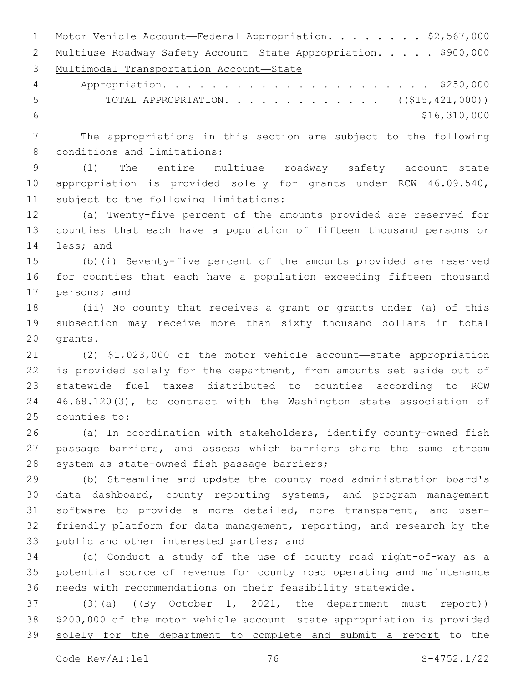1 Motor Vehicle Account—Federal Appropriation. . . . . . . \$2,567,000 2 Multiuse Roadway Safety Account—State Appropriation. . . . . \$900,000 Multimodal Transportation Account—State Appropriation. . . . . . . . . . . . . . . . . . . . . . \$250,000 5 TOTAL APPROPRIATION. . . . . . . . . . . . . ((\$15,421,000))  $\frac{1}{6}$   $\frac{1}{6}$ ,  $\frac{1}{310}$ , 000 The appropriations in this section are subject to the following 8 conditions and limitations: (1) The entire multiuse roadway safety account—state appropriation is provided solely for grants under RCW 46.09.540, 11 subject to the following limitations: (a) Twenty-five percent of the amounts provided are reserved for

 counties that each have a population of fifteen thousand persons or 14 less; and

 (b)(i) Seventy-five percent of the amounts provided are reserved for counties that each have a population exceeding fifteen thousand 17 persons; and

 (ii) No county that receives a grant or grants under (a) of this subsection may receive more than sixty thousand dollars in total 20 grants.

 (2) \$1,023,000 of the motor vehicle account—state appropriation is provided solely for the department, from amounts set aside out of statewide fuel taxes distributed to counties according to RCW 46.68.120(3), to contract with the Washington state association of 25 counties to:

 (a) In coordination with stakeholders, identify county-owned fish passage barriers, and assess which barriers share the same stream 28 system as state-owned fish passage barriers;

 (b) Streamline and update the county road administration board's data dashboard, county reporting systems, and program management software to provide a more detailed, more transparent, and user- friendly platform for data management, reporting, and research by the 33 public and other interested parties; and

 (c) Conduct a study of the use of county road right-of-way as a potential source of revenue for county road operating and maintenance needs with recommendations on their feasibility statewide.

37 (3)(a)  $(\frac{By - October - 1, -2021, -the department must report)$  \$200,000 of the motor vehicle account—state appropriation is provided 39 solely for the department to complete and submit a report to the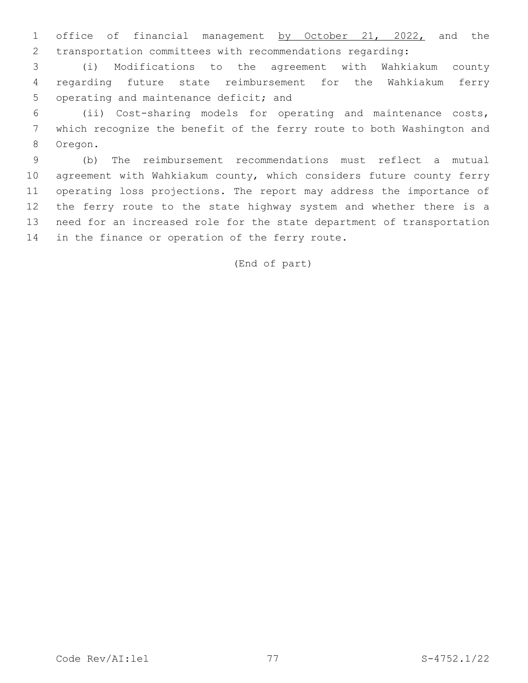1 office of financial management by October 21, 2022, and the transportation committees with recommendations regarding:

 (i) Modifications to the agreement with Wahkiakum county regarding future state reimbursement for the Wahkiakum ferry 5 operating and maintenance deficit; and

 (ii) Cost-sharing models for operating and maintenance costs, which recognize the benefit of the ferry route to both Washington and 8 Oregon.

 (b) The reimbursement recommendations must reflect a mutual agreement with Wahkiakum county, which considers future county ferry operating loss projections. The report may address the importance of the ferry route to the state highway system and whether there is a need for an increased role for the state department of transportation 14 in the finance or operation of the ferry route.

# (End of part)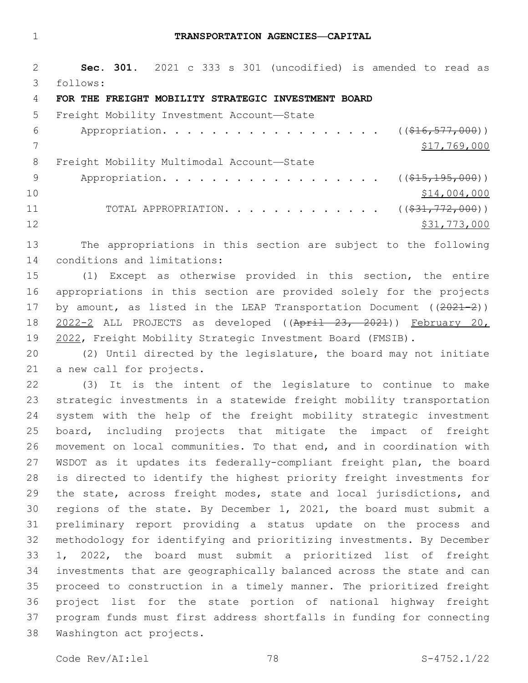#### **TRANSPORTATION AGENCIES—CAPITAL**

 **Sec. 301.** 2021 c 333 s 301 (uncodified) is amended to read as follows: 3

#### **FOR THE FREIGHT MOBILITY STRATEGIC INVESTMENT BOARD**

| 5.  | Freight Mobility Investment Account-State                   |              |
|-----|-------------------------------------------------------------|--------------|
| 6   | Appropriation. ( $(\frac{16}{16}, \frac{577}{900})$ )       |              |
|     |                                                             | \$17,769,000 |
| 8   | Freight Mobility Multimodal Account-State                   |              |
| - 9 | Appropriation. ( $(\frac{15}{715}, \frac{195}{195}, 000)$ ) |              |
| 10  |                                                             | \$14,004,000 |
| 11  | TOTAL APPROPRIATION. ( $(\frac{231}{772,000})$ )            |              |
| 12  |                                                             | \$31,773,000 |

 The appropriations in this section are subject to the following 14 conditions and limitations:

 (1) Except as otherwise provided in this section, the entire appropriations in this section are provided solely for the projects 17 by amount, as listed in the LEAP Transportation Document ((2021-2)) 2022-2 ALL PROJECTS as developed ((April 23, 2021)) February 20, 2022, Freight Mobility Strategic Investment Board (FMSIB).

 (2) Until directed by the legislature, the board may not initiate 21 a new call for projects.

 (3) It is the intent of the legislature to continue to make strategic investments in a statewide freight mobility transportation system with the help of the freight mobility strategic investment board, including projects that mitigate the impact of freight movement on local communities. To that end, and in coordination with WSDOT as it updates its federally-compliant freight plan, the board is directed to identify the highest priority freight investments for the state, across freight modes, state and local jurisdictions, and regions of the state. By December 1, 2021, the board must submit a preliminary report providing a status update on the process and methodology for identifying and prioritizing investments. By December 1, 2022, the board must submit a prioritized list of freight investments that are geographically balanced across the state and can proceed to construction in a timely manner. The prioritized freight project list for the state portion of national highway freight program funds must first address shortfalls in funding for connecting 38 Washington act projects.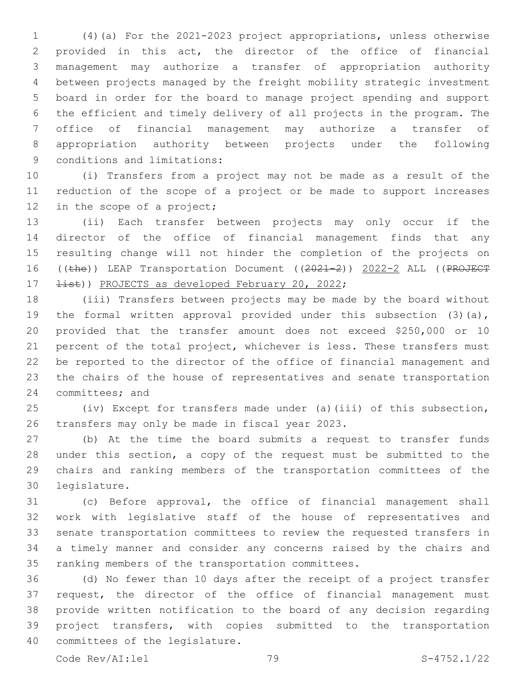(4)(a) For the 2021-2023 project appropriations, unless otherwise provided in this act, the director of the office of financial management may authorize a transfer of appropriation authority between projects managed by the freight mobility strategic investment board in order for the board to manage project spending and support the efficient and timely delivery of all projects in the program. The office of financial management may authorize a transfer of appropriation authority between projects under the following 9 conditions and limitations:

 (i) Transfers from a project may not be made as a result of the reduction of the scope of a project or be made to support increases 12 in the scope of a project;

 (ii) Each transfer between projects may only occur if the director of the office of financial management finds that any resulting change will not hinder the completion of the projects on 16 ((the)) LEAP Transportation Document ((2021-2)) 2022-2 ALL ((PROJECT  $\pm i$ st)) PROJECTS as developed February 20, 2022;

 (iii) Transfers between projects may be made by the board without 19 the formal written approval provided under this subsection (3)(a), provided that the transfer amount does not exceed \$250,000 or 10 21 percent of the total project, whichever is less. These transfers must be reported to the director of the office of financial management and the chairs of the house of representatives and senate transportation 24 committees; and

 (iv) Except for transfers made under (a)(iii) of this subsection, 26 transfers may only be made in fiscal year 2023.

 (b) At the time the board submits a request to transfer funds under this section, a copy of the request must be submitted to the chairs and ranking members of the transportation committees of the 30 legislature.

 (c) Before approval, the office of financial management shall work with legislative staff of the house of representatives and senate transportation committees to review the requested transfers in a timely manner and consider any concerns raised by the chairs and 35 ranking members of the transportation committees.

 (d) No fewer than 10 days after the receipt of a project transfer request, the director of the office of financial management must provide written notification to the board of any decision regarding project transfers, with copies submitted to the transportation 40 committees of the legislature.

Code Rev/AI:lel 79 S-4752.1/22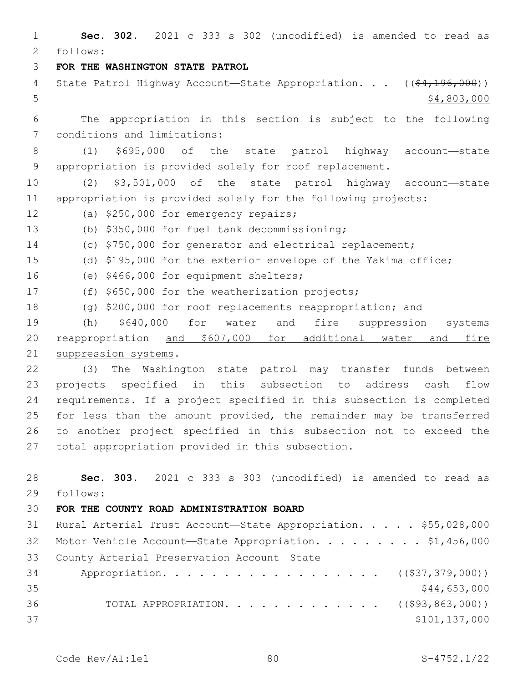1 **Sec. 302.** 2021 c 333 s 302 (uncodified) is amended to read as follows: 2 3 **FOR THE WASHINGTON STATE PATROL** 4 State Patrol Highway Account—State Appropriation. . . ((\$4,196,000))  $5 - 5$  \$4,803,000 6 The appropriation in this section is subject to the following 7 conditions and limitations: 8 (1) \$695,000 of the state patrol highway account—state 9 appropriation is provided solely for roof replacement. 10 (2) \$3,501,000 of the state patrol highway account—state 11 appropriation is provided solely for the following projects: 12 (a) \$250,000 for emergency repairs; (b) \$350,000 for fuel tank decommissioning;13 14 (c) \$750,000 for generator and electrical replacement; 15 (d) \$195,000 for the exterior envelope of the Yakima office; 16 (e) \$466,000 for equipment shelters; 17 (f) \$650,000 for the weatherization projects; 18 (g) \$200,000 for roof replacements reappropriation; and 19 (h) \$640,000 for water and fire suppression systems 20 reappropriation and \$607,000 for additional water and fire 21 suppression systems. 22 (3) The Washington state patrol may transfer funds between 23 projects specified in this subsection to address cash flow 24 requirements. If a project specified in this subsection is completed 25 for less than the amount provided, the remainder may be transferred 26 to another project specified in this subsection not to exceed the 27 total appropriation provided in this subsection. 28 **Sec. 303.** 2021 c 333 s 303 (uncodified) is amended to read as follows: 29 30 **FOR THE COUNTY ROAD ADMINISTRATION BOARD** 31 Rural Arterial Trust Account—State Appropriation. . . . . \$55,028,000 32 Motor Vehicle Account-State Appropriation. . . . . . . . \$1,456,000 33 County Arterial Preservation Account-State 34 Appropriation. . . . . . . . . . . . . . . . . (  $(\frac{237}{37}, \frac{379}{900})$  )  $35$  \$44,653,000 36 TOTAL APPROPRIATION. . . . . . . . . . . . ((<del>\$93,863,000</del>))  $37$   $$101,137,000$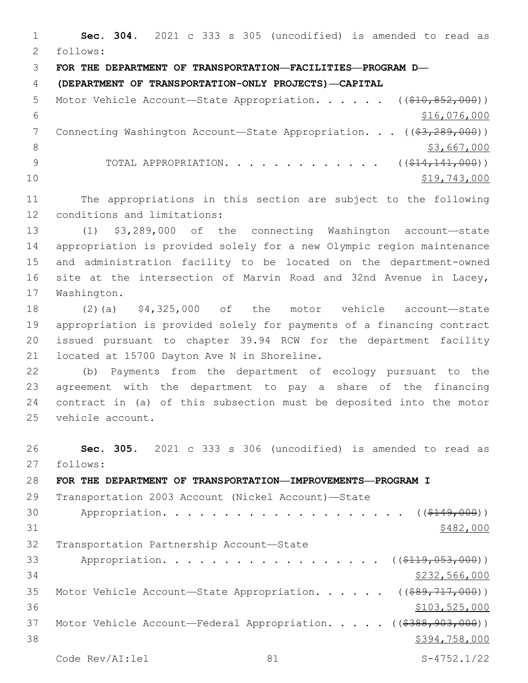**Sec. 304.** 2021 c 333 s 305 (uncodified) is amended to read as follows: 2 **FOR THE DEPARTMENT OF TRANSPORTATION—FACILITIES—PROGRAM D— (DEPARTMENT OF TRANSPORTATION-ONLY PROJECTS)—CAPITAL** 5 Motor Vehicle Account—State Appropriation. . . . . ((\$10,852,000))  $$16,076,000$ 7 Connecting Washington Account—State Appropriation. . . ((\$3,289,000))  $\frac{1}{3}$ ,667,000 9 TOTAL APPROPRIATION. . . . . . . . . . . . ((\$14,141,000)) \$19,743,000 The appropriations in this section are subject to the following 12 conditions and limitations: (1) \$3,289,000 of the connecting Washington account—state appropriation is provided solely for a new Olympic region maintenance and administration facility to be located on the department-owned site at the intersection of Marvin Road and 32nd Avenue in Lacey, 17 Washington. (2)(a) \$4,325,000 of the motor vehicle account—state appropriation is provided solely for payments of a financing contract issued pursuant to chapter 39.94 RCW for the department facility 21 located at 15700 Dayton Ave N in Shoreline. (b) Payments from the department of ecology pursuant to the agreement with the department to pay a share of the financing contract in (a) of this subsection must be deposited into the motor 25 vehicle account. **Sec. 305.** 2021 c 333 s 306 (uncodified) is amended to read as 27 follows: **FOR THE DEPARTMENT OF TRANSPORTATION—IMPROVEMENTS—PROGRAM I** Transportation 2003 Account (Nickel Account)—State 30 Appropriation. . . . . . . . . . . . . . . . . . (  $( $149,000)$  )

 $$482,000$ 

32 Transportation Partnership Account-State

33 Appropriation. . . . . . . . . . . . . . . . . (  $(\frac{119,053,000}{s})$  \$232,566,000 35 Motor Vehicle Account-State Appropriation. . . . . ((\$89,717,000))  $$103,525,000$ 37 Motor Vehicle Account—Federal Appropriation. . . . . ((\$388,903,000))  $$394,758,000$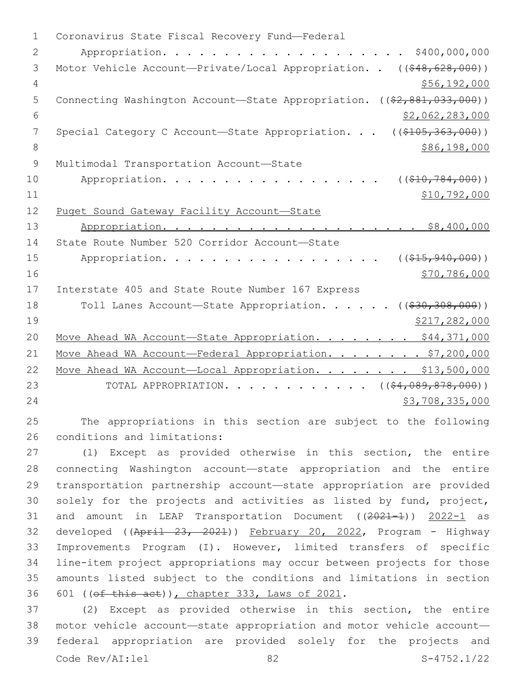1 Coronavirus State Fiscal Recovery Fund-Federal 2 Appropriation. . . . . . . . . . . . . . . . . . . . \$400,000,000 3 Motor Vehicle Account—Private/Local Appropriation. . ((\$48,628,000)) 4 \$56,192,000 5 Connecting Washington Account—State Appropriation. ((\$2,881,033,000)) 6 \$2,062,283,000 7 Special Category C Account—State Appropriation. . . ((\$105,363,000)) 8 \$86,198,000 9 Multimodal Transportation Account-State 10 Appropriation. . . . . . . . . . . . . . . . ( $(\frac{210}{784}, \frac{784}{100})$ ) 11 \$10,792,000 12 Puget Sound Gateway Facility Account—State 13 Appropriation. . . . . . . . . . . . . . . . . . \$8,400,000 14 State Route Number 520 Corridor Account-State 15 Appropriation. . . . . . . . . . . . . . . . . (  $(\frac{215,940,000}{s})$  $16$   $\frac{$70,786,000}{ }$ 17 Interstate 405 and State Route Number 167 Express 18 Toll Lanes Account—State Appropriation. . . . . ((\$30,308,000)) 19 \$217,282,000 20 Move Ahead WA Account-State Appropriation. . . . . . . \$44,371,000 21 Move Ahead WA Account-Federal Appropriation. . . . . . . \$7,200,000 22 Move Ahead WA Account-Local Appropriation. . . . . . . \$13,500,000 23 TOTAL APPROPRIATION. . . . . . . . . . . . ((\$4,089,878,000)) 24 \$3,708,335,000

25 The appropriations in this section are subject to the following 26 conditions and limitations:

 (1) Except as provided otherwise in this section, the entire connecting Washington account—state appropriation and the entire transportation partnership account—state appropriation are provided solely for the projects and activities as listed by fund, project, 31 and amount in LEAP Transportation Document ((2021-1)) 2022-1 as developed ((April 23, 2021)) February 20, 2022, Program - Highway Improvements Program (I). However, limited transfers of specific line-item project appropriations may occur between projects for those amounts listed subject to the conditions and limitations in section 36 601 ((ef this act)), chapter 333, Laws of 2021.

 (2) Except as provided otherwise in this section, the entire motor vehicle account—state appropriation and motor vehicle account— federal appropriation are provided solely for the projects and Code Rev/AI:lel 82 S-4752.1/22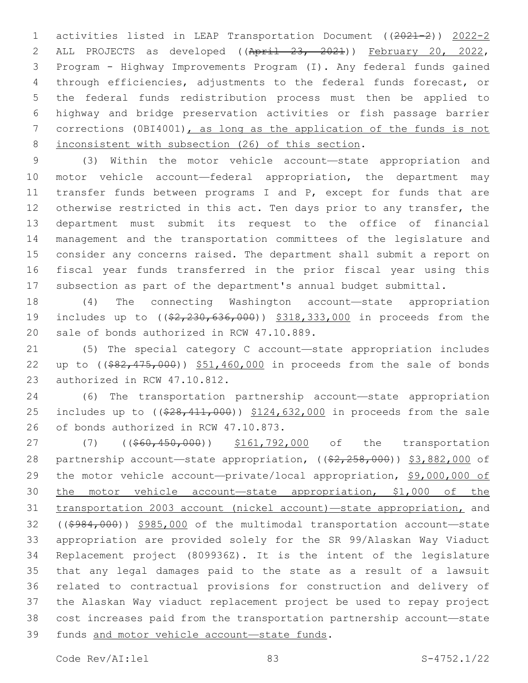activities listed in LEAP Transportation Document ((2021-2)) 2022-2 ALL PROJECTS as developed ((April 23, 2021)) February 20, 2022, Program - Highway Improvements Program (I). Any federal funds gained through efficiencies, adjustments to the federal funds forecast, or the federal funds redistribution process must then be applied to highway and bridge preservation activities or fish passage barrier corrections (0BI4001), as long as the application of the funds is not 8 inconsistent with subsection (26) of this section.

 (3) Within the motor vehicle account—state appropriation and motor vehicle account—federal appropriation, the department may 11 transfer funds between programs I and P, except for funds that are 12 otherwise restricted in this act. Ten days prior to any transfer, the department must submit its request to the office of financial management and the transportation committees of the legislature and consider any concerns raised. The department shall submit a report on fiscal year funds transferred in the prior fiscal year using this subsection as part of the department's annual budget submittal.

 (4) The connecting Washington account—state appropriation 19 includes up to ( $(\frac{2}{2}, \frac{230}{636}, \frac{000}{636})$ ) \$318,333,000 in proceeds from the 20 sale of bonds authorized in RCW 47.10.889.

 (5) The special category C account—state appropriation includes 22 up to ((\$82,475,000)) \$51,460,000 in proceeds from the sale of bonds 23 authorized in RCW 47.10.812.

 (6) The transportation partnership account—state appropriation 25 includes up to ((\$28,411,000)) \$124,632,000 in proceeds from the sale 26 of bonds authorized in RCW 47.10.873.

27 (7) ((\$60,450,000)) \$161,792,000 of the transportation 28 partnership account—state appropriation, ((\$2,258,000)) \$3,882,000 of the motor vehicle account—private/local appropriation, \$9,000,000 of the motor vehicle account—state appropriation, \$1,000 of the transportation 2003 account (nickel account)—state appropriation, and ((\$984,000)) \$985,000 of the multimodal transportation account—state appropriation are provided solely for the SR 99/Alaskan Way Viaduct Replacement project (809936Z). It is the intent of the legislature that any legal damages paid to the state as a result of a lawsuit related to contractual provisions for construction and delivery of the Alaskan Way viaduct replacement project be used to repay project cost increases paid from the transportation partnership account—state 39 funds and motor vehicle account-state funds.

Code Rev/AI:lel 83 S-4752.1/22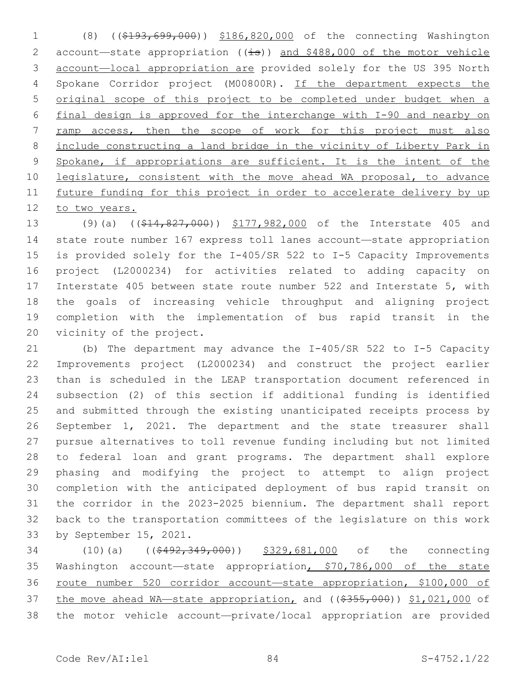(8) ((\$193,699,000)) \$186,820,000 of the connecting Washington 2 account-state appropriation ((is)) and \$488,000 of the motor vehicle account—local appropriation are provided solely for the US 395 North Spokane Corridor project (M00800R). If the department expects the original scope of this project to be completed under budget when a final design is approved for the interchange with I-90 and nearby on ramp access, then the scope of work for this project must also include constructing a land bridge in the vicinity of Liberty Park in 9 Spokane, if appropriations are sufficient. It is the intent of the 10 legislature, consistent with the move ahead WA proposal, to advance future funding for this project in order to accelerate delivery by up to two years.

13 (9)(a) ((\$14,827,000)) \$177,982,000 of the Interstate 405 and state route number 167 express toll lanes account—state appropriation is provided solely for the I-405/SR 522 to I-5 Capacity Improvements project (L2000234) for activities related to adding capacity on Interstate 405 between state route number 522 and Interstate 5, with the goals of increasing vehicle throughput and aligning project completion with the implementation of bus rapid transit in the 20 vicinity of the project.

 (b) The department may advance the I-405/SR 522 to I-5 Capacity Improvements project (L2000234) and construct the project earlier than is scheduled in the LEAP transportation document referenced in subsection (2) of this section if additional funding is identified and submitted through the existing unanticipated receipts process by September 1, 2021. The department and the state treasurer shall pursue alternatives to toll revenue funding including but not limited to federal loan and grant programs. The department shall explore phasing and modifying the project to attempt to align project completion with the anticipated deployment of bus rapid transit on the corridor in the 2023-2025 biennium. The department shall report back to the transportation committees of the legislature on this work 33 by September 15, 2021.

 (10)(a) ((\$492,349,000)) \$329,681,000 of the connecting Washington account—state appropriation, \$70,786,000 of the state route number 520 corridor account—state appropriation, \$100,000 of 37 the move ahead WA—state appropriation, and ((\$355,000)) \$1,021,000 of the motor vehicle account—private/local appropriation are provided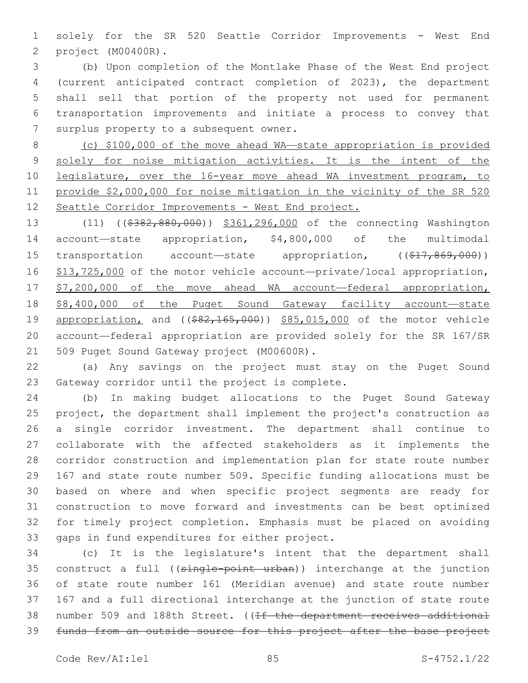solely for the SR 520 Seattle Corridor Improvements - West End project (M00400R).2

 (b) Upon completion of the Montlake Phase of the West End project (current anticipated contract completion of 2023), the department shall sell that portion of the property not used for permanent transportation improvements and initiate a process to convey that 7 surplus property to a subsequent owner.

 (c) \$100,000 of the move ahead WA—state appropriation is provided solely for noise mitigation activities. It is the intent of the legislature, over the 16-year move ahead WA investment program, to provide \$2,000,000 for noise mitigation in the vicinity of the SR 520 Seattle Corridor Improvements - West End project.

13 (11) ((\$382,880,000)) \$361,296,000 of the connecting Washington account—state appropriation, \$4,800,000 of the multimodal 15 transportation account—state appropriation, ((\$17,869,000)) 16 \$13,725,000 of the motor vehicle account-private/local appropriation, 17 \$7,200,000 of the move ahead WA account—federal appropriation, \$8,400,000 of the Puget Sound Gateway facility account—state 19 appropriation, and ((\$82,165,000)) \$85,015,000 of the motor vehicle account—federal appropriation are provided solely for the SR 167/SR 21 509 Puget Sound Gateway project (M00600R).

 (a) Any savings on the project must stay on the Puget Sound 23 Gateway corridor until the project is complete.

 (b) In making budget allocations to the Puget Sound Gateway project, the department shall implement the project's construction as a single corridor investment. The department shall continue to collaborate with the affected stakeholders as it implements the corridor construction and implementation plan for state route number 167 and state route number 509. Specific funding allocations must be based on where and when specific project segments are ready for construction to move forward and investments can be best optimized for timely project completion. Emphasis must be placed on avoiding 33 gaps in fund expenditures for either project.

 (c) It is the legislature's intent that the department shall construct a full ((single-point urban)) interchange at the junction of state route number 161 (Meridian avenue) and state route number 167 and a full directional interchange at the junction of state route 38 number 509 and 188th Street. ((If the department receives additional funds from an outside source for this project after the base project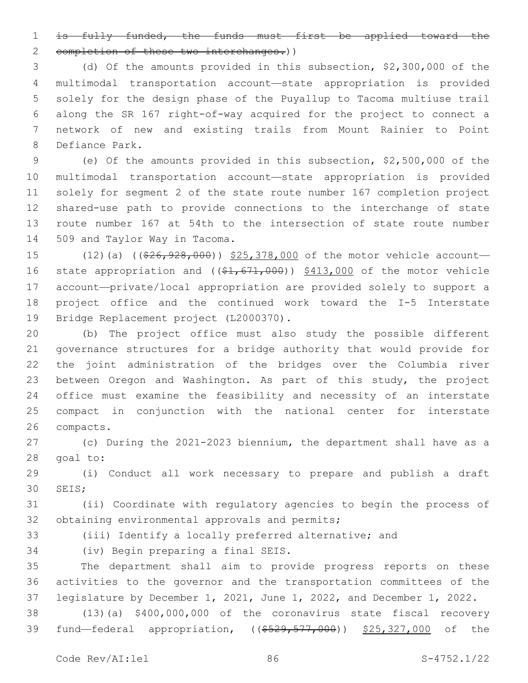is fully funded, the funds must first be applied toward the 2 completion of these two interchanges.))

 (d) Of the amounts provided in this subsection, \$2,300,000 of the multimodal transportation account—state appropriation is provided solely for the design phase of the Puyallup to Tacoma multiuse trail along the SR 167 right-of-way acquired for the project to connect a network of new and existing trails from Mount Rainier to Point 8 Defiance Park.

 (e) Of the amounts provided in this subsection, \$2,500,000 of the multimodal transportation account—state appropriation is provided solely for segment 2 of the state route number 167 completion project shared-use path to provide connections to the interchange of state route number 167 at 54th to the intersection of state route number 14 509 and Taylor Way in Tacoma.

15 (12)(a) ( $(\frac{226}{126}, \frac{928}{100})$  \$25,378,000 of the motor vehicle account— 16 state appropriation and  $((\$1,671,000))$  \$413,000 of the motor vehicle account—private/local appropriation are provided solely to support a project office and the continued work toward the I-5 Interstate 19 Bridge Replacement project (L2000370).

 (b) The project office must also study the possible different governance structures for a bridge authority that would provide for the joint administration of the bridges over the Columbia river between Oregon and Washington. As part of this study, the project office must examine the feasibility and necessity of an interstate compact in conjunction with the national center for interstate 26 compacts.

 (c) During the 2021-2023 biennium, the department shall have as a 28 goal to:

 (i) Conduct all work necessary to prepare and publish a draft 30 SEIS;

 (ii) Coordinate with regulatory agencies to begin the process of 32 obtaining environmental approvals and permits;

(iii) Identify a locally preferred alternative; and

34 (iv) Begin preparing a final SEIS.

 The department shall aim to provide progress reports on these activities to the governor and the transportation committees of the legislature by December 1, 2021, June 1, 2022, and December 1, 2022.

 (13)(a) \$400,000,000 of the coronavirus state fiscal recovery 39 fund—federal appropriation, ((\$529,577,000)) \$25,327,000 of the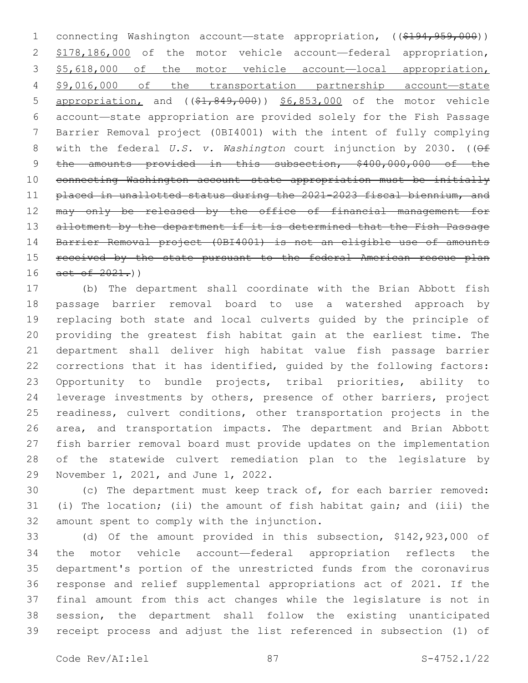1 connecting Washington account—state appropriation, ((\$194,959,000)) \$178,186,000 of the motor vehicle account—federal appropriation, \$5,618,000 of the motor vehicle account—local appropriation, \$9,016,000 of the transportation partnership account—state 5 appropriation, and ((\$1,849,000)) \$6,853,000 of the motor vehicle account—state appropriation are provided solely for the Fish Passage Barrier Removal project (0BI4001) with the intent of fully complying 8 with the federal *U.S. v. Washington* court injunction by 2030. ((Of 9 the amounts provided in this subsection, \$400,000,000 of the connecting Washington account—state appropriation must be initially placed in unallotted status during the 2021-2023 fiscal biennium, and may only be released by the office of financial management for 13 allotment by the department if it is determined that the Fish Passage Barrier Removal project (0BI4001) is not an eligible use of amounts 15 received by the state pursuant to the federal American rescue plan act of  $2021$ .)

 (b) The department shall coordinate with the Brian Abbott fish passage barrier removal board to use a watershed approach by replacing both state and local culverts guided by the principle of providing the greatest fish habitat gain at the earliest time. The department shall deliver high habitat value fish passage barrier corrections that it has identified, guided by the following factors: Opportunity to bundle projects, tribal priorities, ability to leverage investments by others, presence of other barriers, project readiness, culvert conditions, other transportation projects in the area, and transportation impacts. The department and Brian Abbott fish barrier removal board must provide updates on the implementation of the statewide culvert remediation plan to the legislature by 29 November 1, 2021, and June 1, 2022.

 (c) The department must keep track of, for each barrier removed: (i) The location; (ii) the amount of fish habitat gain; and (iii) the 32 amount spent to comply with the injunction.

 (d) Of the amount provided in this subsection, \$142,923,000 of the motor vehicle account—federal appropriation reflects the department's portion of the unrestricted funds from the coronavirus response and relief supplemental appropriations act of 2021. If the final amount from this act changes while the legislature is not in session, the department shall follow the existing unanticipated receipt process and adjust the list referenced in subsection (1) of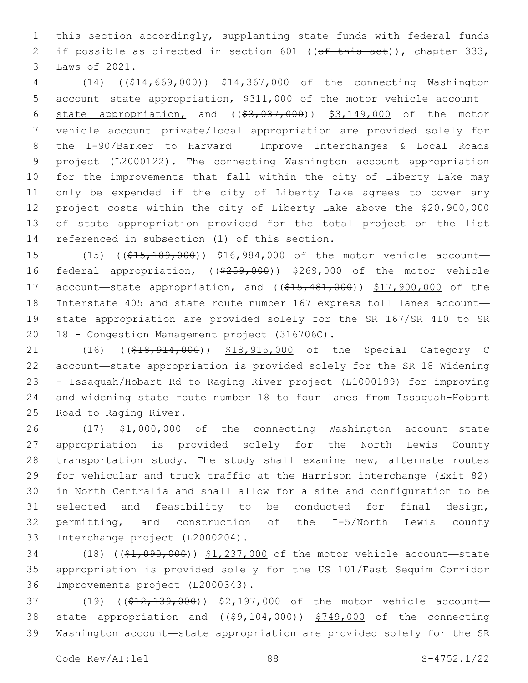this section accordingly, supplanting state funds with federal funds 2 if possible as directed in section 601 ((of this act)), chapter 333, 3 Laws of 2021.

 (14) ((\$14,669,000)) \$14,367,000 of the connecting Washington account—state appropriation, \$311,000 of the motor vehicle account— 6 state appropriation, and  $((\$3,037,000))$   $\$3,149,000$  of the motor vehicle account—private/local appropriation are provided solely for the I-90/Barker to Harvard – Improve Interchanges & Local Roads project (L2000122). The connecting Washington account appropriation for the improvements that fall within the city of Liberty Lake may only be expended if the city of Liberty Lake agrees to cover any project costs within the city of Liberty Lake above the \$20,900,000 of state appropriation provided for the total project on the list 14 referenced in subsection (1) of this section.

15 (15) ((\$15,189,000)) \$16,984,000 of the motor vehicle account- federal appropriation, ((\$259,000)) \$269,000 of the motor vehicle 17 account—state appropriation, and ((\$15,481,000)) \$17,900,000 of the Interstate 405 and state route number 167 express toll lanes account— state appropriation are provided solely for the SR 167/SR 410 to SR 20 18 - Congestion Management project (316706C).

21 (16) ((\$18,914,000)) \$18,915,000 of the Special Category C account—state appropriation is provided solely for the SR 18 Widening - Issaquah/Hobart Rd to Raging River project (L1000199) for improving and widening state route number 18 to four lanes from Issaquah-Hobart 25 Road to Raging River.

 (17) \$1,000,000 of the connecting Washington account—state appropriation is provided solely for the North Lewis County transportation study. The study shall examine new, alternate routes for vehicular and truck traffic at the Harrison interchange (Exit 82) in North Centralia and shall allow for a site and configuration to be selected and feasibility to be conducted for final design, permitting, and construction of the I-5/North Lewis county 33 Interchange project (L2000204).

34 (18) ((\$1,090,000)) \$1,237,000 of the motor vehicle account—state appropriation is provided solely for the US 101/East Sequim Corridor 36 Improvements project (L2000343).

37 (19) ((\$12,139,000)) \$2,197,000 of the motor vehicle account-38 state appropriation and  $($   $(*9, 104, 000)$   $*749,000$  of the connecting Washington account—state appropriation are provided solely for the SR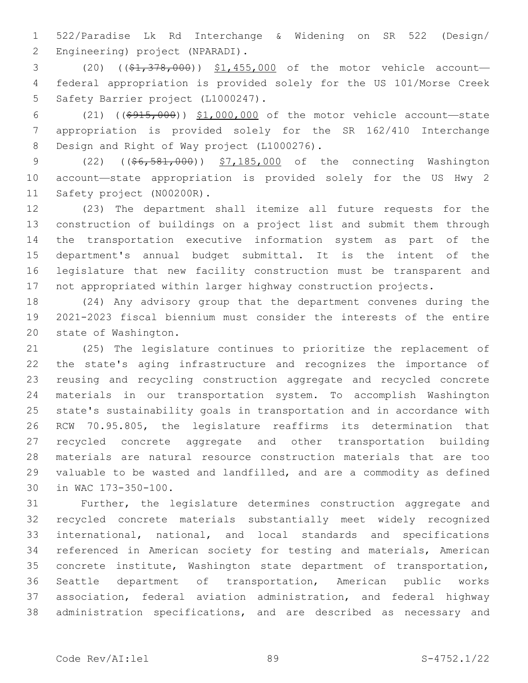522/Paradise Lk Rd Interchange & Widening on SR 522 (Design/ 2 Engineering) project (NPARADI).

3 (20) ((\$1,378,000)) \$1,455,000 of the motor vehicle account- federal appropriation is provided solely for the US 101/Morse Creek 5 Safety Barrier project (L1000247).

 (21) ((\$915,000)) \$1,000,000 of the motor vehicle account—state appropriation is provided solely for the SR 162/410 Interchange 8 Design and Right of Way project (L1000276).

 (22) ((\$6,581,000)) \$7,185,000 of the connecting Washington account—state appropriation is provided solely for the US Hwy 2 11 Safety project (N00200R).

 (23) The department shall itemize all future requests for the construction of buildings on a project list and submit them through the transportation executive information system as part of the department's annual budget submittal. It is the intent of the legislature that new facility construction must be transparent and not appropriated within larger highway construction projects.

 (24) Any advisory group that the department convenes during the 2021-2023 fiscal biennium must consider the interests of the entire 20 state of Washington.

 (25) The legislature continues to prioritize the replacement of the state's aging infrastructure and recognizes the importance of reusing and recycling construction aggregate and recycled concrete materials in our transportation system. To accomplish Washington state's sustainability goals in transportation and in accordance with RCW 70.95.805, the legislature reaffirms its determination that recycled concrete aggregate and other transportation building materials are natural resource construction materials that are too valuable to be wasted and landfilled, and are a commodity as defined 30 in WAC 173-350-100.

 Further, the legislature determines construction aggregate and recycled concrete materials substantially meet widely recognized international, national, and local standards and specifications referenced in American society for testing and materials, American concrete institute, Washington state department of transportation, Seattle department of transportation, American public works association, federal aviation administration, and federal highway administration specifications, and are described as necessary and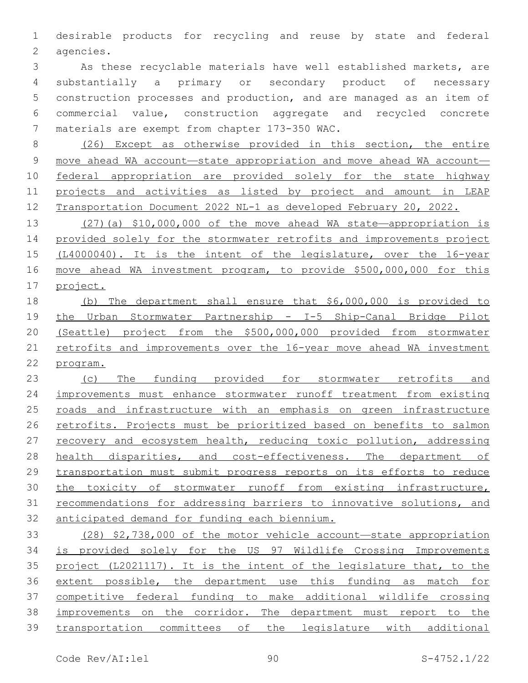desirable products for recycling and reuse by state and federal 2 agencies.

 As these recyclable materials have well established markets, are substantially a primary or secondary product of necessary construction processes and production, and are managed as an item of commercial value, construction aggregate and recycled concrete 7 materials are exempt from chapter 173-350 WAC.

 (26) Except as otherwise provided in this section, the entire 9 move ahead WA account—state appropriation and move ahead WA account— federal appropriation are provided solely for the state highway projects and activities as listed by project and amount in LEAP Transportation Document 2022 NL-1 as developed February 20, 2022.

 (27)(a) \$10,000,000 of the move ahead WA state—appropriation is provided solely for the stormwater retrofits and improvements project (L4000040). It is the intent of the legislature, over the 16-year move ahead WA investment program, to provide \$500,000,000 for this project.

 (b) The department shall ensure that \$6,000,000 is provided to the Urban Stormwater Partnership - I-5 Ship-Canal Bridge Pilot (Seattle) project from the \$500,000,000 provided from stormwater retrofits and improvements over the 16-year move ahead WA investment program.

 (c) The funding provided for stormwater retrofits and improvements must enhance stormwater runoff treatment from existing roads and infrastructure with an emphasis on green infrastructure retrofits. Projects must be prioritized based on benefits to salmon 27 recovery and ecosystem health, reducing toxic pollution, addressing health disparities, and cost-effectiveness. The department of transportation must submit progress reports on its efforts to reduce the toxicity of stormwater runoff from existing infrastructure, recommendations for addressing barriers to innovative solutions, and anticipated demand for funding each biennium.

 (28) \$2,738,000 of the motor vehicle account—state appropriation is provided solely for the US 97 Wildlife Crossing Improvements project (L2021117). It is the intent of the legislature that, to the extent possible, the department use this funding as match for competitive federal funding to make additional wildlife crossing improvements on the corridor. The department must report to the transportation committees of the legislature with additional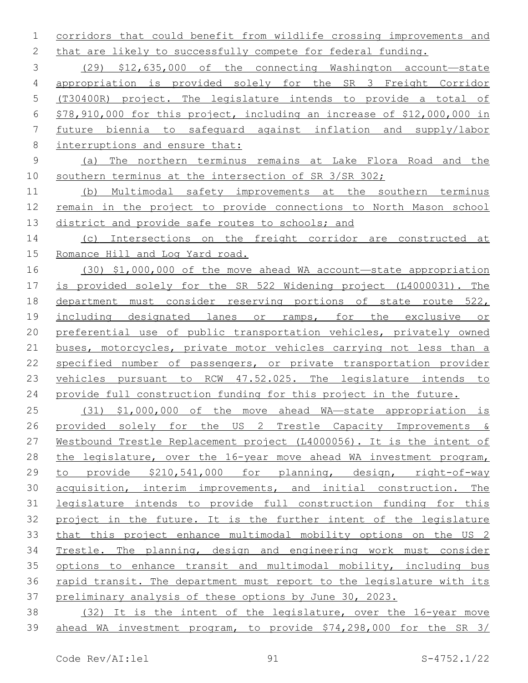corridors that could benefit from wildlife crossing improvements and 2 that are likely to successfully compete for federal funding.

 (29) \$12,635,000 of the connecting Washington account—state appropriation is provided solely for the SR 3 Freight Corridor (T30400R) project. The legislature intends to provide a total of \$78,910,000 for this project, including an increase of \$12,000,000 in future biennia to safeguard against inflation and supply/labor

- interruptions and ensure that:
- (a) The northern terminus remains at Lake Flora Road and the southern terminus at the intersection of SR 3/SR 302;

 (b) Multimodal safety improvements at the southern terminus remain in the project to provide connections to North Mason school district and provide safe routes to schools; and

 (c) Intersections on the freight corridor are constructed at 15 Romance Hill and Log Yard road.

 (30) \$1,000,000 of the move ahead WA account—state appropriation is provided solely for the SR 522 Widening project (L4000031). The department must consider reserving portions of state route 522, including designated lanes or ramps, for the exclusive or preferential use of public transportation vehicles, privately owned buses, motorcycles, private motor vehicles carrying not less than a specified number of passengers, or private transportation provider vehicles pursuant to RCW 47.52.025. The legislature intends to provide full construction funding for this project in the future.

 (31) \$1,000,000 of the move ahead WA—state appropriation is provided solely for the US 2 Trestle Capacity Improvements & Westbound Trestle Replacement project (L4000056). It is the intent of the legislature, over the 16-year move ahead WA investment program, to provide \$210,541,000 for planning, design, right-of-way acquisition, interim improvements, and initial construction. The legislature intends to provide full construction funding for this project in the future. It is the further intent of the legislature that this project enhance multimodal mobility options on the US 2 Trestle. The planning, design and engineering work must consider options to enhance transit and multimodal mobility, including bus rapid transit. The department must report to the legislature with its preliminary analysis of these options by June 30, 2023.

 (32) It is the intent of the legislature, over the 16-year move ahead WA investment program, to provide \$74,298,000 for the SR 3/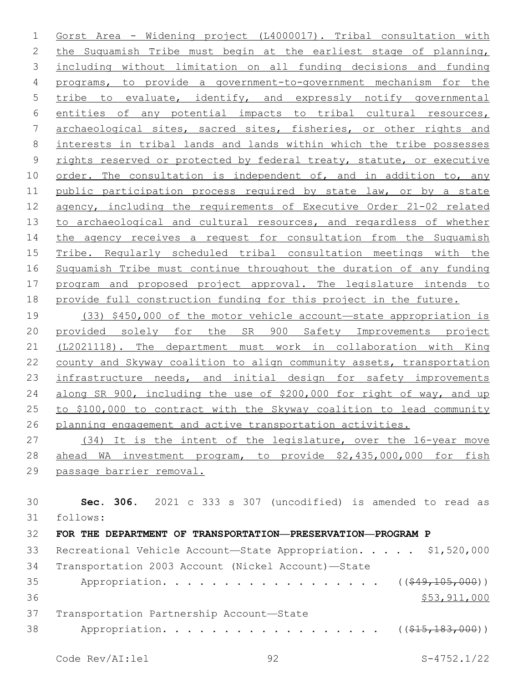Gorst Area - Widening project (L4000017). Tribal consultation with 2 the Suquamish Tribe must begin at the earliest stage of planning, including without limitation on all funding decisions and funding programs, to provide a government-to-government mechanism for the 5 tribe to evaluate, identify, and expressly notify governmental entities of any potential impacts to tribal cultural resources, archaeological sites, sacred sites, fisheries, or other rights and interests in tribal lands and lands within which the tribe possesses 9 rights reserved or protected by federal treaty, statute, or executive 10 order. The consultation is independent of, and in addition to, any 11 public participation process required by state law, or by a state agency, including the requirements of Executive Order 21-02 related 13 to archaeological and cultural resources, and regardless of whether 14 the agency receives a request for consultation from the Suquamish Tribe. Regularly scheduled tribal consultation meetings with the Suquamish Tribe must continue throughout the duration of any funding program and proposed project approval. The legislature intends to provide full construction funding for this project in the future.

 (33) \$450,000 of the motor vehicle account—state appropriation is provided solely for the SR 900 Safety Improvements project (L2021118). The department must work in collaboration with King county and Skyway coalition to align community assets, transportation 23 infrastructure needs, and initial design for safety improvements along SR 900, including the use of \$200,000 for right of way, and up to \$100,000 to contract with the Skyway coalition to lead community planning engagement and active transportation activities.

 (34) It is the intent of the legislature, over the 16-year move ahead WA investment program, to provide \$2,435,000,000 for fish passage barrier removal.

 **Sec. 306.** 2021 c 333 s 307 (uncodified) is amended to read as follows: 31 **FOR THE DEPARTMENT OF TRANSPORTATION—PRESERVATION—PROGRAM P** 33 Recreational Vehicle Account—State Appropriation. . . . . \$1,520,000 Transportation 2003 Account (Nickel Account)—State Appropriation. . . . . . . . . . . . . . . . . . ((\$49,105,000)) \$53,911,000 37 Transportation Partnership Account-State

38 Appropriation. . . . . . . . . . . . . . . . (  $(\frac{215}{183},000)$  )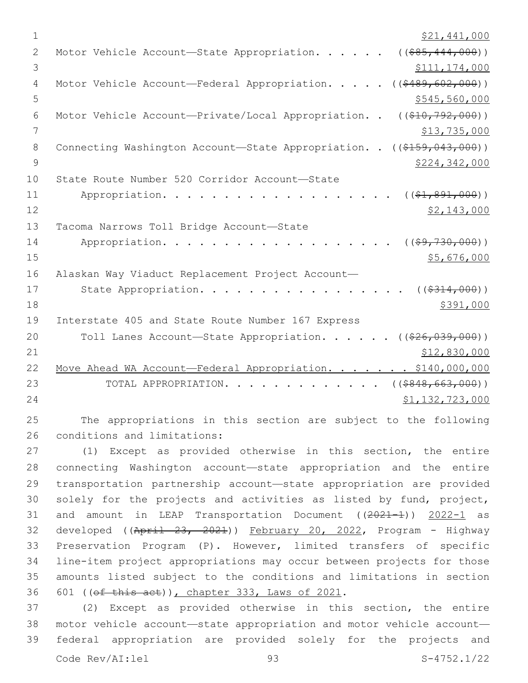| $\mathbf{1}$ | \$21,441,000                                                                  |
|--------------|-------------------------------------------------------------------------------|
| $\mathbf{2}$ | ( ( \$85, 444, 000) )<br>Motor Vehicle Account-State Appropriation.           |
| 3            | \$111,174,000                                                                 |
| 4            | ( ( \$489, 602, 000) )<br>Motor Vehicle Account-Federal Appropriation.        |
| 5            | \$545,560,000                                                                 |
| 6            | Motor Vehicle Account-Private/Local Appropriation. .<br>$((\$10,792,000))$    |
| 7            | \$13,735,000                                                                  |
| 8            | Connecting Washington Account-State Appropriation. .<br>$((\$159,043,000))$   |
| 9            | \$224,342,000                                                                 |
| 10           | State Route Number 520 Corridor Account-State                                 |
| 11           | Appropriation.<br>$((\$1,891,000))$                                           |
| 12           | \$2,143,000                                                                   |
| 13           | Tacoma Narrows Toll Bridge Account-State                                      |
| 14           | Appropriation.<br>( ( \$9, 730, 000) )                                        |
| 15           | \$5,676,000                                                                   |
| 16           | Alaskan Way Viaduct Replacement Project Account-                              |
| 17           | State Appropriation.<br>( ( \$314, 000) )                                     |
| 18           | \$391,000                                                                     |
| 19           | Interstate 405 and State Route Number 167 Express                             |
| 20           | ( ( \$26, 039, 000) )<br>Toll Lanes Account-State Appropriation               |
| 21           | \$12,830,000                                                                  |
| 22           | $\cdot$ $\cdot$ \$140,000,000<br>Move Ahead WA Account-Federal Appropriation. |
| 23           | ( ( \$848, 663, 000) )<br>TOTAL APPROPRIATION.                                |
| 24           | \$1,132,723,000                                                               |
|              |                                                                               |

 The appropriations in this section are subject to the following 26 conditions and limitations:

 (1) Except as provided otherwise in this section, the entire connecting Washington account—state appropriation and the entire transportation partnership account—state appropriation are provided solely for the projects and activities as listed by fund, project, 31 and amount in LEAP Transportation Document ((2021-1)) 2022-1 as 32 developed ((April 23, 2021)) February 20, 2022, Program - Highway Preservation Program (P). However, limited transfers of specific line-item project appropriations may occur between projects for those amounts listed subject to the conditions and limitations in section 36 601 ((ef this act)), chapter 333, Laws of 2021.

 (2) Except as provided otherwise in this section, the entire motor vehicle account—state appropriation and motor vehicle account— federal appropriation are provided solely for the projects and Code Rev/AI:lel 93 S-4752.1/22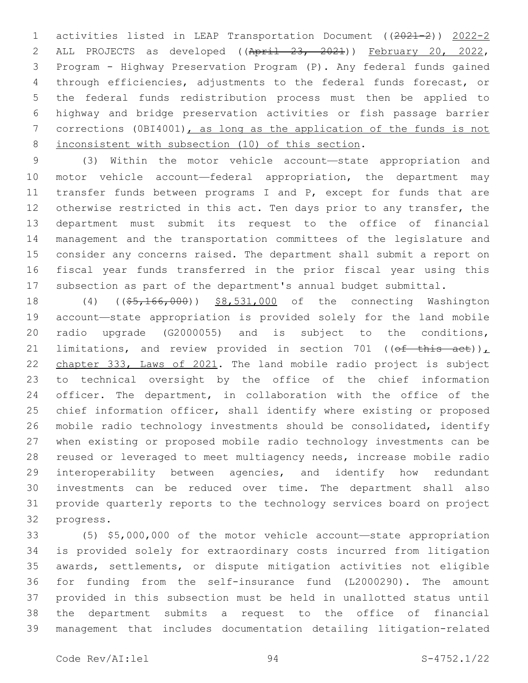activities listed in LEAP Transportation Document ((2021-2)) 2022-2 ALL PROJECTS as developed ((April 23, 2021)) February 20, 2022, Program - Highway Preservation Program (P). Any federal funds gained through efficiencies, adjustments to the federal funds forecast, or the federal funds redistribution process must then be applied to highway and bridge preservation activities or fish passage barrier corrections (0BI4001), as long as the application of the funds is not 8 inconsistent with subsection (10) of this section.

 (3) Within the motor vehicle account—state appropriation and motor vehicle account—federal appropriation, the department may 11 transfer funds between programs I and P, except for funds that are 12 otherwise restricted in this act. Ten days prior to any transfer, the department must submit its request to the office of financial management and the transportation committees of the legislature and consider any concerns raised. The department shall submit a report on fiscal year funds transferred in the prior fiscal year using this subsection as part of the department's annual budget submittal.

18 (4) ((\$5,166,000)) \$8,531,000 of the connecting Washington account—state appropriation is provided solely for the land mobile radio upgrade (G2000055) and is subject to the conditions, 21 limitations, and review provided in section 701 ((of this act)), chapter 333, Laws of 2021. The land mobile radio project is subject to technical oversight by the office of the chief information officer. The department, in collaboration with the office of the chief information officer, shall identify where existing or proposed mobile radio technology investments should be consolidated, identify when existing or proposed mobile radio technology investments can be reused or leveraged to meet multiagency needs, increase mobile radio interoperability between agencies, and identify how redundant investments can be reduced over time. The department shall also provide quarterly reports to the technology services board on project 32 progress.

 (5) \$5,000,000 of the motor vehicle account—state appropriation is provided solely for extraordinary costs incurred from litigation awards, settlements, or dispute mitigation activities not eligible for funding from the self-insurance fund (L2000290). The amount provided in this subsection must be held in unallotted status until the department submits a request to the office of financial management that includes documentation detailing litigation-related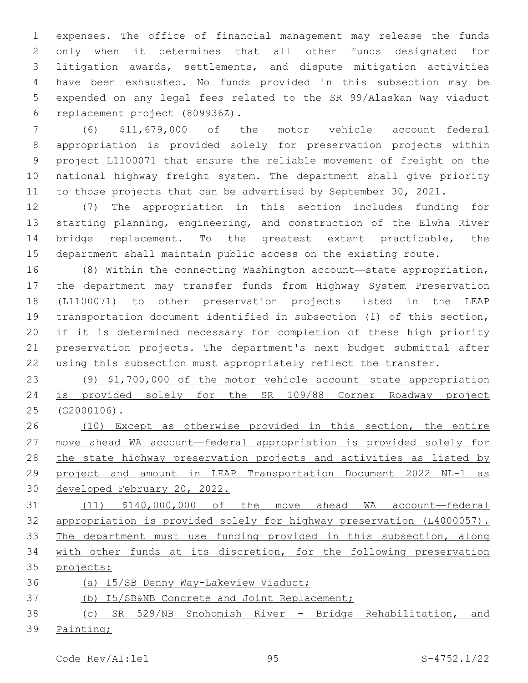expenses. The office of financial management may release the funds only when it determines that all other funds designated for litigation awards, settlements, and dispute mitigation activities have been exhausted. No funds provided in this subsection may be expended on any legal fees related to the SR 99/Alaskan Way viaduct 6 replacement project (809936Z).

 (6) \$11,679,000 of the motor vehicle account—federal appropriation is provided solely for preservation projects within project L1100071 that ensure the reliable movement of freight on the national highway freight system. The department shall give priority to those projects that can be advertised by September 30, 2021.

 (7) The appropriation in this section includes funding for starting planning, engineering, and construction of the Elwha River bridge replacement. To the greatest extent practicable, the department shall maintain public access on the existing route.

 (8) Within the connecting Washington account—state appropriation, the department may transfer funds from Highway System Preservation (L1100071) to other preservation projects listed in the LEAP transportation document identified in subsection (1) of this section, if it is determined necessary for completion of these high priority preservation projects. The department's next budget submittal after using this subsection must appropriately reflect the transfer.

 (9) \$1,700,000 of the motor vehicle account—state appropriation is provided solely for the SR 109/88 Corner Roadway project (G2000106).

 (10) Except as otherwise provided in this section, the entire move ahead WA account—federal appropriation is provided solely for 28 the state highway preservation projects and activities as listed by project and amount in LEAP Transportation Document 2022 NL-1 as developed February 20, 2022.

 (11) \$140,000,000 of the move ahead WA account—federal appropriation is provided solely for highway preservation (L4000057). 33 The department must use funding provided in this subsection, along 34 with other funds at its discretion, for the following preservation projects:

(a) I5/SB Denny Way-Lakeview Viaduct;

(b) I5/SB&NB Concrete and Joint Replacement;

 (c) SR 529/NB Snohomish River – Bridge Rehabilitation, and 39 Painting;

Code Rev/AI:lel 95 S-4752.1/22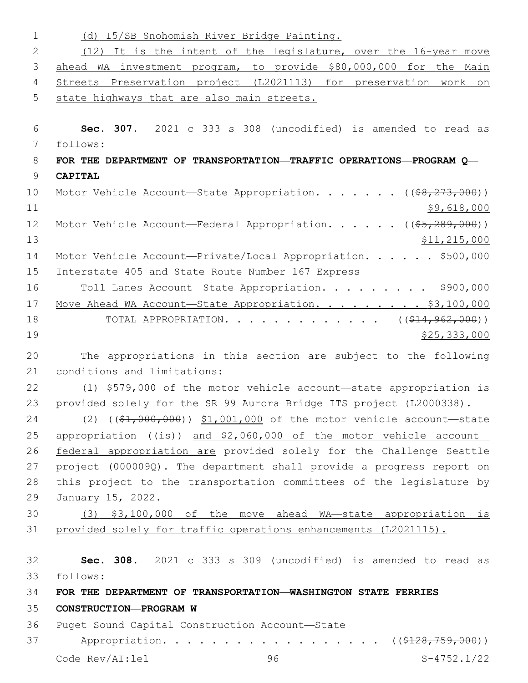| $\mathbf 1$ | (d) I5/SB Snohomish River Bridge Painting.                                        |
|-------------|-----------------------------------------------------------------------------------|
| 2           | (12) It is the intent of the legislature, over the 16-year move                   |
| 3           | ahead WA investment program, to provide \$80,000,000 for the Main                 |
| 4           | Streets Preservation project (L2021113) for preservation work on                  |
| 5           | state highways that are also main streets.                                        |
| 6           | Sec. 307. 2021 c 333 s 308 (uncodified) is amended to read as                     |
| 7           | follows:                                                                          |
| 8           | FOR THE DEPARTMENT OF TRANSPORTATION-TRAFFIC OPERATIONS-PROGRAM Q-                |
| 9           | <b>CAPITAL</b>                                                                    |
| 10          | Motor Vehicle Account—State Appropriation. ( $(\frac{68}{7273}, 000)$ )           |
| 11          | \$9,618,000                                                                       |
| 12          | Motor Vehicle Account-Federal Appropriation. ((\$5,289,000))                      |
| 13          | \$11, 215, 000                                                                    |
| 14          | Motor Vehicle Account-Private/Local Appropriation. \$500,000                      |
| 15          | Interstate 405 and State Route Number 167 Express                                 |
| 16          | Toll Lanes Account-State Appropriation. \$900,000                                 |
| 17          | Move Ahead WA Account-State Appropriation. \$3,100,000                            |
| 18          | TOTAL APPROPRIATION. ( $(\frac{214}{962}, 000)$ )                                 |
| 19          | \$25,333,000                                                                      |
| 20          | The appropriations in this section are subject to the following                   |
|             |                                                                                   |
| 21          | conditions and limitations:                                                       |
| 22          | (1) \$579,000 of the motor vehicle account—state appropriation is                 |
| 23          | provided solely for the SR 99 Aurora Bridge ITS project (L2000338).               |
| 24          | $(2)$ ( $(\frac{21}{1000}, 000)$ ) \$1,001,000 of the motor vehicle account-state |
| 25          | appropriation $((\pm s))$ and \$2,060,000 of the motor vehicle account-           |
| 26          | federal appropriation are provided solely for the Challenge Seattle               |
| 27          | project (000009Q). The department shall provide a progress report on              |
| 28          | this project to the transportation committees of the legislature by               |
| 29          | January 15, 2022.                                                                 |
| 30          | (3) \$3,100,000 of the move ahead WA-state appropriation is                       |
| 31          | provided solely for traffic operations enhancements (L2021115).                   |
| 32          | Sec. 308. 2021 c 333 s 309 (uncodified) is amended to read as                     |
| 33          | follows:                                                                          |
| 34          | FOR THE DEPARTMENT OF TRANSPORTATION-WASHINGTON STATE FERRIES                     |
| 35          | CONSTRUCTION-PROGRAM W                                                            |
| 36          | Puget Sound Capital Construction Account-State                                    |
| 37          | Appropriation.<br>$((\$128,759,000))$                                             |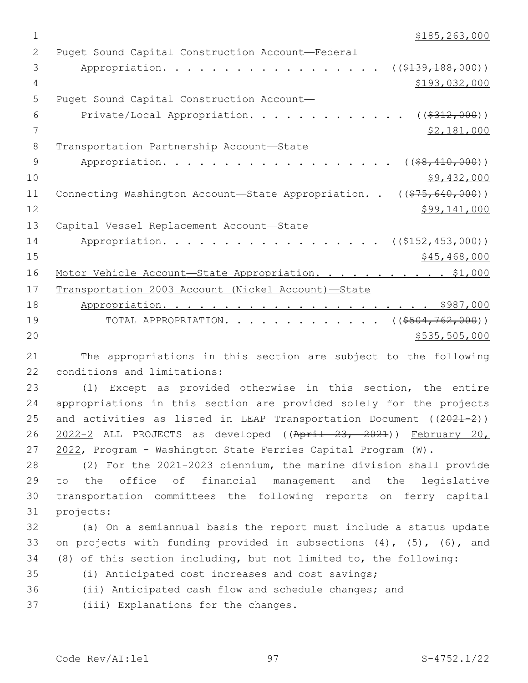$1 \quad$  \$185,263,000

| 2  | Puget Sound Capital Construction Account-Federal                      |
|----|-----------------------------------------------------------------------|
| 3  | ((\$139,188,000))<br>Appropriation.                                   |
|    |                                                                       |
| 4  | \$193,032,000                                                         |
| 5  | Puget Sound Capital Construction Account-                             |
| 6  | ( ( \$312, 000) )<br>Private/Local Appropriation.                     |
| 7  | \$2,181,000                                                           |
| 8  | Transportation Partnership Account-State                              |
| 9  | Appropriation.<br>$($ (\$8,410,000))                                  |
| 10 | \$9,432,000                                                           |
| 11 | Connecting Washington Account—State Appropriation. . ((\$75,640,000)) |
| 12 | \$99,141,000                                                          |
| 13 | Capital Vessel Replacement Account-State                              |
| 14 | $((\$152,453,000))$<br>Appropriation.                                 |
| 15 | \$45, 468, 000                                                        |
| 16 | Motor Vehicle Account-State Appropriation. \$1,000                    |
| 17 | Transportation 2003 Account (Nickel Account)-State                    |
| 18 |                                                                       |
| 19 | $((\$504, 762, 000))$<br>TOTAL APPROPRIATION.                         |
| 20 | \$535,505,000                                                         |

21 The appropriations in this section are subject to the following 22 conditions and limitations:

 (1) Except as provided otherwise in this section, the entire appropriations in this section are provided solely for the projects 25 and activities as listed in LEAP Transportation Document ((2021-2)) 2022-2 ALL PROJECTS as developed ((April 23, 2021)) February 20, 2022, Program - Washington State Ferries Capital Program (W).

 (2) For the 2021-2023 biennium, the marine division shall provide to the office of financial management and the legislative transportation committees the following reports on ferry capital 31 projects:

32 (a) On a semiannual basis the report must include a status update 33 on projects with funding provided in subsections (4), (5), (6), and 34 (8) of this section including, but not limited to, the following:

35 (i) Anticipated cost increases and cost savings;

36 (ii) Anticipated cash flow and schedule changes; and

37 (iii) Explanations for the changes.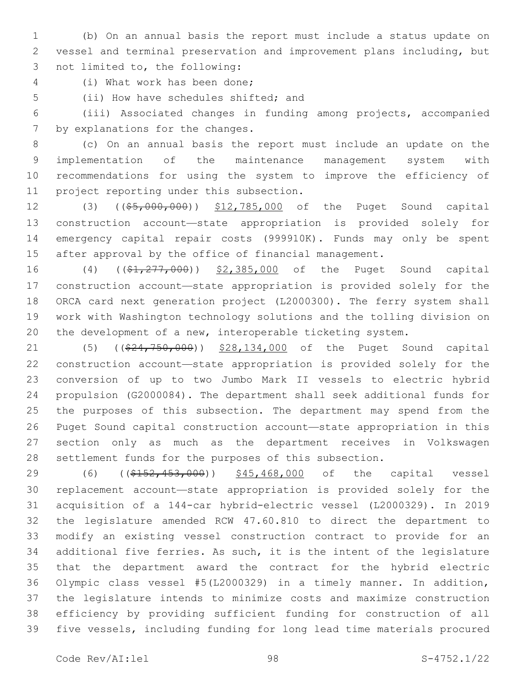(b) On an annual basis the report must include a status update on vessel and terminal preservation and improvement plans including, but 3 not limited to, the following:

(i) What work has been done;4

5 (ii) How have schedules shifted; and

 (iii) Associated changes in funding among projects, accompanied 7 by explanations for the changes.

 (c) On an annual basis the report must include an update on the implementation of the maintenance management system with recommendations for using the system to improve the efficiency of 11 project reporting under this subsection.

12 (3) ((\$5,000,000)) \$12,785,000 of the Puget Sound capital construction account—state appropriation is provided solely for emergency capital repair costs (999910K). Funds may only be spent after approval by the office of financial management.

16 (4) ((\$1,277,000)) \$2,385,000 of the Puget Sound capital construction account—state appropriation is provided solely for the ORCA card next generation project (L2000300). The ferry system shall work with Washington technology solutions and the tolling division on the development of a new, interoperable ticketing system.

21 (5) ((\$24,750,000)) \$28,134,000 of the Puget Sound capital construction account—state appropriation is provided solely for the conversion of up to two Jumbo Mark II vessels to electric hybrid propulsion (G2000084). The department shall seek additional funds for the purposes of this subsection. The department may spend from the Puget Sound capital construction account—state appropriation in this section only as much as the department receives in Volkswagen settlement funds for the purposes of this subsection.

29 (6) ((\$152,453,000)) \$45,468,000 of the capital vessel replacement account—state appropriation is provided solely for the acquisition of a 144-car hybrid-electric vessel (L2000329). In 2019 the legislature amended RCW 47.60.810 to direct the department to modify an existing vessel construction contract to provide for an additional five ferries. As such, it is the intent of the legislature that the department award the contract for the hybrid electric Olympic class vessel #5(L2000329) in a timely manner. In addition, the legislature intends to minimize costs and maximize construction efficiency by providing sufficient funding for construction of all five vessels, including funding for long lead time materials procured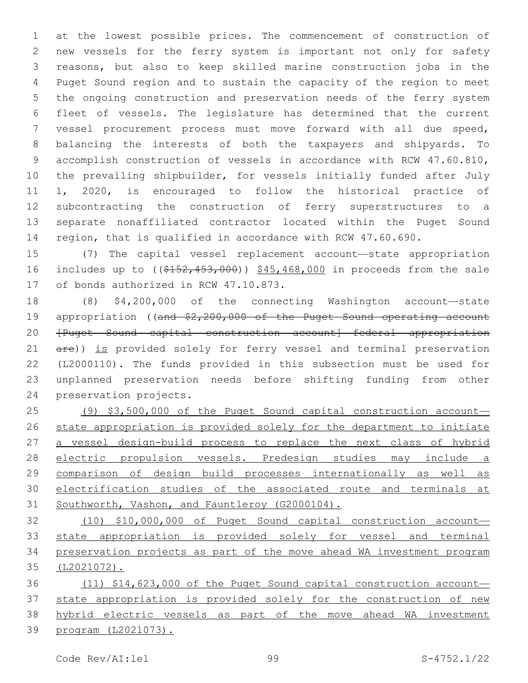at the lowest possible prices. The commencement of construction of new vessels for the ferry system is important not only for safety reasons, but also to keep skilled marine construction jobs in the Puget Sound region and to sustain the capacity of the region to meet the ongoing construction and preservation needs of the ferry system fleet of vessels. The legislature has determined that the current vessel procurement process must move forward with all due speed, balancing the interests of both the taxpayers and shipyards. To accomplish construction of vessels in accordance with RCW 47.60.810, the prevailing shipbuilder, for vessels initially funded after July 1, 2020, is encouraged to follow the historical practice of subcontracting the construction of ferry superstructures to a separate nonaffiliated contractor located within the Puget Sound region, that is qualified in accordance with RCW 47.60.690.

 (7) The capital vessel replacement account—state appropriation 16 includes up to ((\$152,453,000)) \$45,468,000 in proceeds from the sale 17 of bonds authorized in RCW 47.10.873.

 (8) \$4,200,000 of the connecting Washington account—state 19 appropriation ((and \$2,200,000 of the Puget Sound operating account 20 <del>[Puget Sound capital construction account]—federal appropriation</del> 21 are)) is provided solely for ferry vessel and terminal preservation (L2000110). The funds provided in this subsection must be used for unplanned preservation needs before shifting funding from other 24 preservation projects.

 (9) \$3,500,000 of the Puget Sound capital construction account— state appropriation is provided solely for the department to initiate 27 a vessel design-build process to replace the next class of hybrid electric propulsion vessels. Predesign studies may include a comparison of design build processes internationally as well as electrification studies of the associated route and terminals at 31 Southworth, Vashon, and Fauntleroy (G2000104).

 (10) \$10,000,000 of Puget Sound capital construction account— state appropriation is provided solely for vessel and terminal preservation projects as part of the move ahead WA investment program (L2021072).

 (11) \$14,623,000 of the Puget Sound capital construction account— 37 state appropriation is provided solely for the construction of new hybrid electric vessels as part of the move ahead WA investment program (L2021073).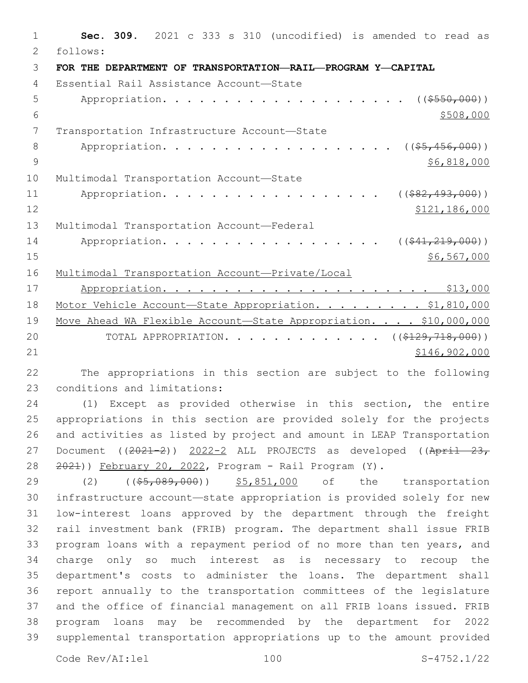1 **Sec. 309.** 2021 c 333 s 310 (uncodified) is amended to read as follows: 2 3 **FOR THE DEPARTMENT OF TRANSPORTATION—RAIL—PROGRAM Y—CAPITAL** Essential Rail Assistance Account—State4 5 Appropriation. . . . . . . . . . . . . . . . . . (  $(\frac{2550,000}{1})$  $\frac{$508,000}{ }$ 7 Transportation Infrastructure Account-State 8 Appropriation. . . . . . . . . . . . . . . . . (  $(\frac{25}{1000})$  )  $9 \div 56,818,000$ 10 Multimodal Transportation Account-State 11 Appropriation. . . . . . . . . . . . . . . . ((\$82,493,000)) 12 \$121,186,000 13 Multimodal Transportation Account-Federal 14 Appropriation. . . . . . . . . . . . . . . . ((\$41,219,000))  $15$  \$6,567,000 \$6,567,000 16 Multimodal Transportation Account—Private/Local 17 Appropriation. . . . . . . . . . . . . . . . . . . . . . \$13,000 18 Motor Vehicle Account-State Appropriation. . . . . . . . \$1,810,000 19 Move Ahead WA Flexible Account-State Appropriation. . . . \$10,000,000 20 TOTAL APPROPRIATION. . . . . . . . . . . . ((\$129,718,000)) 21 \$146,902,000

22 The appropriations in this section are subject to the following 23 conditions and limitations:

 (1) Except as provided otherwise in this section, the entire appropriations in this section are provided solely for the projects and activities as listed by project and amount in LEAP Transportation 27 Document ((2021-2)) 2022-2 ALL PROJECTS as developed ((April 23, 2021)) February 20, 2022, Program - Rail Program (Y).

29 (2) ((\$5,089,000)) \$5,851,000 of the transportation infrastructure account—state appropriation is provided solely for new low-interest loans approved by the department through the freight rail investment bank (FRIB) program. The department shall issue FRIB program loans with a repayment period of no more than ten years, and charge only so much interest as is necessary to recoup the department's costs to administer the loans. The department shall report annually to the transportation committees of the legislature and the office of financial management on all FRIB loans issued. FRIB program loans may be recommended by the department for 2022 supplemental transportation appropriations up to the amount provided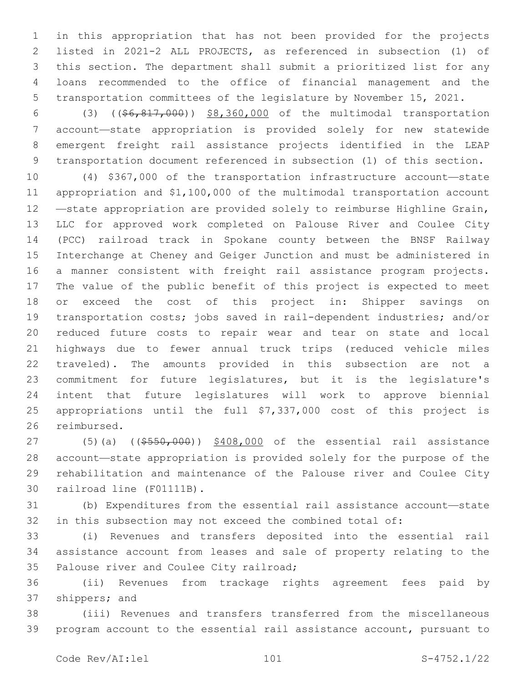in this appropriation that has not been provided for the projects listed in 2021-2 ALL PROJECTS, as referenced in subsection (1) of this section. The department shall submit a prioritized list for any loans recommended to the office of financial management and the transportation committees of the legislature by November 15, 2021.

 (3) ((\$6,817,000)) \$8,360,000 of the multimodal transportation account—state appropriation is provided solely for new statewide emergent freight rail assistance projects identified in the LEAP transportation document referenced in subsection (1) of this section.

 (4) \$367,000 of the transportation infrastructure account—state appropriation and \$1,100,000 of the multimodal transportation account —state appropriation are provided solely to reimburse Highline Grain, LLC for approved work completed on Palouse River and Coulee City (PCC) railroad track in Spokane county between the BNSF Railway Interchange at Cheney and Geiger Junction and must be administered in a manner consistent with freight rail assistance program projects. The value of the public benefit of this project is expected to meet or exceed the cost of this project in: Shipper savings on transportation costs; jobs saved in rail-dependent industries; and/or reduced future costs to repair wear and tear on state and local highways due to fewer annual truck trips (reduced vehicle miles traveled). The amounts provided in this subsection are not a commitment for future legislatures, but it is the legislature's intent that future legislatures will work to approve biennial appropriations until the full \$7,337,000 cost of this project is 26 reimbursed.

27 (5)(a) ((\$550,000)) \$408,000 of the essential rail assistance account—state appropriation is provided solely for the purpose of the rehabilitation and maintenance of the Palouse river and Coulee City 30 railroad line (F01111B).

 (b) Expenditures from the essential rail assistance account—state in this subsection may not exceed the combined total of:

 (i) Revenues and transfers deposited into the essential rail assistance account from leases and sale of property relating to the 35 Palouse river and Coulee City railroad;

 (ii) Revenues from trackage rights agreement fees paid by 37 shippers; and

 (iii) Revenues and transfers transferred from the miscellaneous program account to the essential rail assistance account, pursuant to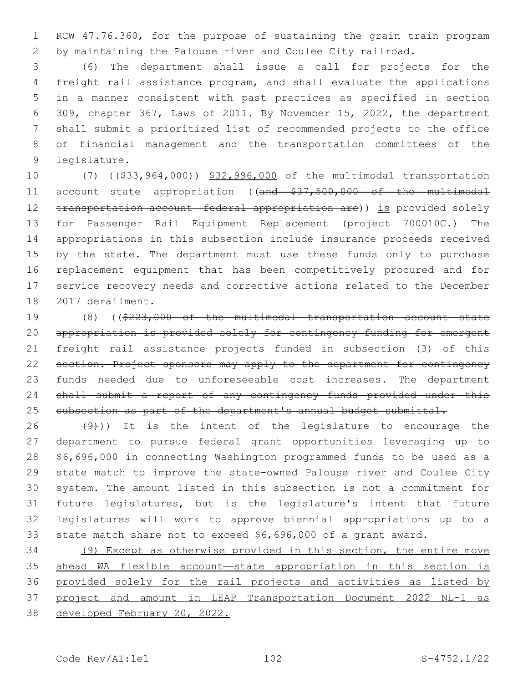RCW 47.76.360, for the purpose of sustaining the grain train program by maintaining the Palouse river and Coulee City railroad.

 (6) The department shall issue a call for projects for the freight rail assistance program, and shall evaluate the applications in a manner consistent with past practices as specified in section 309, chapter 367, Laws of 2011. By November 15, 2022, the department shall submit a prioritized list of recommended projects to the office of financial management and the transportation committees of the 9 legislature.

10 (7) ((\$33,964,000)) \$32,996,000 of the multimodal transportation 11 account-state appropriation ((and \$37,500,000 of the multimodal 12 transportation account—federal appropriation are)) is provided solely for Passenger Rail Equipment Replacement (project 700010C.) The appropriations in this subsection include insurance proceeds received 15 by the state. The department must use these funds only to purchase replacement equipment that has been competitively procured and for service recovery needs and corrective actions related to the December 18 2017 derailment.

 (8) ((\$223,000 of the multimodal transportation account—state 20 appropriation is provided solely for contingency funding for emergent freight rail assistance projects funded in subsection (3) of this 22 section. Project sponsors may apply to the department for contingency 23 funds needed due to unforeseeable cost increases. The department 24 shall submit a report of any contingency funds provided under this 25 subsection as part of the department's annual budget submittal.

 $(26 + 4)$ )) It is the intent of the legislature to encourage the department to pursue federal grant opportunities leveraging up to \$6,696,000 in connecting Washington programmed funds to be used as a state match to improve the state-owned Palouse river and Coulee City system. The amount listed in this subsection is not a commitment for future legislatures, but is the legislature's intent that future legislatures will work to approve biennial appropriations up to a state match share not to exceed \$6,696,000 of a grant award.

 (9) Except as otherwise provided in this section, the entire move ahead WA flexible account—state appropriation in this section is provided solely for the rail projects and activities as listed by project and amount in LEAP Transportation Document 2022 NL-1 as developed February 20, 2022.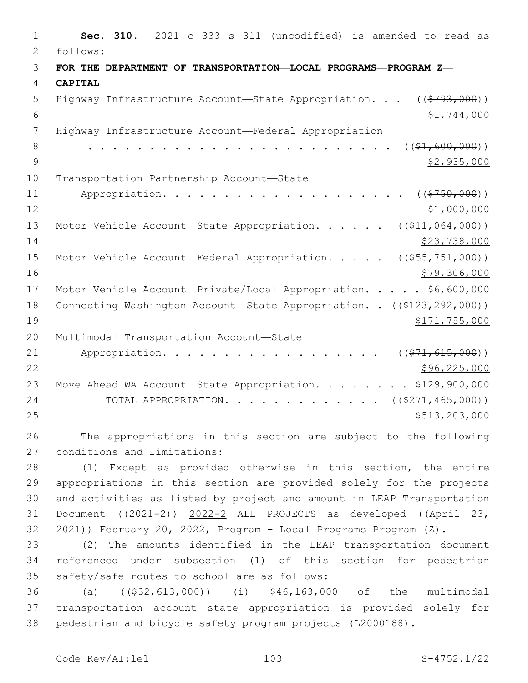| $\mathbf 1$    | 2021 c 333 s 311 (uncodified) is amended to read as<br>Sec. 310.                  |
|----------------|-----------------------------------------------------------------------------------|
| $\overline{2}$ | follows:                                                                          |
| 3              | FOR THE DEPARTMENT OF TRANSPORTATION-LOCAL PROGRAMS-PROGRAM Z-                    |
| 4              | <b>CAPITAL</b>                                                                    |
| 5              | Highway Infrastructure Account-State Appropriation.<br>(( <del>\$793,000</del> )) |
| 6              | \$1,744,000                                                                       |
| 7              | Highway Infrastructure Account-Federal Appropriation                              |
| 8              | $($ $(*1, 600, 000)$ )                                                            |
| $\mathcal{G}$  | \$2,935,000                                                                       |
| 10             | Transportation Partnership Account-State                                          |
| 11             | ( ( \$750,000) )<br>Appropriation.                                                |
| 12             | \$1,000,000                                                                       |
| 13             | $((\$11,064,000))$<br>Motor Vehicle Account-State Appropriation.                  |
| 14             | \$23,738,000                                                                      |
| 15             | Motor Vehicle Account-Federal Appropriation.<br>$((\$55,751,000))$                |
| 16             | \$79,306,000                                                                      |
| 17             | Motor Vehicle Account-Private/Local Appropriation. \$6,600,000                    |
| 18             | Connecting Washington Account-State Appropriation. . ((\$123,292,000))            |
| 19             | \$171,755,000                                                                     |
| 20             | Multimodal Transportation Account-State                                           |
| 21             | ( ( \$71, 615, 000) )<br>Appropriation.                                           |
| 22             | \$96,225,000                                                                      |
| 23             | Move Ahead WA Account-State Appropriation. \$129,900,000                          |
| 24             | $((\$271,465,000))$<br>TOTAL APPROPRIATION.                                       |
| 25             | \$513, 203, 000                                                                   |
| 26             | The appropriations in this section are subject to the following                   |

27 conditions and limitations:

 (1) Except as provided otherwise in this section, the entire appropriations in this section are provided solely for the projects and activities as listed by project and amount in LEAP Transportation 31 Document ((2021-2)) 2022-2 ALL PROJECTS as developed ((April 23, 32 <del>2021</del>)) February 20, 2022, Program - Local Programs Program (Z).

 (2) The amounts identified in the LEAP transportation document referenced under subsection (1) of this section for pedestrian 35 safety/safe routes to school are as follows:

36 (a) ((\$32,613,000)) (i) \$46,163,000 of the multimodal transportation account—state appropriation is provided solely for pedestrian and bicycle safety program projects (L2000188).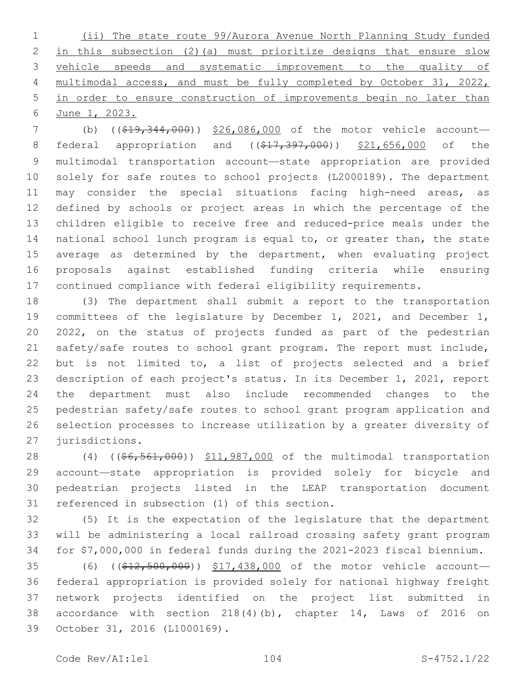(ii) The state route 99/Aurora Avenue North Planning Study funded in this subsection (2)(a) must prioritize designs that ensure slow vehicle speeds and systematic improvement to the quality of multimodal access, and must be fully completed by October 31, 2022, in order to ensure construction of improvements begin no later than June 1, 2023.

7 (b) ((\$19,344,000)) \$26,086,000 of the motor vehicle account-8 federal appropriation and ((\$17,397,000)) \$21,656,000 of the multimodal transportation account—state appropriation are provided solely for safe routes to school projects (L2000189). The department 11 may consider the special situations facing high-need areas, as defined by schools or project areas in which the percentage of the children eligible to receive free and reduced-price meals under the national school lunch program is equal to, or greater than, the state 15 average as determined by the department, when evaluating project proposals against established funding criteria while ensuring continued compliance with federal eligibility requirements.

 (3) The department shall submit a report to the transportation committees of the legislature by December 1, 2021, and December 1, 2022, on the status of projects funded as part of the pedestrian safety/safe routes to school grant program. The report must include, but is not limited to, a list of projects selected and a brief description of each project's status. In its December 1, 2021, report the department must also include recommended changes to the pedestrian safety/safe routes to school grant program application and selection processes to increase utilization by a greater diversity of 27 jurisdictions.

28 (4) ((\$6,561,000)) \$11,987,000 of the multimodal transportation account—state appropriation is provided solely for bicycle and pedestrian projects listed in the LEAP transportation document 31 referenced in subsection (1) of this section.

 (5) It is the expectation of the legislature that the department will be administering a local railroad crossing safety grant program for \$7,000,000 in federal funds during the 2021-2023 fiscal biennium.

35 (6) ((\$12,500,000)) \$17,438,000 of the motor vehicle account- federal appropriation is provided solely for national highway freight network projects identified on the project list submitted in accordance with section 218(4)(b), chapter 14, Laws of 2016 on 39 October 31, 2016 (L1000169).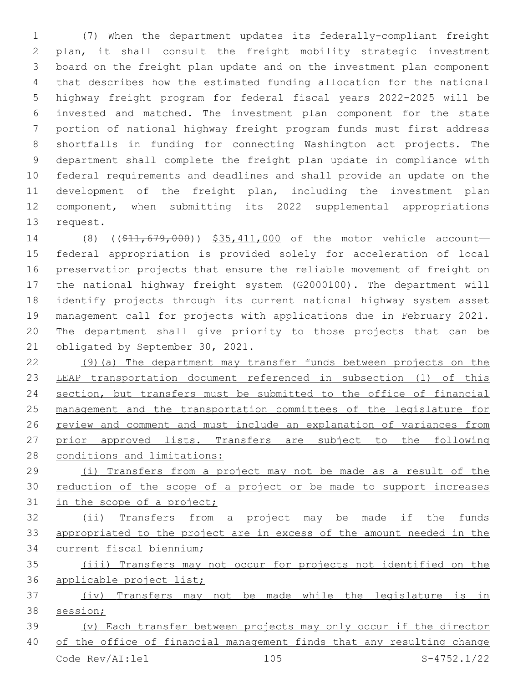(7) When the department updates its federally-compliant freight plan, it shall consult the freight mobility strategic investment board on the freight plan update and on the investment plan component that describes how the estimated funding allocation for the national highway freight program for federal fiscal years 2022-2025 will be invested and matched. The investment plan component for the state portion of national highway freight program funds must first address shortfalls in funding for connecting Washington act projects. The department shall complete the freight plan update in compliance with federal requirements and deadlines and shall provide an update on the development of the freight plan, including the investment plan component, when submitting its 2022 supplemental appropriations 13 request.

14 (8) ((\$11,679,000)) \$35,411,000 of the motor vehicle account- federal appropriation is provided solely for acceleration of local preservation projects that ensure the reliable movement of freight on the national highway freight system (G2000100). The department will identify projects through its current national highway system asset management call for projects with applications due in February 2021. The department shall give priority to those projects that can be 21 obligated by September 30, 2021.

 (9)(a) The department may transfer funds between projects on the LEAP transportation document referenced in subsection (1) of this 24 section, but transfers must be submitted to the office of financial management and the transportation committees of the legislature for review and comment and must include an explanation of variances from 27 prior approved lists. Transfers are subject to the following 28 conditions and limitations:

 (i) Transfers from a project may not be made as a result of the reduction of the scope of a project or be made to support increases in the scope of a project;

 (ii) Transfers from a project may be made if the funds appropriated to the project are in excess of the amount needed in the current fiscal biennium;

 (iii) Transfers may not occur for projects not identified on the applicable project list;

 (iv) Transfers may not be made while the legislature is in session;

 (v) Each transfer between projects may only occur if the director of the office of financial management finds that any resulting change Code Rev/AI:lel 105 S-4752.1/22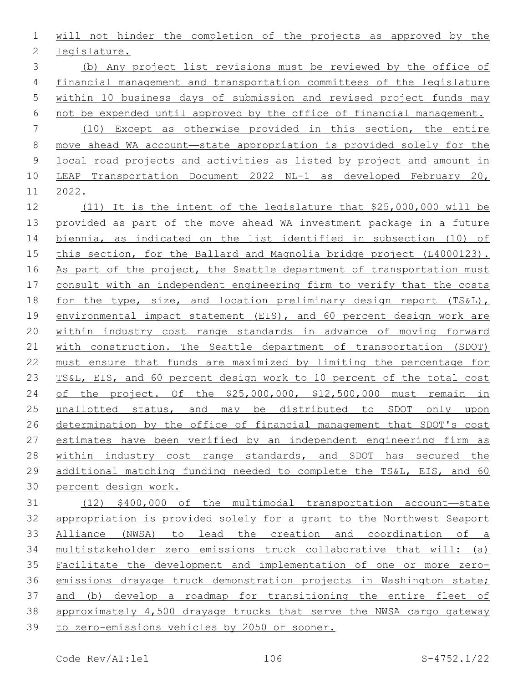will not hinder the completion of the projects as approved by the 2 legislature.

 (b) Any project list revisions must be reviewed by the office of financial management and transportation committees of the legislature within 10 business days of submission and revised project funds may not be expended until approved by the office of financial management. (10) Except as otherwise provided in this section, the entire move ahead WA account—state appropriation is provided solely for the local road projects and activities as listed by project and amount in LEAP Transportation Document 2022 NL-1 as developed February 20, 2022.

 (11) It is the intent of the legislature that \$25,000,000 will be provided as part of the move ahead WA investment package in a future biennia, as indicated on the list identified in subsection (10) of this section, for the Ballard and Magnolia bridge project (L4000123). 16 As part of the project, the Seattle department of transportation must consult with an independent engineering firm to verify that the costs 18 for the type, size, and location preliminary design report (TS&L), environmental impact statement (EIS), and 60 percent design work are within industry cost range standards in advance of moving forward with construction. The Seattle department of transportation (SDOT) must ensure that funds are maximized by limiting the percentage for TS&L, EIS, and 60 percent design work to 10 percent of the total cost of the project. Of the \$25,000,000, \$12,500,000 must remain in unallotted status, and may be distributed to SDOT only upon determination by the office of financial management that SDOT's cost estimates have been verified by an independent engineering firm as 28 within industry cost range standards, and SDOT has secured the additional matching funding needed to complete the TS&L, EIS, and 60 percent design work.

 (12) \$400,000 of the multimodal transportation account—state appropriation is provided solely for a grant to the Northwest Seaport Alliance (NWSA) to lead the creation and coordination of a multistakeholder zero emissions truck collaborative that will: (a) Facilitate the development and implementation of one or more zero- emissions drayage truck demonstration projects in Washington state; and (b) develop a roadmap for transitioning the entire fleet of approximately 4,500 drayage trucks that serve the NWSA cargo gateway to zero-emissions vehicles by 2050 or sooner.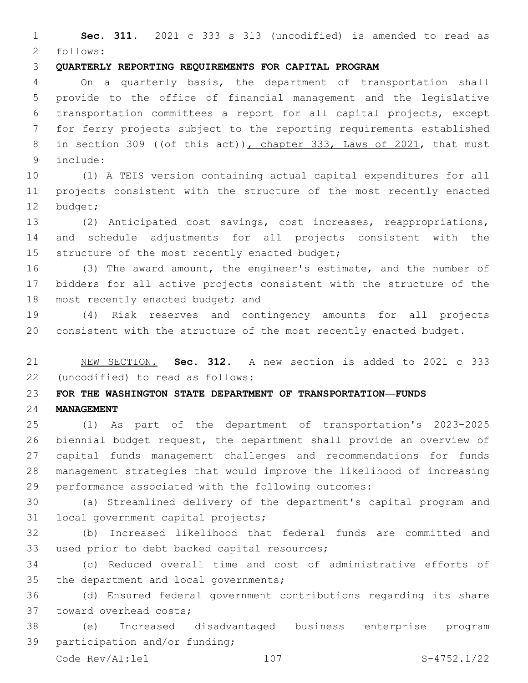**Sec. 311.** 2021 c 333 s 313 (uncodified) is amended to read as follows: 2

# **QUARTERLY REPORTING REQUIREMENTS FOR CAPITAL PROGRAM**

 On a quarterly basis, the department of transportation shall provide to the office of financial management and the legislative transportation committees a report for all capital projects, except for ferry projects subject to the reporting requirements established 8 in section 309 ((of this act)), chapter 333, Laws of 2021, that must include:9

 (1) A TEIS version containing actual capital expenditures for all projects consistent with the structure of the most recently enacted 12 budget;

 (2) Anticipated cost savings, cost increases, reappropriations, and schedule adjustments for all projects consistent with the 15 structure of the most recently enacted budget;

 (3) The award amount, the engineer's estimate, and the number of bidders for all active projects consistent with the structure of the 18 most recently enacted budget; and

 (4) Risk reserves and contingency amounts for all projects consistent with the structure of the most recently enacted budget.

 NEW SECTION. **Sec. 312.** A new section is added to 2021 c 333 (uncodified) to read as follows: 22

#### **FOR THE WASHINGTON STATE DEPARTMENT OF TRANSPORTATION—FUNDS**

# **MANAGEMENT**

 (1) As part of the department of transportation's 2023-2025 biennial budget request, the department shall provide an overview of capital funds management challenges and recommendations for funds management strategies that would improve the likelihood of increasing performance associated with the following outcomes:

 (a) Streamlined delivery of the department's capital program and 31 local government capital projects;

 (b) Increased likelihood that federal funds are committed and 33 used prior to debt backed capital resources;

 (c) Reduced overall time and cost of administrative efforts of 35 the department and local governments;

 (d) Ensured federal government contributions regarding its share 37 toward overhead costs;

 (e) Increased disadvantaged business enterprise program 39 participation and/or funding;

Code Rev/AI:lel 107 S-4752.1/22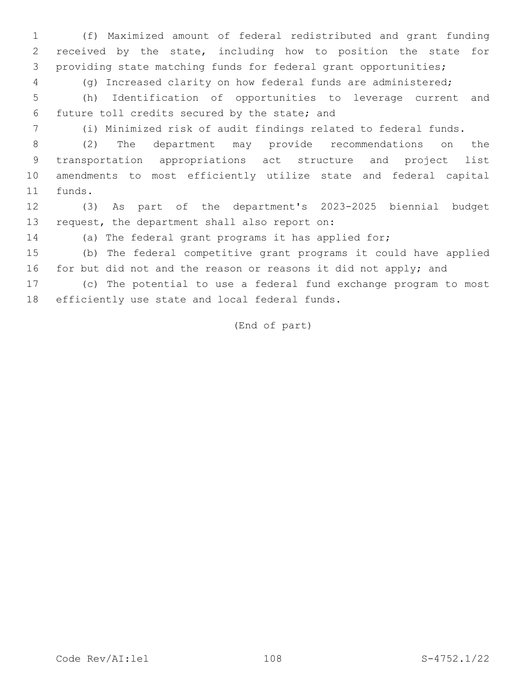(f) Maximized amount of federal redistributed and grant funding received by the state, including how to position the state for providing state matching funds for federal grant opportunities;

(g) Increased clarity on how federal funds are administered;

 (h) Identification of opportunities to leverage current and future toll credits secured by the state; and6

(i) Minimized risk of audit findings related to federal funds.

 (2) The department may provide recommendations on the transportation appropriations act structure and project list amendments to most efficiently utilize state and federal capital 11 funds.

 (3) As part of the department's 2023-2025 biennial budget 13 request, the department shall also report on:

(a) The federal grant programs it has applied for;

 (b) The federal competitive grant programs it could have applied 16 for but did not and the reason or reasons it did not apply; and

 (c) The potential to use a federal fund exchange program to most 18 efficiently use state and local federal funds.

(End of part)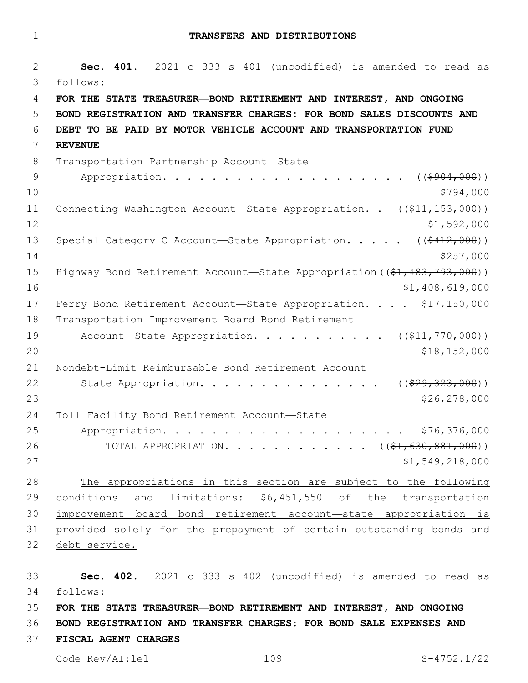**TRANSFERS AND DISTRIBUTIONS**

 **Sec. 401.** 2021 c 333 s 401 (uncodified) is amended to read as follows: 3 **FOR THE STATE TREASURER—BOND RETIREMENT AND INTEREST, AND ONGOING BOND REGISTRATION AND TRANSFER CHARGES: FOR BOND SALES DISCOUNTS AND DEBT TO BE PAID BY MOTOR VEHICLE ACCOUNT AND TRANSPORTATION FUND REVENUE** 8 Transportation Partnership Account-State 9 Appropriation. . . . . . . . . . . . . . . . . . ((\$904,000))  $\frac{$794,000}{ }$ 11 Connecting Washington Account—State Appropriation. . ((\$11,153,000)) \$1,592,000 13 Special Category C Account—State Appropriation. . . . ((\$412,000))  $\frac{$257,000}{}$ 15 Highway Bond Retirement Account—State Appropriation ((\$1,483,793,000))  $$1,408,619,000$ 17 Ferry Bond Retirement Account-State Appropriation. . . . \$17,150,000 18 Transportation Improvement Board Bond Retirement 19 Account—State Appropriation. . . . . . . . . . ((\$11,770,000)) \$18,152,000 Nondebt-Limit Reimbursable Bond Retirement Account— 22 State Appropriation. . . . . . . . . . . . . . ((\$29,323,000)) \$26,278,000 24 Toll Facility Bond Retirement Account-State Appropriation. . . . . . . . . . . . . . . . . . . . \$76,376,000 26 TOTAL APPROPRIATION. . . . . . . . . . . ((\$1,630,881,000))  $51,549,218,000$  The appropriations in this section are subject to the following conditions and limitations: \$6,451,550 of the transportation improvement board bond retirement account—state appropriation is provided solely for the prepayment of certain outstanding bonds and 32 debt service.

 **Sec. 402.** 2021 c 333 s 402 (uncodified) is amended to read as follows: 34 **FOR THE STATE TREASURER—BOND RETIREMENT AND INTEREST, AND ONGOING** 

**BOND REGISTRATION AND TRANSFER CHARGES: FOR BOND SALE EXPENSES AND** 

**FISCAL AGENT CHARGES**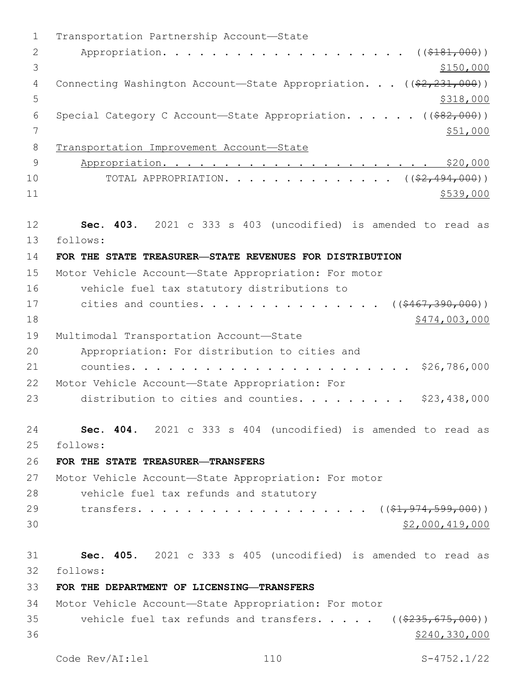1 Transportation Partnership Account-State 2 Appropriation. . . . . . . . . . . . . . . . . . (  $(\frac{2181,000}{1})$  $3 \frac{$150,000}{ }$ 4 Connecting Washington Account—State Appropriation. . . ((\$2,231,000))  $5 - 5$ 6 Special Category C Account-State Appropriation. . . . . ((\$82,000)) 7 \$51,000 8 Transportation Improvement Account—State 9 Appropriation. . . . . . . . . . . . . . . . . . . . . . \$20,000 10 TOTAL APPROPRIATION. . . . . . . . . . . . . ((<del>\$2,494,000</del>))  $11$  \$539,000 12 **Sec. 403.** 2021 c 333 s 403 (uncodified) is amended to read as follows: 13 14 **FOR THE STATE TREASURER—STATE REVENUES FOR DISTRIBUTION** 15 Motor Vehicle Account—State Appropriation: For motor 16 vehicle fuel tax statutory distributions to 17 cities and counties. . . . . . . . . . . . . . ((\$467,390,000)) 18 \$474,003,000 19 Multimodal Transportation Account-State 20 Appropriation: For distribution to cities and 21 counties. . . . . . . . . . . . . . . . . . . . . . . \$26,786,000 22 Motor Vehicle Account-State Appropriation: For 23 distribution to cities and counties. . . . . . . . \$23,438,000 24 **Sec. 404.** 2021 c 333 s 404 (uncodified) is amended to read as follows: 25 26 **FOR THE STATE TREASURER—TRANSFERS** 27 Motor Vehicle Account—State Appropriation: For motor 28 vehicle fuel tax refunds and statutory 29 transfers. . . . . . . . . . . . . . . . . ((\$1,974,599,000))  $30$  \$2,000,419,000 31 **Sec. 405.** 2021 c 333 s 405 (uncodified) is amended to read as follows: 32 33 **FOR THE DEPARTMENT OF LICENSING—TRANSFERS** 34 Motor Vehicle Account—State Appropriation: For motor 35 vehicle fuel tax refunds and transfers. . . . . ((\$235,675,000))  $36$  \$240,330,000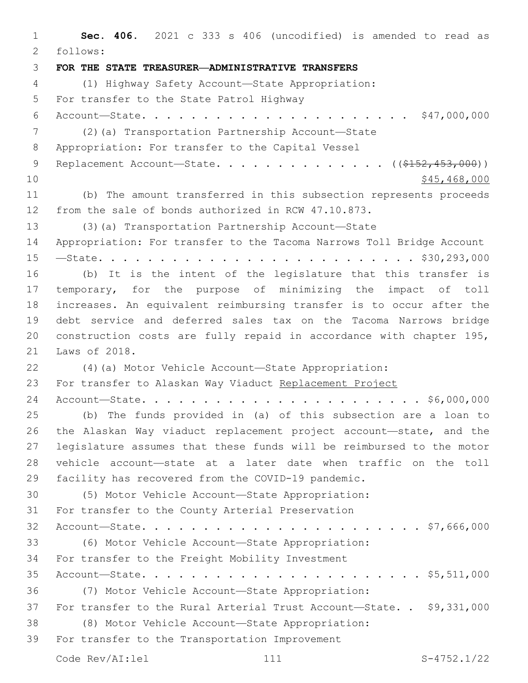**Sec. 406.** 2021 c 333 s 406 (uncodified) is amended to read as follows: 2 **FOR THE STATE TREASURER—ADMINISTRATIVE TRANSFERS** (1) Highway Safety Account—State Appropriation: 5 For transfer to the State Patrol Highway Account—State. . . . . . . . . . . . . . . . . . . . . . \$47,000,000 (2)(a) Transportation Partnership Account—State 8 Appropriation: For transfer to the Capital Vessel 9 Replacement Account—State. . . . . . . . . . . . . ((\$152,453,000))  $10 \hspace{1.5cm}$  \$45,468,000 (b) The amount transferred in this subsection represents proceeds from the sale of bonds authorized in RCW 47.10.873. (3)(a) Transportation Partnership Account—State Appropriation: For transfer to the Tacoma Narrows Toll Bridge Account —State. . . . . . . . . . . . . . . . . . . . . . . . . . \$30,293,000 (b) It is the intent of the legislature that this transfer is temporary, for the purpose of minimizing the impact of toll increases. An equivalent reimbursing transfer is to occur after the debt service and deferred sales tax on the Tacoma Narrows bridge construction costs are fully repaid in accordance with chapter 195, 21 Laws of 2018. (4)(a) Motor Vehicle Account—State Appropriation: For transfer to Alaskan Way Viaduct Replacement Project Account—State. . . . . . . . . . . . . . . . . . . . . . . \$6,000,000 (b) The funds provided in (a) of this subsection are a loan to the Alaskan Way viaduct replacement project account—state, and the legislature assumes that these funds will be reimbursed to the motor vehicle account—state at a later date when traffic on the toll facility has recovered from the COVID-19 pandemic. (5) Motor Vehicle Account—State Appropriation: 31 For transfer to the County Arterial Preservation Account—State. . . . . . . . . . . . . . . . . . . . . . . \$7,666,000 (6) Motor Vehicle Account—State Appropriation: 34 For transfer to the Freight Mobility Investment Account—State. . . . . . . . . . . . . . . . . . . . . . . \$5,511,000 (7) Motor Vehicle Account—State Appropriation: For transfer to the Rural Arterial Trust Account—State. . \$9,331,000 (8) Motor Vehicle Account—State Appropriation: 39 For transfer to the Transportation Improvement Code Rev/AI:lel 111 S-4752.1/22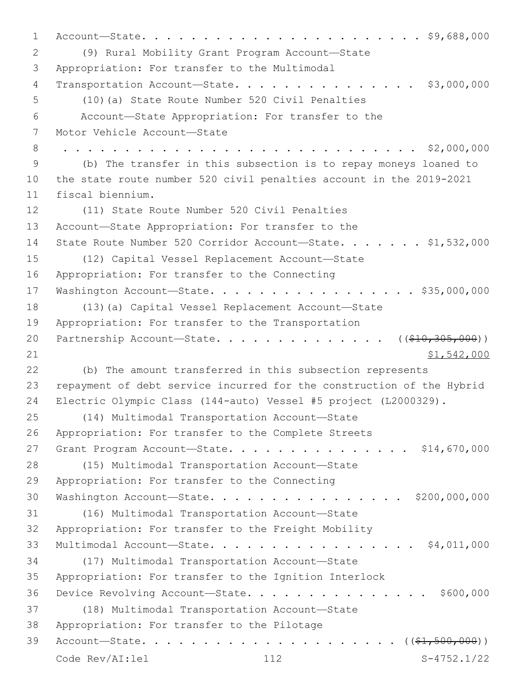1 Account—State. . . . . . . . . . . . . . . . . . . . . . . \$9,688,000 (9) Rural Mobility Grant Program Account—State2 3 Appropriation: For transfer to the Multimodal 4 Transportation Account—State. . . . . . . . . . . . . . . \$3,000,000 (10)(a) State Route Number 520 Civil Penalties5 6 Account—State Appropriation: For transfer to the 7 Motor Vehicle Account-State 8 . . . . . . . . . . . . . . . . . . . . . . . . . . . . . \$2,000,000 9 (b) The transfer in this subsection is to repay moneys loaned to 10 the state route number 520 civil penalties account in the 2019-2021 11 fiscal biennium. 12 (11) State Route Number 520 Civil Penalties 13 Account—State Appropriation: For transfer to the 14 State Route Number 520 Corridor Account-State. . . . . . \$1,532,000 (12) Capital Vessel Replacement Account—State15 16 Appropriation: For transfer to the Connecting 17 Washington Account—State. . . . . . . . . . . . . . . . . \$35,000,000 18 (13)(a) Capital Vessel Replacement Account—State 19 Appropriation: For transfer to the Transportation 20 Partnership Account—State. . . . . . . . . . . . . ((\$10,305,000))  $21$  \$1,542,000 22 (b) The amount transferred in this subsection represents 23 repayment of debt service incurred for the construction of the Hybrid 24 Electric Olympic Class (144-auto) Vessel #5 project (L2000329). (14) Multimodal Transportation Account—State25 26 Appropriation: For transfer to the Complete Streets 27 Grant Program Account—State. . . . . . . . . . . . . . \$14,670,000 28 (15) Multimodal Transportation Account-State 29 Appropriation: For transfer to the Connecting 30 Washington Account—State. . . . . . . . . . . . . . . . \$200,000,000 (16) Multimodal Transportation Account—State31 32 Appropriation: For transfer to the Freight Mobility 33 Multimodal Account—State. . . . . . . . . . . . . . . . . \$4,011,000 (17) Multimodal Transportation Account—State34 35 Appropriation: For transfer to the Ignition Interlock 36 Device Revolving Account—State. . . . . . . . . . . . . . . \$600,000 (18) Multimodal Transportation Account—State37 38 Appropriation: For transfer to the Pilotage 39 Account—State. . . . . . . . . . . . . . . . . . . . . ((\$1,500,000)) Code Rev/AI:lel 112 S-4752.1/22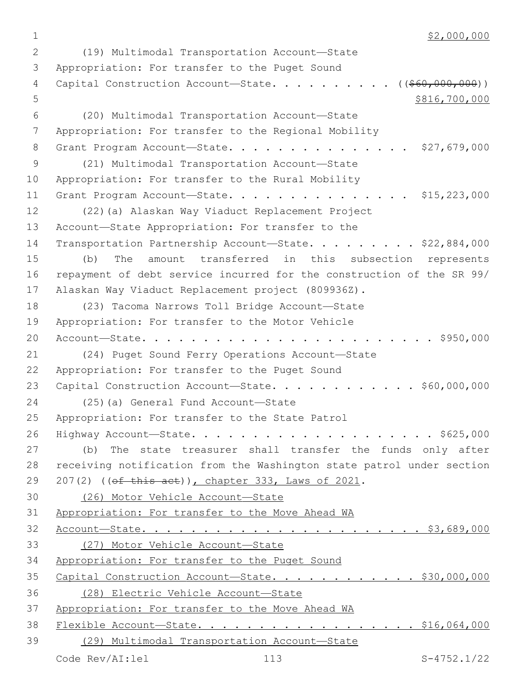$1$  \$2,000,000

(19) Multimodal Transportation Account—State2 3 Appropriation: For transfer to the Puget Sound 4 Capital Construction Account—State. . . . . . . . . ((<del>\$60,000,000</del>))  $5 \times 816,700,000$ (20) Multimodal Transportation Account—State6 7 Appropriation: For transfer to the Regional Mobility 8 Grant Program Account-State. . . . . . . . . . . . . . \$27,679,000 (21) Multimodal Transportation Account—State9 10 Appropriation: For transfer to the Rural Mobility 11 Grant Program Account—State. . . . . . . . . . . . . . . \$15,223,000 12 (22)(a) Alaskan Way Viaduct Replacement Project 13 Account-State Appropriation: For transfer to the 14 Transportation Partnership Account—State. . . . . . . . \$22,884,000 15 (b) The amount transferred in this subsection represents 16 repayment of debt service incurred for the construction of the SR 99/ 17 Alaskan Way Viaduct Replacement project (809936Z). 18 (23) Tacoma Narrows Toll Bridge Account-State 19 Appropriation: For transfer to the Motor Vehicle 20 Account—State. . . . . . . . . . . . . . . . . . . . . . . . \$950,000 21 (24) Puget Sound Ferry Operations Account—State 22 Appropriation: For transfer to the Puget Sound 23 Capital Construction Account—State. . . . . . . . . . . \$60,000,000 24 (25)(a) General Fund Account—State 25 Appropriation: For transfer to the State Patrol 26 Highway Account—State. . . . . . . . . . . . . . . . . . . . \$625,000 27 (b) The state treasurer shall transfer the funds only after 28 receiving notification from the Washington state patrol under section 29 207(2) ((of this act)), chapter 333, Laws of 2021. 30 (26) Motor Vehicle Account—State 31 Appropriation: For transfer to the Move Ahead WA 32 Account—State. . . . . . . . . . . . . . . . . . . . . . . \$3,689,000 33 (27) Motor Vehicle Account—State 34 Appropriation: For transfer to the Puget Sound 35 Capital Construction Account—State. . . . . . . . . . . . \$30,000,000 36 (28) Electric Vehicle Account—State 37 Appropriation: For transfer to the Move Ahead WA 38 Flexible Account—State. . . . . . . . . . . . . . . . . . \$16,064,000 39 (29) Multimodal Transportation Account—State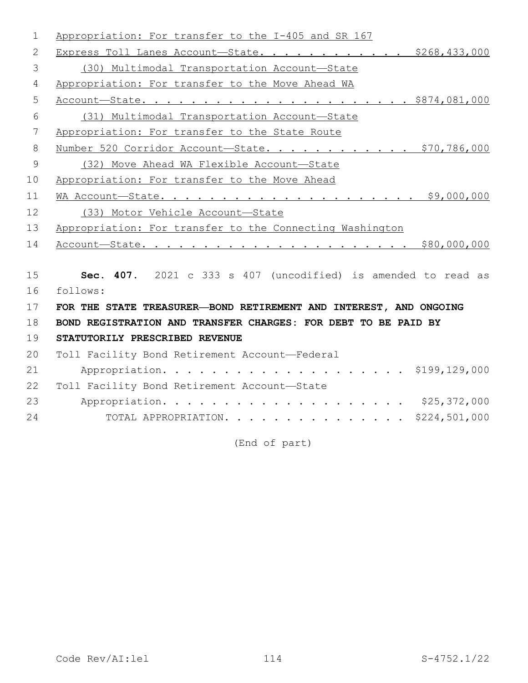| 1              | Appropriation: For transfer to the I-405 and SR 167               |
|----------------|-------------------------------------------------------------------|
| 2              | Express Toll Lanes Account-State. \$268,433,000                   |
| 3              | (30) Multimodal Transportation Account-State                      |
| 4              | Appropriation: For transfer to the Move Ahead WA                  |
| 5              |                                                                   |
| 6              | (31) Multimodal Transportation Account-State                      |
| 7              | Appropriation: For transfer to the State Route                    |
| 8              | Number 520 Corridor Account-State. \$70,786,000                   |
| $\overline{9}$ | (32) Move Ahead WA Flexible Account-State                         |
| 10             | Appropriation: For transfer to the Move Ahead                     |
| 11             |                                                                   |
| 12             | (33) Motor Vehicle Account-State                                  |
| 13             | Appropriation: For transfer to the Connecting Washington          |
| 14             |                                                                   |
|                |                                                                   |
|                |                                                                   |
| 15             | Sec. 407. 2021 c 333 s 407 (uncodified) is amended to read as     |
| 16             | follows:                                                          |
| 17             | FOR THE STATE TREASURER-BOND RETIREMENT AND INTEREST, AND ONGOING |
| 18             | BOND REGISTRATION AND TRANSFER CHARGES: FOR DEBT TO BE PAID BY    |
| 19             | STATUTORILY PRESCRIBED REVENUE                                    |
| 20             | Toll Facility Bond Retirement Account-Federal                     |
| 21             |                                                                   |
| 22             | Toll Facility Bond Retirement Account-State                       |
| 23<br>24       | TOTAL APPROPRIATION. \$224,501,000                                |

(End of part)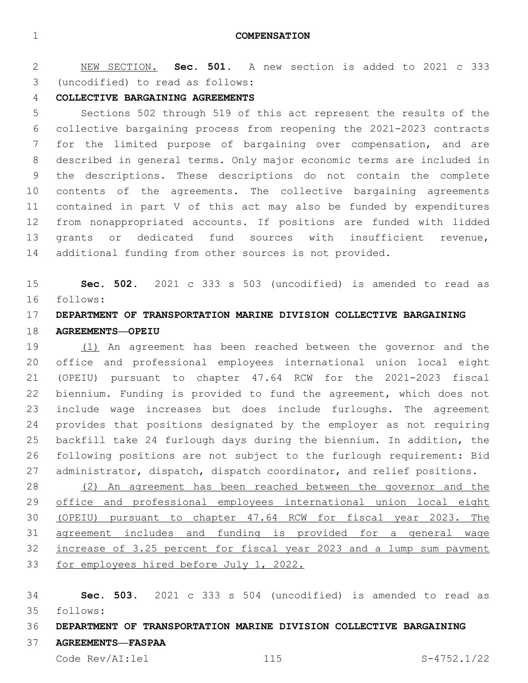**COMPENSATION**

 NEW SECTION. **Sec. 501.** A new section is added to 2021 c 333 (uncodified) to read as follows: 3

## **COLLECTIVE BARGAINING AGREEMENTS**

 Sections 502 through 519 of this act represent the results of the collective bargaining process from reopening the 2021-2023 contracts for the limited purpose of bargaining over compensation, and are described in general terms. Only major economic terms are included in the descriptions. These descriptions do not contain the complete contents of the agreements. The collective bargaining agreements contained in part V of this act may also be funded by expenditures from nonappropriated accounts. If positions are funded with lidded grants or dedicated fund sources with insufficient revenue, additional funding from other sources is not provided.

 **Sec. 502.** 2021 c 333 s 503 (uncodified) is amended to read as follows: 16

# **DEPARTMENT OF TRANSPORTATION MARINE DIVISION COLLECTIVE BARGAINING AGREEMENTS—OPEIU**

 (1) An agreement has been reached between the governor and the office and professional employees international union local eight (OPEIU) pursuant to chapter 47.64 RCW for the 2021-2023 fiscal biennium. Funding is provided to fund the agreement, which does not include wage increases but does include furloughs. The agreement provides that positions designated by the employer as not requiring backfill take 24 furlough days during the biennium. In addition, the following positions are not subject to the furlough requirement: Bid administrator, dispatch, dispatch coordinator, and relief positions.

 (2) An agreement has been reached between the governor and the office and professional employees international union local eight (OPEIU) pursuant to chapter 47.64 RCW for fiscal year 2023. The agreement includes and funding is provided for a general wage increase of 3.25 percent for fiscal year 2023 and a lump sum payment 33 for employees hired before July 1, 2022.

 **Sec. 503.** 2021 c 333 s 504 (uncodified) is amended to read as follows: 35

## **DEPARTMENT OF TRANSPORTATION MARINE DIVISION COLLECTIVE BARGAINING**

#### **AGREEMENTS—FASPAA**

Code Rev/AI:lel 115 S-4752.1/22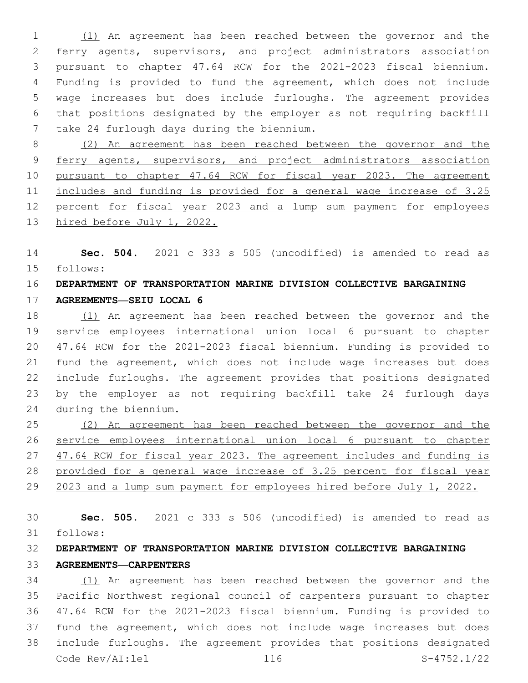(1) An agreement has been reached between the governor and the ferry agents, supervisors, and project administrators association pursuant to chapter 47.64 RCW for the 2021-2023 fiscal biennium. Funding is provided to fund the agreement, which does not include wage increases but does include furloughs. The agreement provides that positions designated by the employer as not requiring backfill 7 take 24 furlough days during the biennium.

 (2) An agreement has been reached between the governor and the 9 ferry agents, supervisors, and project administrators association pursuant to chapter 47.64 RCW for fiscal year 2023. The agreement 11 includes and funding is provided for a general wage increase of 3.25 percent for fiscal year 2023 and a lump sum payment for employees hired before July 1, 2022.

 **Sec. 504.** 2021 c 333 s 505 (uncodified) is amended to read as follows: 15

## **DEPARTMENT OF TRANSPORTATION MARINE DIVISION COLLECTIVE BARGAINING**

**AGREEMENTS—SEIU LOCAL 6**

 (1) An agreement has been reached between the governor and the service employees international union local 6 pursuant to chapter 47.64 RCW for the 2021-2023 fiscal biennium. Funding is provided to fund the agreement, which does not include wage increases but does include furloughs. The agreement provides that positions designated by the employer as not requiring backfill take 24 furlough days during the biennium.24

 (2) An agreement has been reached between the governor and the service employees international union local 6 pursuant to chapter 47.64 RCW for fiscal year 2023. The agreement includes and funding is 28 provided for a general wage increase of 3.25 percent for fiscal year 2023 and a lump sum payment for employees hired before July 1, 2022.

 **Sec. 505.** 2021 c 333 s 506 (uncodified) is amended to read as follows: 31

# **DEPARTMENT OF TRANSPORTATION MARINE DIVISION COLLECTIVE BARGAINING AGREEMENTS—CARPENTERS**

 (1) An agreement has been reached between the governor and the Pacific Northwest regional council of carpenters pursuant to chapter 47.64 RCW for the 2021-2023 fiscal biennium. Funding is provided to fund the agreement, which does not include wage increases but does include furloughs. The agreement provides that positions designated Code Rev/AI:lel 116 S-4752.1/22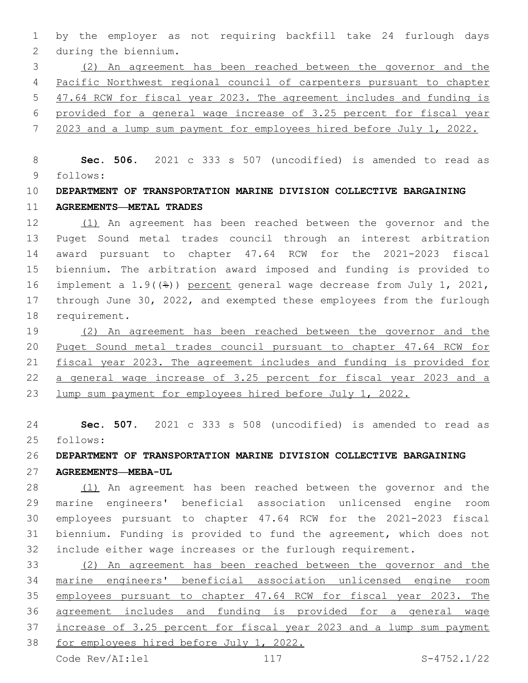by the employer as not requiring backfill take 24 furlough days 2 during the biennium.

 (2) An agreement has been reached between the governor and the Pacific Northwest regional council of carpenters pursuant to chapter 47.64 RCW for fiscal year 2023. The agreement includes and funding is provided for a general wage increase of 3.25 percent for fiscal year

2023 and a lump sum payment for employees hired before July 1, 2022.

 **Sec. 506.** 2021 c 333 s 507 (uncodified) is amended to read as follows: 9

# **DEPARTMENT OF TRANSPORTATION MARINE DIVISION COLLECTIVE BARGAINING AGREEMENTS—METAL TRADES**

 (1) An agreement has been reached between the governor and the Puget Sound metal trades council through an interest arbitration award pursuant to chapter 47.64 RCW for the 2021-2023 fiscal biennium. The arbitration award imposed and funding is provided to implement a 1.9((%)) percent general wage decrease from July 1, 2021, through June 30, 2022, and exempted these employees from the furlough 18 requirement.

 (2) An agreement has been reached between the governor and the Puget Sound metal trades council pursuant to chapter 47.64 RCW for fiscal year 2023. The agreement includes and funding is provided for a general wage increase of 3.25 percent for fiscal year 2023 and a lump sum payment for employees hired before July 1, 2022.

 **Sec. 507.** 2021 c 333 s 508 (uncodified) is amended to read as follows: 25

### **DEPARTMENT OF TRANSPORTATION MARINE DIVISION COLLECTIVE BARGAINING**

**AGREEMENTS—MEBA-UL**

28 (1) An agreement has been reached between the governor and the marine engineers' beneficial association unlicensed engine room employees pursuant to chapter 47.64 RCW for the 2021-2023 fiscal biennium. Funding is provided to fund the agreement, which does not include either wage increases or the furlough requirement.

 (2) An agreement has been reached between the governor and the marine engineers' beneficial association unlicensed engine room employees pursuant to chapter 47.64 RCW for fiscal year 2023. The agreement includes and funding is provided for a general wage increase of 3.25 percent for fiscal year 2023 and a lump sum payment for employees hired before July 1, 2022.

Code Rev/AI:lel 117 S-4752.1/22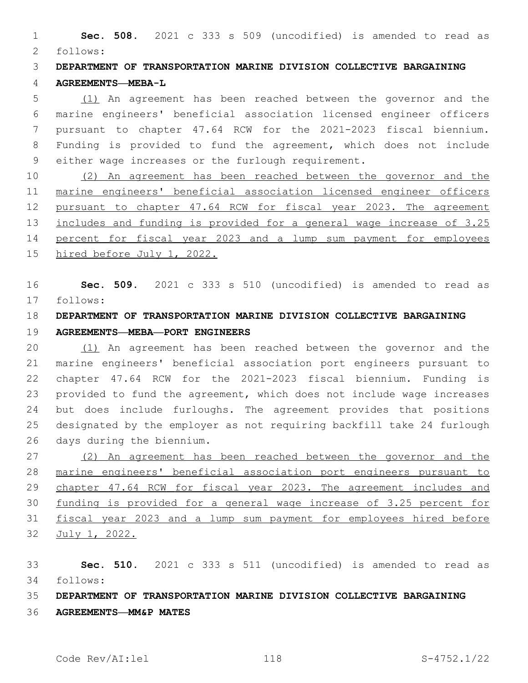**Sec. 508.** 2021 c 333 s 509 (uncodified) is amended to read as follows: 2

 **DEPARTMENT OF TRANSPORTATION MARINE DIVISION COLLECTIVE BARGAINING AGREEMENTS—MEBA-L**

 (1) An agreement has been reached between the governor and the marine engineers' beneficial association licensed engineer officers pursuant to chapter 47.64 RCW for the 2021-2023 fiscal biennium. Funding is provided to fund the agreement, which does not include 9 either wage increases or the furlough requirement.

 (2) An agreement has been reached between the governor and the marine engineers' beneficial association licensed engineer officers pursuant to chapter 47.64 RCW for fiscal year 2023. The agreement includes and funding is provided for a general wage increase of 3.25 percent for fiscal year 2023 and a lump sum payment for employees hired before July 1, 2022.

 **Sec. 509.** 2021 c 333 s 510 (uncodified) is amended to read as follows: 17

# **DEPARTMENT OF TRANSPORTATION MARINE DIVISION COLLECTIVE BARGAINING**

## **AGREEMENTS—MEBA—PORT ENGINEERS**

 (1) An agreement has been reached between the governor and the marine engineers' beneficial association port engineers pursuant to chapter 47.64 RCW for the 2021-2023 fiscal biennium. Funding is provided to fund the agreement, which does not include wage increases but does include furloughs. The agreement provides that positions designated by the employer as not requiring backfill take 24 furlough 26 days during the biennium.

 (2) An agreement has been reached between the governor and the marine engineers' beneficial association port engineers pursuant to chapter 47.64 RCW for fiscal year 2023. The agreement includes and funding is provided for a general wage increase of 3.25 percent for fiscal year 2023 and a lump sum payment for employees hired before July 1, 2022.

 **Sec. 510.** 2021 c 333 s 511 (uncodified) is amended to read as follows: 34

## **DEPARTMENT OF TRANSPORTATION MARINE DIVISION COLLECTIVE BARGAINING**

**AGREEMENTS—MM&P MATES**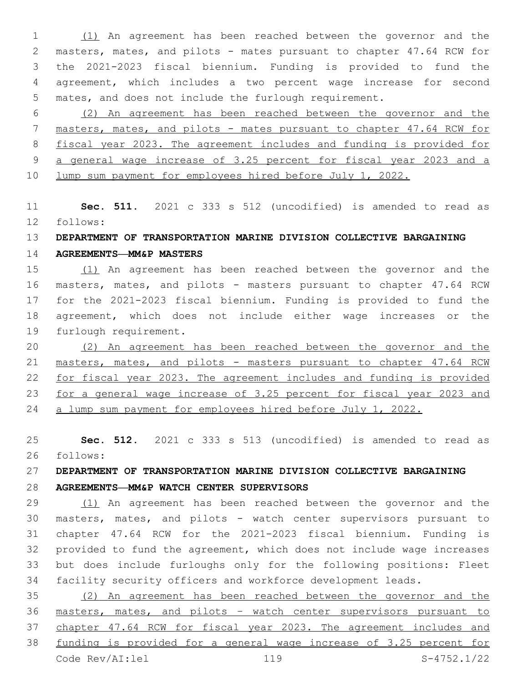(1) An agreement has been reached between the governor and the masters, mates, and pilots - mates pursuant to chapter 47.64 RCW for the 2021-2023 fiscal biennium. Funding is provided to fund the agreement, which includes a two percent wage increase for second mates, and does not include the furlough requirement.

 (2) An agreement has been reached between the governor and the masters, mates, and pilots - mates pursuant to chapter 47.64 RCW for fiscal year 2023. The agreement includes and funding is provided for a general wage increase of 3.25 percent for fiscal year 2023 and a lump sum payment for employees hired before July 1, 2022.

 **Sec. 511.** 2021 c 333 s 512 (uncodified) is amended to read as follows: 12

### **DEPARTMENT OF TRANSPORTATION MARINE DIVISION COLLECTIVE BARGAINING**

**AGREEMENTS—MM&P MASTERS**

 (1) An agreement has been reached between the governor and the masters, mates, and pilots - masters pursuant to chapter 47.64 RCW for the 2021-2023 fiscal biennium. Funding is provided to fund the agreement, which does not include either wage increases or the 19 furlough requirement.

 (2) An agreement has been reached between the governor and the masters, mates, and pilots - masters pursuant to chapter 47.64 RCW for fiscal year 2023. The agreement includes and funding is provided for a general wage increase of 3.25 percent for fiscal year 2023 and a lump sum payment for employees hired before July 1, 2022.

 **Sec. 512.** 2021 c 333 s 513 (uncodified) is amended to read as follows: 26

# **DEPARTMENT OF TRANSPORTATION MARINE DIVISION COLLECTIVE BARGAINING**

**AGREEMENTS—MM&P WATCH CENTER SUPERVISORS**

 (1) An agreement has been reached between the governor and the masters, mates, and pilots - watch center supervisors pursuant to chapter 47.64 RCW for the 2021-2023 fiscal biennium. Funding is provided to fund the agreement, which does not include wage increases but does include furloughs only for the following positions: Fleet facility security officers and workforce development leads.

 (2) An agreement has been reached between the governor and the masters, mates, and pilots – watch center supervisors pursuant to chapter 47.64 RCW for fiscal year 2023. The agreement includes and funding is provided for a general wage increase of 3.25 percent for Code Rev/AI:lel 119 S-4752.1/22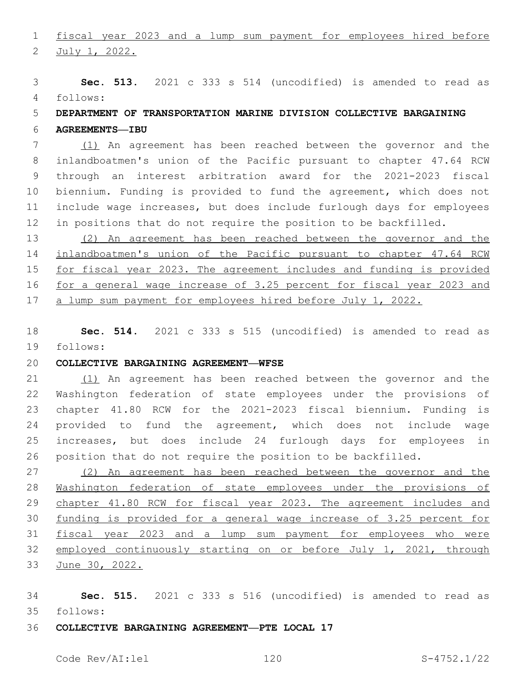fiscal year 2023 and a lump sum payment for employees hired before

2 July 1, 2022.

 **Sec. 513.** 2021 c 333 s 514 (uncodified) is amended to read as follows: 4

# **DEPARTMENT OF TRANSPORTATION MARINE DIVISION COLLECTIVE BARGAINING**

**AGREEMENTS—IBU**

 (1) An agreement has been reached between the governor and the inlandboatmen's union of the Pacific pursuant to chapter 47.64 RCW through an interest arbitration award for the 2021-2023 fiscal biennium. Funding is provided to fund the agreement, which does not include wage increases, but does include furlough days for employees in positions that do not require the position to be backfilled.

 (2) An agreement has been reached between the governor and the inlandboatmen's union of the Pacific pursuant to chapter 47.64 RCW for fiscal year 2023. The agreement includes and funding is provided for a general wage increase of 3.25 percent for fiscal year 2023 and 17 a lump sum payment for employees hired before July 1, 2022.

 **Sec. 514.** 2021 c 333 s 515 (uncodified) is amended to read as 19 follows:

#### **COLLECTIVE BARGAINING AGREEMENT—WFSE**

 (1) An agreement has been reached between the governor and the Washington federation of state employees under the provisions of chapter 41.80 RCW for the 2021-2023 fiscal biennium. Funding is provided to fund the agreement, which does not include wage increases, but does include 24 furlough days for employees in position that do not require the position to be backfilled.

 (2) An agreement has been reached between the governor and the Washington federation of state employees under the provisions of 29 chapter 41.80 RCW for fiscal year 2023. The agreement includes and funding is provided for a general wage increase of 3.25 percent for fiscal year 2023 and a lump sum payment for employees who were employed continuously starting on or before July 1, 2021, through June 30, 2022.

 **Sec. 515.** 2021 c 333 s 516 (uncodified) is amended to read as follows: 35

#### **COLLECTIVE BARGAINING AGREEMENT—PTE LOCAL 17**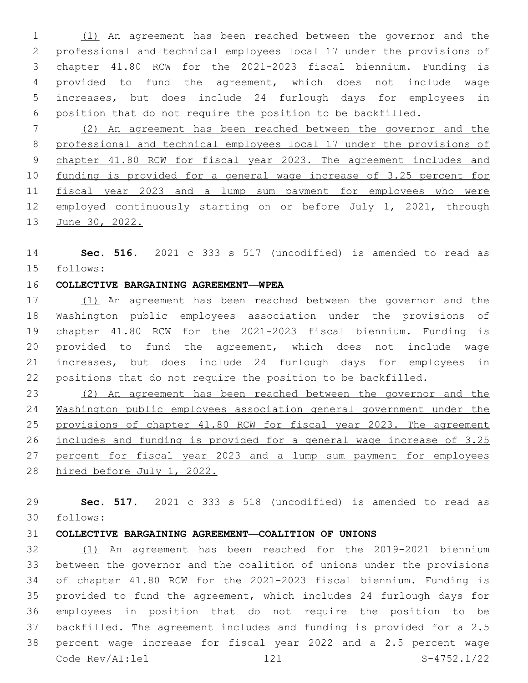(1) An agreement has been reached between the governor and the professional and technical employees local 17 under the provisions of chapter 41.80 RCW for the 2021-2023 fiscal biennium. Funding is provided to fund the agreement, which does not include wage increases, but does include 24 furlough days for employees in position that do not require the position to be backfilled.

 (2) An agreement has been reached between the governor and the professional and technical employees local 17 under the provisions of chapter 41.80 RCW for fiscal year 2023. The agreement includes and funding is provided for a general wage increase of 3.25 percent for fiscal year 2023 and a lump sum payment for employees who were employed continuously starting on or before July 1, 2021, through 13 June 30, 2022.

 **Sec. 516.** 2021 c 333 s 517 (uncodified) is amended to read as follows: 15

#### **COLLECTIVE BARGAINING AGREEMENT—WPEA**

17 (1) An agreement has been reached between the governor and the Washington public employees association under the provisions of chapter 41.80 RCW for the 2021-2023 fiscal biennium. Funding is provided to fund the agreement, which does not include wage increases, but does include 24 furlough days for employees in positions that do not require the position to be backfilled.

 (2) An agreement has been reached between the governor and the Washington public employees association general government under the provisions of chapter 41.80 RCW for fiscal year 2023. The agreement includes and funding is provided for a general wage increase of 3.25 27 percent for fiscal year 2023 and a lump sum payment for employees hired before July 1, 2022.

 **Sec. 517.** 2021 c 333 s 518 (uncodified) is amended to read as follows: 30

#### **COLLECTIVE BARGAINING AGREEMENT—COALITION OF UNIONS**

 (1) An agreement has been reached for the 2019-2021 biennium between the governor and the coalition of unions under the provisions of chapter 41.80 RCW for the 2021-2023 fiscal biennium. Funding is provided to fund the agreement, which includes 24 furlough days for employees in position that do not require the position to be backfilled. The agreement includes and funding is provided for a 2.5 percent wage increase for fiscal year 2022 and a 2.5 percent wage Code Rev/AI:lel 121 S-4752.1/22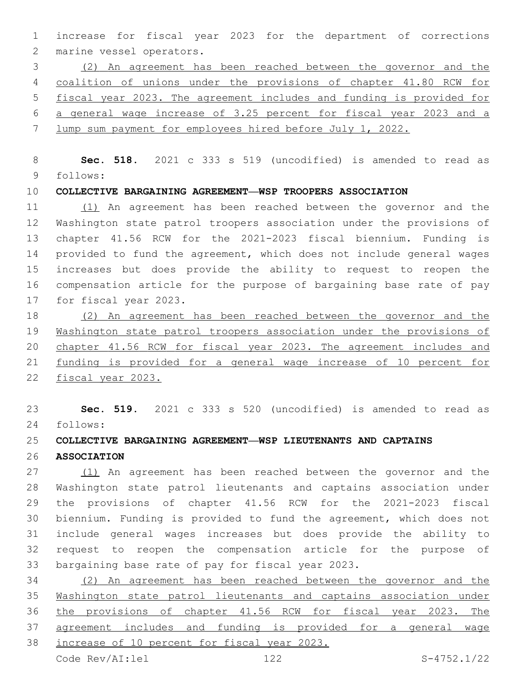increase for fiscal year 2023 for the department of corrections 2 marine vessel operators.

 (2) An agreement has been reached between the governor and the coalition of unions under the provisions of chapter 41.80 RCW for fiscal year 2023. The agreement includes and funding is provided for a general wage increase of 3.25 percent for fiscal year 2023 and a lump sum payment for employees hired before July 1, 2022.

 **Sec. 518.** 2021 c 333 s 519 (uncodified) is amended to read as follows: 9

**COLLECTIVE BARGAINING AGREEMENT—WSP TROOPERS ASSOCIATION**

 (1) An agreement has been reached between the governor and the Washington state patrol troopers association under the provisions of chapter 41.56 RCW for the 2021-2023 fiscal biennium. Funding is provided to fund the agreement, which does not include general wages increases but does provide the ability to request to reopen the compensation article for the purpose of bargaining base rate of pay 17 for fiscal year 2023.

 (2) An agreement has been reached between the governor and the Washington state patrol troopers association under the provisions of chapter 41.56 RCW for fiscal year 2023. The agreement includes and funding is provided for a general wage increase of 10 percent for fiscal year 2023.

 **Sec. 519.** 2021 c 333 s 520 (uncodified) is amended to read as follows: 24

#### **COLLECTIVE BARGAINING AGREEMENT—WSP LIEUTENANTS AND CAPTAINS**

**ASSOCIATION**

 (1) An agreement has been reached between the governor and the Washington state patrol lieutenants and captains association under the provisions of chapter 41.56 RCW for the 2021-2023 fiscal biennium. Funding is provided to fund the agreement, which does not include general wages increases but does provide the ability to request to reopen the compensation article for the purpose of 33 bargaining base rate of pay for fiscal year 2023.

 (2) An agreement has been reached between the governor and the Washington state patrol lieutenants and captains association under the provisions of chapter 41.56 RCW for fiscal year 2023. The agreement includes and funding is provided for a general wage increase of 10 percent for fiscal year 2023.

Code Rev/AI:lel 122 S-4752.1/22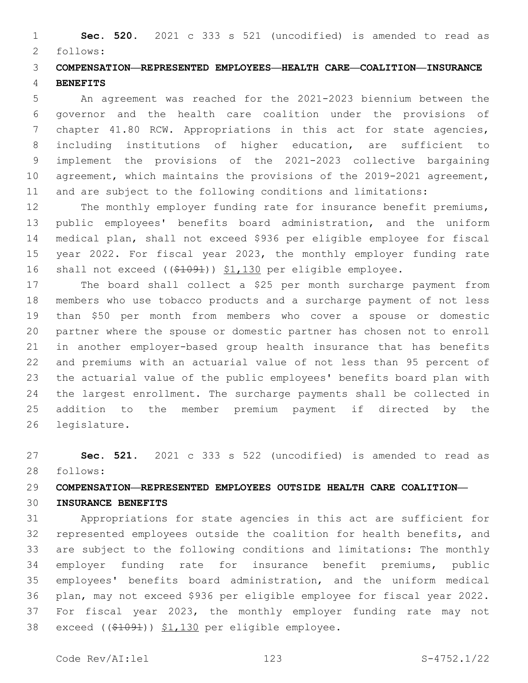**Sec. 520.** 2021 c 333 s 521 (uncodified) is amended to read as 2 follows:

# **COMPENSATION—REPRESENTED EMPLOYEES—HEALTH CARE—COALITION—INSURANCE BENEFITS**

 An agreement was reached for the 2021-2023 biennium between the governor and the health care coalition under the provisions of chapter 41.80 RCW. Appropriations in this act for state agencies, including institutions of higher education, are sufficient to implement the provisions of the 2021-2023 collective bargaining agreement, which maintains the provisions of the 2019-2021 agreement, and are subject to the following conditions and limitations:

12 The monthly employer funding rate for insurance benefit premiums, public employees' benefits board administration, and the uniform medical plan, shall not exceed \$936 per eligible employee for fiscal year 2022. For fiscal year 2023, the monthly employer funding rate shall not exceed ((\$1091)) \$1,130 per eligible employee.

 The board shall collect a \$25 per month surcharge payment from members who use tobacco products and a surcharge payment of not less than \$50 per month from members who cover a spouse or domestic partner where the spouse or domestic partner has chosen not to enroll in another employer-based group health insurance that has benefits and premiums with an actuarial value of not less than 95 percent of the actuarial value of the public employees' benefits board plan with the largest enrollment. The surcharge payments shall be collected in addition to the member premium payment if directed by the 26 legislature.

 **Sec. 521.** 2021 c 333 s 522 (uncodified) is amended to read as follows: 28

# **COMPENSATION—REPRESENTED EMPLOYEES OUTSIDE HEALTH CARE COALITION—**

# **INSURANCE BENEFITS**

 Appropriations for state agencies in this act are sufficient for represented employees outside the coalition for health benefits, and are subject to the following conditions and limitations: The monthly employer funding rate for insurance benefit premiums, public employees' benefits board administration, and the uniform medical plan, may not exceed \$936 per eligible employee for fiscal year 2022. For fiscal year 2023, the monthly employer funding rate may not 38 exceed ((\$1091)) \$1,130 per eligible employee.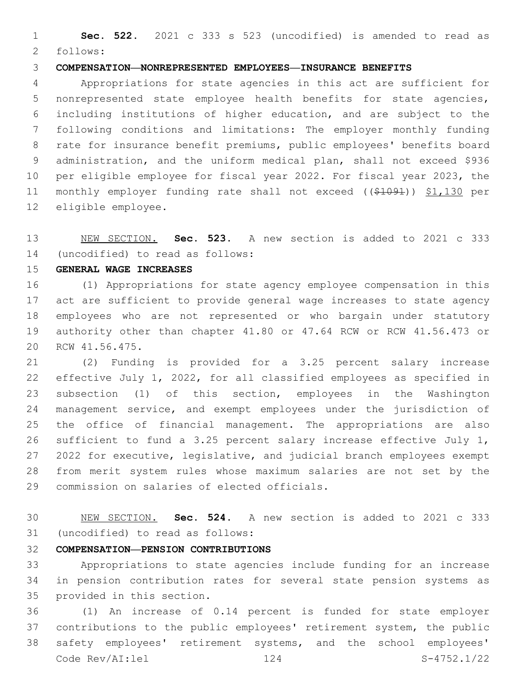**Sec. 522.** 2021 c 333 s 523 (uncodified) is amended to read as 2 follows:

#### **COMPENSATION—NONREPRESENTED EMPLOYEES—INSURANCE BENEFITS**

 Appropriations for state agencies in this act are sufficient for nonrepresented state employee health benefits for state agencies, including institutions of higher education, and are subject to the following conditions and limitations: The employer monthly funding rate for insurance benefit premiums, public employees' benefits board administration, and the uniform medical plan, shall not exceed \$936 per eligible employee for fiscal year 2022. For fiscal year 2023, the monthly employer funding rate shall not exceed ((\$1091)) \$1,130 per 12 eligible employee.

 NEW SECTION. **Sec. 523.** A new section is added to 2021 c 333 (uncodified) to read as follows: 14

**GENERAL WAGE INCREASES**

 (1) Appropriations for state agency employee compensation in this act are sufficient to provide general wage increases to state agency employees who are not represented or who bargain under statutory authority other than chapter 41.80 or 47.64 RCW or RCW 41.56.473 or 20 RCW 41.56.475.

 (2) Funding is provided for a 3.25 percent salary increase effective July 1, 2022, for all classified employees as specified in subsection (1) of this section, employees in the Washington management service, and exempt employees under the jurisdiction of the office of financial management. The appropriations are also sufficient to fund a 3.25 percent salary increase effective July 1, 2022 for executive, legislative, and judicial branch employees exempt from merit system rules whose maximum salaries are not set by the 29 commission on salaries of elected officials.

 NEW SECTION. **Sec. 524.** A new section is added to 2021 c 333 31 (uncodified) to read as follows:

#### **COMPENSATION—PENSION CONTRIBUTIONS**

 Appropriations to state agencies include funding for an increase in pension contribution rates for several state pension systems as 35 provided in this section.

 (1) An increase of 0.14 percent is funded for state employer contributions to the public employees' retirement system, the public safety employees' retirement systems, and the school employees' Code Rev/AI:lel 124 S-4752.1/22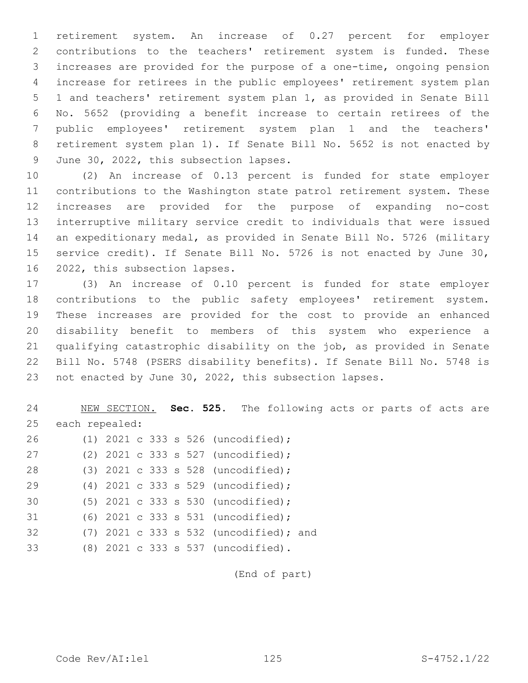retirement system. An increase of 0.27 percent for employer contributions to the teachers' retirement system is funded. These increases are provided for the purpose of a one-time, ongoing pension increase for retirees in the public employees' retirement system plan 1 and teachers' retirement system plan 1, as provided in Senate Bill No. 5652 (providing a benefit increase to certain retirees of the public employees' retirement system plan 1 and the teachers' retirement system plan 1). If Senate Bill No. 5652 is not enacted by 9 June 30, 2022, this subsection lapses.

 (2) An increase of 0.13 percent is funded for state employer contributions to the Washington state patrol retirement system. These increases are provided for the purpose of expanding no-cost interruptive military service credit to individuals that were issued an expeditionary medal, as provided in Senate Bill No. 5726 (military service credit). If Senate Bill No. 5726 is not enacted by June 30, 16 2022, this subsection lapses.

 (3) An increase of 0.10 percent is funded for state employer contributions to the public safety employees' retirement system. These increases are provided for the cost to provide an enhanced disability benefit to members of this system who experience a qualifying catastrophic disability on the job, as provided in Senate Bill No. 5748 (PSERS disability benefits). If Senate Bill No. 5748 is not enacted by June 30, 2022, this subsection lapses.

 NEW SECTION. **Sec. 525.** The following acts or parts of acts are each repealed:

| 26 |  |  |  | (1) 2021 c 333 s 526 (uncodified);       |
|----|--|--|--|------------------------------------------|
| 27 |  |  |  | (2) 2021 c 333 s 527 (uncodified);       |
| 28 |  |  |  | $(3)$ 2021 c 333 s 528 (uncodified);     |
| 29 |  |  |  | (4) 2021 c 333 s 529 (uncodified);       |
| 30 |  |  |  | $(5)$ 2021 c 333 s 530 (uncodified);     |
| 31 |  |  |  | (6) 2021 c 333 s 531 (uncodified);       |
| 32 |  |  |  | $(7)$ 2021 c 333 s 532 (uncodified); and |
| 33 |  |  |  | (8) 2021 c 333 s 537 (uncodified).       |

(End of part)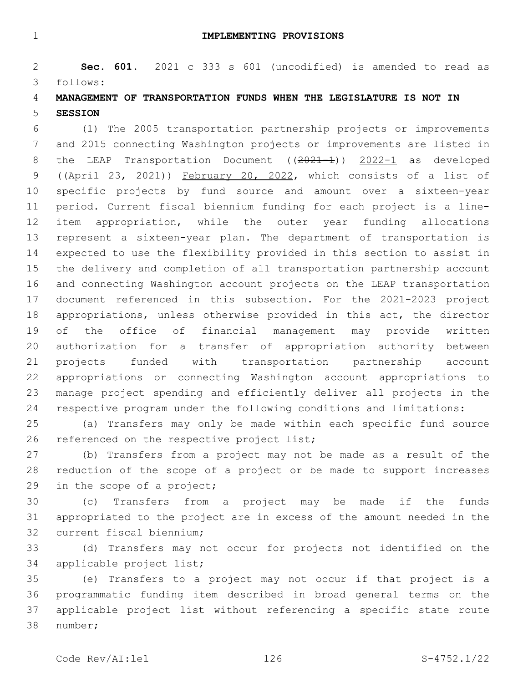**IMPLEMENTING PROVISIONS**

 **Sec. 601.** 2021 c 333 s 601 (uncodified) is amended to read as follows: 3

# **MANAGEMENT OF TRANSPORTATION FUNDS WHEN THE LEGISLATURE IS NOT IN SESSION**

 (1) The 2005 transportation partnership projects or improvements and 2015 connecting Washington projects or improvements are listed in 8 the LEAP Transportation Document ((2021-1)) 2022-1 as developed ((April 23, 2021)) February 20, 2022, which consists of a list of specific projects by fund source and amount over a sixteen-year period. Current fiscal biennium funding for each project is a line- item appropriation, while the outer year funding allocations represent a sixteen-year plan. The department of transportation is expected to use the flexibility provided in this section to assist in the delivery and completion of all transportation partnership account and connecting Washington account projects on the LEAP transportation document referenced in this subsection. For the 2021-2023 project appropriations, unless otherwise provided in this act, the director of the office of financial management may provide written authorization for a transfer of appropriation authority between projects funded with transportation partnership account appropriations or connecting Washington account appropriations to manage project spending and efficiently deliver all projects in the respective program under the following conditions and limitations:

 (a) Transfers may only be made within each specific fund source 26 referenced on the respective project list;

 (b) Transfers from a project may not be made as a result of the reduction of the scope of a project or be made to support increases 29 in the scope of a project;

 (c) Transfers from a project may be made if the funds appropriated to the project are in excess of the amount needed in the 32 current fiscal biennium;

 (d) Transfers may not occur for projects not identified on the 34 applicable project list;

 (e) Transfers to a project may not occur if that project is a programmatic funding item described in broad general terms on the applicable project list without referencing a specific state route 38 number;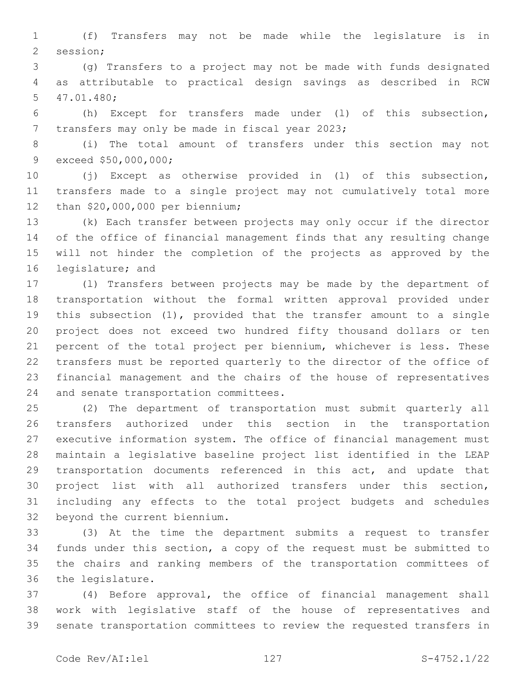(f) Transfers may not be made while the legislature is in 2 session;

 (g) Transfers to a project may not be made with funds designated as attributable to practical design savings as described in RCW 47.01.480;5

 (h) Except for transfers made under (l) of this subsection, 7 transfers may only be made in fiscal year 2023;

 (i) The total amount of transfers under this section may not 9 exceed \$50,000,000;

 (j) Except as otherwise provided in (l) of this subsection, transfers made to a single project may not cumulatively total more 12 than \$20,000,000 per biennium;

 (k) Each transfer between projects may only occur if the director of the office of financial management finds that any resulting change will not hinder the completion of the projects as approved by the 16 legislature; and

 (l) Transfers between projects may be made by the department of transportation without the formal written approval provided under this subsection (1), provided that the transfer amount to a single project does not exceed two hundred fifty thousand dollars or ten percent of the total project per biennium, whichever is less. These transfers must be reported quarterly to the director of the office of financial management and the chairs of the house of representatives 24 and senate transportation committees.

 (2) The department of transportation must submit quarterly all transfers authorized under this section in the transportation executive information system. The office of financial management must maintain a legislative baseline project list identified in the LEAP transportation documents referenced in this act, and update that project list with all authorized transfers under this section, including any effects to the total project budgets and schedules 32 beyond the current biennium.

 (3) At the time the department submits a request to transfer funds under this section, a copy of the request must be submitted to the chairs and ranking members of the transportation committees of 36 the legislature.

 (4) Before approval, the office of financial management shall work with legislative staff of the house of representatives and senate transportation committees to review the requested transfers in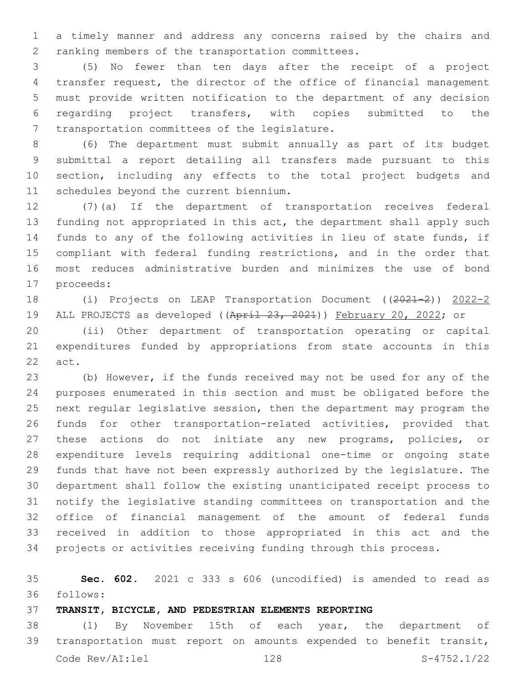a timely manner and address any concerns raised by the chairs and 2 ranking members of the transportation committees.

 (5) No fewer than ten days after the receipt of a project transfer request, the director of the office of financial management must provide written notification to the department of any decision regarding project transfers, with copies submitted to the 7 transportation committees of the legislature.

 (6) The department must submit annually as part of its budget submittal a report detailing all transfers made pursuant to this section, including any effects to the total project budgets and 11 schedules beyond the current biennium.

 (7)(a) If the department of transportation receives federal funding not appropriated in this act, the department shall apply such funds to any of the following activities in lieu of state funds, if compliant with federal funding restrictions, and in the order that most reduces administrative burden and minimizes the use of bond 17 proceeds:

18 (i) Projects on LEAP Transportation Document ((2021-2)) 2022-2 19 ALL PROJECTS as developed ((April 23, 2021)) February 20, 2022; or

 (ii) Other department of transportation operating or capital expenditures funded by appropriations from state accounts in this 22 act.

 (b) However, if the funds received may not be used for any of the purposes enumerated in this section and must be obligated before the next regular legislative session, then the department may program the funds for other transportation-related activities, provided that these actions do not initiate any new programs, policies, or expenditure levels requiring additional one-time or ongoing state funds that have not been expressly authorized by the legislature. The department shall follow the existing unanticipated receipt process to notify the legislative standing committees on transportation and the office of financial management of the amount of federal funds received in addition to those appropriated in this act and the projects or activities receiving funding through this process.

 **Sec. 602.** 2021 c 333 s 606 (uncodified) is amended to read as follows: 36

**TRANSIT, BICYCLE, AND PEDESTRIAN ELEMENTS REPORTING**

 (1) By November 15th of each year, the department of transportation must report on amounts expended to benefit transit, Code Rev/AI:lel 128 S-4752.1/22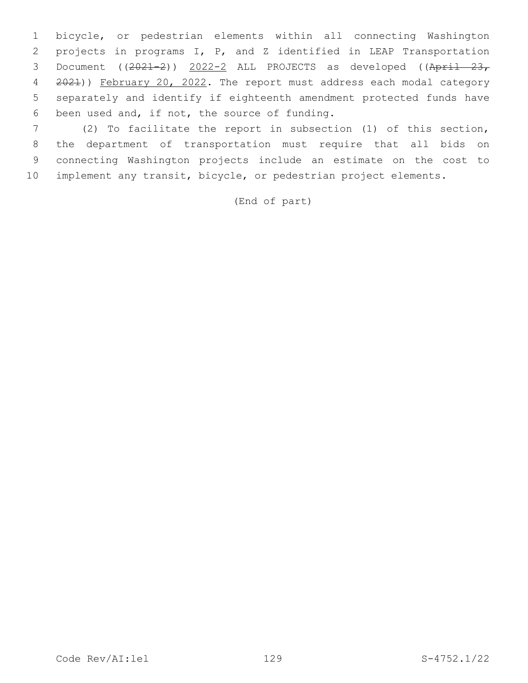bicycle, or pedestrian elements within all connecting Washington projects in programs I, P, and Z identified in LEAP Transportation 3 Document ((2021-2)) 2022-2 ALL PROJECTS as developed ((April 23, 2021)) February 20, 2022. The report must address each modal category separately and identify if eighteenth amendment protected funds have 6 been used and, if not, the source of funding.

 (2) To facilitate the report in subsection (1) of this section, the department of transportation must require that all bids on connecting Washington projects include an estimate on the cost to implement any transit, bicycle, or pedestrian project elements.

(End of part)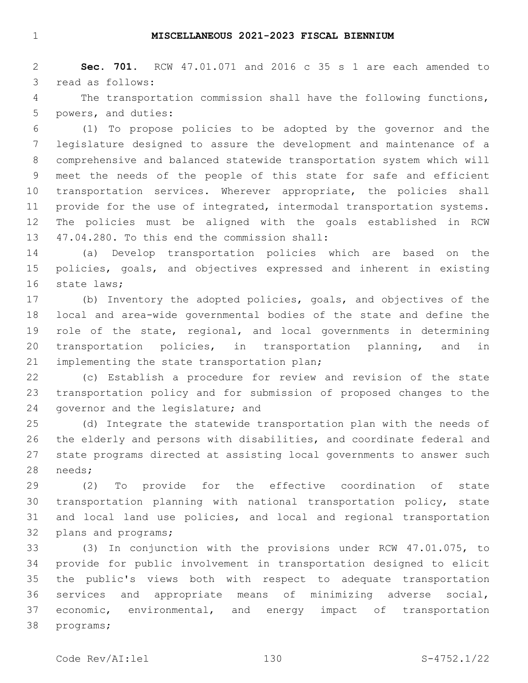#### **MISCELLANEOUS 2021-2023 FISCAL BIENNIUM**

 **Sec. 701.** RCW 47.01.071 and 2016 c 35 s 1 are each amended to 3 read as follows:

 The transportation commission shall have the following functions, 5 powers, and duties:

 (1) To propose policies to be adopted by the governor and the legislature designed to assure the development and maintenance of a comprehensive and balanced statewide transportation system which will meet the needs of the people of this state for safe and efficient transportation services. Wherever appropriate, the policies shall 11 provide for the use of integrated, intermodal transportation systems. The policies must be aligned with the goals established in RCW 13 47.04.280. To this end the commission shall:

 (a) Develop transportation policies which are based on the policies, goals, and objectives expressed and inherent in existing 16 state laws;

 (b) Inventory the adopted policies, goals, and objectives of the local and area-wide governmental bodies of the state and define the role of the state, regional, and local governments in determining transportation policies, in transportation planning, and in 21 implementing the state transportation plan;

 (c) Establish a procedure for review and revision of the state transportation policy and for submission of proposed changes to the 24 governor and the legislature; and

 (d) Integrate the statewide transportation plan with the needs of the elderly and persons with disabilities, and coordinate federal and state programs directed at assisting local governments to answer such 28 needs;

 (2) To provide for the effective coordination of state transportation planning with national transportation policy, state and local land use policies, and local and regional transportation 32 plans and programs;

 (3) In conjunction with the provisions under RCW 47.01.075, to provide for public involvement in transportation designed to elicit the public's views both with respect to adequate transportation services and appropriate means of minimizing adverse social, 37 economic, environmental, and energy impact of transportation 38 programs;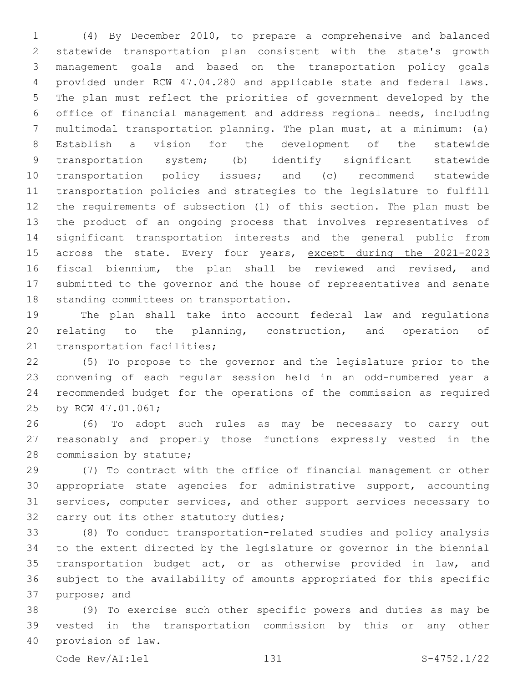(4) By December 2010, to prepare a comprehensive and balanced statewide transportation plan consistent with the state's growth management goals and based on the transportation policy goals provided under RCW 47.04.280 and applicable state and federal laws. The plan must reflect the priorities of government developed by the office of financial management and address regional needs, including multimodal transportation planning. The plan must, at a minimum: (a) Establish a vision for the development of the statewide transportation system; (b) identify significant statewide transportation policy issues; and (c) recommend statewide transportation policies and strategies to the legislature to fulfill the requirements of subsection (1) of this section. The plan must be the product of an ongoing process that involves representatives of significant transportation interests and the general public from 15 across the state. Every four years, except during the 2021-2023 16 fiscal biennium, the plan shall be reviewed and revised, and submitted to the governor and the house of representatives and senate 18 standing committees on transportation.

 The plan shall take into account federal law and regulations relating to the planning, construction, and operation of 21 transportation facilities;

 (5) To propose to the governor and the legislature prior to the convening of each regular session held in an odd-numbered year a recommended budget for the operations of the commission as required 25 by RCW 47.01.061;

 (6) To adopt such rules as may be necessary to carry out reasonably and properly those functions expressly vested in the 28 commission by statute;

 (7) To contract with the office of financial management or other appropriate state agencies for administrative support, accounting services, computer services, and other support services necessary to 32 carry out its other statutory duties;

 (8) To conduct transportation-related studies and policy analysis to the extent directed by the legislature or governor in the biennial 35 transportation budget act, or as otherwise provided in law, and subject to the availability of amounts appropriated for this specific 37 purpose; and

 (9) To exercise such other specific powers and duties as may be vested in the transportation commission by this or any other 40 provision of law.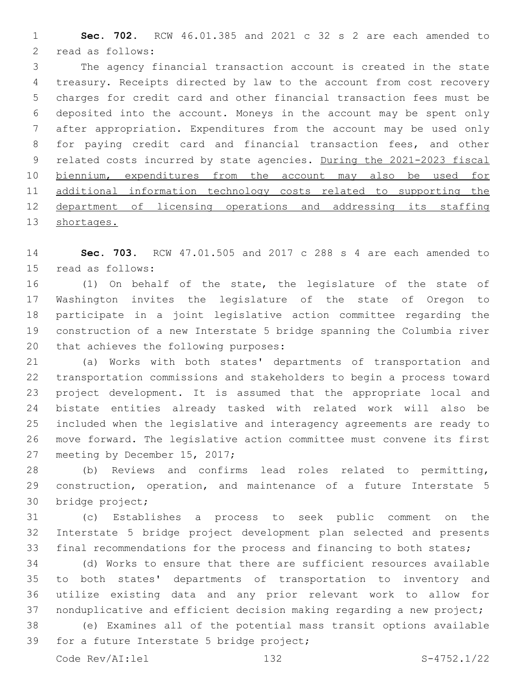**Sec. 702.** RCW 46.01.385 and 2021 c 32 s 2 are each amended to 2 read as follows:

 The agency financial transaction account is created in the state treasury. Receipts directed by law to the account from cost recovery charges for credit card and other financial transaction fees must be deposited into the account. Moneys in the account may be spent only after appropriation. Expenditures from the account may be used only for paying credit card and financial transaction fees, and other 9 related costs incurred by state agencies. During the 2021-2023 fiscal biennium, expenditures from the account may also be used for additional information technology costs related to supporting the department of licensing operations and addressing its staffing shortages.

 **Sec. 703.** RCW 47.01.505 and 2017 c 288 s 4 are each amended to 15 read as follows:

 (1) On behalf of the state, the legislature of the state of Washington invites the legislature of the state of Oregon to participate in a joint legislative action committee regarding the construction of a new Interstate 5 bridge spanning the Columbia river 20 that achieves the following purposes:

 (a) Works with both states' departments of transportation and transportation commissions and stakeholders to begin a process toward project development. It is assumed that the appropriate local and bistate entities already tasked with related work will also be included when the legislative and interagency agreements are ready to move forward. The legislative action committee must convene its first 27 meeting by December 15, 2017;

 (b) Reviews and confirms lead roles related to permitting, 29 construction, operation, and maintenance of a future Interstate 5 30 bridge project;

 (c) Establishes a process to seek public comment on the Interstate 5 bridge project development plan selected and presents final recommendations for the process and financing to both states;

 (d) Works to ensure that there are sufficient resources available to both states' departments of transportation to inventory and utilize existing data and any prior relevant work to allow for nonduplicative and efficient decision making regarding a new project;

 (e) Examines all of the potential mass transit options available 39 for a future Interstate 5 bridge project;

Code Rev/AI:lel 132 S-4752.1/22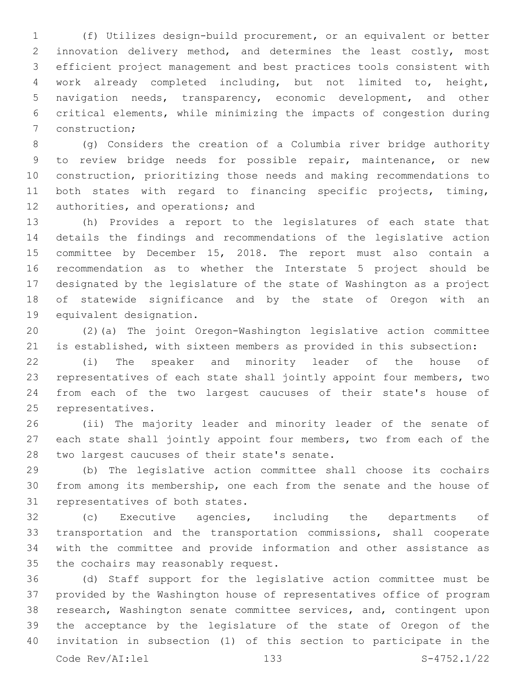(f) Utilizes design-build procurement, or an equivalent or better innovation delivery method, and determines the least costly, most efficient project management and best practices tools consistent with work already completed including, but not limited to, height, navigation needs, transparency, economic development, and other critical elements, while minimizing the impacts of congestion during 7 construction;

 (g) Considers the creation of a Columbia river bridge authority to review bridge needs for possible repair, maintenance, or new construction, prioritizing those needs and making recommendations to both states with regard to financing specific projects, timing, 12 authorities, and operations; and

 (h) Provides a report to the legislatures of each state that details the findings and recommendations of the legislative action committee by December 15, 2018. The report must also contain a recommendation as to whether the Interstate 5 project should be designated by the legislature of the state of Washington as a project of statewide significance and by the state of Oregon with an 19 equivalent designation.

 (2)(a) The joint Oregon-Washington legislative action committee is established, with sixteen members as provided in this subsection:

 (i) The speaker and minority leader of the house of representatives of each state shall jointly appoint four members, two from each of the two largest caucuses of their state's house of 25 representatives.

 (ii) The majority leader and minority leader of the senate of each state shall jointly appoint four members, two from each of the 28 two largest caucuses of their state's senate.

 (b) The legislative action committee shall choose its cochairs from among its membership, one each from the senate and the house of 31 representatives of both states.

 (c) Executive agencies, including the departments of transportation and the transportation commissions, shall cooperate with the committee and provide information and other assistance as 35 the cochairs may reasonably request.

 (d) Staff support for the legislative action committee must be provided by the Washington house of representatives office of program research, Washington senate committee services, and, contingent upon the acceptance by the legislature of the state of Oregon of the invitation in subsection (1) of this section to participate in the Code Rev/AI:lel 133 S-4752.1/22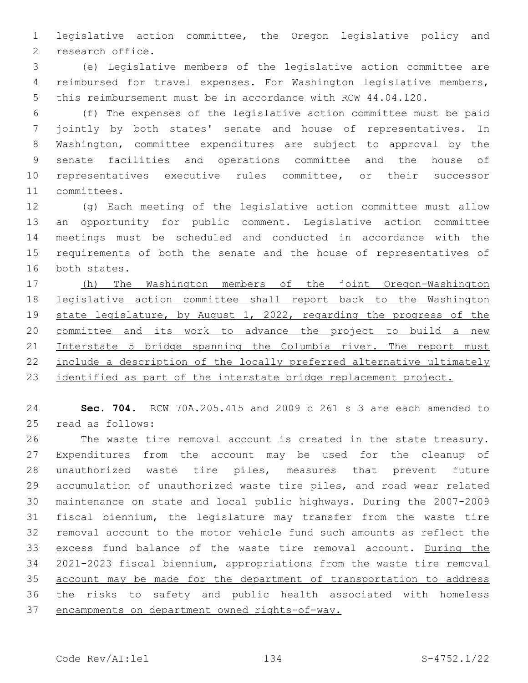legislative action committee, the Oregon legislative policy and 2 research office.

 (e) Legislative members of the legislative action committee are reimbursed for travel expenses. For Washington legislative members, this reimbursement must be in accordance with RCW 44.04.120.

 (f) The expenses of the legislative action committee must be paid jointly by both states' senate and house of representatives. In Washington, committee expenditures are subject to approval by the senate facilities and operations committee and the house of representatives executive rules committee, or their successor 11 committees.

 (g) Each meeting of the legislative action committee must allow an opportunity for public comment. Legislative action committee meetings must be scheduled and conducted in accordance with the requirements of both the senate and the house of representatives of 16 both states.

 (h) The Washington members of the joint Oregon-Washington legislative action committee shall report back to the Washington 19 state legislature, by August 1, 2022, regarding the progress of the committee and its work to advance the project to build a new 21 Interstate 5 bridge spanning the Columbia river. The report must include a description of the locally preferred alternative ultimately 23 identified as part of the interstate bridge replacement project.

 **Sec. 704.** RCW 70A.205.415 and 2009 c 261 s 3 are each amended to 25 read as follows:

 The waste tire removal account is created in the state treasury. Expenditures from the account may be used for the cleanup of unauthorized waste tire piles, measures that prevent future accumulation of unauthorized waste tire piles, and road wear related maintenance on state and local public highways. During the 2007-2009 fiscal biennium, the legislature may transfer from the waste tire removal account to the motor vehicle fund such amounts as reflect the excess fund balance of the waste tire removal account. During the 2021-2023 fiscal biennium, appropriations from the waste tire removal account may be made for the department of transportation to address the risks to safety and public health associated with homeless encampments on department owned rights-of-way.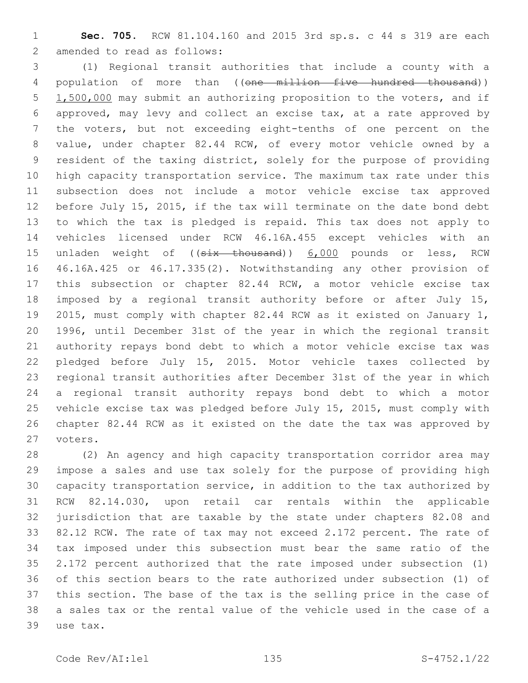**Sec. 705.** RCW 81.104.160 and 2015 3rd sp.s. c 44 s 319 are each 2 amended to read as follows:

 (1) Regional transit authorities that include a county with a 4 population of more than ((one million five hundred thousand)) 1,500,000 may submit an authorizing proposition to the voters, and if approved, may levy and collect an excise tax, at a rate approved by the voters, but not exceeding eight-tenths of one percent on the value, under chapter 82.44 RCW, of every motor vehicle owned by a resident of the taxing district, solely for the purpose of providing high capacity transportation service. The maximum tax rate under this subsection does not include a motor vehicle excise tax approved before July 15, 2015, if the tax will terminate on the date bond debt to which the tax is pledged is repaid. This tax does not apply to vehicles licensed under RCW 46.16A.455 except vehicles with an 15 unladen weight of ((six thousand)) 6,000 pounds or less, RCW 46.16A.425 or 46.17.335(2). Notwithstanding any other provision of this subsection or chapter 82.44 RCW, a motor vehicle excise tax imposed by a regional transit authority before or after July 15, 2015, must comply with chapter 82.44 RCW as it existed on January 1, 1996, until December 31st of the year in which the regional transit authority repays bond debt to which a motor vehicle excise tax was pledged before July 15, 2015. Motor vehicle taxes collected by regional transit authorities after December 31st of the year in which a regional transit authority repays bond debt to which a motor vehicle excise tax was pledged before July 15, 2015, must comply with chapter 82.44 RCW as it existed on the date the tax was approved by 27 voters.

 (2) An agency and high capacity transportation corridor area may impose a sales and use tax solely for the purpose of providing high capacity transportation service, in addition to the tax authorized by RCW 82.14.030, upon retail car rentals within the applicable jurisdiction that are taxable by the state under chapters 82.08 and 82.12 RCW. The rate of tax may not exceed 2.172 percent. The rate of tax imposed under this subsection must bear the same ratio of the 2.172 percent authorized that the rate imposed under subsection (1) of this section bears to the rate authorized under subsection (1) of this section. The base of the tax is the selling price in the case of a sales tax or the rental value of the vehicle used in the case of a 39 use tax.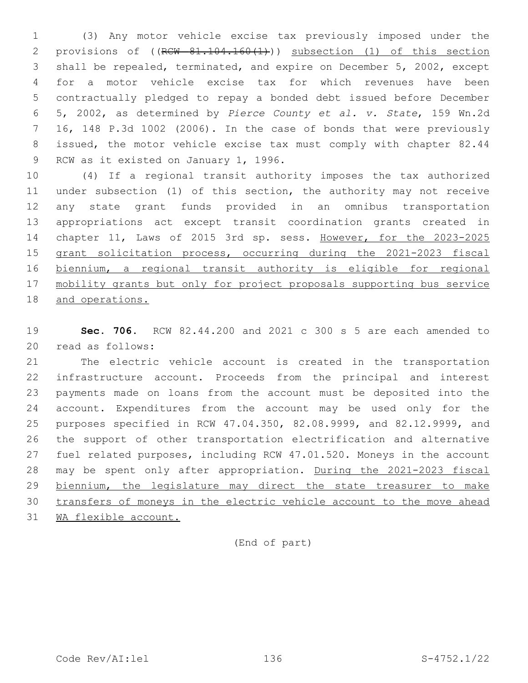(3) Any motor vehicle excise tax previously imposed under the 2 provisions of ((RCW 81.104.160(1))) subsection (1) of this section shall be repealed, terminated, and expire on December 5, 2002, except for a motor vehicle excise tax for which revenues have been contractually pledged to repay a bonded debt issued before December 5, 2002, as determined by *Pierce County et al. v. State*, 159 Wn.2d 16, 148 P.3d 1002 (2006). In the case of bonds that were previously issued, the motor vehicle excise tax must comply with chapter 82.44 9 RCW as it existed on January 1, 1996.

 (4) If a regional transit authority imposes the tax authorized under subsection (1) of this section, the authority may not receive any state grant funds provided in an omnibus transportation appropriations act except transit coordination grants created in chapter 11, Laws of 2015 3rd sp. sess. However, for the 2023-2025 grant solicitation process, occurring during the 2021-2023 fiscal biennium, a regional transit authority is eligible for regional mobility grants but only for project proposals supporting bus service and operations.

 **Sec. 706.** RCW 82.44.200 and 2021 c 300 s 5 are each amended to 20 read as follows:

 The electric vehicle account is created in the transportation infrastructure account. Proceeds from the principal and interest payments made on loans from the account must be deposited into the account. Expenditures from the account may be used only for the purposes specified in RCW 47.04.350, 82.08.9999, and 82.12.9999, and the support of other transportation electrification and alternative fuel related purposes, including RCW 47.01.520. Moneys in the account may be spent only after appropriation. During the 2021-2023 fiscal biennium, the legislature may direct the state treasurer to make transfers of moneys in the electric vehicle account to the move ahead WA flexible account.

(End of part)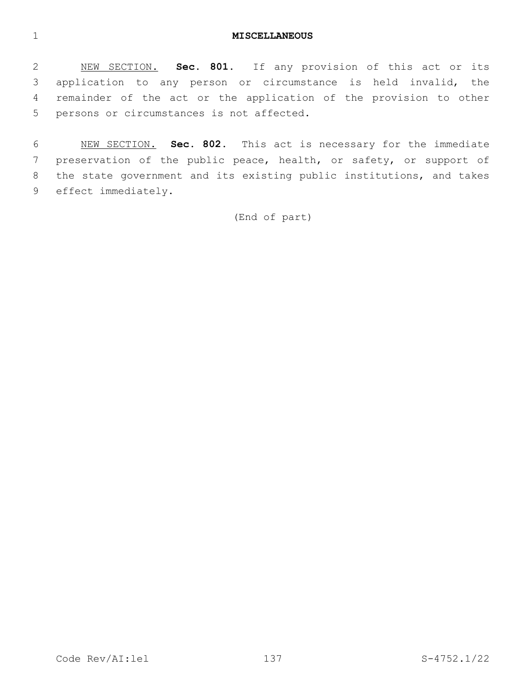#### **MISCELLANEOUS**

 NEW SECTION. **Sec. 801.** If any provision of this act or its application to any person or circumstance is held invalid, the remainder of the act or the application of the provision to other persons or circumstances is not affected.

 NEW SECTION. **Sec. 802.** This act is necessary for the immediate preservation of the public peace, health, or safety, or support of the state government and its existing public institutions, and takes effect immediately.

(End of part)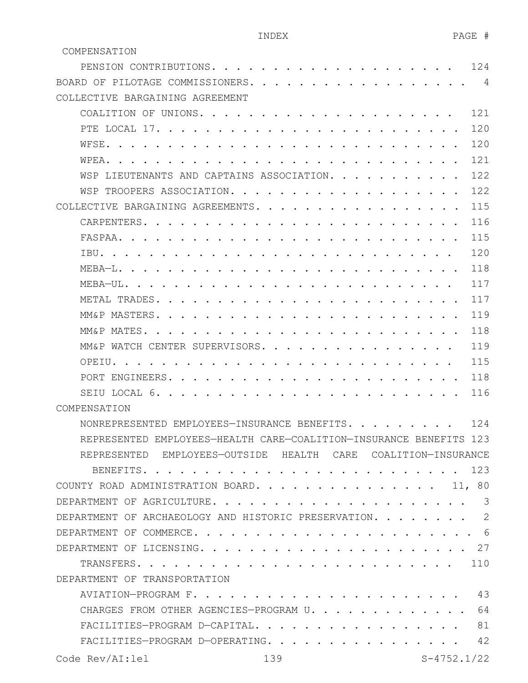| PENSION CONTRIBUTIONS.                                                                                                                      | 124 |
|---------------------------------------------------------------------------------------------------------------------------------------------|-----|
| BOARD OF PILOTAGE COMMISSIONERS.                                                                                                            | 4   |
| COLLECTIVE BARGAINING AGREEMENT                                                                                                             |     |
| COALITION OF UNIONS                                                                                                                         | 121 |
| PTE LOCAL 17.                                                                                                                               | 120 |
| WFSE.                                                                                                                                       | 120 |
| WPEA.                                                                                                                                       | 121 |
| WSP LIEUTENANTS AND CAPTAINS ASSOCIATION.                                                                                                   | 122 |
| WSP TROOPERS ASSOCIATION.                                                                                                                   | 122 |
| COLLECTIVE BARGAINING AGREEMENTS.<br>$\mathbf{r}$ , $\mathbf{r}$ , $\mathbf{r}$ , $\mathbf{r}$ , $\mathbf{r}$ , $\mathbf{r}$ , $\mathbf{r}$ | 115 |
| CARPENTERS                                                                                                                                  | 116 |
| FASPAA.                                                                                                                                     | 115 |
| TBU.                                                                                                                                        | 120 |
| MEBA-L.                                                                                                                                     | 118 |
| $MFRA - III$                                                                                                                                | 117 |
| METAL TRADES.                                                                                                                               | 117 |
| MM&P MASTERS.                                                                                                                               | 119 |
| MM&P MATES.                                                                                                                                 | 118 |
| MM&P WATCH CENTER SUPERVISORS                                                                                                               | 119 |
| OPEIU.                                                                                                                                      | 115 |
| PORT ENGINEERS.                                                                                                                             | 118 |
| SEIU LOCAL 6.                                                                                                                               | 116 |
| COMPENSATION                                                                                                                                |     |
| NONREPRESENTED EMPLOYEES-INSURANCE BENEFITS.                                                                                                | 124 |
| REPRESENTED EMPLOYEES-HEALTH CARE-COALITION-INSURANCE BENEFITS 123                                                                          |     |
| REPRESENTED EMPLOYEES-OUTSIDE HEALTH CARE COALITION-INSURANCE                                                                               |     |
| BENEFITS.                                                                                                                                   | 123 |
| COUNTY ROAD ADMINISTRATION BOARD.<br>11, 80                                                                                                 |     |
| DEPARTMENT OF AGRICULTURE.                                                                                                                  | 3   |
| DEPARTMENT OF ARCHAEOLOGY AND HISTORIC PRESERVATION. .                                                                                      | 2   |
| DEPARTMENT OF COMMERCE.                                                                                                                     | -6  |
| .27<br>DEPARTMENT OF LICENSING.                                                                                                             |     |
| TRANSFERS.                                                                                                                                  | 110 |
| DEPARTMENT OF TRANSPORTATION                                                                                                                |     |
| AVIATION-PROGRAM F.                                                                                                                         | 43  |
| CHARGES FROM OTHER AGENCIES-PROGRAM U.                                                                                                      | 64  |
| FACILITIES-PROGRAM D-CAPITAL.                                                                                                               | 81  |
| FACILITIES-PROGRAM D-OPERATING.                                                                                                             | 42  |
|                                                                                                                                             |     |

COMPENSATION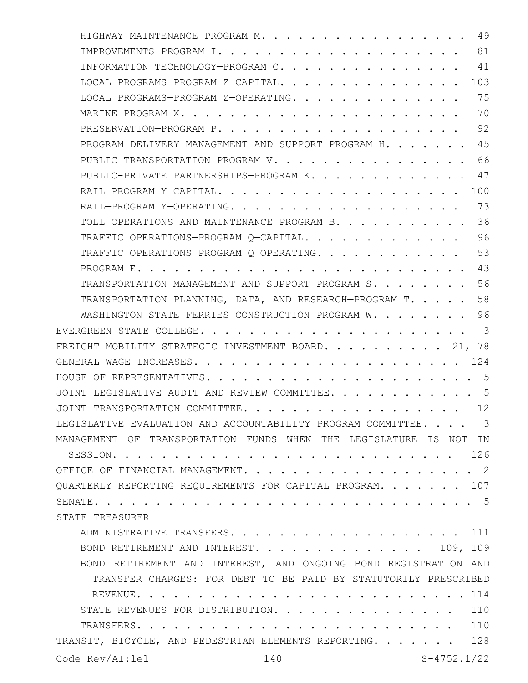| 49<br>HIGHWAY MAINTENANCE-PROGRAM M.                                         |
|------------------------------------------------------------------------------|
| 81                                                                           |
| INFORMATION TECHNOLOGY-PROGRAM C. 41                                         |
| LOCAL PROGRAMS-PROGRAM Z-CAPITAL. 103                                        |
| LOCAL PROGRAMS-PROGRAM Z-OPERATING. 75                                       |
| 70                                                                           |
|                                                                              |
| PROGRAM DELIVERY MANAGEMENT AND SUPPORT-PROGRAM H. 45                        |
| PUBLIC TRANSPORTATION-PROGRAM V. 66                                          |
| PUBLIC-PRIVATE PARTNERSHIPS-PROGRAM K. 47                                    |
|                                                                              |
| 73                                                                           |
| TOLL OPERATIONS AND MAINTENANCE-PROGRAM B. 36                                |
| 96<br>TRAFFIC OPERATIONS-PROGRAM Q-CAPITAL                                   |
| TRAFFIC OPERATIONS-PROGRAM Q-OPERATING. 53                                   |
|                                                                              |
| TRANSPORTATION MANAGEMENT AND SUPPORT-PROGRAM S. 56                          |
| TRANSPORTATION PLANNING, DATA, AND RESEARCH-PROGRAM T. 58                    |
| WASHINGTON STATE FERRIES CONSTRUCTION-PROGRAM W. 96                          |
|                                                                              |
| FREIGHT MOBILITY STRATEGIC INVESTMENT BOARD. 21, 78                          |
|                                                                              |
|                                                                              |
| JOINT LEGISLATIVE AUDIT AND REVIEW COMMITTEE. 5                              |
| 12<br>JOINT TRANSPORTATION COMMITTEE.<br>$\sim 10^{-10}$ and $\sim 10^{-10}$ |
| LEGISLATIVE EVALUATION AND ACCOUNTABILITY PROGRAM COMMITTEE. 3               |
| MANAGEMENT OF TRANSPORTATION FUNDS WHEN THE LEGISLATURE IS NOT<br>IN         |
|                                                                              |
|                                                                              |
| QUARTERLY REPORTING REQUIREMENTS FOR CAPITAL PROGRAM. 107                    |
|                                                                              |
| STATE TREASURER                                                              |
| ADMINISTRATIVE TRANSFERS. 111                                                |
| BOND RETIREMENT AND INTEREST.<br>109, 109                                    |
| BOND RETIREMENT AND INTEREST, AND ONGOING BOND REGISTRATION AND              |
| TRANSFER CHARGES: FOR DEBT TO BE PAID BY STATUTORILY PRESCRIBED              |
|                                                                              |
| STATE REVENUES FOR DISTRIBUTION. 110                                         |
| 110                                                                          |
| TRANSIT, BICYCLE, AND PEDESTRIAN ELEMENTS REPORTING. 128                     |
| $S-4752.1/22$<br>Code Rev/AI:lel<br>140                                      |